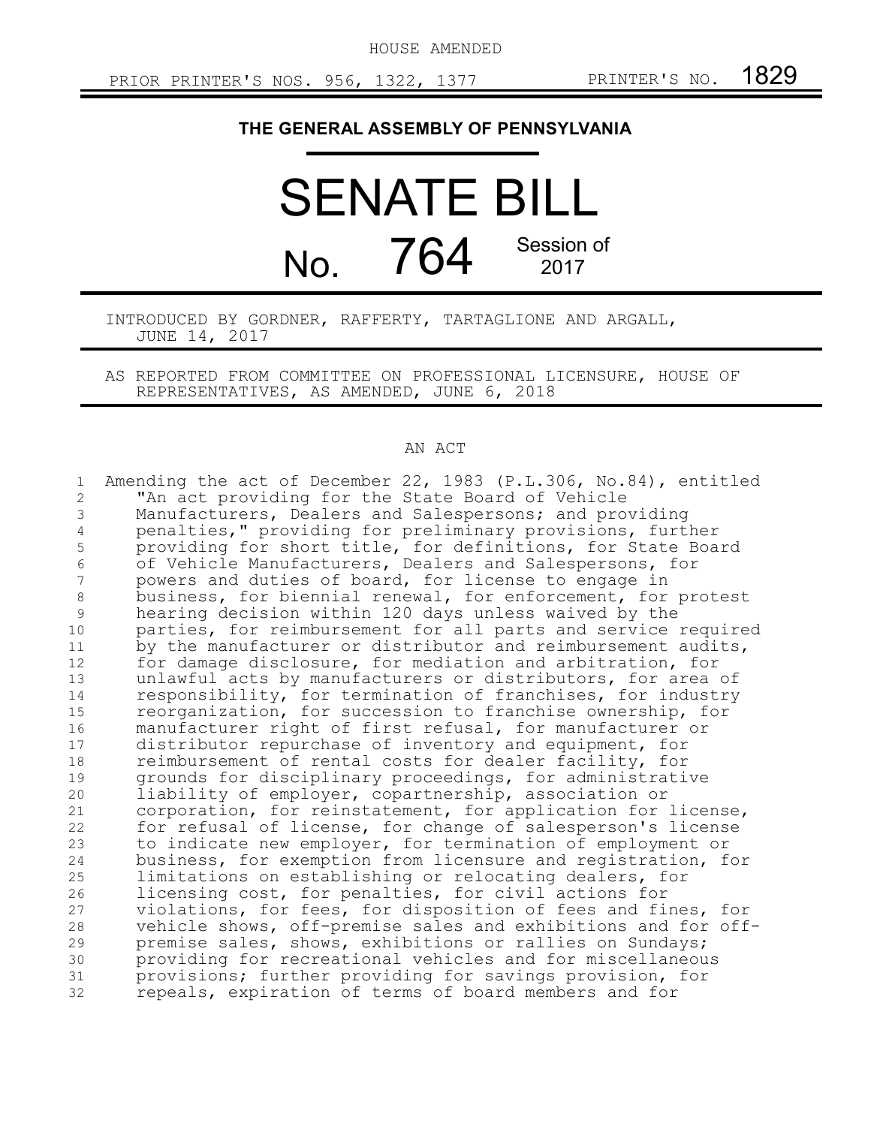HOUSE AMENDED

## **THE GENERAL ASSEMBLY OF PENNSYLVANIA**

SENATE BILL No. 764 Session of 2017

INTRODUCED BY GORDNER, RAFFERTY, TARTAGLIONE AND ARGALL, JUNE 14, 2017

AS REPORTED FROM COMMITTEE ON PROFESSIONAL LICENSURE, HOUSE OF REPRESENTATIVES, AS AMENDED, JUNE 6, 2018

## AN ACT

| $\mathbf 1$    | Amending the act of December 22, 1983 (P.L.306, No.84), entitled |
|----------------|------------------------------------------------------------------|
| $\overline{2}$ | "An act providing for the State Board of Vehicle                 |
| 3              | Manufacturers, Dealers and Salespersons; and providing           |
| 4              | penalties," providing for preliminary provisions, further        |
| 5              | providing for short title, for definitions, for State Board      |
| 6              | of Vehicle Manufacturers, Dealers and Salespersons, for          |
| 7              | powers and duties of board, for license to engage in             |
| $\,8\,$        | business, for biennial renewal, for enforcement, for protest     |
| 9              | hearing decision within 120 days unless waived by the            |
| 10             | parties, for reimbursement for all parts and service required    |
| 11             | by the manufacturer or distributor and reimbursement audits,     |
| 12             | for damage disclosure, for mediation and arbitration, for        |
| 13             | unlawful acts by manufacturers or distributors, for area of      |
| 14             | responsibility, for termination of franchises, for industry      |
| 15             | reorganization, for succession to franchise ownership, for       |
| 16             | manufacturer right of first refusal, for manufacturer or         |
| 17             | distributor repurchase of inventory and equipment, for           |
| 18             | reimbursement of rental costs for dealer facility, for           |
| 19             | grounds for disciplinary proceedings, for administrative         |
| 20             | liability of employer, copartnership, association or             |
| 21             | corporation, for reinstatement, for application for license,     |
| 22             | for refusal of license, for change of salesperson's license      |
| 23             | to indicate new employer, for termination of employment or       |
| 24             | business, for exemption from licensure and registration, for     |
| 25             | limitations on establishing or relocating dealers, for           |
| 26             | licensing cost, for penalties, for civil actions for             |
| 27             | violations, for fees, for disposition of fees and fines, for     |
| 28             | vehicle shows, off-premise sales and exhibitions and for off-    |
| 29             | premise sales, shows, exhibitions or rallies on Sundays;         |
| 30             | providing for recreational vehicles and for miscellaneous        |
| 31             | provisions; further providing for savings provision, for         |
| 32             | repeals, expiration of terms of board members and for            |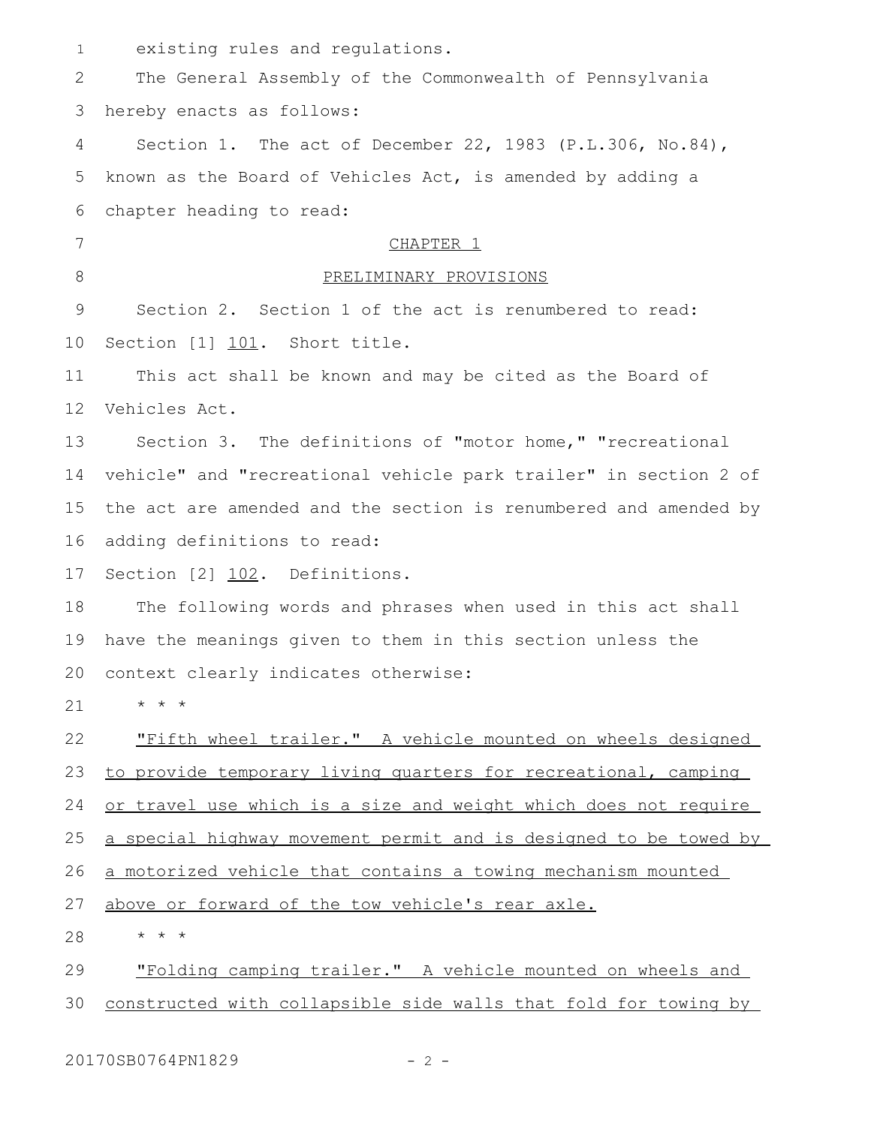| $\mathbf{1}$ | existing rules and regulations.                                  |
|--------------|------------------------------------------------------------------|
| 2            | The General Assembly of the Commonwealth of Pennsylvania         |
| 3            | hereby enacts as follows:                                        |
| 4            | Section 1. The act of December 22, 1983 (P.L.306, No.84),        |
| 5            | known as the Board of Vehicles Act, is amended by adding a       |
| 6            | chapter heading to read:                                         |
| 7            | CHAPTER 1                                                        |
| 8            | PRELIMINARY PROVISIONS                                           |
| 9            | Section 2. Section 1 of the act is renumbered to read:           |
| 10           | Section [1] 101. Short title.                                    |
| 11           | This act shall be known and may be cited as the Board of         |
| 12           | Vehicles Act.                                                    |
| 13           | Section 3. The definitions of "motor home," "recreational        |
| 14           | vehicle" and "recreational vehicle park trailer" in section 2 of |
| 15           | the act are amended and the section is renumbered and amended by |
| 16           | adding definitions to read:                                      |
| 17           | Section [2] 102. Definitions.                                    |
| 18           | The following words and phrases when used in this act shall      |
| 19           | have the meanings given to them in this section unless the       |
| 20           | context clearly indicates otherwise:                             |
| 21           | $\star$ $\star$ $\star$                                          |
| 22           | "Fifth wheel trailer." A vehicle mounted on wheels designed      |
| 23           | to provide temporary living quarters for recreational, camping   |
| 24           | or travel use which is a size and weight which does not require  |
| 25           | a special highway movement permit and is designed to be towed by |
| 26           | a motorized vehicle that contains a towing mechanism mounted     |
| 27           | above or forward of the tow vehicle's rear axle.                 |
| 28           | $\star$ $\star$ $\star$                                          |
| 29           | "Folding camping trailer." A vehicle mounted on wheels and       |
| 30           | constructed with collapsible side walls that fold for towing by  |

20170SB0764PN1829 - 2 -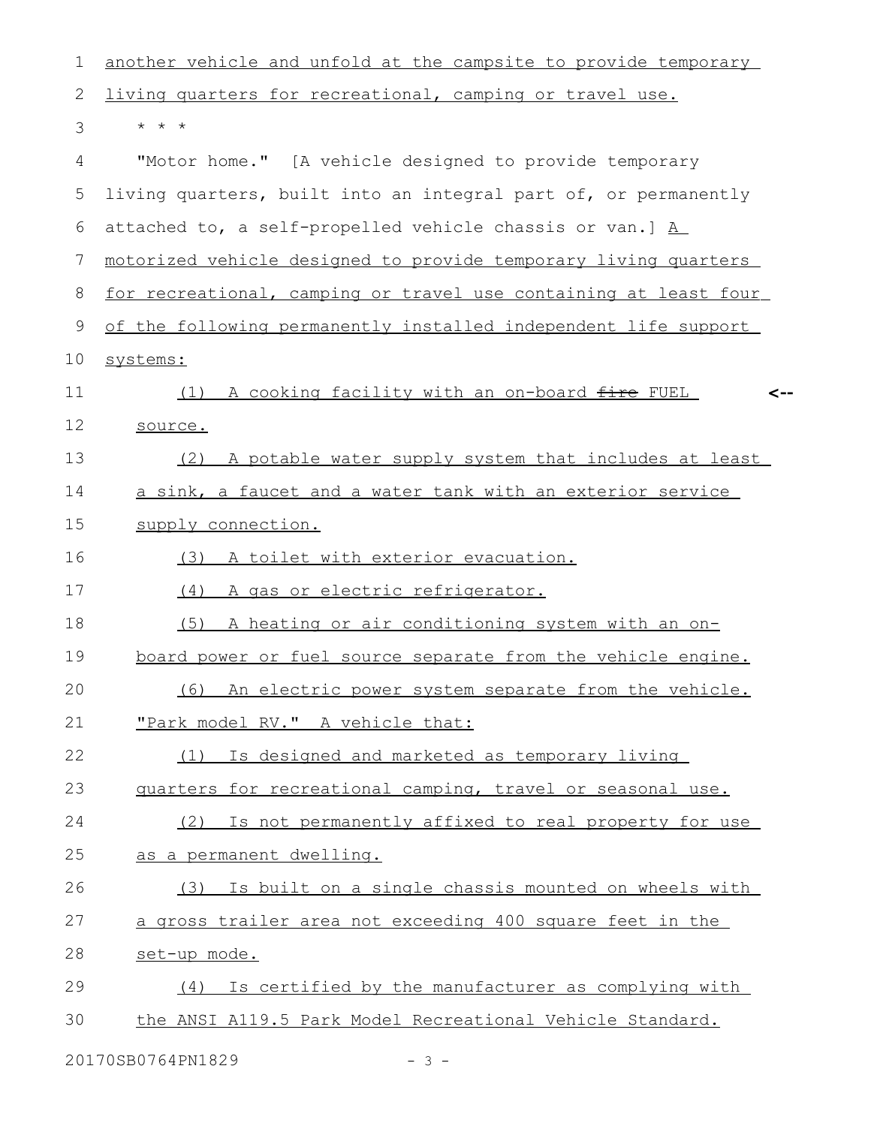| $\mathbf 1$     | another vehicle and unfold at the campsite to provide temporary  |
|-----------------|------------------------------------------------------------------|
| $\mathbf{2}$    | living quarters for recreational, camping or travel use.         |
| 3               | $\star$ $\star$ $\star$                                          |
| 4               | "Motor home." [A vehicle designed to provide temporary           |
| 5               | living quarters, built into an integral part of, or permanently  |
| 6               | attached to, a self-propelled vehicle chassis or van.] A         |
| $7\phantom{.0}$ | motorized vehicle designed to provide temporary living quarters  |
| 8               | for recreational, camping or travel use containing at least four |
| 9               | of the following permanently installed independent life support  |
| 10              | systems:                                                         |
| 11              | (1) A cooking facility with an on-board fire FUEL                |
| 12              | source.                                                          |
| 13              | (2) A potable water supply system that includes at least         |
| 14              | a sink, a faucet and a water tank with an exterior service       |
| 15              | supply connection.                                               |
| 16              | (3) A toilet with exterior evacuation.                           |
| 17              | (4) A gas or electric refrigerator.                              |
| 18              | A heating or air conditioning system with an on-<br>(5)          |
| 19              | board power or fuel source separate from the vehicle engine.     |
| 20              | (6) An electric power system separate from the vehicle.          |
| 21              | "Park model RV." A vehicle that:                                 |
| 22              | Is designed and marketed as temporary living<br>(1)              |
| 23              | quarters for recreational camping, travel or seasonal use.       |
| 24              | (2) Is not permanently affixed to real property for use          |
| 25              | as a permanent dwelling.                                         |
| 26              | (3) Is built on a single chassis mounted on wheels with          |
| 27              | a gross trailer area not exceeding 400 square feet in the        |
| 28              | set-up mode.                                                     |
| 29              | Is certified by the manufacturer as complying with<br>(4)        |
| 30              | the ANSI A119.5 Park Model Recreational Vehicle Standard.        |
|                 |                                                                  |

20170SB0764PN1829 - 3 -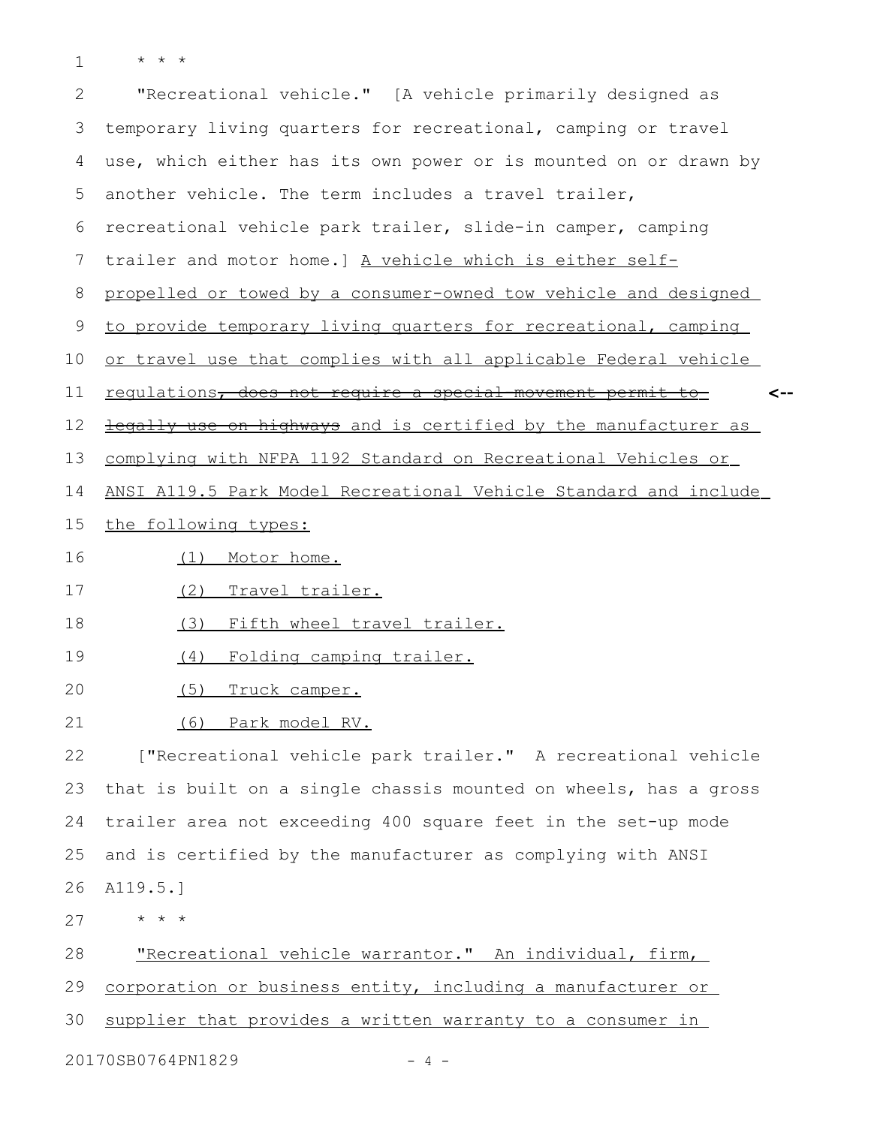\* \* \* 1

| $\overline{2}$             | "Recreational vehicle." [A vehicle primarily designed as                  |  |
|----------------------------|---------------------------------------------------------------------------|--|
| 3                          | temporary living quarters for recreational, camping or travel             |  |
| 4                          | use, which either has its own power or is mounted on or drawn by          |  |
| 5                          | another vehicle. The term includes a travel trailer,                      |  |
| 6                          | recreational vehicle park trailer, slide-in camper, camping               |  |
| 7                          | trailer and motor home.] A vehicle which is either self-                  |  |
| 8                          | propelled or towed by a consumer-owned tow vehicle and designed           |  |
| 9                          | to provide temporary living quarters for recreational, camping            |  |
| 10                         | or travel use that complies with all applicable Federal vehicle           |  |
| 11                         | <u>regulations, does not require a special-movement permit to-</u><br><-- |  |
| 12                         | <b>legally use on highways</b> and is certified by the manufacturer as    |  |
| 13                         | complying with NFPA 1192 Standard on Recreational Vehicles or             |  |
| 14                         | ANSI A119.5 Park Model Recreational Vehicle Standard and include          |  |
| 15                         | the following types:                                                      |  |
| 16                         | Motor home.<br>(1)                                                        |  |
| 17                         | Travel trailer.<br>(2)                                                    |  |
| 18                         | Fifth wheel travel trailer.<br>(3)                                        |  |
| 19                         | Folding camping trailer.<br>(4)                                           |  |
| 20                         | (5)<br>Truck camper.                                                      |  |
| 21                         | (6) Park model RV.                                                        |  |
| 22                         | ["Recreational vehicle park trailer." A recreational vehicle              |  |
| 23                         | that is built on a single chassis mounted on wheels, has a gross          |  |
| 24                         | trailer area not exceeding 400 square feet in the set-up mode             |  |
| 25                         | and is certified by the manufacturer as complying with ANSI               |  |
| 26                         | A119.5.]                                                                  |  |
| 27                         | $\star$ $\star$ $\star$                                                   |  |
| 28                         | "Recreational vehicle warrantor." An individual, firm,                    |  |
| 29                         | corporation or business entity, including a manufacturer or               |  |
| 30                         | supplier that provides a written warranty to a consumer in                |  |
| 20170SB0764PN1829<br>- 4 - |                                                                           |  |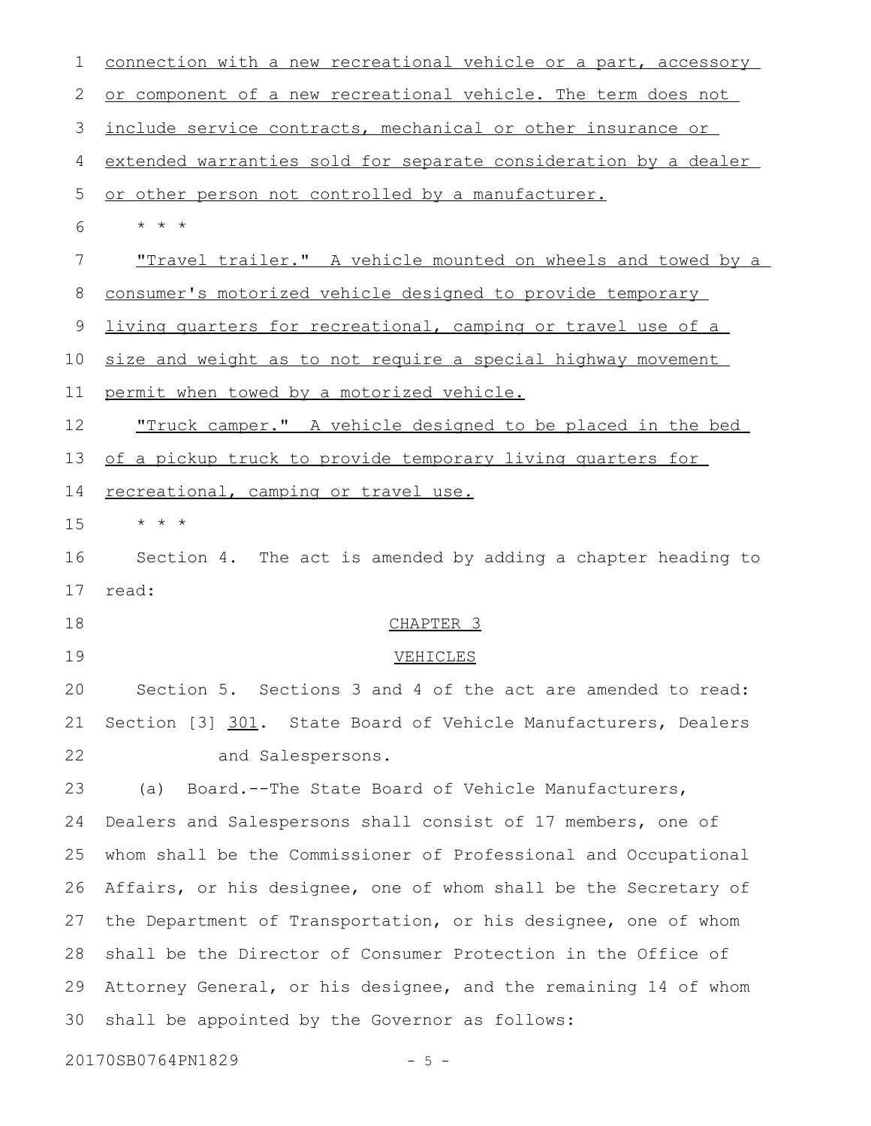| 1           | connection with a new recreational vehicle or a part, accessory |
|-------------|-----------------------------------------------------------------|
| 2           | or component of a new recreational vehicle. The term does not   |
| 3           | include service contracts, mechanical or other insurance or     |
| 4           | extended warranties sold for separate consideration by a dealer |
| 5           | or other person not controlled by a manufacturer.               |
| 6           | $\star$ $\star$ $\star$                                         |
| 7           | "Travel trailer." A vehicle mounted on wheels and towed by a    |
| $8\,$       | consumer's motorized vehicle designed to provide temporary      |
| $\mathsf 9$ | living quarters for recreational, camping or travel use of a    |
| 10          | size and weight as to not require a special highway movement    |
| 11          | permit when towed by a motorized vehicle.                       |
| 12          | "Truck camper." A vehicle designed to be placed in the bed      |
| 13          | of a pickup truck to provide temporary living quarters for      |
| 14          | recreational, camping or travel use.                            |
| 15          | * * *                                                           |
| 16          | Section 4. The act is amended by adding a chapter heading to    |
| 17          | read:                                                           |
| 18          | CHAPTER <sub>3</sub>                                            |
| 19          | VEHICLES                                                        |
| 20          | Section 5. Sections 3 and 4 of the act are amended to read:     |
| 21          | Section [3] 301. State Board of Vehicle Manufacturers, Dealers  |
| 22          | and Salespersons.                                               |
| 23          | Board.--The State Board of Vehicle Manufacturers,<br>(a)        |
| 24          | Dealers and Salespersons shall consist of 17 members, one of    |
| 25          | whom shall be the Commissioner of Professional and Occupational |
| 26          | Affairs, or his designee, one of whom shall be the Secretary of |
| 27          | the Department of Transportation, or his designee, one of whom  |
| 28          | shall be the Director of Consumer Protection in the Office of   |
| 29          | Attorney General, or his designee, and the remaining 14 of whom |
| 30          | shall be appointed by the Governor as follows:                  |
|             | 20170SB0764PN1829<br>5 –                                        |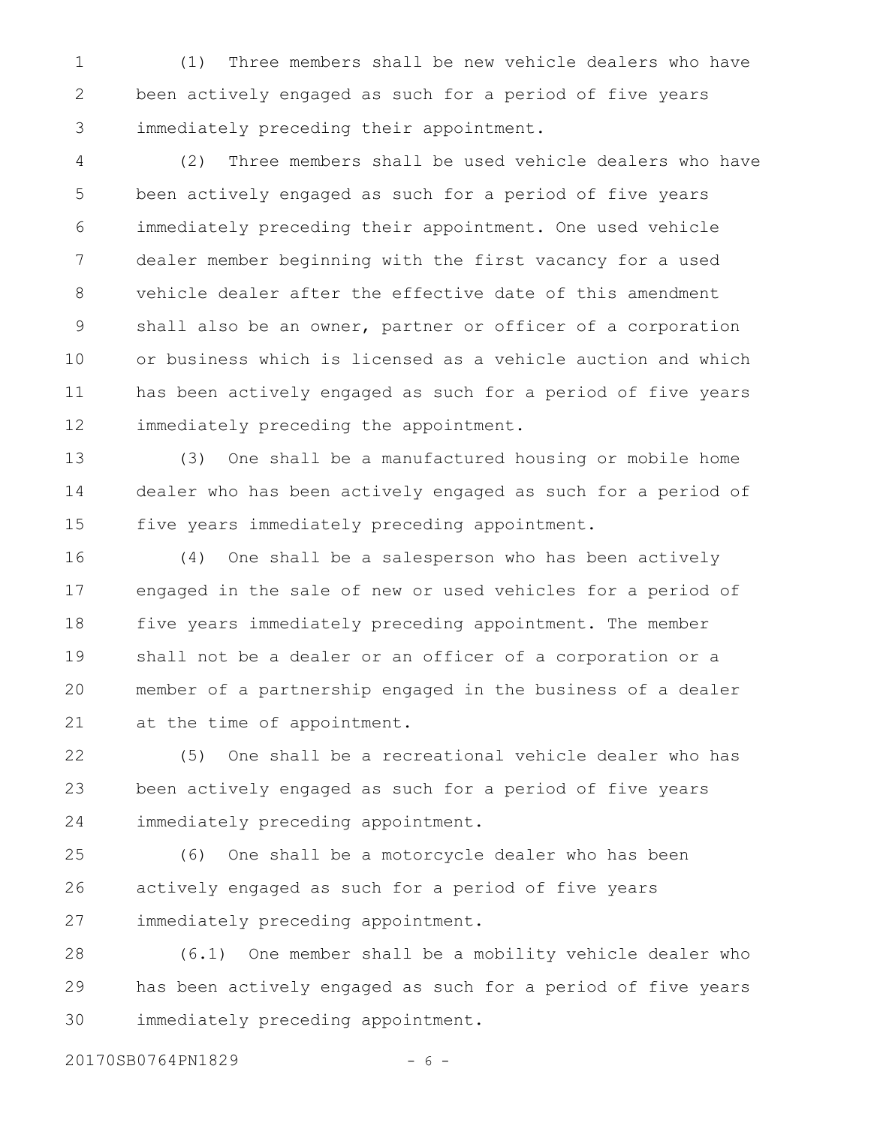(1) Three members shall be new vehicle dealers who have been actively engaged as such for a period of five years immediately preceding their appointment. 1 2 3

(2) Three members shall be used vehicle dealers who have been actively engaged as such for a period of five years immediately preceding their appointment. One used vehicle dealer member beginning with the first vacancy for a used vehicle dealer after the effective date of this amendment shall also be an owner, partner or officer of a corporation or business which is licensed as a vehicle auction and which has been actively engaged as such for a period of five years immediately preceding the appointment. 4 5 6 7 8 9 10 11 12

(3) One shall be a manufactured housing or mobile home dealer who has been actively engaged as such for a period of five years immediately preceding appointment. 13 14 15

(4) One shall be a salesperson who has been actively engaged in the sale of new or used vehicles for a period of five years immediately preceding appointment. The member shall not be a dealer or an officer of a corporation or a member of a partnership engaged in the business of a dealer at the time of appointment. 16 17 18 19 20 21

(5) One shall be a recreational vehicle dealer who has been actively engaged as such for a period of five years immediately preceding appointment. 22 23 24

(6) One shall be a motorcycle dealer who has been actively engaged as such for a period of five years immediately preceding appointment. 25 26 27

(6.1) One member shall be a mobility vehicle dealer who has been actively engaged as such for a period of five years immediately preceding appointment. 28 29 30

20170SB0764PN1829 - 6 -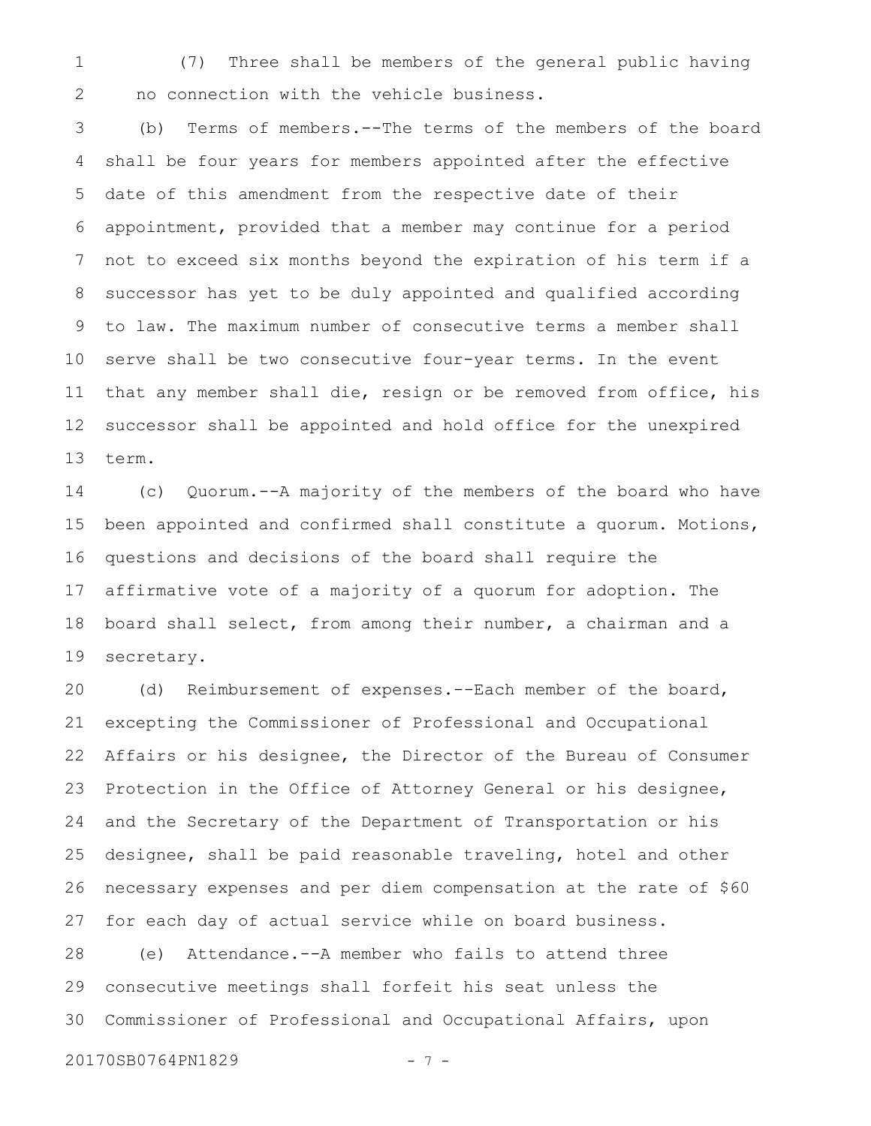(7) Three shall be members of the general public having no connection with the vehicle business. 1 2

(b) Terms of members.--The terms of the members of the board shall be four years for members appointed after the effective date of this amendment from the respective date of their appointment, provided that a member may continue for a period not to exceed six months beyond the expiration of his term if a successor has yet to be duly appointed and qualified according to law. The maximum number of consecutive terms a member shall serve shall be two consecutive four-year terms. In the event that any member shall die, resign or be removed from office, his successor shall be appointed and hold office for the unexpired term. 3 4 5 6 7 8 9 10 11 12 13

(c) Quorum.--A majority of the members of the board who have been appointed and confirmed shall constitute a quorum. Motions, questions and decisions of the board shall require the affirmative vote of a majority of a quorum for adoption. The board shall select, from among their number, a chairman and a secretary. 14 15 16 17 18 19

(d) Reimbursement of expenses.--Each member of the board, excepting the Commissioner of Professional and Occupational Affairs or his designee, the Director of the Bureau of Consumer Protection in the Office of Attorney General or his designee, and the Secretary of the Department of Transportation or his designee, shall be paid reasonable traveling, hotel and other necessary expenses and per diem compensation at the rate of \$60 for each day of actual service while on board business. (e) Attendance.--A member who fails to attend three 20 21 22 23 24 25 26 27 28

consecutive meetings shall forfeit his seat unless the Commissioner of Professional and Occupational Affairs, upon 29 30

20170SB0764PN1829 - 7 -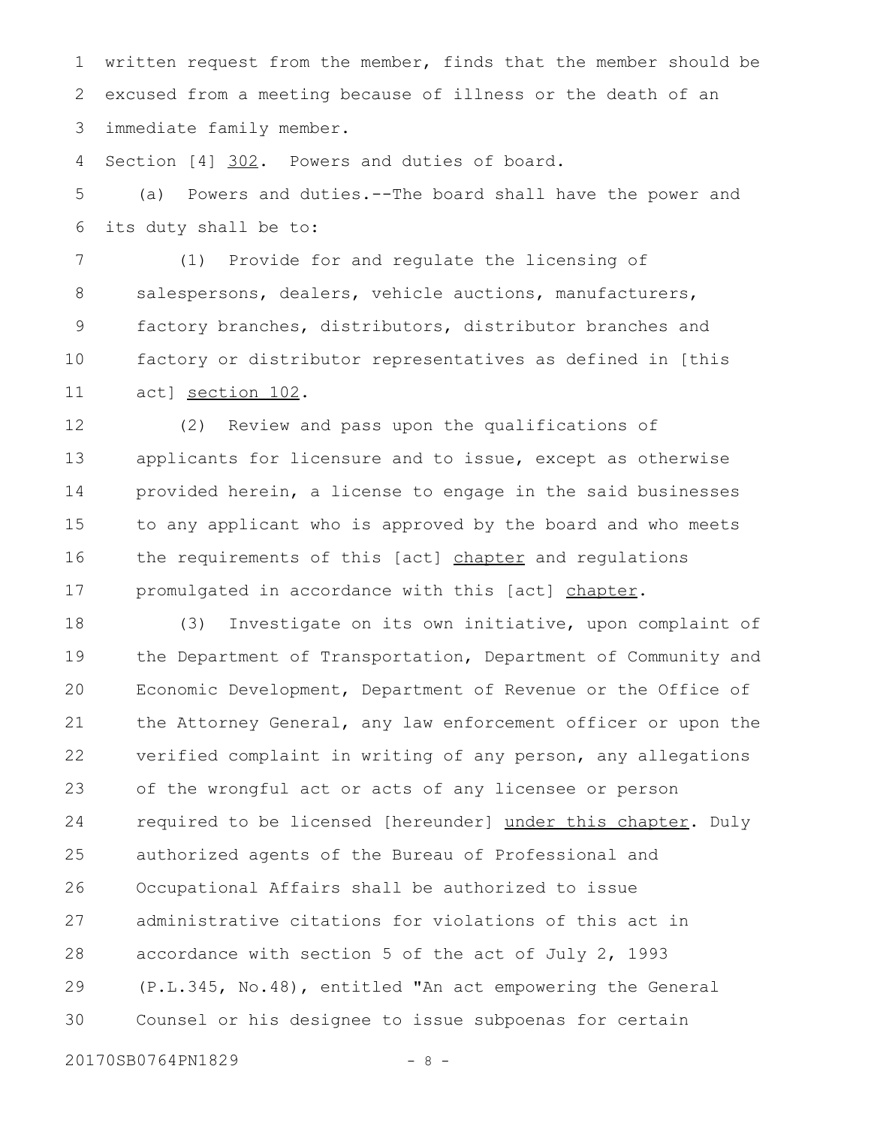written request from the member, finds that the member should be excused from a meeting because of illness or the death of an immediate family member. 1 2 3

Section [4] 302. Powers and duties of board. 4

(a) Powers and duties.--The board shall have the power and its duty shall be to: 5 6

(1) Provide for and regulate the licensing of salespersons, dealers, vehicle auctions, manufacturers, factory branches, distributors, distributor branches and factory or distributor representatives as defined in [this act] section 102. 7 8 9 10 11

(2) Review and pass upon the qualifications of applicants for licensure and to issue, except as otherwise provided herein, a license to engage in the said businesses to any applicant who is approved by the board and who meets the requirements of this [act] chapter and regulations promulgated in accordance with this [act] chapter. 12 13 14 15 16 17

(3) Investigate on its own initiative, upon complaint of the Department of Transportation, Department of Community and Economic Development, Department of Revenue or the Office of the Attorney General, any law enforcement officer or upon the verified complaint in writing of any person, any allegations of the wrongful act or acts of any licensee or person required to be licensed [hereunder] under this chapter. Duly authorized agents of the Bureau of Professional and Occupational Affairs shall be authorized to issue administrative citations for violations of this act in accordance with section 5 of the act of July 2, 1993 (P.L.345, No.48), entitled "An act empowering the General Counsel or his designee to issue subpoenas for certain 18 19 20 21 22 23 24 25 26 27 28 29 30

20170SB0764PN1829 - 8 -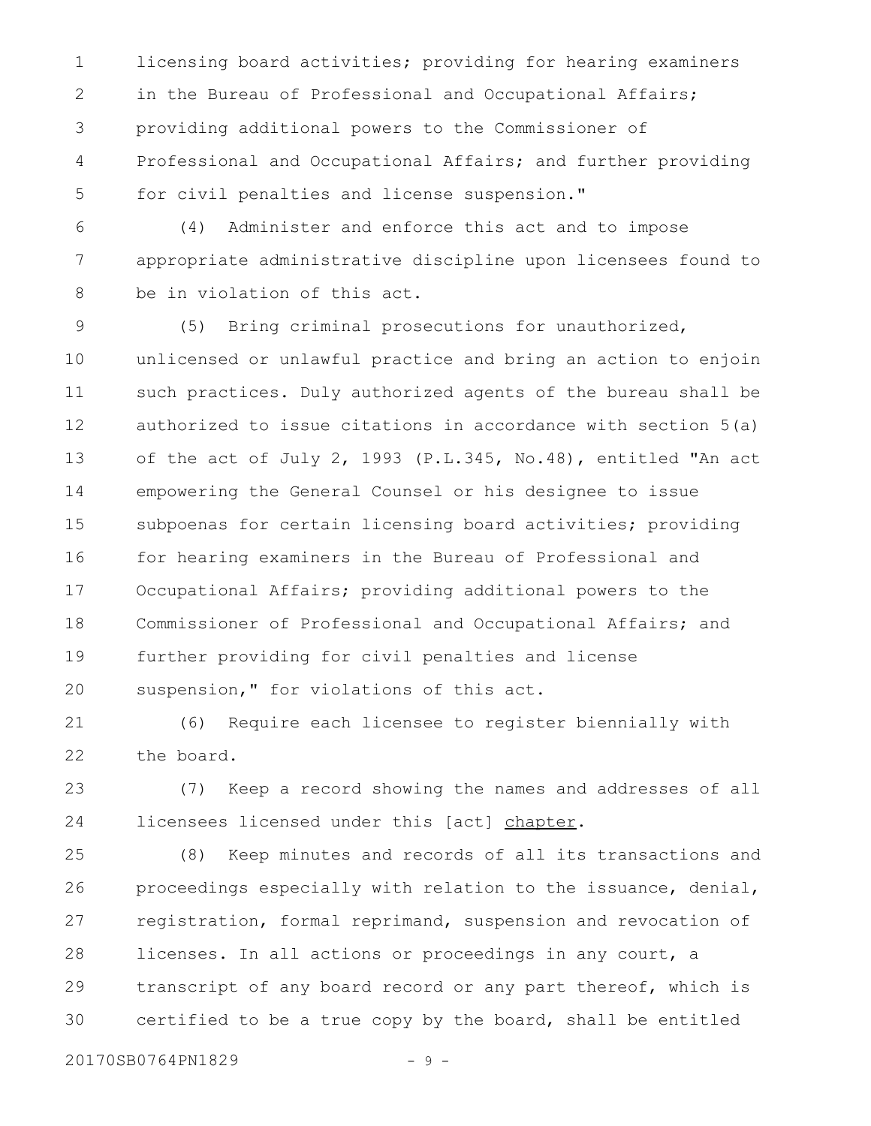licensing board activities; providing for hearing examiners in the Bureau of Professional and Occupational Affairs; providing additional powers to the Commissioner of Professional and Occupational Affairs; and further providing for civil penalties and license suspension." 1 2 3 4 5

(4) Administer and enforce this act and to impose appropriate administrative discipline upon licensees found to be in violation of this act. 6 7 8

(5) Bring criminal prosecutions for unauthorized, unlicensed or unlawful practice and bring an action to enjoin such practices. Duly authorized agents of the bureau shall be authorized to issue citations in accordance with section 5(a) of the act of July 2, 1993 (P.L.345, No.48), entitled "An act empowering the General Counsel or his designee to issue subpoenas for certain licensing board activities; providing for hearing examiners in the Bureau of Professional and Occupational Affairs; providing additional powers to the Commissioner of Professional and Occupational Affairs; and further providing for civil penalties and license suspension," for violations of this act. 9 10 11 12 13 14 15 16 17 18 19 20

(6) Require each licensee to register biennially with the board. 21 22

(7) Keep a record showing the names and addresses of all licensees licensed under this [act] chapter. 23 24

(8) Keep minutes and records of all its transactions and proceedings especially with relation to the issuance, denial, registration, formal reprimand, suspension and revocation of licenses. In all actions or proceedings in any court, a transcript of any board record or any part thereof, which is certified to be a true copy by the board, shall be entitled 25 26 27 28 29 30

20170SB0764PN1829 - 9 -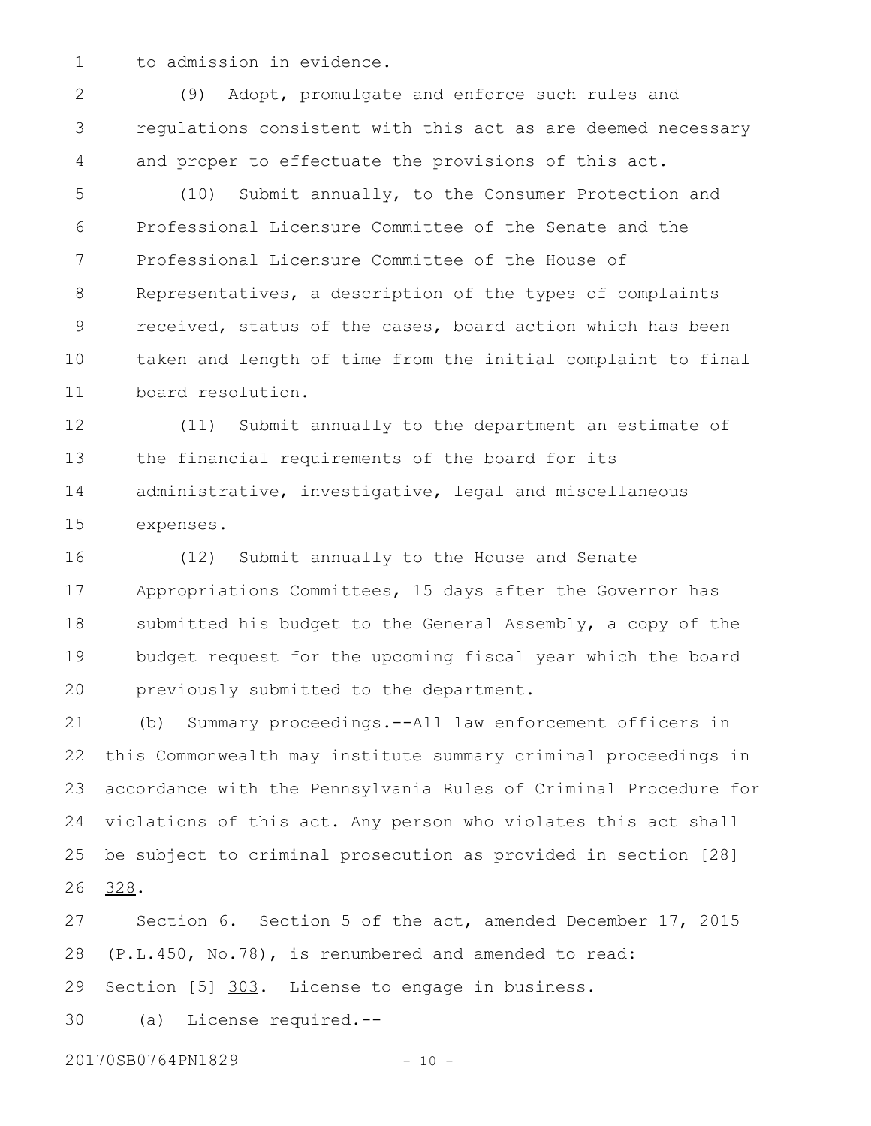1

to admission in evidence.

(9) Adopt, promulgate and enforce such rules and regulations consistent with this act as are deemed necessary and proper to effectuate the provisions of this act. 2 3 4

(10) Submit annually, to the Consumer Protection and Professional Licensure Committee of the Senate and the Professional Licensure Committee of the House of Representatives, a description of the types of complaints received, status of the cases, board action which has been taken and length of time from the initial complaint to final board resolution. 5 6 7 8 9 10 11

(11) Submit annually to the department an estimate of the financial requirements of the board for its administrative, investigative, legal and miscellaneous expenses. 12 13 14 15

(12) Submit annually to the House and Senate Appropriations Committees, 15 days after the Governor has submitted his budget to the General Assembly, a copy of the budget request for the upcoming fiscal year which the board previously submitted to the department. 16 17 18 19 20

(b) Summary proceedings.--All law enforcement officers in this Commonwealth may institute summary criminal proceedings in accordance with the Pennsylvania Rules of Criminal Procedure for violations of this act. Any person who violates this act shall be subject to criminal prosecution as provided in section [28] 328. 21 22 23 24 25 26

Section 6. Section 5 of the act, amended December 17, 2015 (P.L.450, No.78), is renumbered and amended to read: Section [5] 303. License to engage in business. (a) License required.-- 27 28 29 30

20170SB0764PN1829 - 10 -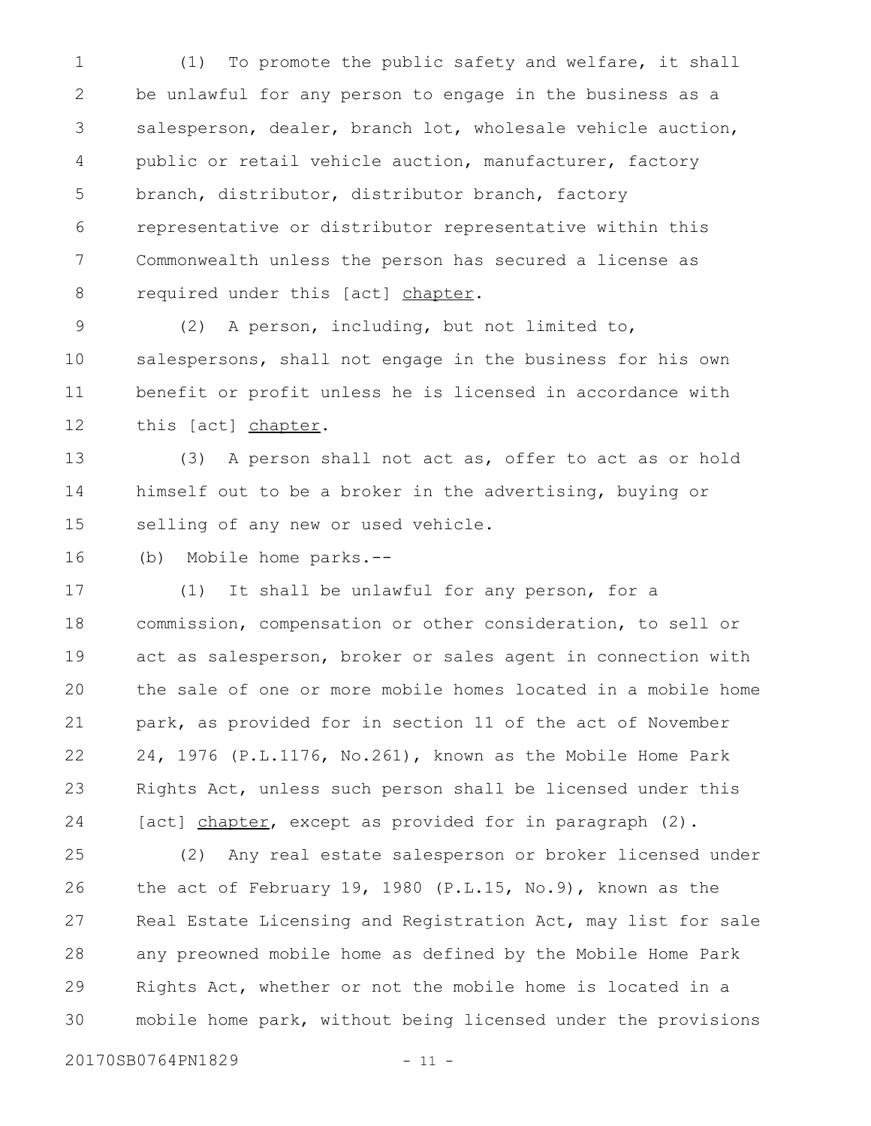(1) To promote the public safety and welfare, it shall be unlawful for any person to engage in the business as a salesperson, dealer, branch lot, wholesale vehicle auction, public or retail vehicle auction, manufacturer, factory branch, distributor, distributor branch, factory representative or distributor representative within this Commonwealth unless the person has secured a license as required under this [act] chapter. 1 2 3 4 5 6 7 8

(2) A person, including, but not limited to, salespersons, shall not engage in the business for his own benefit or profit unless he is licensed in accordance with this [act] chapter. 9 10 11 12

(3) A person shall not act as, offer to act as or hold himself out to be a broker in the advertising, buying or selling of any new or used vehicle. 13 14 15

(b) Mobile home parks.-- 16

(1) It shall be unlawful for any person, for a commission, compensation or other consideration, to sell or act as salesperson, broker or sales agent in connection with the sale of one or more mobile homes located in a mobile home park, as provided for in section 11 of the act of November 24, 1976 (P.L.1176, No.261), known as the Mobile Home Park Rights Act, unless such person shall be licensed under this [act] chapter, except as provided for in paragraph (2). 17 18 19 20 21 22 23 24

(2) Any real estate salesperson or broker licensed under the act of February 19, 1980 (P.L.15, No.9), known as the Real Estate Licensing and Registration Act, may list for sale any preowned mobile home as defined by the Mobile Home Park Rights Act, whether or not the mobile home is located in a mobile home park, without being licensed under the provisions 25 26 27 28 29 30

20170SB0764PN1829 - 11 -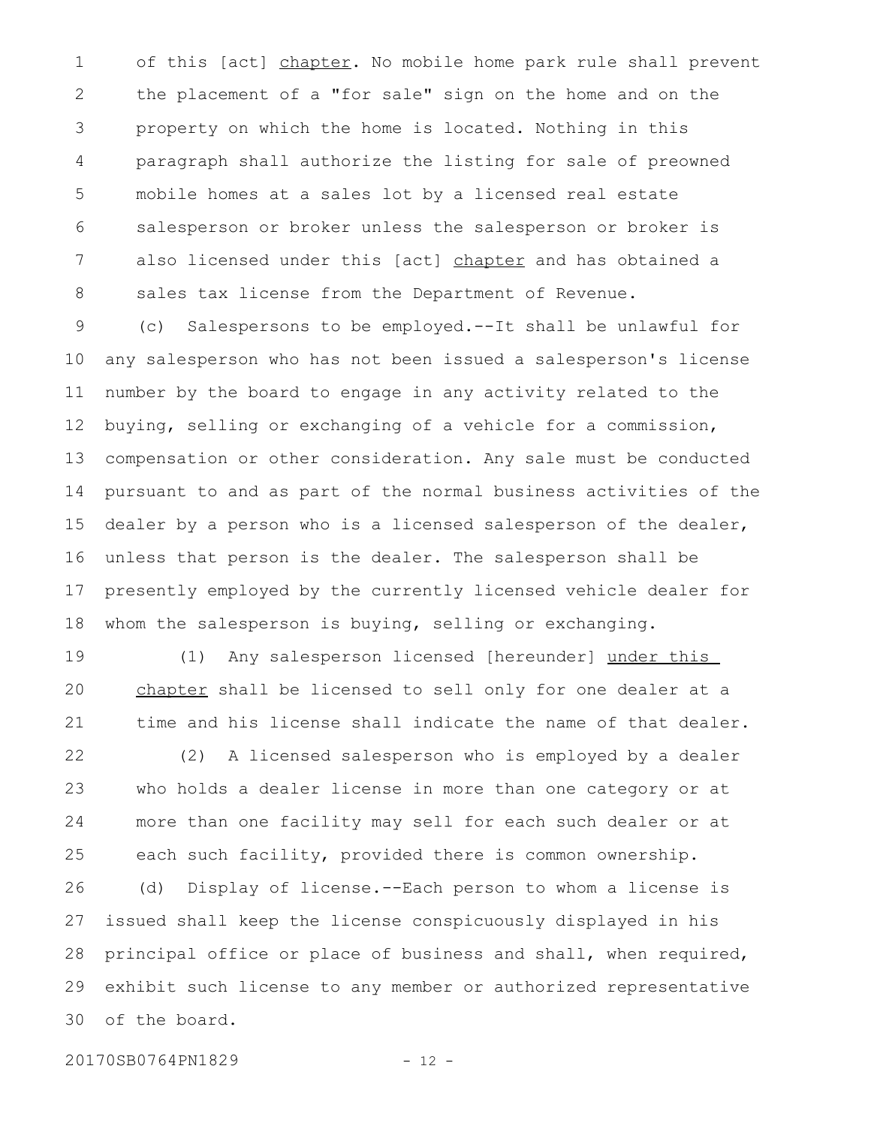of this [act] chapter. No mobile home park rule shall prevent the placement of a "for sale" sign on the home and on the property on which the home is located. Nothing in this paragraph shall authorize the listing for sale of preowned mobile homes at a sales lot by a licensed real estate salesperson or broker unless the salesperson or broker is also licensed under this [act] chapter and has obtained a sales tax license from the Department of Revenue. 1 2 3 4 5 6 7 8

(c) Salespersons to be employed.--It shall be unlawful for any salesperson who has not been issued a salesperson's license number by the board to engage in any activity related to the buying, selling or exchanging of a vehicle for a commission, compensation or other consideration. Any sale must be conducted pursuant to and as part of the normal business activities of the dealer by a person who is a licensed salesperson of the dealer, unless that person is the dealer. The salesperson shall be presently employed by the currently licensed vehicle dealer for whom the salesperson is buying, selling or exchanging. 9 10 11 12 13 14 15 16 17 18

(1) Any salesperson licensed [hereunder] under this chapter shall be licensed to sell only for one dealer at a time and his license shall indicate the name of that dealer. 19 20 21

(2) A licensed salesperson who is employed by a dealer who holds a dealer license in more than one category or at more than one facility may sell for each such dealer or at each such facility, provided there is common ownership. (d) Display of license.--Each person to whom a license is issued shall keep the license conspicuously displayed in his principal office or place of business and shall, when required, exhibit such license to any member or authorized representative of the board. 22 23 24 25 26 27 28 29 30

20170SB0764PN1829 - 12 -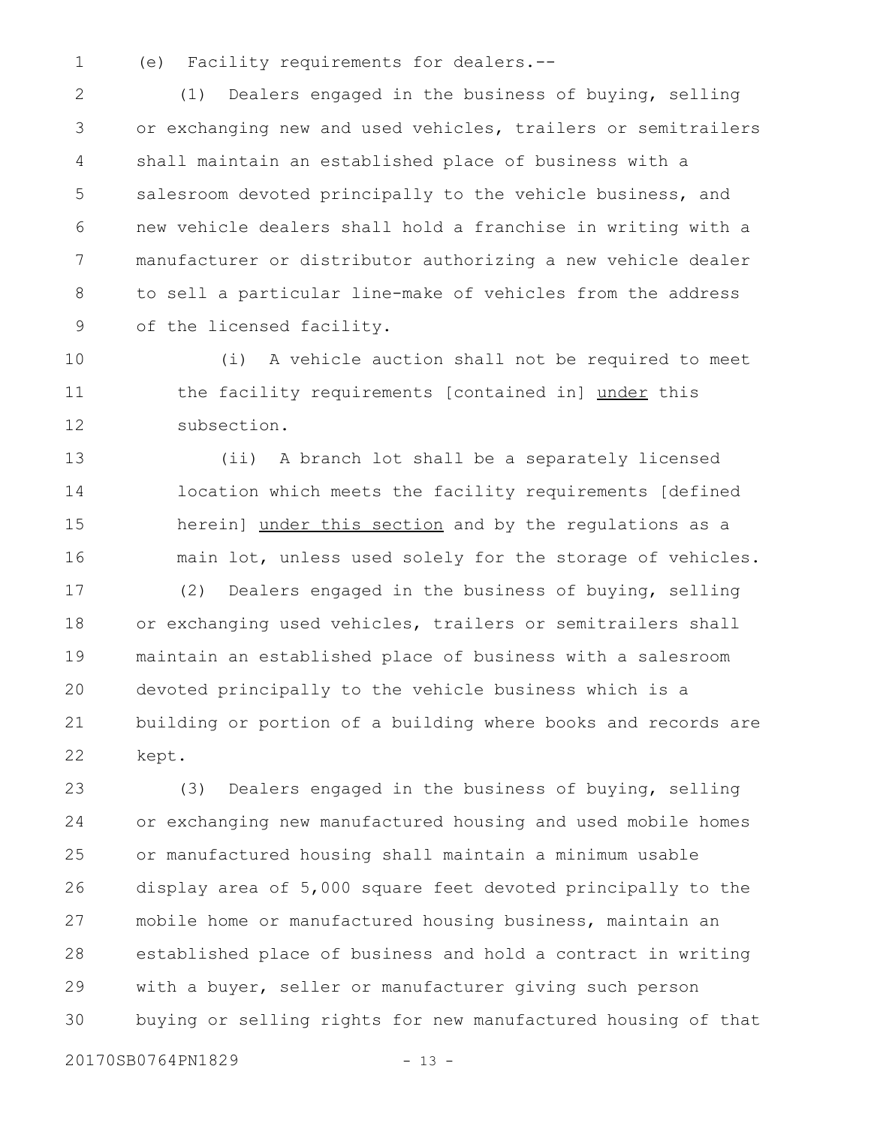(e) Facility requirements for dealers.-- 1

(1) Dealers engaged in the business of buying, selling or exchanging new and used vehicles, trailers or semitrailers shall maintain an established place of business with a salesroom devoted principally to the vehicle business, and new vehicle dealers shall hold a franchise in writing with a manufacturer or distributor authorizing a new vehicle dealer to sell a particular line-make of vehicles from the address of the licensed facility. 2 3 4 5 6 7 8 9

(i) A vehicle auction shall not be required to meet the facility requirements [contained in] under this subsection. 10 11 12

(ii) A branch lot shall be a separately licensed location which meets the facility requirements [defined herein] under this section and by the regulations as a main lot, unless used solely for the storage of vehicles. 13 14 15 16

(2) Dealers engaged in the business of buying, selling or exchanging used vehicles, trailers or semitrailers shall maintain an established place of business with a salesroom devoted principally to the vehicle business which is a building or portion of a building where books and records are kept. 17 18 19 20 21 22

(3) Dealers engaged in the business of buying, selling or exchanging new manufactured housing and used mobile homes or manufactured housing shall maintain a minimum usable display area of 5,000 square feet devoted principally to the mobile home or manufactured housing business, maintain an established place of business and hold a contract in writing with a buyer, seller or manufacturer giving such person buying or selling rights for new manufactured housing of that 23 24 25 26 27 28 29 30

20170SB0764PN1829 - 13 -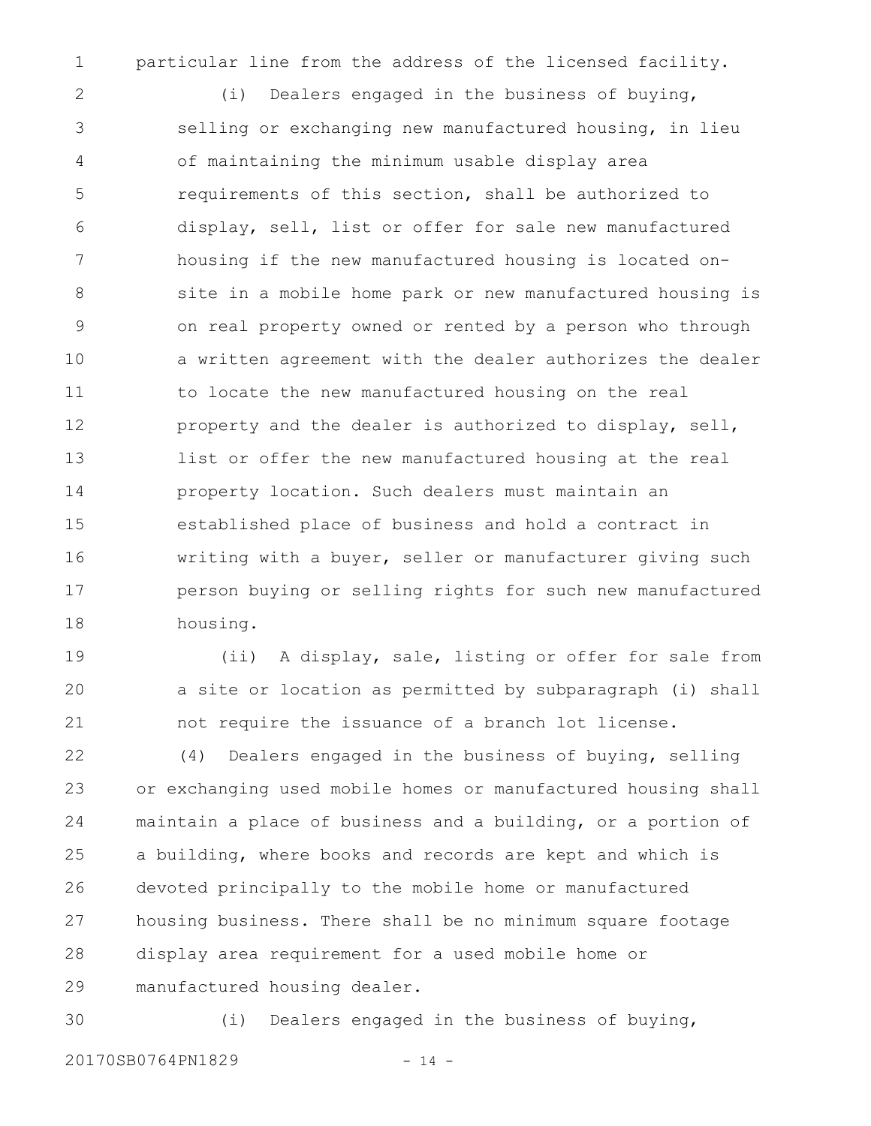1

particular line from the address of the licensed facility.

(i) Dealers engaged in the business of buying, selling or exchanging new manufactured housing, in lieu of maintaining the minimum usable display area requirements of this section, shall be authorized to display, sell, list or offer for sale new manufactured housing if the new manufactured housing is located onsite in a mobile home park or new manufactured housing is on real property owned or rented by a person who through a written agreement with the dealer authorizes the dealer to locate the new manufactured housing on the real property and the dealer is authorized to display, sell, list or offer the new manufactured housing at the real property location. Such dealers must maintain an established place of business and hold a contract in writing with a buyer, seller or manufacturer giving such person buying or selling rights for such new manufactured housing. 2 3 4 5 6 7 8 9 10 11 12 13 14 15 16 17 18

(ii) A display, sale, listing or offer for sale from a site or location as permitted by subparagraph (i) shall not require the issuance of a branch lot license. 19 20 21

(4) Dealers engaged in the business of buying, selling or exchanging used mobile homes or manufactured housing shall maintain a place of business and a building, or a portion of a building, where books and records are kept and which is devoted principally to the mobile home or manufactured housing business. There shall be no minimum square footage display area requirement for a used mobile home or manufactured housing dealer. 22 23 24 25 26 27 28 29

30

(i) Dealers engaged in the business of buying,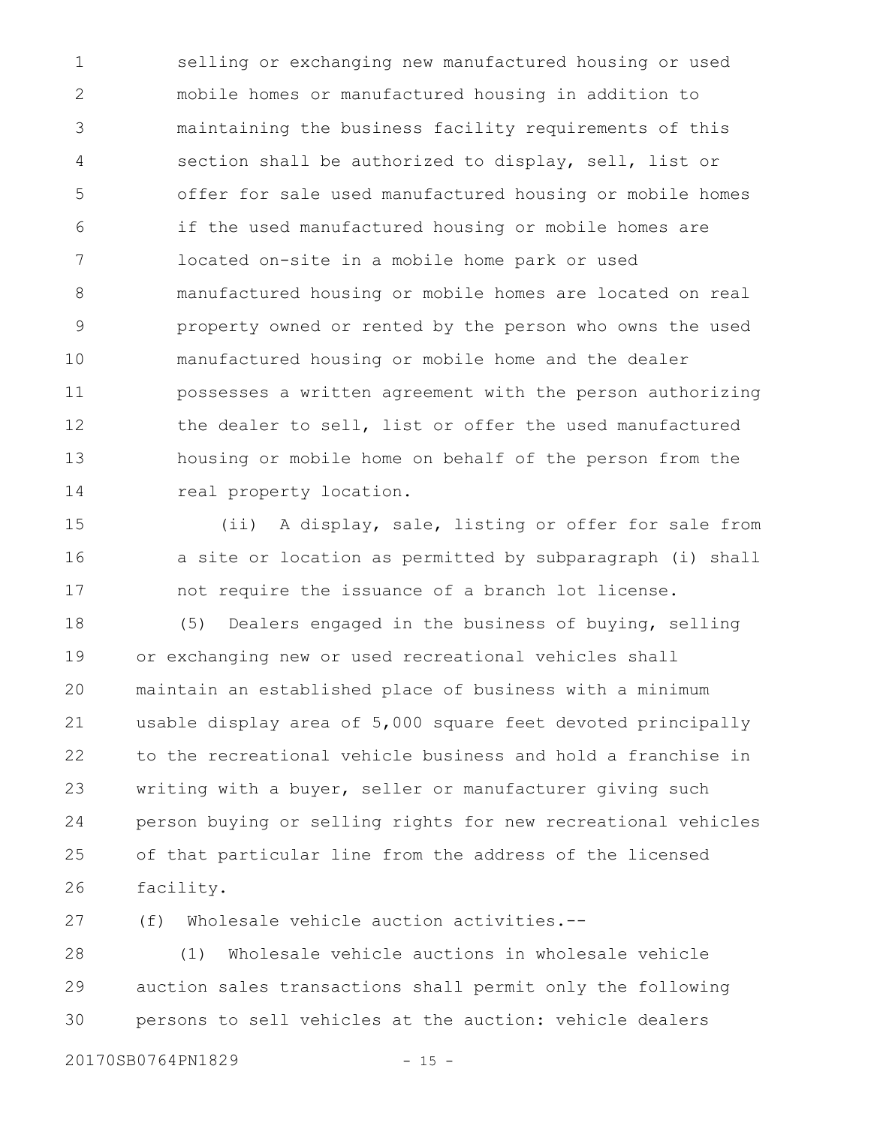selling or exchanging new manufactured housing or used mobile homes or manufactured housing in addition to maintaining the business facility requirements of this section shall be authorized to display, sell, list or offer for sale used manufactured housing or mobile homes if the used manufactured housing or mobile homes are located on-site in a mobile home park or used manufactured housing or mobile homes are located on real property owned or rented by the person who owns the used manufactured housing or mobile home and the dealer possesses a written agreement with the person authorizing the dealer to sell, list or offer the used manufactured housing or mobile home on behalf of the person from the real property location. 1 2 3 4 5 6 7 8 9 10 11 12 13 14

(ii) A display, sale, listing or offer for sale from a site or location as permitted by subparagraph (i) shall not require the issuance of a branch lot license. 15 16 17

(5) Dealers engaged in the business of buying, selling or exchanging new or used recreational vehicles shall maintain an established place of business with a minimum usable display area of 5,000 square feet devoted principally to the recreational vehicle business and hold a franchise in writing with a buyer, seller or manufacturer giving such person buying or selling rights for new recreational vehicles of that particular line from the address of the licensed facility. 18 19 20 21 22 23 24 25 26

(f) Wholesale vehicle auction activities.-- 27

(1) Wholesale vehicle auctions in wholesale vehicle auction sales transactions shall permit only the following persons to sell vehicles at the auction: vehicle dealers 28 29 30

20170SB0764PN1829 - 15 -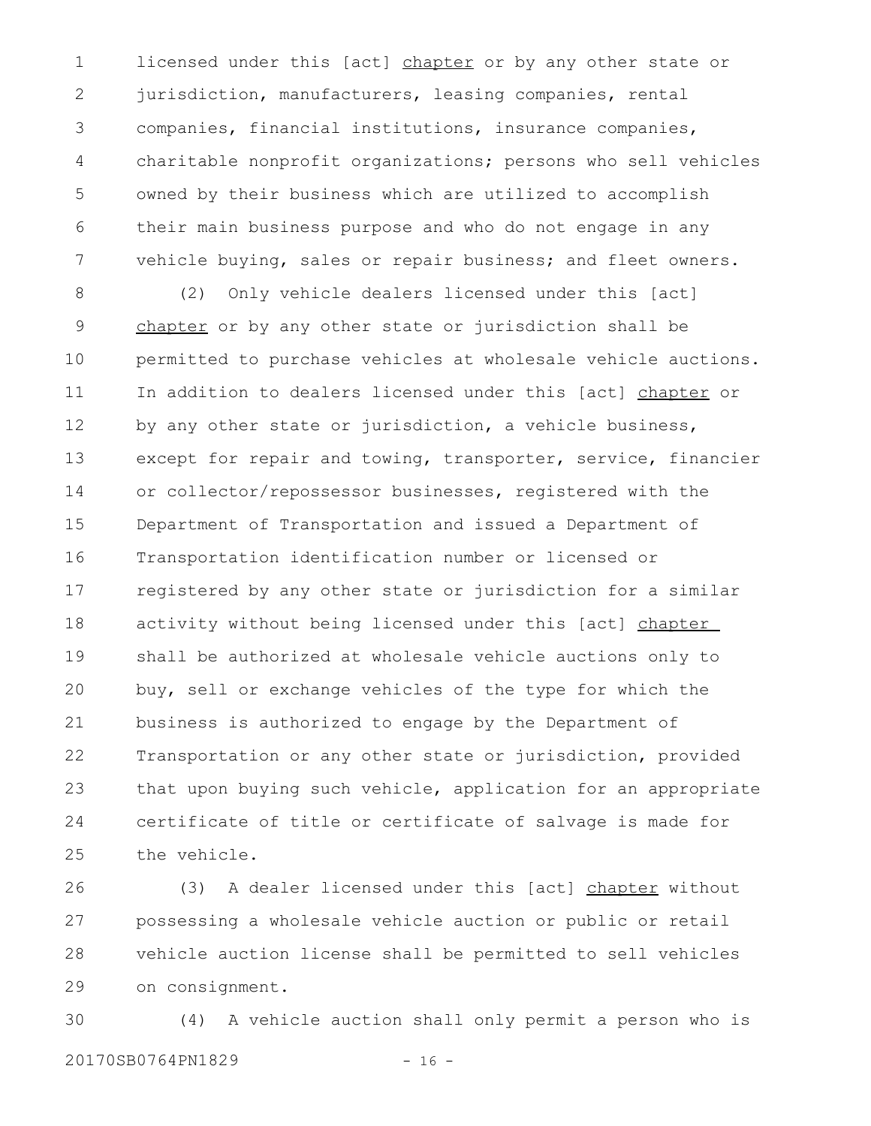licensed under this [act] chapter or by any other state or jurisdiction, manufacturers, leasing companies, rental companies, financial institutions, insurance companies, charitable nonprofit organizations; persons who sell vehicles owned by their business which are utilized to accomplish their main business purpose and who do not engage in any vehicle buying, sales or repair business; and fleet owners. 1 2 3 4 5 6 7

(2) Only vehicle dealers licensed under this [act] chapter or by any other state or jurisdiction shall be permitted to purchase vehicles at wholesale vehicle auctions. In addition to dealers licensed under this [act] chapter or by any other state or jurisdiction, a vehicle business, except for repair and towing, transporter, service, financier or collector/repossessor businesses, registered with the Department of Transportation and issued a Department of Transportation identification number or licensed or registered by any other state or jurisdiction for a similar activity without being licensed under this [act] chapter shall be authorized at wholesale vehicle auctions only to buy, sell or exchange vehicles of the type for which the business is authorized to engage by the Department of Transportation or any other state or jurisdiction, provided that upon buying such vehicle, application for an appropriate certificate of title or certificate of salvage is made for the vehicle. 8 9 10 11 12 13 14 15 16 17 18 19 20 21 22 23 24 25

(3) A dealer licensed under this [act] chapter without possessing a wholesale vehicle auction or public or retail vehicle auction license shall be permitted to sell vehicles on consignment. 26 27 28 29

(4) A vehicle auction shall only permit a person who is 20170SB0764PN1829 - 16 -30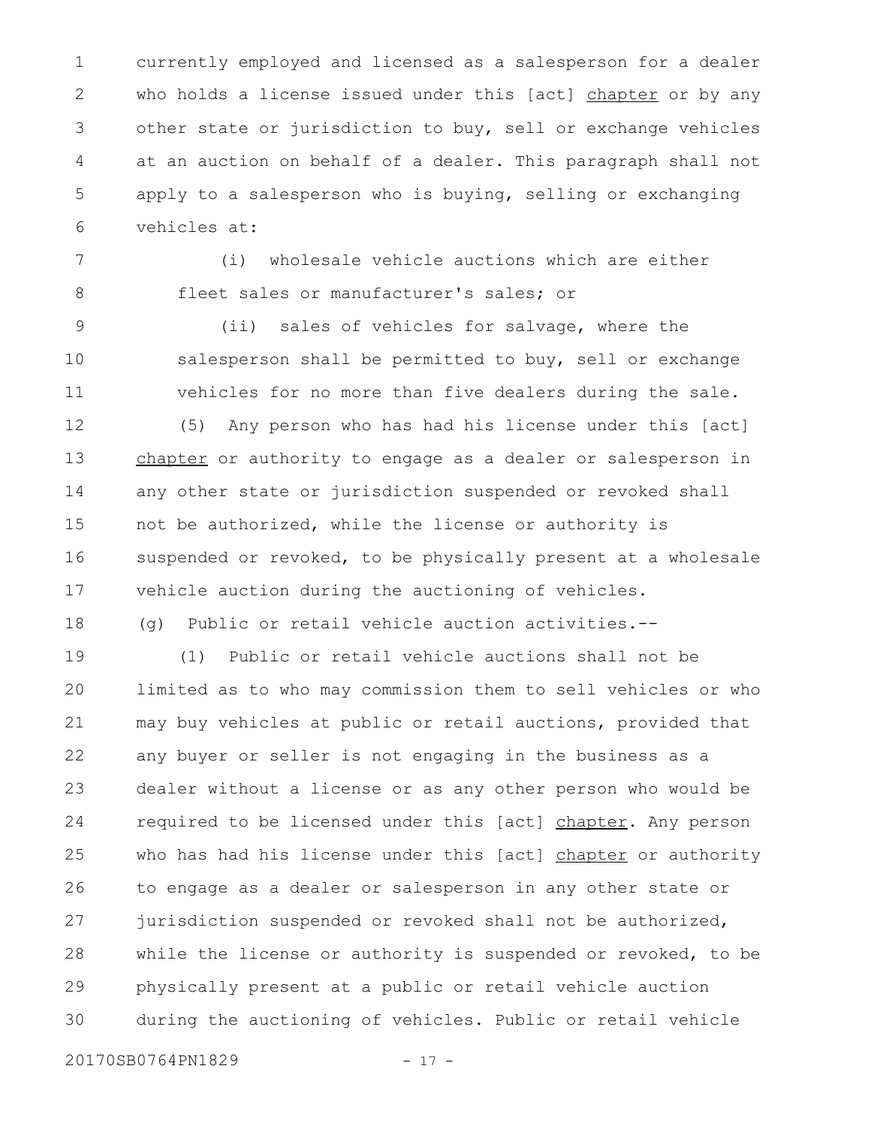currently employed and licensed as a salesperson for a dealer who holds a license issued under this [act] chapter or by any other state or jurisdiction to buy, sell or exchange vehicles at an auction on behalf of a dealer. This paragraph shall not apply to a salesperson who is buying, selling or exchanging vehicles at: 1 2 3 4 5 6

(i) wholesale vehicle auctions which are either fleet sales or manufacturer's sales; or 7 8

(ii) sales of vehicles for salvage, where the salesperson shall be permitted to buy, sell or exchange vehicles for no more than five dealers during the sale. 9 10 11

(5) Any person who has had his license under this [act] chapter or authority to engage as a dealer or salesperson in any other state or jurisdiction suspended or revoked shall not be authorized, while the license or authority is suspended or revoked, to be physically present at a wholesale vehicle auction during the auctioning of vehicles. 12 13 14 15 16 17

(g) Public or retail vehicle auction activities.-- 18

(1) Public or retail vehicle auctions shall not be limited as to who may commission them to sell vehicles or who may buy vehicles at public or retail auctions, provided that any buyer or seller is not engaging in the business as a dealer without a license or as any other person who would be required to be licensed under this [act] chapter. Any person who has had his license under this [act] chapter or authority to engage as a dealer or salesperson in any other state or jurisdiction suspended or revoked shall not be authorized, while the license or authority is suspended or revoked, to be physically present at a public or retail vehicle auction during the auctioning of vehicles. Public or retail vehicle 19 20 21 22 23 24 25 26 27 28 29 30

20170SB0764PN1829 - 17 -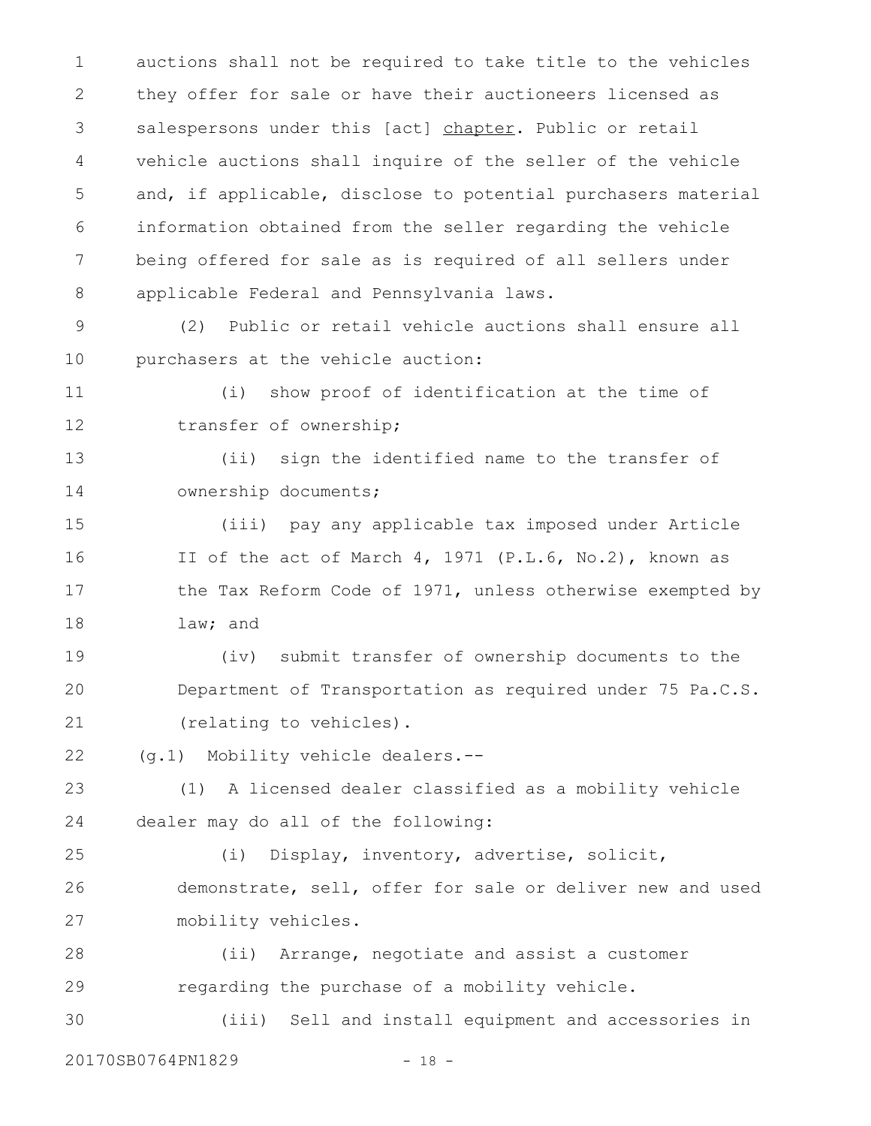auctions shall not be required to take title to the vehicles they offer for sale or have their auctioneers licensed as salespersons under this [act] chapter. Public or retail vehicle auctions shall inquire of the seller of the vehicle and, if applicable, disclose to potential purchasers material information obtained from the seller regarding the vehicle being offered for sale as is required of all sellers under applicable Federal and Pennsylvania laws. 1 2 3 4 5 6 7 8

(2) Public or retail vehicle auctions shall ensure all purchasers at the vehicle auction: 9 10

11

12

(i) show proof of identification at the time of transfer of ownership;

(ii) sign the identified name to the transfer of ownership documents; 13 14

(iii) pay any applicable tax imposed under Article II of the act of March 4, 1971 (P.L.6, No.2), known as the Tax Reform Code of 1971, unless otherwise exempted by law; and 15 16 17 18

(iv) submit transfer of ownership documents to the Department of Transportation as required under 75 Pa.C.S. (relating to vehicles). 19 20 21

(g.1) Mobility vehicle dealers.-- 22

(1) A licensed dealer classified as a mobility vehicle dealer may do all of the following: 23 24

(i) Display, inventory, advertise, solicit, demonstrate, sell, offer for sale or deliver new and used mobility vehicles. 25 26 27

(ii) Arrange, negotiate and assist a customer regarding the purchase of a mobility vehicle. 28 29

(iii) Sell and install equipment and accessories in 30

20170SB0764PN1829 - 18 -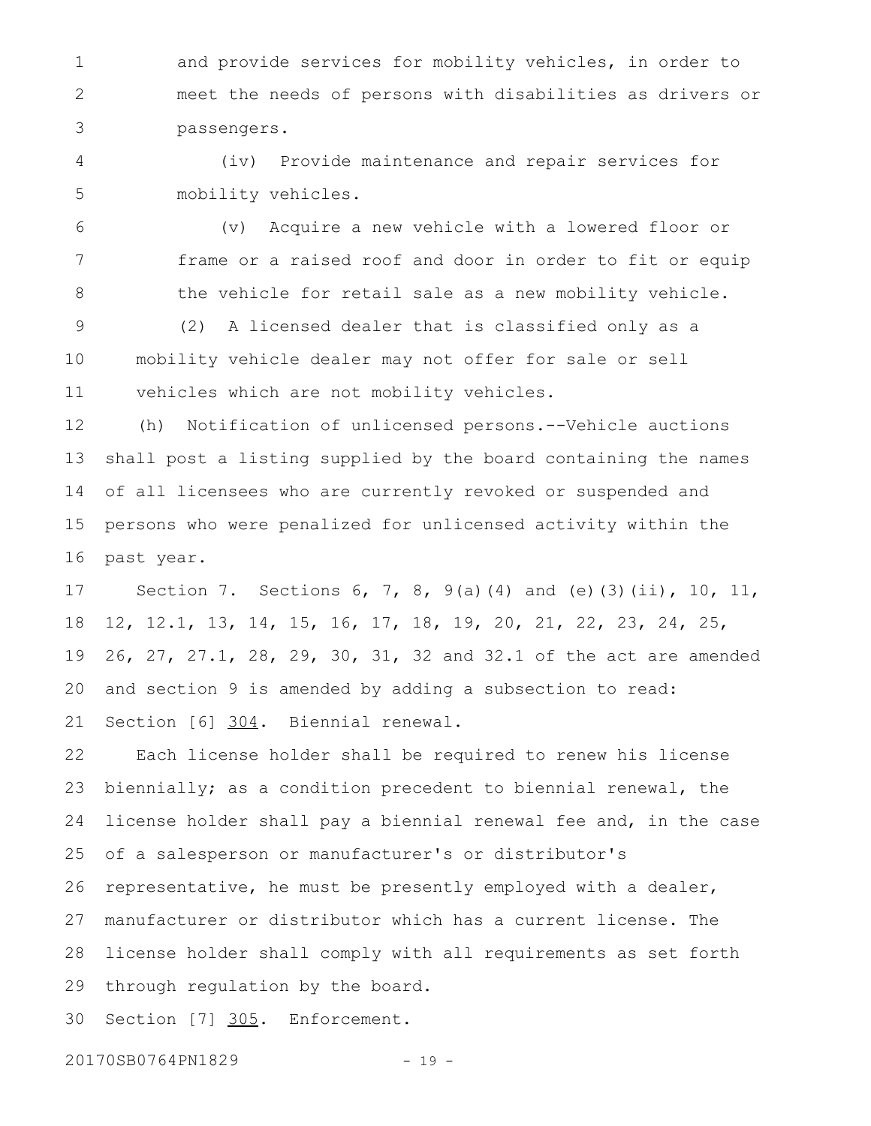and provide services for mobility vehicles, in order to meet the needs of persons with disabilities as drivers or passengers. 1 2 3

(iv) Provide maintenance and repair services for mobility vehicles. 4 5

(v) Acquire a new vehicle with a lowered floor or frame or a raised roof and door in order to fit or equip the vehicle for retail sale as a new mobility vehicle. 6 7 8

(2) A licensed dealer that is classified only as a mobility vehicle dealer may not offer for sale or sell vehicles which are not mobility vehicles. 9 10 11

(h) Notification of unlicensed persons.--Vehicle auctions shall post a listing supplied by the board containing the names of all licensees who are currently revoked or suspended and persons who were penalized for unlicensed activity within the past year. 12 13 14 15 16

Section 7. Sections 6, 7, 8, 9(a)(4) and (e)(3)(ii), 10, 11, 12, 12.1, 13, 14, 15, 16, 17, 18, 19, 20, 21, 22, 23, 24, 25, 26, 27, 27.1, 28, 29, 30, 31, 32 and 32.1 of the act are amended and section 9 is amended by adding a subsection to read: Section [6] 304. Biennial renewal. 17 18 19 20 21

Each license holder shall be required to renew his license biennially; as a condition precedent to biennial renewal, the license holder shall pay a biennial renewal fee and, in the case of a salesperson or manufacturer's or distributor's representative, he must be presently employed with a dealer, manufacturer or distributor which has a current license. The license holder shall comply with all requirements as set forth through regulation by the board. 22 23 24 25 26 27 28 29

Section [7] 305. Enforcement. 30

20170SB0764PN1829 - 19 -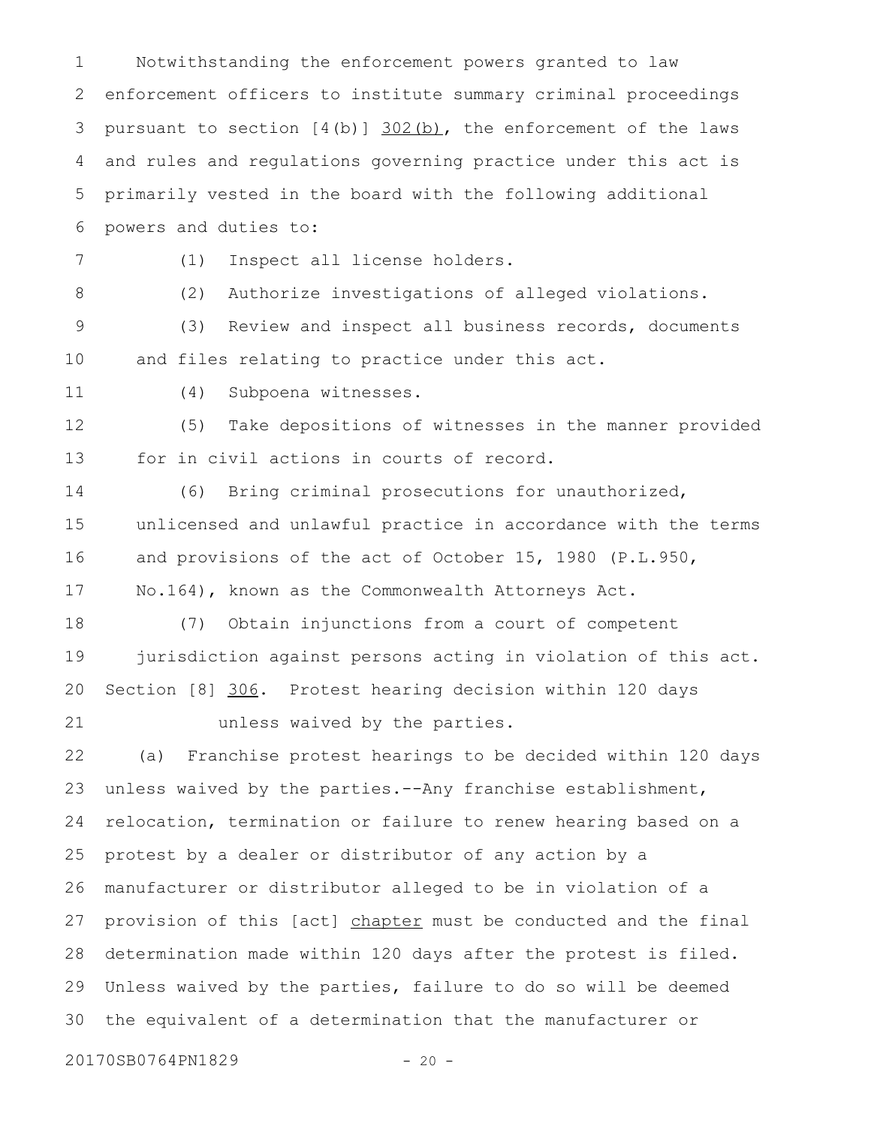Notwithstanding the enforcement powers granted to law enforcement officers to institute summary criminal proceedings pursuant to section  $[4(b)]$   $302(b)$ , the enforcement of the laws and rules and regulations governing practice under this act is primarily vested in the board with the following additional powers and duties to: (1) Inspect all license holders. (2) Authorize investigations of alleged violations. (3) Review and inspect all business records, documents and files relating to practice under this act. (4) Subpoena witnesses. (5) Take depositions of witnesses in the manner provided for in civil actions in courts of record. (6) Bring criminal prosecutions for unauthorized, unlicensed and unlawful practice in accordance with the terms and provisions of the act of October 15, 1980 (P.L.950, No.164), known as the Commonwealth Attorneys Act. (7) Obtain injunctions from a court of competent jurisdiction against persons acting in violation of this act. Section [8] 306. Protest hearing decision within 120 days unless waived by the parties. (a) Franchise protest hearings to be decided within 120 days unless waived by the parties.--Any franchise establishment, relocation, termination or failure to renew hearing based on a protest by a dealer or distributor of any action by a manufacturer or distributor alleged to be in violation of a provision of this [act] chapter must be conducted and the final determination made within 120 days after the protest is filed. Unless waived by the parties, failure to do so will be deemed the equivalent of a determination that the manufacturer or 20170SB0764PN1829 - 20 -1 2 3 4 5 6 7 8 9 10 11 12 13 14 15 16 17 18 19 20 21 22 23 24 25 26 27 28 29 30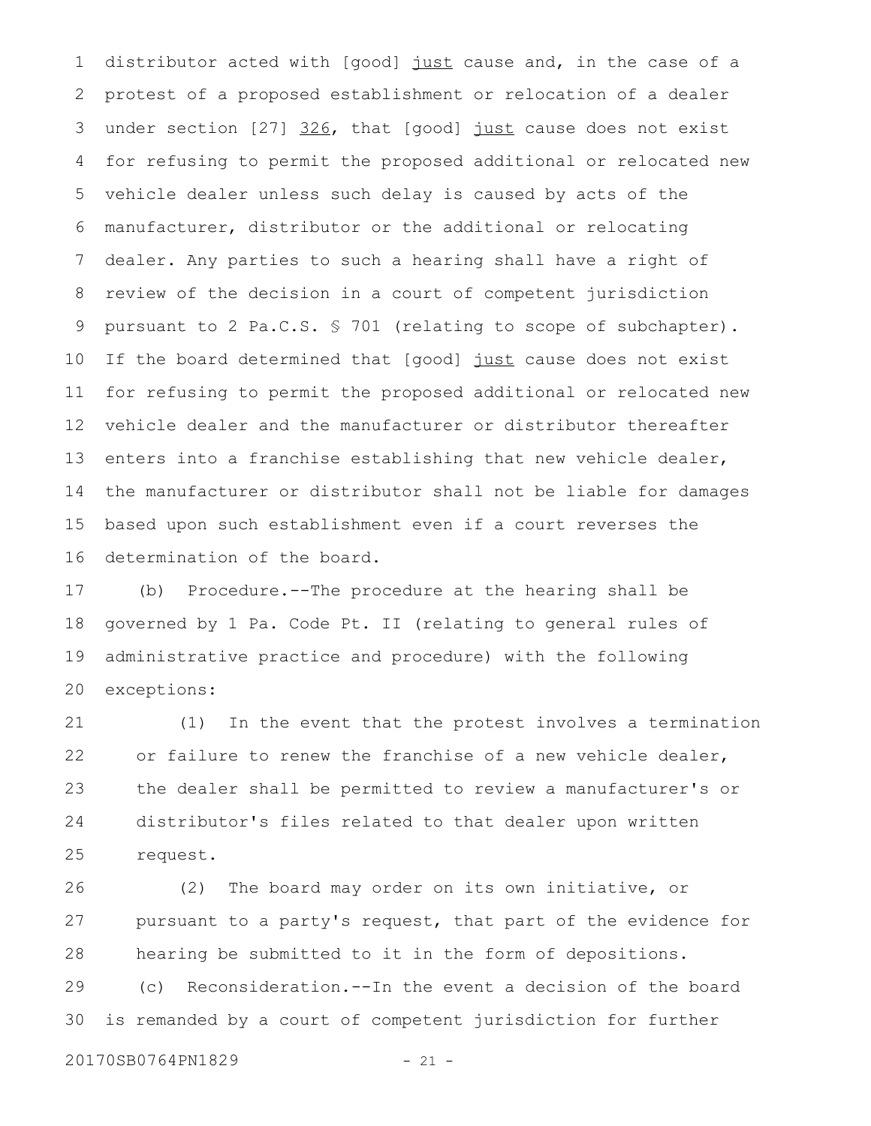distributor acted with [good] just cause and, in the case of a protest of a proposed establishment or relocation of a dealer under section [27] 326, that [good] just cause does not exist for refusing to permit the proposed additional or relocated new vehicle dealer unless such delay is caused by acts of the manufacturer, distributor or the additional or relocating dealer. Any parties to such a hearing shall have a right of review of the decision in a court of competent jurisdiction pursuant to 2 Pa.C.S. § 701 (relating to scope of subchapter). If the board determined that [good] just cause does not exist for refusing to permit the proposed additional or relocated new vehicle dealer and the manufacturer or distributor thereafter enters into a franchise establishing that new vehicle dealer, the manufacturer or distributor shall not be liable for damages based upon such establishment even if a court reverses the determination of the board. 1 2 3 4 5 6 7 8 9 10 11 12 13 14 15 16

(b) Procedure.--The procedure at the hearing shall be governed by 1 Pa. Code Pt. II (relating to general rules of administrative practice and procedure) with the following exceptions: 17 18 19 20

(1) In the event that the protest involves a termination or failure to renew the franchise of a new vehicle dealer, the dealer shall be permitted to review a manufacturer's or distributor's files related to that dealer upon written request. 21 22 23 24 25

(2) The board may order on its own initiative, or pursuant to a party's request, that part of the evidence for hearing be submitted to it in the form of depositions. 26 27 28

(c) Reconsideration.--In the event a decision of the board is remanded by a court of competent jurisdiction for further 29 30

20170SB0764PN1829 - 21 -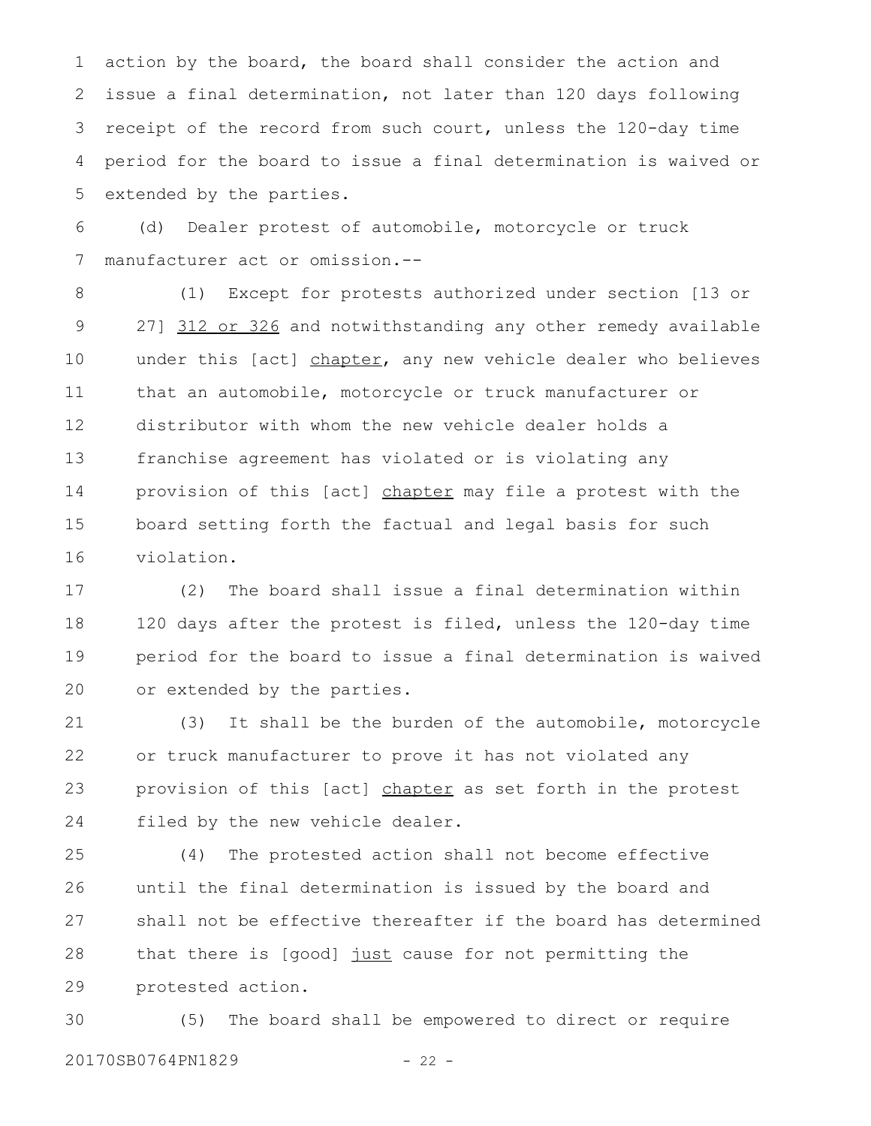action by the board, the board shall consider the action and issue a final determination, not later than 120 days following receipt of the record from such court, unless the 120-day time period for the board to issue a final determination is waived or extended by the parties. 1 2 3 4 5

(d) Dealer protest of automobile, motorcycle or truck manufacturer act or omission.-- 6 7

(1) Except for protests authorized under section [13 or 27] 312 or 326 and notwithstanding any other remedy available under this [act] chapter, any new vehicle dealer who believes that an automobile, motorcycle or truck manufacturer or distributor with whom the new vehicle dealer holds a franchise agreement has violated or is violating any provision of this [act] chapter may file a protest with the board setting forth the factual and legal basis for such violation. 8 9 10 11 12 13 14 15 16

(2) The board shall issue a final determination within 120 days after the protest is filed, unless the 120-day time period for the board to issue a final determination is waived or extended by the parties. 17 18 19 20

(3) It shall be the burden of the automobile, motorcycle or truck manufacturer to prove it has not violated any provision of this [act] chapter as set forth in the protest filed by the new vehicle dealer. 21 22 23 24

(4) The protested action shall not become effective until the final determination is issued by the board and shall not be effective thereafter if the board has determined that there is [good] just cause for not permitting the protested action. 25 26 27 28 29

(5) The board shall be empowered to direct or require 20170SB0764PN1829 - 22 -30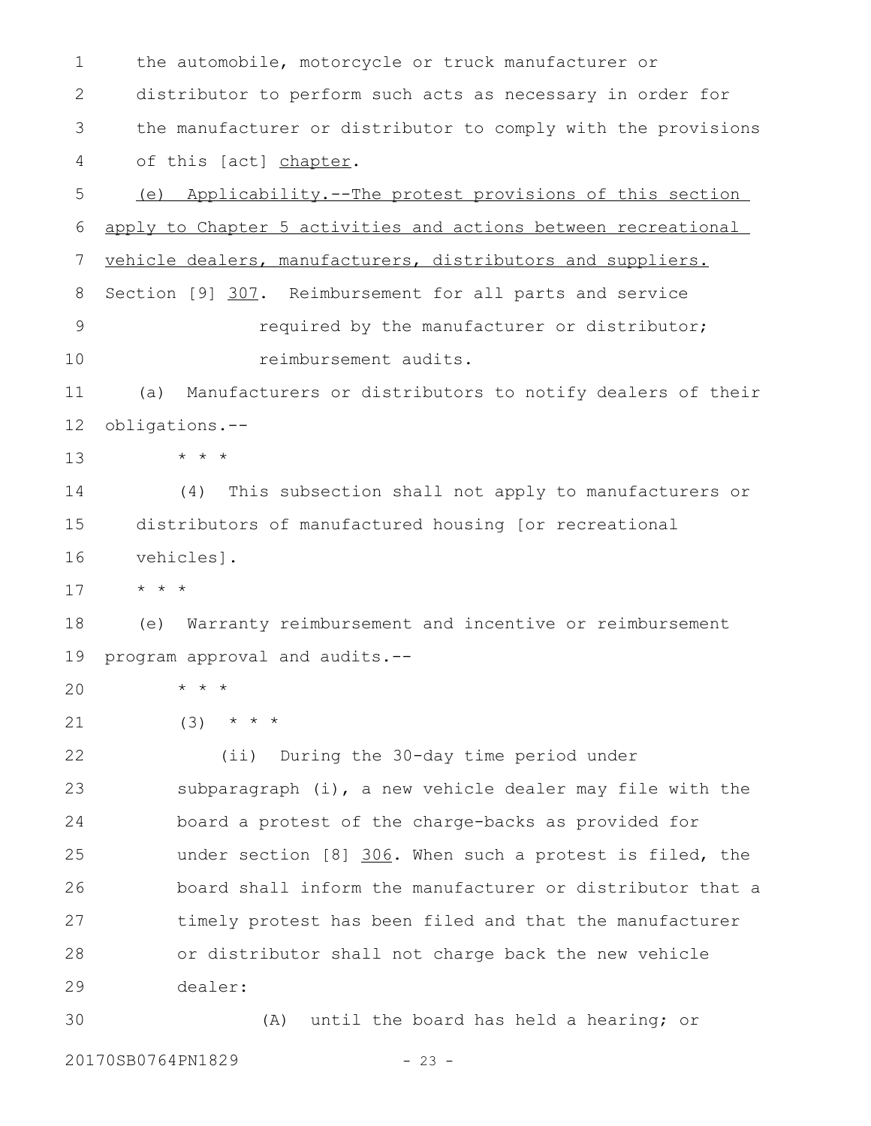the automobile, motorcycle or truck manufacturer or distributor to perform such acts as necessary in order for the manufacturer or distributor to comply with the provisions of this [act] chapter. (e) Applicability.--The protest provisions of this section apply to Chapter 5 activities and actions between recreational vehicle dealers, manufacturers, distributors and suppliers. Section [9] 307. Reimbursement for all parts and service required by the manufacturer or distributor; reimbursement audits. (a) Manufacturers or distributors to notify dealers of their obligations.-- \* \* \* (4) This subsection shall not apply to manufacturers or distributors of manufactured housing [or recreational vehicles]. \* \* \* (e) Warranty reimbursement and incentive or reimbursement program approval and audits.-- \* \* \*  $(3)$  \* \* \* (ii) During the 30-day time period under subparagraph (i), a new vehicle dealer may file with the board a protest of the charge-backs as provided for under section [8] 306. When such a protest is filed, the board shall inform the manufacturer or distributor that a timely protest has been filed and that the manufacturer or distributor shall not charge back the new vehicle dealer: (A) until the board has held a hearing; or 1 2 3 4 5 6 7 8 9 10 11 12 13 14 15 16 17 18 19 20 21 22 23 24 25 26 27 28 29 30

20170SB0764PN1829 - 23 -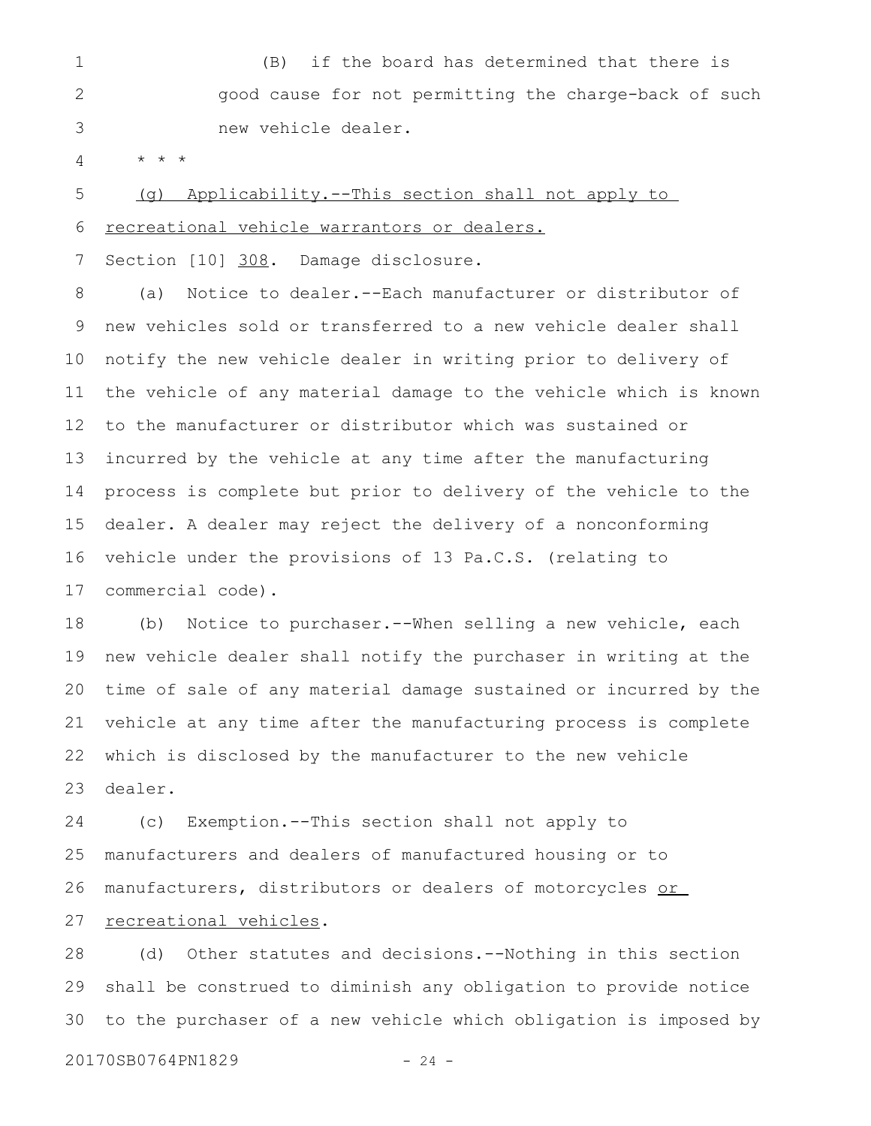(B) if the board has determined that there is good cause for not permitting the charge-back of such new vehicle dealer. 1 2 3

\* \* \* 4

(g) Applicability.--This section shall not apply to recreational vehicle warrantors or dealers. 5 6

Section [10] 308. Damage disclosure. 7

(a) Notice to dealer.--Each manufacturer or distributor of new vehicles sold or transferred to a new vehicle dealer shall notify the new vehicle dealer in writing prior to delivery of the vehicle of any material damage to the vehicle which is known to the manufacturer or distributor which was sustained or incurred by the vehicle at any time after the manufacturing process is complete but prior to delivery of the vehicle to the dealer. A dealer may reject the delivery of a nonconforming vehicle under the provisions of 13 Pa.C.S. (relating to commercial code). 8 9 10 11 12 13 14 15 16 17

(b) Notice to purchaser.--When selling a new vehicle, each new vehicle dealer shall notify the purchaser in writing at the time of sale of any material damage sustained or incurred by the vehicle at any time after the manufacturing process is complete which is disclosed by the manufacturer to the new vehicle dealer. 18 19 20 21 22 23

(c) Exemption.--This section shall not apply to manufacturers and dealers of manufactured housing or to manufacturers, distributors or dealers of motorcycles or recreational vehicles. 24 25 26 27

(d) Other statutes and decisions.--Nothing in this section shall be construed to diminish any obligation to provide notice to the purchaser of a new vehicle which obligation is imposed by 28 29 30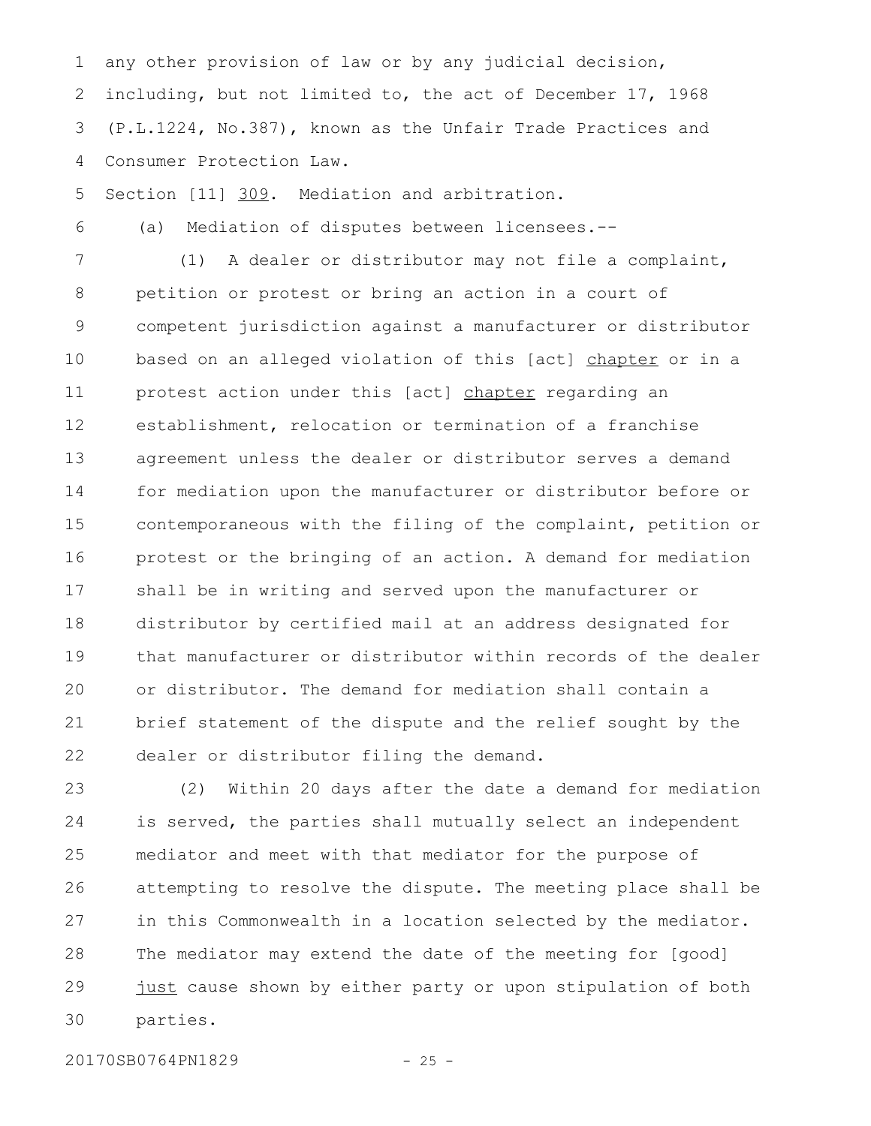any other provision of law or by any judicial decision, including, but not limited to, the act of December 17, 1968 (P.L.1224, No.387), known as the Unfair Trade Practices and Consumer Protection Law. 1 2 3 4

Section [11] 309. Mediation and arbitration. 5

(a) Mediation of disputes between licensees.-- 6

(1) A dealer or distributor may not file a complaint, petition or protest or bring an action in a court of competent jurisdiction against a manufacturer or distributor based on an alleged violation of this [act] chapter or in a protest action under this [act] chapter regarding an establishment, relocation or termination of a franchise agreement unless the dealer or distributor serves a demand for mediation upon the manufacturer or distributor before or contemporaneous with the filing of the complaint, petition or protest or the bringing of an action. A demand for mediation shall be in writing and served upon the manufacturer or distributor by certified mail at an address designated for that manufacturer or distributor within records of the dealer or distributor. The demand for mediation shall contain a brief statement of the dispute and the relief sought by the dealer or distributor filing the demand. 7 8 9 10 11 12 13 14 15 16 17 18 19 20 21 22

(2) Within 20 days after the date a demand for mediation is served, the parties shall mutually select an independent mediator and meet with that mediator for the purpose of attempting to resolve the dispute. The meeting place shall be in this Commonwealth in a location selected by the mediator. The mediator may extend the date of the meeting for [good] just cause shown by either party or upon stipulation of both parties. 23 24 25 26 27 28 29 30

20170SB0764PN1829 - 25 -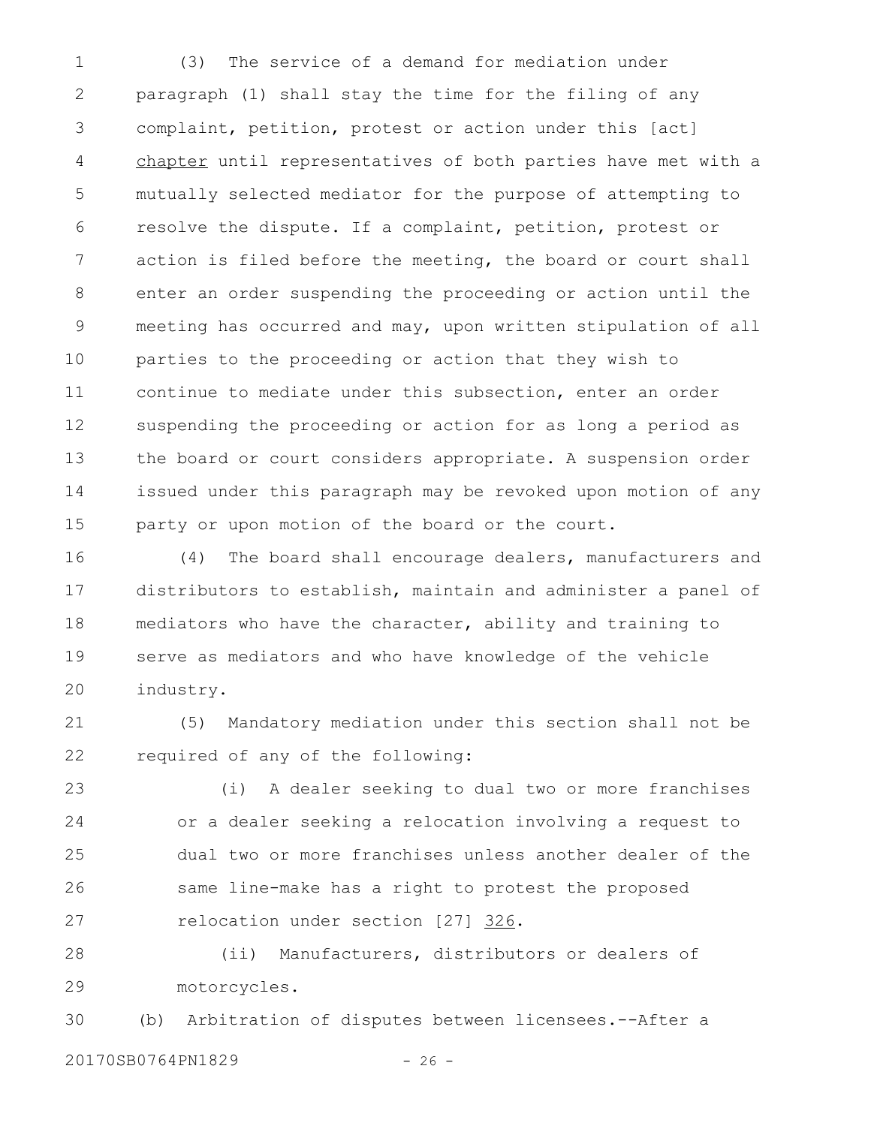(3) The service of a demand for mediation under paragraph (1) shall stay the time for the filing of any complaint, petition, protest or action under this [act] chapter until representatives of both parties have met with a mutually selected mediator for the purpose of attempting to resolve the dispute. If a complaint, petition, protest or action is filed before the meeting, the board or court shall enter an order suspending the proceeding or action until the meeting has occurred and may, upon written stipulation of all parties to the proceeding or action that they wish to continue to mediate under this subsection, enter an order suspending the proceeding or action for as long a period as the board or court considers appropriate. A suspension order issued under this paragraph may be revoked upon motion of any party or upon motion of the board or the court. 1 2 3 4 5 6 7 8 9 10 11 12 13 14 15

(4) The board shall encourage dealers, manufacturers and distributors to establish, maintain and administer a panel of mediators who have the character, ability and training to serve as mediators and who have knowledge of the vehicle industry. 16 17 18 19 20

(5) Mandatory mediation under this section shall not be required of any of the following: 21 22

(i) A dealer seeking to dual two or more franchises or a dealer seeking a relocation involving a request to dual two or more franchises unless another dealer of the same line-make has a right to protest the proposed relocation under section [27] 326. 23 24 25 26 27

(ii) Manufacturers, distributors or dealers of motorcycles. 28 29

(b) Arbitration of disputes between licensees.--After a 20170SB0764PN1829 - 26 -30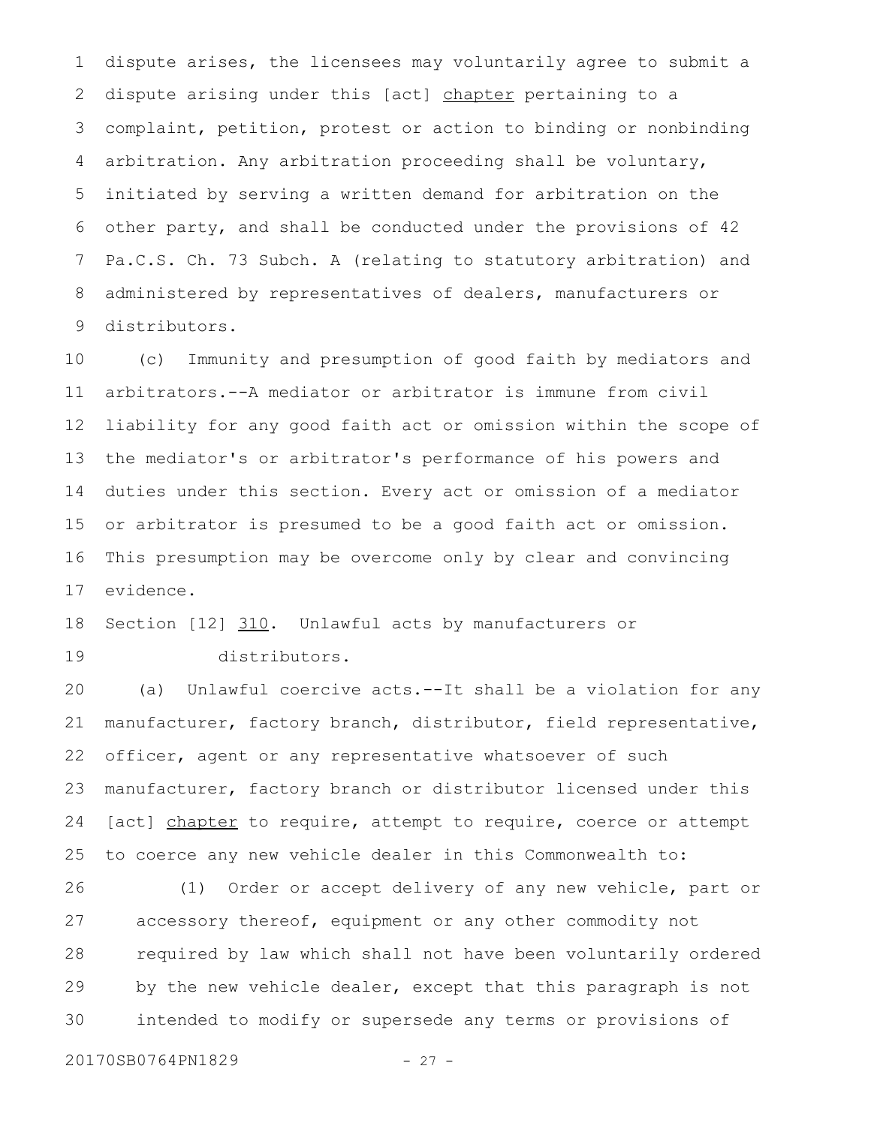dispute arises, the licensees may voluntarily agree to submit a dispute arising under this [act] chapter pertaining to a complaint, petition, protest or action to binding or nonbinding arbitration. Any arbitration proceeding shall be voluntary, initiated by serving a written demand for arbitration on the other party, and shall be conducted under the provisions of 42 Pa.C.S. Ch. 73 Subch. A (relating to statutory arbitration) and administered by representatives of dealers, manufacturers or distributors. 1 2 3 4 5 6 7 8 9

(c) Immunity and presumption of good faith by mediators and arbitrators.--A mediator or arbitrator is immune from civil liability for any good faith act or omission within the scope of the mediator's or arbitrator's performance of his powers and duties under this section. Every act or omission of a mediator or arbitrator is presumed to be a good faith act or omission. This presumption may be overcome only by clear and convincing evidence. 10 11 12 13 14 15 16 17

Section [12] 310. Unlawful acts by manufacturers or 18

19

distributors.

(a) Unlawful coercive acts.--It shall be a violation for any manufacturer, factory branch, distributor, field representative, officer, agent or any representative whatsoever of such manufacturer, factory branch or distributor licensed under this [act] chapter to require, attempt to require, coerce or attempt to coerce any new vehicle dealer in this Commonwealth to: 20 21 22 23 24 25

(1) Order or accept delivery of any new vehicle, part or accessory thereof, equipment or any other commodity not required by law which shall not have been voluntarily ordered by the new vehicle dealer, except that this paragraph is not intended to modify or supersede any terms or provisions of 26 27 28 29 30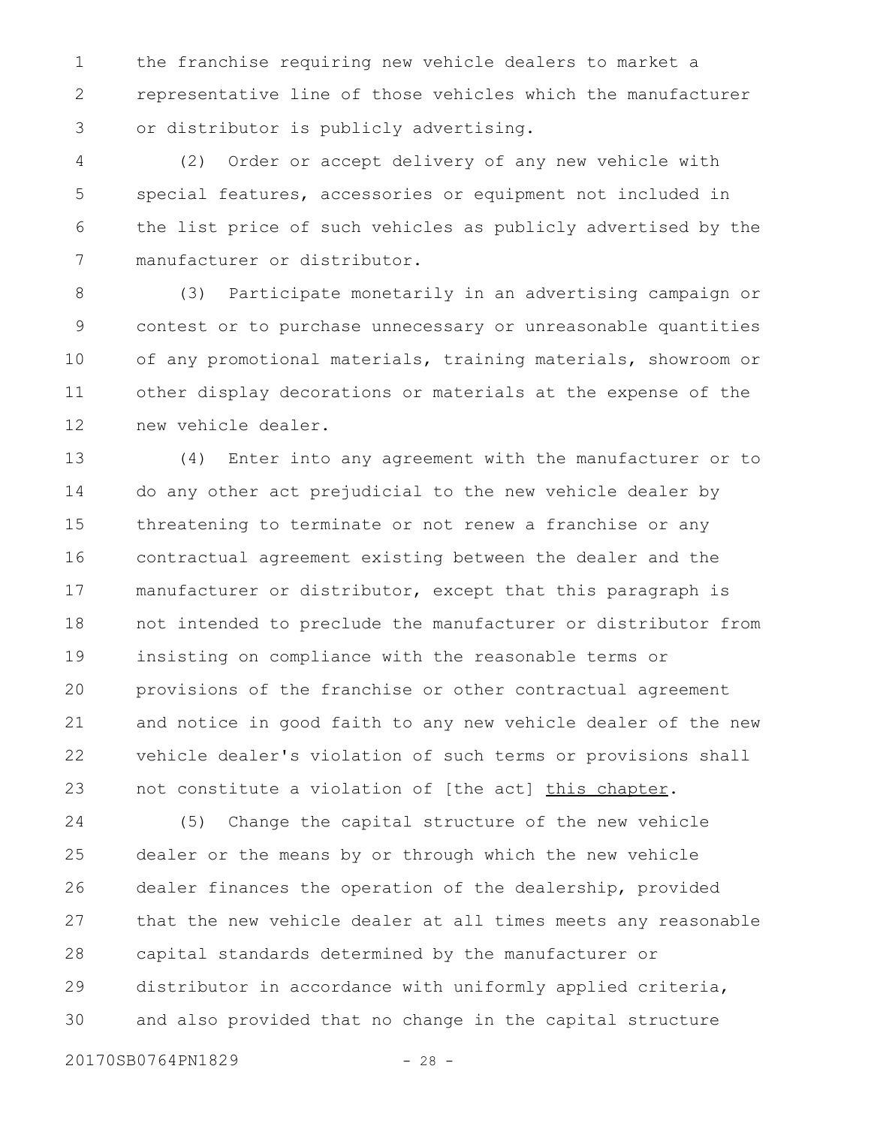the franchise requiring new vehicle dealers to market a representative line of those vehicles which the manufacturer or distributor is publicly advertising. 1 2 3

(2) Order or accept delivery of any new vehicle with special features, accessories or equipment not included in the list price of such vehicles as publicly advertised by the manufacturer or distributor. 4 5 6 7

(3) Participate monetarily in an advertising campaign or contest or to purchase unnecessary or unreasonable quantities of any promotional materials, training materials, showroom or other display decorations or materials at the expense of the new vehicle dealer. 8 9 10 11 12

(4) Enter into any agreement with the manufacturer or to do any other act prejudicial to the new vehicle dealer by threatening to terminate or not renew a franchise or any contractual agreement existing between the dealer and the manufacturer or distributor, except that this paragraph is not intended to preclude the manufacturer or distributor from insisting on compliance with the reasonable terms or provisions of the franchise or other contractual agreement and notice in good faith to any new vehicle dealer of the new vehicle dealer's violation of such terms or provisions shall not constitute a violation of [the act] this chapter. 13 14 15 16 17 18 19 20 21 22 23

(5) Change the capital structure of the new vehicle dealer or the means by or through which the new vehicle dealer finances the operation of the dealership, provided that the new vehicle dealer at all times meets any reasonable capital standards determined by the manufacturer or distributor in accordance with uniformly applied criteria, and also provided that no change in the capital structure 24 25 26 27 28 29 30

20170SB0764PN1829 - 28 -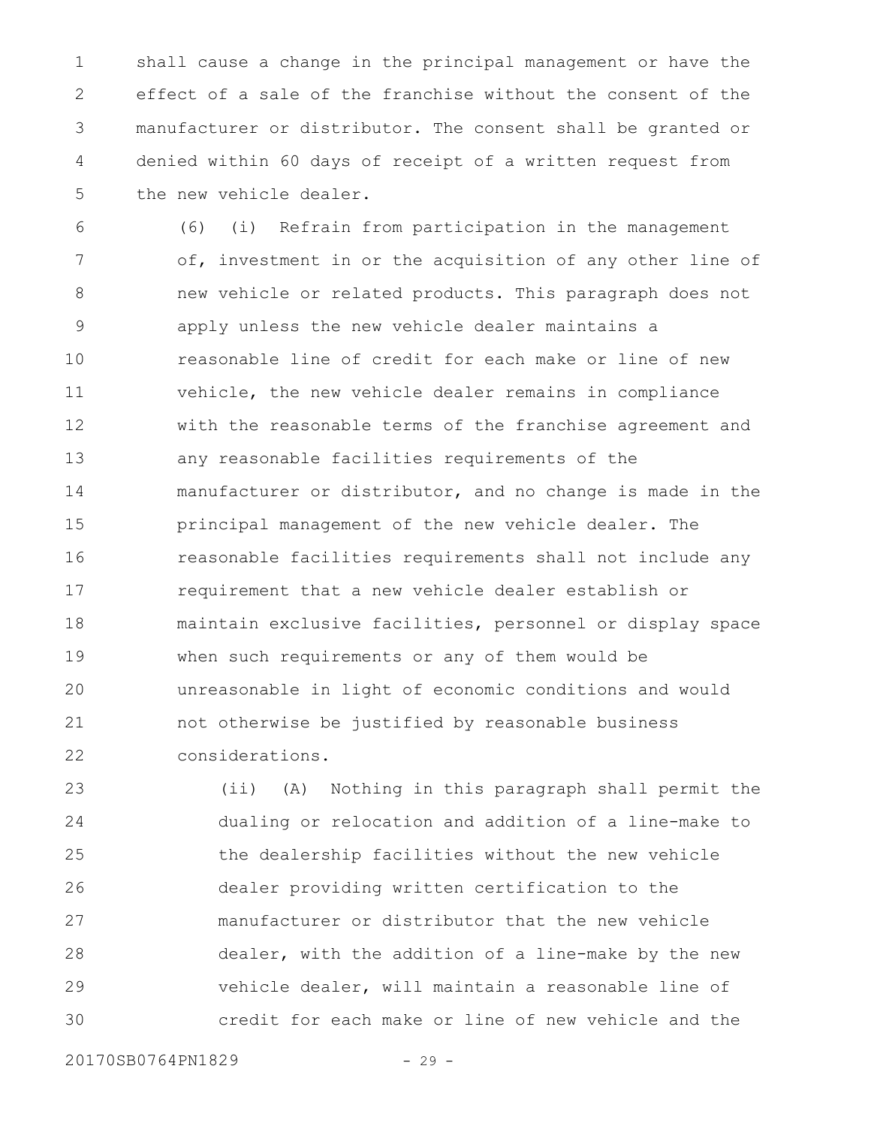shall cause a change in the principal management or have the effect of a sale of the franchise without the consent of the manufacturer or distributor. The consent shall be granted or denied within 60 days of receipt of a written request from the new vehicle dealer. 1 2 3 4 5

(6) (i) Refrain from participation in the management of, investment in or the acquisition of any other line of new vehicle or related products. This paragraph does not apply unless the new vehicle dealer maintains a reasonable line of credit for each make or line of new vehicle, the new vehicle dealer remains in compliance with the reasonable terms of the franchise agreement and any reasonable facilities requirements of the manufacturer or distributor, and no change is made in the principal management of the new vehicle dealer. The reasonable facilities requirements shall not include any requirement that a new vehicle dealer establish or maintain exclusive facilities, personnel or display space when such requirements or any of them would be unreasonable in light of economic conditions and would not otherwise be justified by reasonable business considerations. 6 7 8 9 10 11 12 13 14 15 16 17 18 19 20 21 22

(ii) (A) Nothing in this paragraph shall permit the dualing or relocation and addition of a line-make to the dealership facilities without the new vehicle dealer providing written certification to the manufacturer or distributor that the new vehicle dealer, with the addition of a line-make by the new vehicle dealer, will maintain a reasonable line of credit for each make or line of new vehicle and the 23 24 25 26 27 28 29 30

20170SB0764PN1829 - 29 -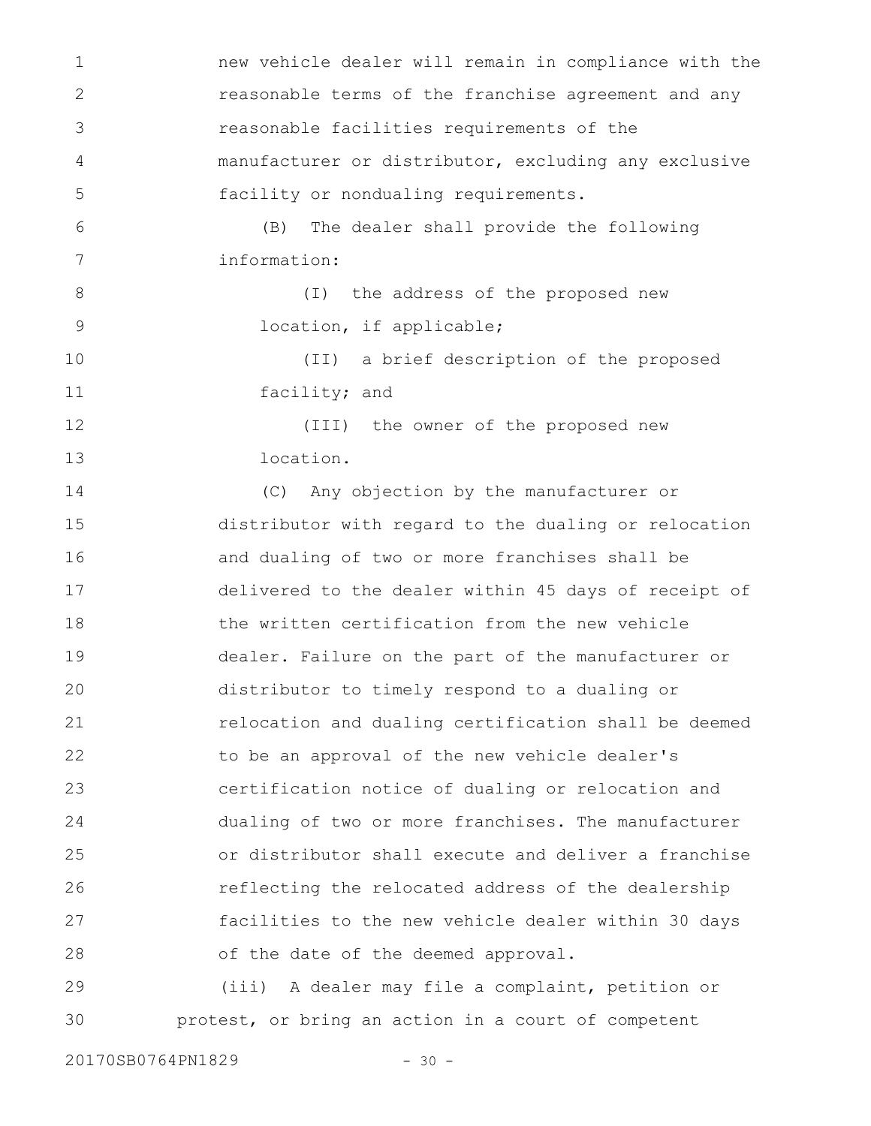new vehicle dealer will remain in compliance with the reasonable terms of the franchise agreement and any reasonable facilities requirements of the manufacturer or distributor, excluding any exclusive facility or nondualing requirements. (B) The dealer shall provide the following information: (I) the address of the proposed new location, if applicable; (II) a brief description of the proposed facility; and (III) the owner of the proposed new location. (C) Any objection by the manufacturer or distributor with regard to the dualing or relocation and dualing of two or more franchises shall be delivered to the dealer within 45 days of receipt of the written certification from the new vehicle dealer. Failure on the part of the manufacturer or distributor to timely respond to a dualing or relocation and dualing certification shall be deemed to be an approval of the new vehicle dealer's certification notice of dualing or relocation and dualing of two or more franchises. The manufacturer or distributor shall execute and deliver a franchise reflecting the relocated address of the dealership facilities to the new vehicle dealer within 30 days of the date of the deemed approval. (iii) A dealer may file a complaint, petition or 1 2 3 4 5 6 7 8 9 10 11 12 13 14 15 16 17 18 19 20 21 22 23 24 25 26 27 28 29

20170SB0764PN1829 - 30 -

30

protest, or bring an action in a court of competent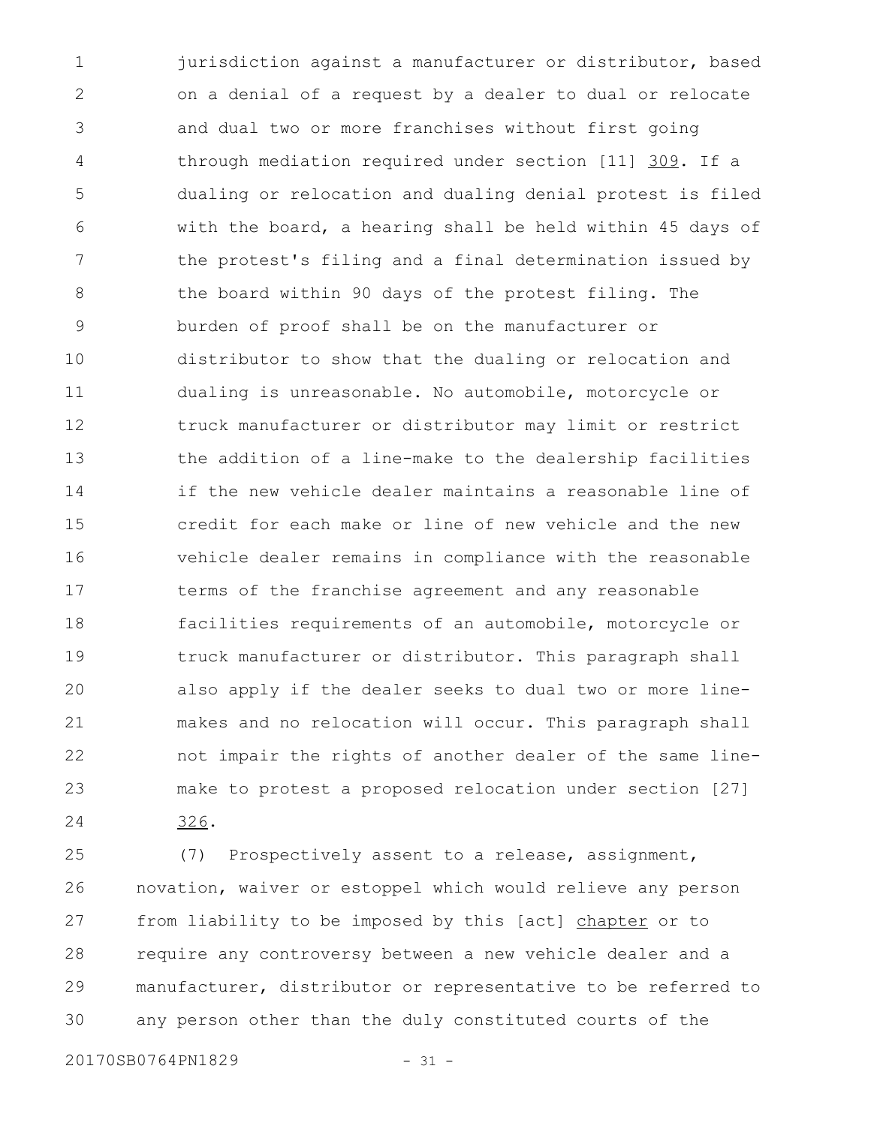jurisdiction against a manufacturer or distributor, based on a denial of a request by a dealer to dual or relocate and dual two or more franchises without first going through mediation required under section [11] 309. If a dualing or relocation and dualing denial protest is filed with the board, a hearing shall be held within 45 days of the protest's filing and a final determination issued by the board within 90 days of the protest filing. The burden of proof shall be on the manufacturer or distributor to show that the dualing or relocation and dualing is unreasonable. No automobile, motorcycle or truck manufacturer or distributor may limit or restrict the addition of a line-make to the dealership facilities if the new vehicle dealer maintains a reasonable line of credit for each make or line of new vehicle and the new vehicle dealer remains in compliance with the reasonable terms of the franchise agreement and any reasonable facilities requirements of an automobile, motorcycle or truck manufacturer or distributor. This paragraph shall also apply if the dealer seeks to dual two or more linemakes and no relocation will occur. This paragraph shall not impair the rights of another dealer of the same linemake to protest a proposed relocation under section [27] 326. 1 2 3 4 5 6 7 8 9 10 11 12 13 14 15 16 17 18 19 20 21 22 23 24

(7) Prospectively assent to a release, assignment, novation, waiver or estoppel which would relieve any person from liability to be imposed by this [act] chapter or to require any controversy between a new vehicle dealer and a manufacturer, distributor or representative to be referred to any person other than the duly constituted courts of the 25 26 27 28 29 30

20170SB0764PN1829 - 31 -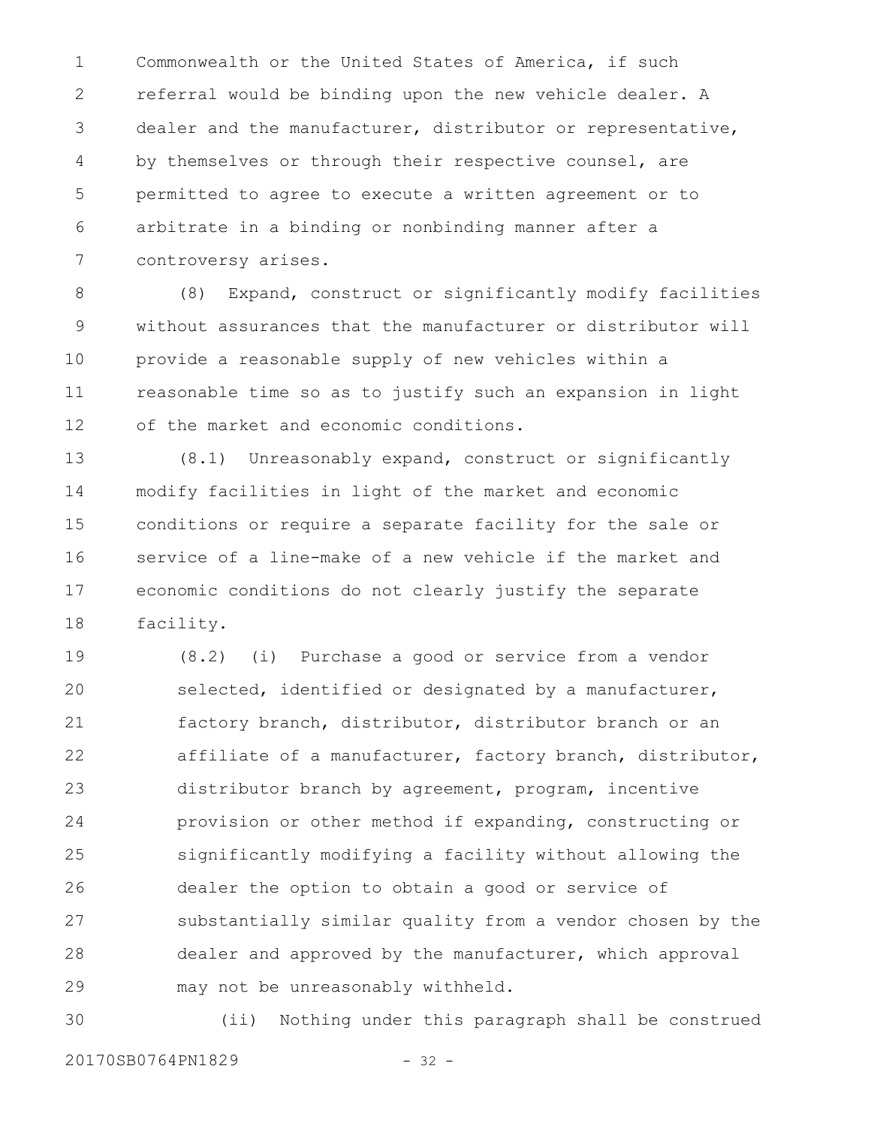Commonwealth or the United States of America, if such referral would be binding upon the new vehicle dealer. A dealer and the manufacturer, distributor or representative, by themselves or through their respective counsel, are permitted to agree to execute a written agreement or to arbitrate in a binding or nonbinding manner after a controversy arises. 1 2 3 4 5 6 7

(8) Expand, construct or significantly modify facilities without assurances that the manufacturer or distributor will provide a reasonable supply of new vehicles within a reasonable time so as to justify such an expansion in light of the market and economic conditions. 8 9 10 11 12

(8.1) Unreasonably expand, construct or significantly modify facilities in light of the market and economic conditions or require a separate facility for the sale or service of a line-make of a new vehicle if the market and economic conditions do not clearly justify the separate facility. 13 14 15 16 17 18

(8.2) (i) Purchase a good or service from a vendor selected, identified or designated by a manufacturer, factory branch, distributor, distributor branch or an affiliate of a manufacturer, factory branch, distributor, distributor branch by agreement, program, incentive provision or other method if expanding, constructing or significantly modifying a facility without allowing the dealer the option to obtain a good or service of substantially similar quality from a vendor chosen by the dealer and approved by the manufacturer, which approval may not be unreasonably withheld. 19 20 21 22 23 24 25 26 27 28 29

(ii) Nothing under this paragraph shall be construed 30

20170SB0764PN1829 - 32 -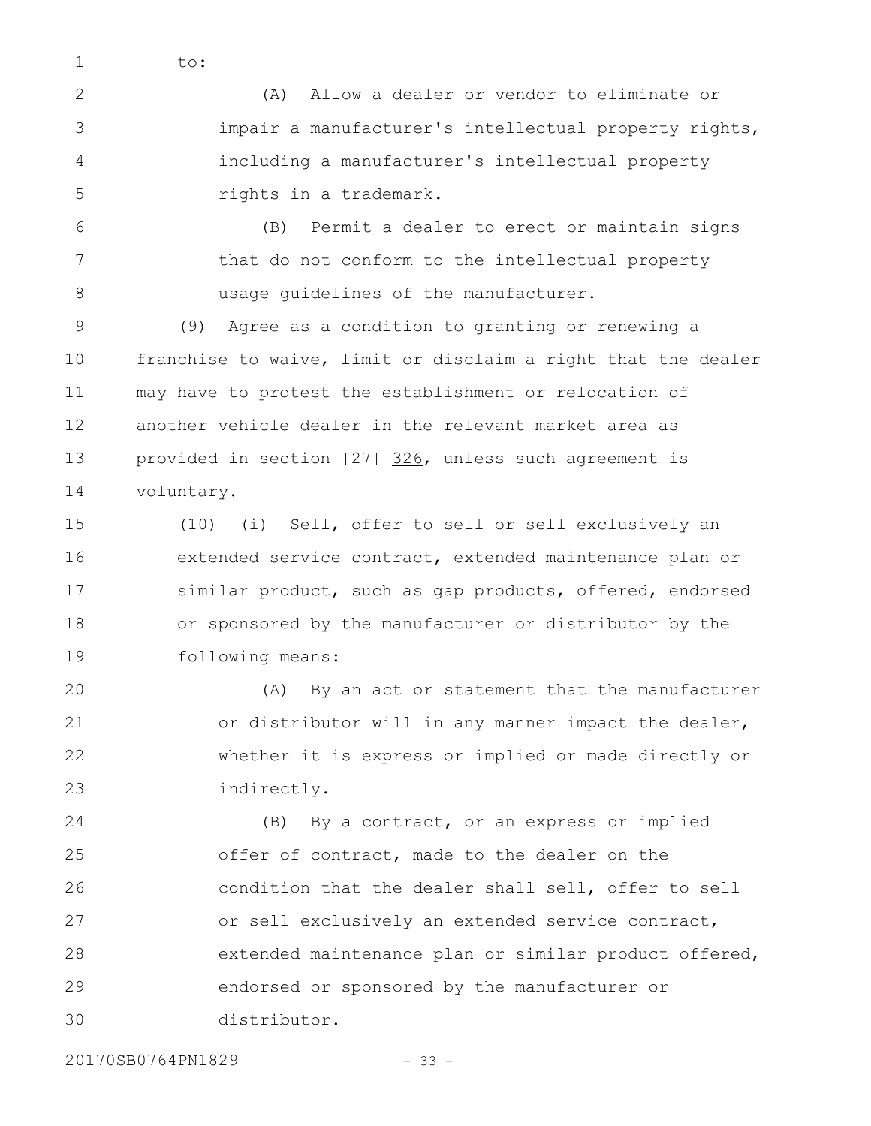to:

1

(A) Allow a dealer or vendor to eliminate or impair a manufacturer's intellectual property rights, including a manufacturer's intellectual property rights in a trademark. 2 3 4 5

(B) Permit a dealer to erect or maintain signs that do not conform to the intellectual property usage guidelines of the manufacturer. 6 7 8

(9) Agree as a condition to granting or renewing a franchise to waive, limit or disclaim a right that the dealer may have to protest the establishment or relocation of another vehicle dealer in the relevant market area as provided in section [27] 326, unless such agreement is voluntary. 9 10 11 12 13 14

(10) (i) Sell, offer to sell or sell exclusively an extended service contract, extended maintenance plan or similar product, such as gap products, offered, endorsed or sponsored by the manufacturer or distributor by the following means: 15 16 17 18 19

(A) By an act or statement that the manufacturer or distributor will in any manner impact the dealer, whether it is express or implied or made directly or indirectly. 20 21 22 23

(B) By a contract, or an express or implied offer of contract, made to the dealer on the condition that the dealer shall sell, offer to sell or sell exclusively an extended service contract, extended maintenance plan or similar product offered, endorsed or sponsored by the manufacturer or distributor. 24 25 26 27 28 29 30

20170SB0764PN1829 - 33 -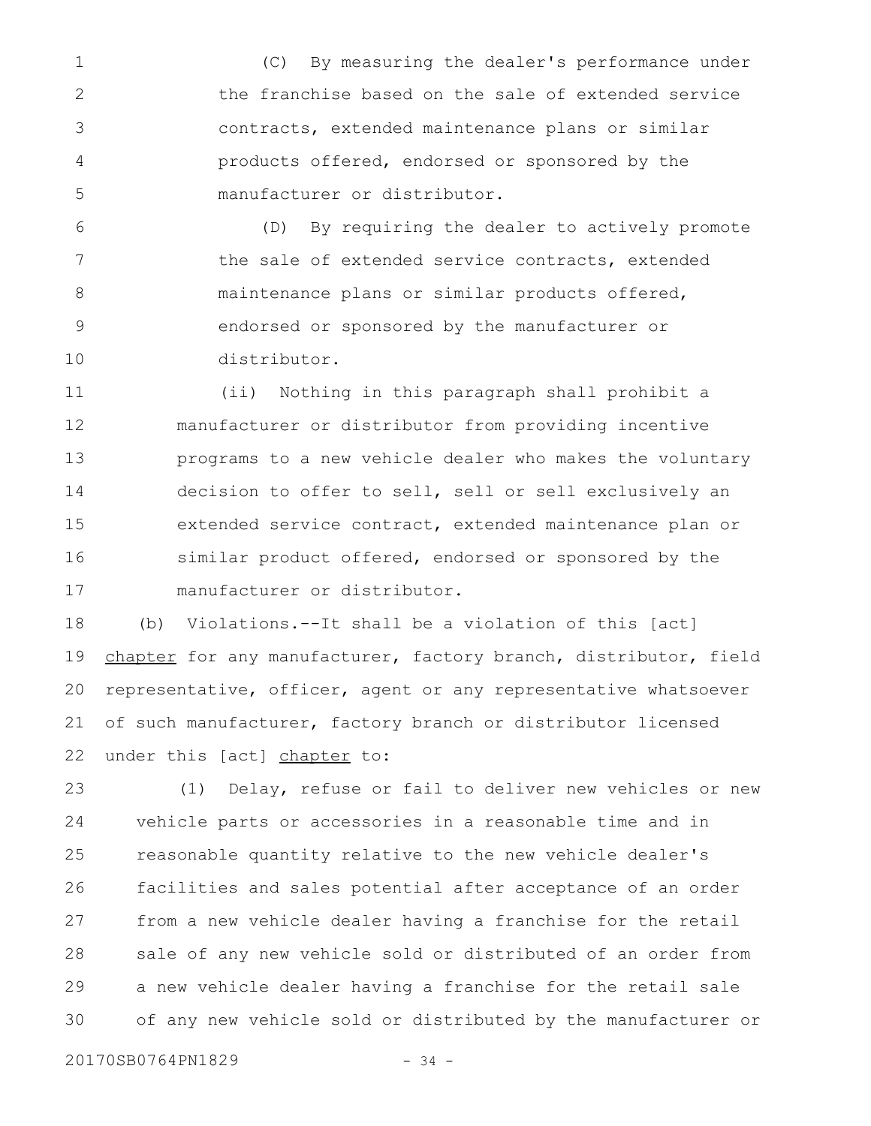(C) By measuring the dealer's performance under the franchise based on the sale of extended service contracts, extended maintenance plans or similar products offered, endorsed or sponsored by the manufacturer or distributor. 1 2 3 4 5

(D) By requiring the dealer to actively promote the sale of extended service contracts, extended maintenance plans or similar products offered, endorsed or sponsored by the manufacturer or distributor. 6 7 8 9 10

(ii) Nothing in this paragraph shall prohibit a manufacturer or distributor from providing incentive programs to a new vehicle dealer who makes the voluntary decision to offer to sell, sell or sell exclusively an extended service contract, extended maintenance plan or similar product offered, endorsed or sponsored by the manufacturer or distributor. 11 12 13 14 15 16 17

(b) Violations.--It shall be a violation of this [act] chapter for any manufacturer, factory branch, distributor, field representative, officer, agent or any representative whatsoever of such manufacturer, factory branch or distributor licensed under this [act] chapter to: 18 19 20 21 22

(1) Delay, refuse or fail to deliver new vehicles or new vehicle parts or accessories in a reasonable time and in reasonable quantity relative to the new vehicle dealer's facilities and sales potential after acceptance of an order from a new vehicle dealer having a franchise for the retail sale of any new vehicle sold or distributed of an order from a new vehicle dealer having a franchise for the retail sale of any new vehicle sold or distributed by the manufacturer or 23 24 25 26 27 28 29 30

20170SB0764PN1829 - 34 -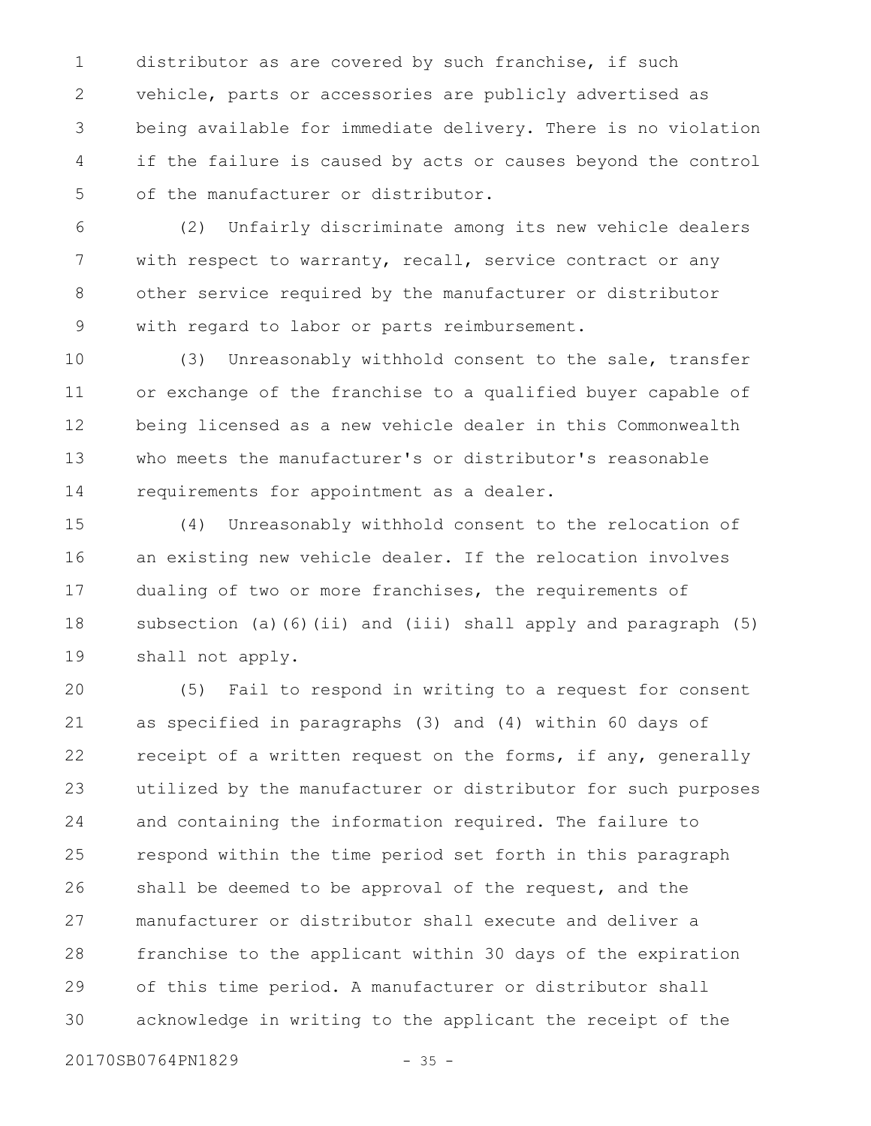distributor as are covered by such franchise, if such vehicle, parts or accessories are publicly advertised as being available for immediate delivery. There is no violation if the failure is caused by acts or causes beyond the control of the manufacturer or distributor. 1 2 3 4 5

(2) Unfairly discriminate among its new vehicle dealers with respect to warranty, recall, service contract or any other service required by the manufacturer or distributor with regard to labor or parts reimbursement. 6 7 8 9

(3) Unreasonably withhold consent to the sale, transfer or exchange of the franchise to a qualified buyer capable of being licensed as a new vehicle dealer in this Commonwealth who meets the manufacturer's or distributor's reasonable requirements for appointment as a dealer. 10 11 12 13 14

(4) Unreasonably withhold consent to the relocation of an existing new vehicle dealer. If the relocation involves dualing of two or more franchises, the requirements of subsection (a)(6)(ii) and (iii) shall apply and paragraph (5) shall not apply. 15 16 17 18 19

(5) Fail to respond in writing to a request for consent as specified in paragraphs (3) and (4) within 60 days of receipt of a written request on the forms, if any, generally utilized by the manufacturer or distributor for such purposes and containing the information required. The failure to respond within the time period set forth in this paragraph shall be deemed to be approval of the request, and the manufacturer or distributor shall execute and deliver a franchise to the applicant within 30 days of the expiration of this time period. A manufacturer or distributor shall acknowledge in writing to the applicant the receipt of the 20 21 22 23 24 25 26 27 28 29 30

20170SB0764PN1829 - 35 -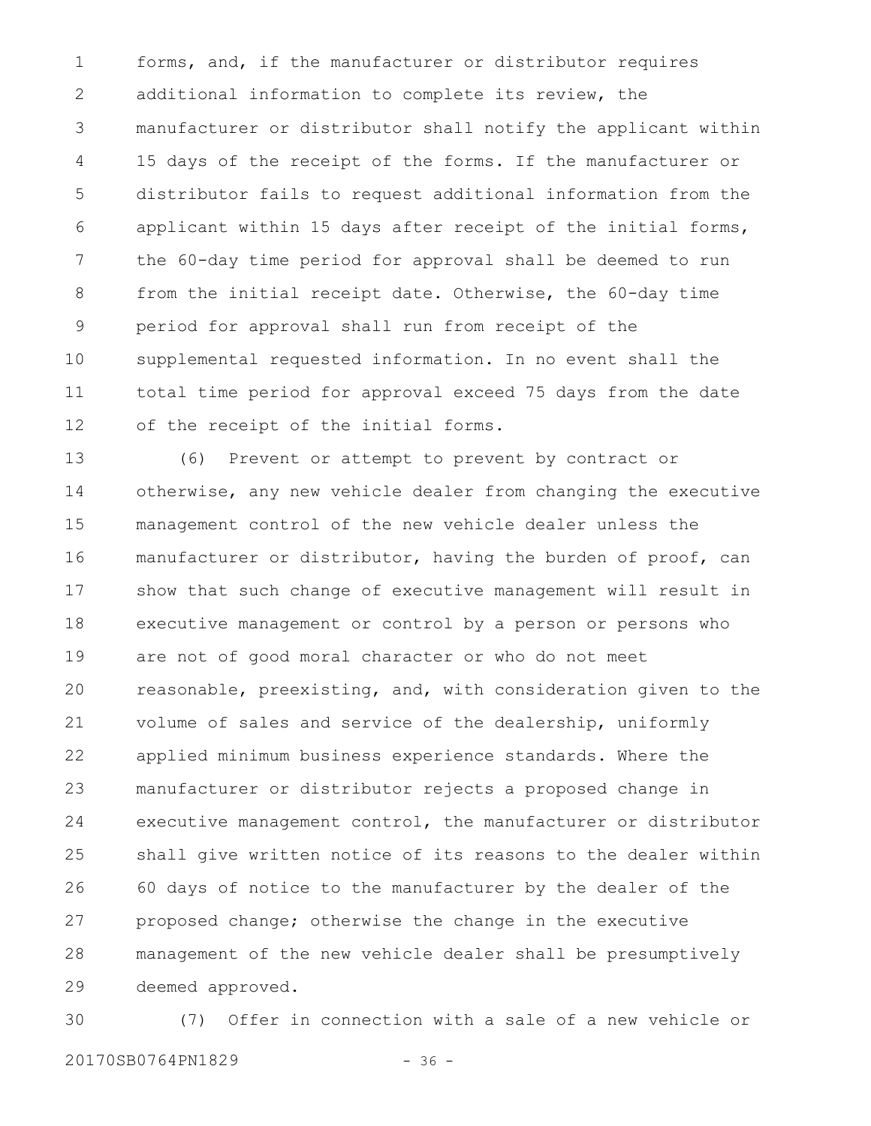forms, and, if the manufacturer or distributor requires additional information to complete its review, the manufacturer or distributor shall notify the applicant within 15 days of the receipt of the forms. If the manufacturer or distributor fails to request additional information from the applicant within 15 days after receipt of the initial forms, the 60-day time period for approval shall be deemed to run from the initial receipt date. Otherwise, the 60-day time period for approval shall run from receipt of the supplemental requested information. In no event shall the total time period for approval exceed 75 days from the date of the receipt of the initial forms. 1 2 3 4 5 6 7 8 9 10 11 12

(6) Prevent or attempt to prevent by contract or otherwise, any new vehicle dealer from changing the executive management control of the new vehicle dealer unless the manufacturer or distributor, having the burden of proof, can show that such change of executive management will result in executive management or control by a person or persons who are not of good moral character or who do not meet reasonable, preexisting, and, with consideration given to the volume of sales and service of the dealership, uniformly applied minimum business experience standards. Where the manufacturer or distributor rejects a proposed change in executive management control, the manufacturer or distributor shall give written notice of its reasons to the dealer within 60 days of notice to the manufacturer by the dealer of the proposed change; otherwise the change in the executive management of the new vehicle dealer shall be presumptively deemed approved. 13 14 15 16 17 18 19 20 21 22 23 24 25 26 27 28 29

(7) Offer in connection with a sale of a new vehicle or 20170SB0764PN1829 - 36 -30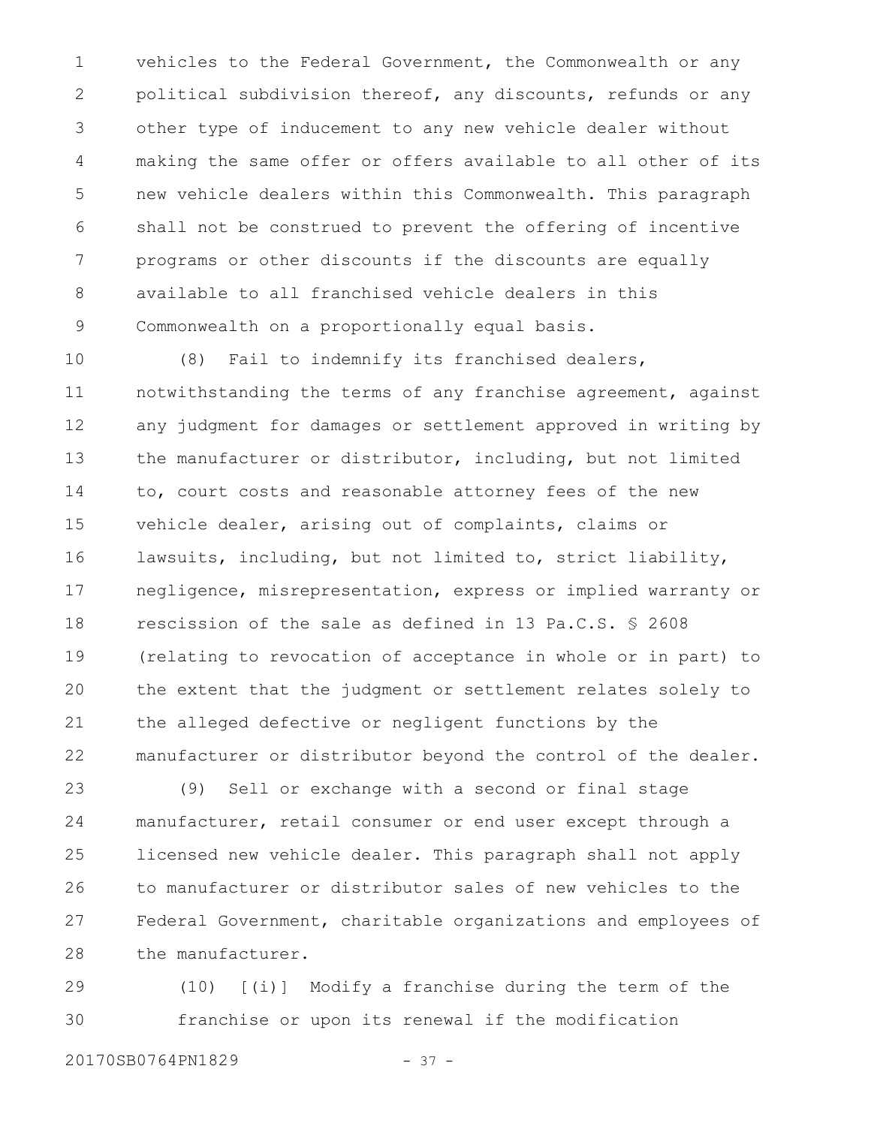vehicles to the Federal Government, the Commonwealth or any political subdivision thereof, any discounts, refunds or any other type of inducement to any new vehicle dealer without making the same offer or offers available to all other of its new vehicle dealers within this Commonwealth. This paragraph shall not be construed to prevent the offering of incentive programs or other discounts if the discounts are equally available to all franchised vehicle dealers in this Commonwealth on a proportionally equal basis. 1 2 3 4 5 6 7 8 9

(8) Fail to indemnify its franchised dealers, notwithstanding the terms of any franchise agreement, against any judgment for damages or settlement approved in writing by the manufacturer or distributor, including, but not limited to, court costs and reasonable attorney fees of the new vehicle dealer, arising out of complaints, claims or lawsuits, including, but not limited to, strict liability, negligence, misrepresentation, express or implied warranty or rescission of the sale as defined in 13 Pa.C.S. § 2608 (relating to revocation of acceptance in whole or in part) to the extent that the judgment or settlement relates solely to the alleged defective or negligent functions by the manufacturer or distributor beyond the control of the dealer. 10 11 12 13 14 15 16 17 18 19 20 21 22

(9) Sell or exchange with a second or final stage manufacturer, retail consumer or end user except through a licensed new vehicle dealer. This paragraph shall not apply to manufacturer or distributor sales of new vehicles to the Federal Government, charitable organizations and employees of the manufacturer. 23 24 25 26 27 28

(10) [(i)] Modify a franchise during the term of the franchise or upon its renewal if the modification 29 30

20170SB0764PN1829 - 37 -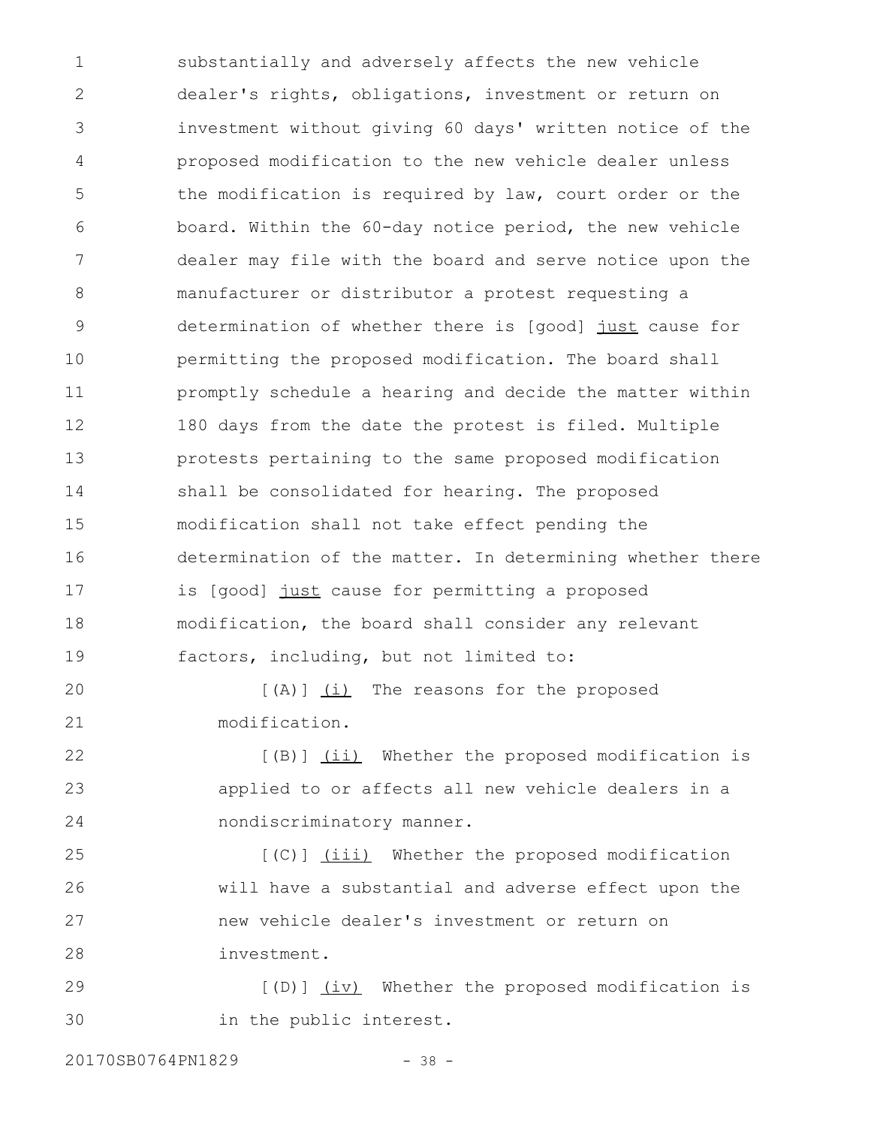substantially and adversely affects the new vehicle dealer's rights, obligations, investment or return on investment without giving 60 days' written notice of the proposed modification to the new vehicle dealer unless the modification is required by law, court order or the board. Within the 60-day notice period, the new vehicle dealer may file with the board and serve notice upon the manufacturer or distributor a protest requesting a determination of whether there is [good] just cause for permitting the proposed modification. The board shall promptly schedule a hearing and decide the matter within 180 days from the date the protest is filed. Multiple protests pertaining to the same proposed modification shall be consolidated for hearing. The proposed modification shall not take effect pending the determination of the matter. In determining whether there is [good] just cause for permitting a proposed modification, the board shall consider any relevant factors, including, but not limited to: [(A)] (i) The reasons for the proposed 1 2 3 4 5 6 7 8 9 10 11 12 13 14 15 16 17 18 19 20

modification. 21

[(B)] (ii) Whether the proposed modification is applied to or affects all new vehicle dealers in a nondiscriminatory manner. 22 23 24

[(C)] (iii) Whether the proposed modification will have a substantial and adverse effect upon the new vehicle dealer's investment or return on investment. 25 26 27 28

[(D)] (iv) Whether the proposed modification is in the public interest. 29 30

20170SB0764PN1829 - 38 -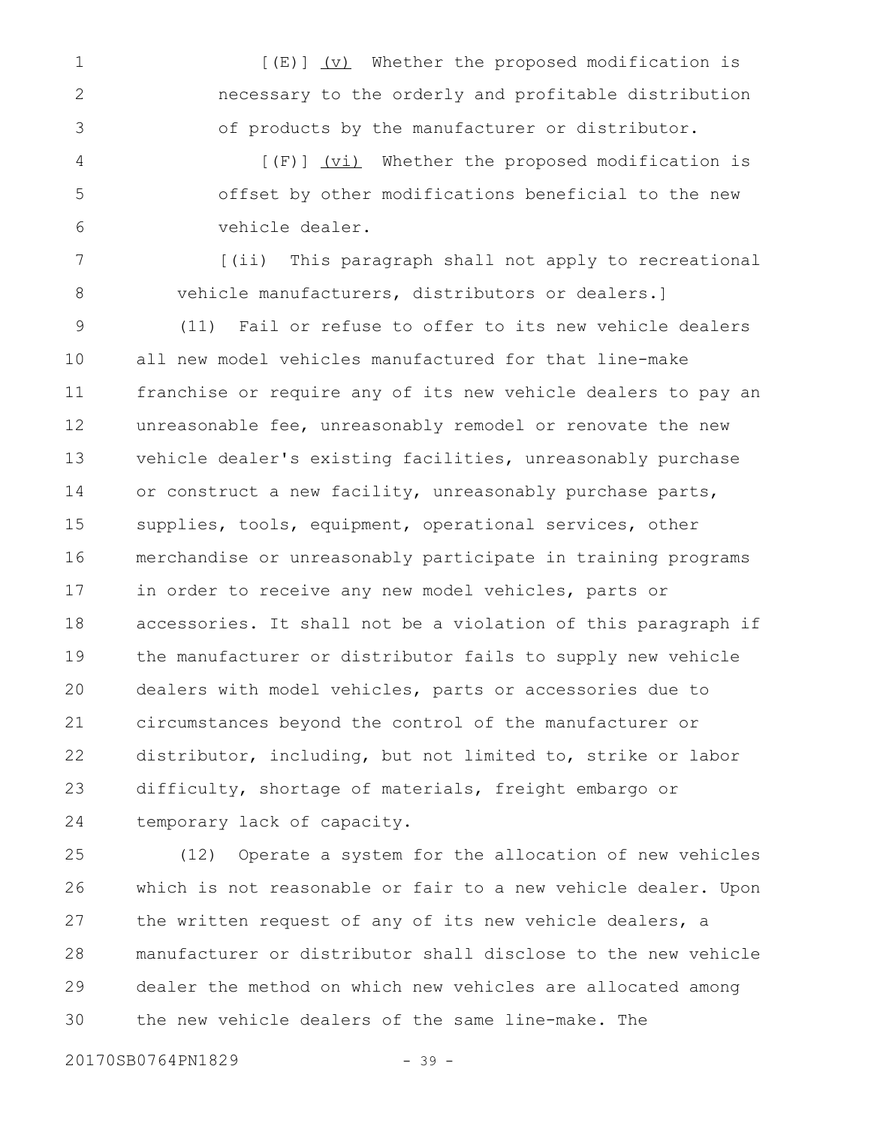[(E)] (v) Whether the proposed modification is necessary to the orderly and profitable distribution of products by the manufacturer or distributor. 1 2 3

[(F)] (vi) Whether the proposed modification is offset by other modifications beneficial to the new vehicle dealer. 4 5 6

[(ii) This paragraph shall not apply to recreational vehicle manufacturers, distributors or dealers.] 7 8

(11) Fail or refuse to offer to its new vehicle dealers all new model vehicles manufactured for that line-make franchise or require any of its new vehicle dealers to pay an unreasonable fee, unreasonably remodel or renovate the new vehicle dealer's existing facilities, unreasonably purchase or construct a new facility, unreasonably purchase parts, supplies, tools, equipment, operational services, other merchandise or unreasonably participate in training programs in order to receive any new model vehicles, parts or accessories. It shall not be a violation of this paragraph if the manufacturer or distributor fails to supply new vehicle dealers with model vehicles, parts or accessories due to circumstances beyond the control of the manufacturer or distributor, including, but not limited to, strike or labor difficulty, shortage of materials, freight embargo or temporary lack of capacity. 9 10 11 12 13 14 15 16 17 18 19 20 21 22 23 24

(12) Operate a system for the allocation of new vehicles which is not reasonable or fair to a new vehicle dealer. Upon the written request of any of its new vehicle dealers, a manufacturer or distributor shall disclose to the new vehicle dealer the method on which new vehicles are allocated among the new vehicle dealers of the same line-make. The 25 26 27 28 29 30

20170SB0764PN1829 - 39 -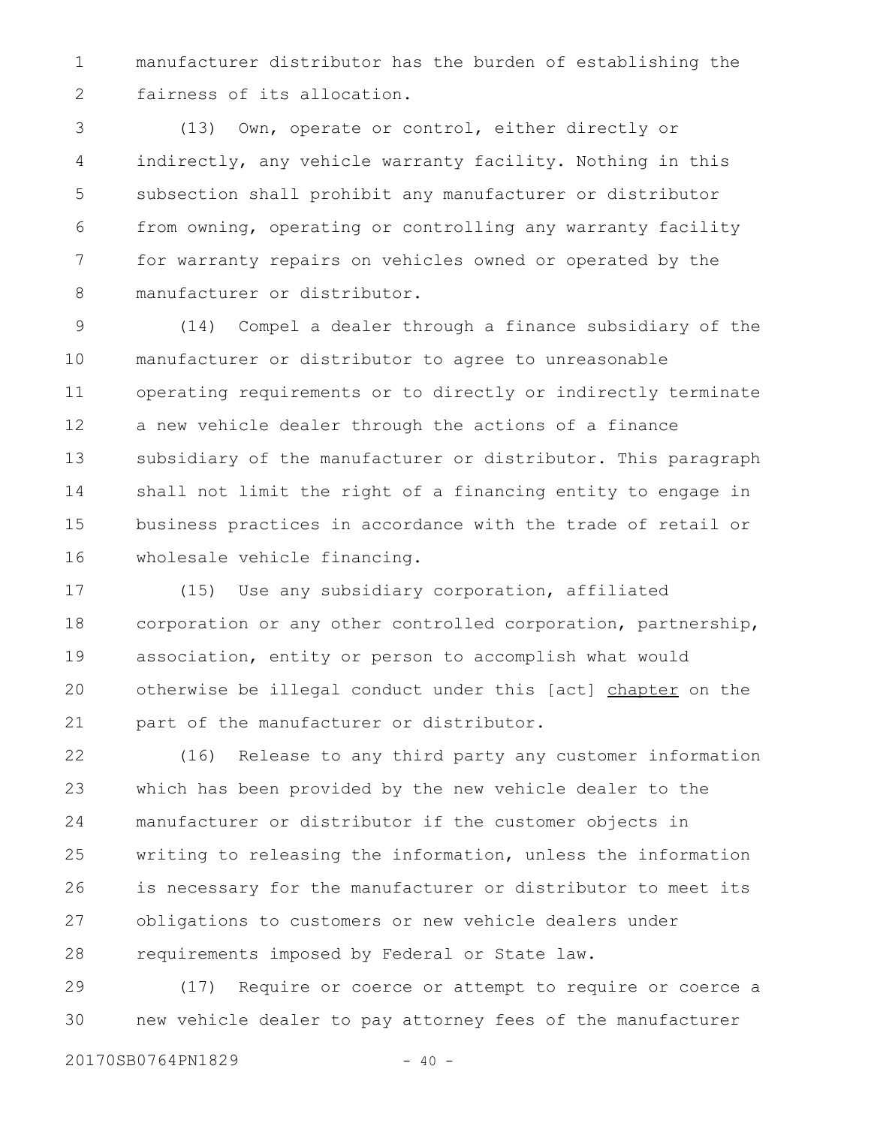manufacturer distributor has the burden of establishing the fairness of its allocation. 1 2

(13) Own, operate or control, either directly or indirectly, any vehicle warranty facility. Nothing in this subsection shall prohibit any manufacturer or distributor from owning, operating or controlling any warranty facility for warranty repairs on vehicles owned or operated by the manufacturer or distributor. 3 4 5 6 7 8

(14) Compel a dealer through a finance subsidiary of the manufacturer or distributor to agree to unreasonable operating requirements or to directly or indirectly terminate a new vehicle dealer through the actions of a finance subsidiary of the manufacturer or distributor. This paragraph shall not limit the right of a financing entity to engage in business practices in accordance with the trade of retail or wholesale vehicle financing. 9 10 11 12 13 14 15 16

(15) Use any subsidiary corporation, affiliated corporation or any other controlled corporation, partnership, association, entity or person to accomplish what would otherwise be illegal conduct under this [act] chapter on the part of the manufacturer or distributor. 17 18 19 20 21

(16) Release to any third party any customer information which has been provided by the new vehicle dealer to the manufacturer or distributor if the customer objects in writing to releasing the information, unless the information is necessary for the manufacturer or distributor to meet its obligations to customers or new vehicle dealers under requirements imposed by Federal or State law. 22 23 24 25 26 27 28

(17) Require or coerce or attempt to require or coerce a new vehicle dealer to pay attorney fees of the manufacturer 29 30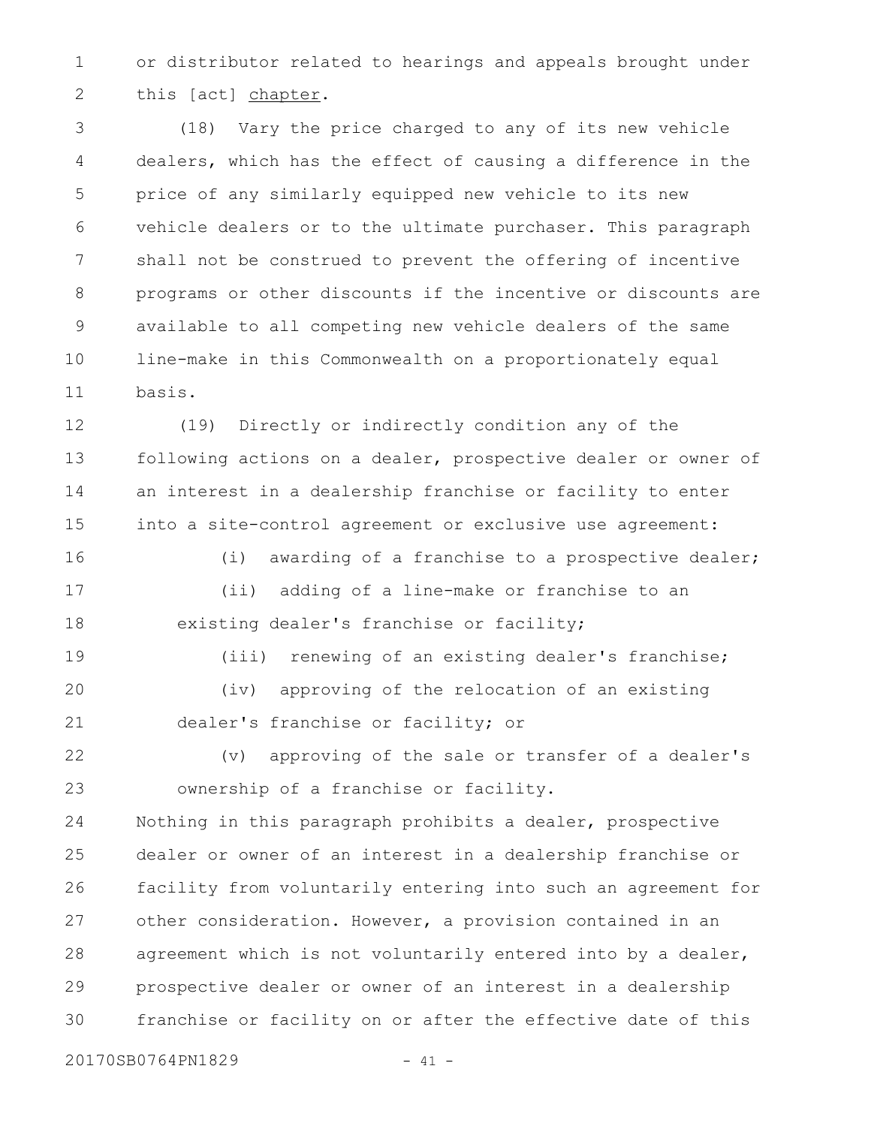or distributor related to hearings and appeals brought under this [act] chapter. 1 2

(18) Vary the price charged to any of its new vehicle dealers, which has the effect of causing a difference in the price of any similarly equipped new vehicle to its new vehicle dealers or to the ultimate purchaser. This paragraph shall not be construed to prevent the offering of incentive programs or other discounts if the incentive or discounts are available to all competing new vehicle dealers of the same line-make in this Commonwealth on a proportionately equal basis. 3 4 5 6 7 8 9 10 11

(19) Directly or indirectly condition any of the following actions on a dealer, prospective dealer or owner of an interest in a dealership franchise or facility to enter into a site-control agreement or exclusive use agreement: 12 13 14 15

(i) awarding of a franchise to a prospective dealer; (ii) adding of a line-make or franchise to an existing dealer's franchise or facility; 16 17 18

(iii) renewing of an existing dealer's franchise; (iv) approving of the relocation of an existing dealer's franchise or facility; or 19 20 21

(v) approving of the sale or transfer of a dealer's ownership of a franchise or facility. 22 23

Nothing in this paragraph prohibits a dealer, prospective dealer or owner of an interest in a dealership franchise or facility from voluntarily entering into such an agreement for other consideration. However, a provision contained in an agreement which is not voluntarily entered into by a dealer, prospective dealer or owner of an interest in a dealership franchise or facility on or after the effective date of this 24 25 26 27 28 29 30

20170SB0764PN1829 - 41 -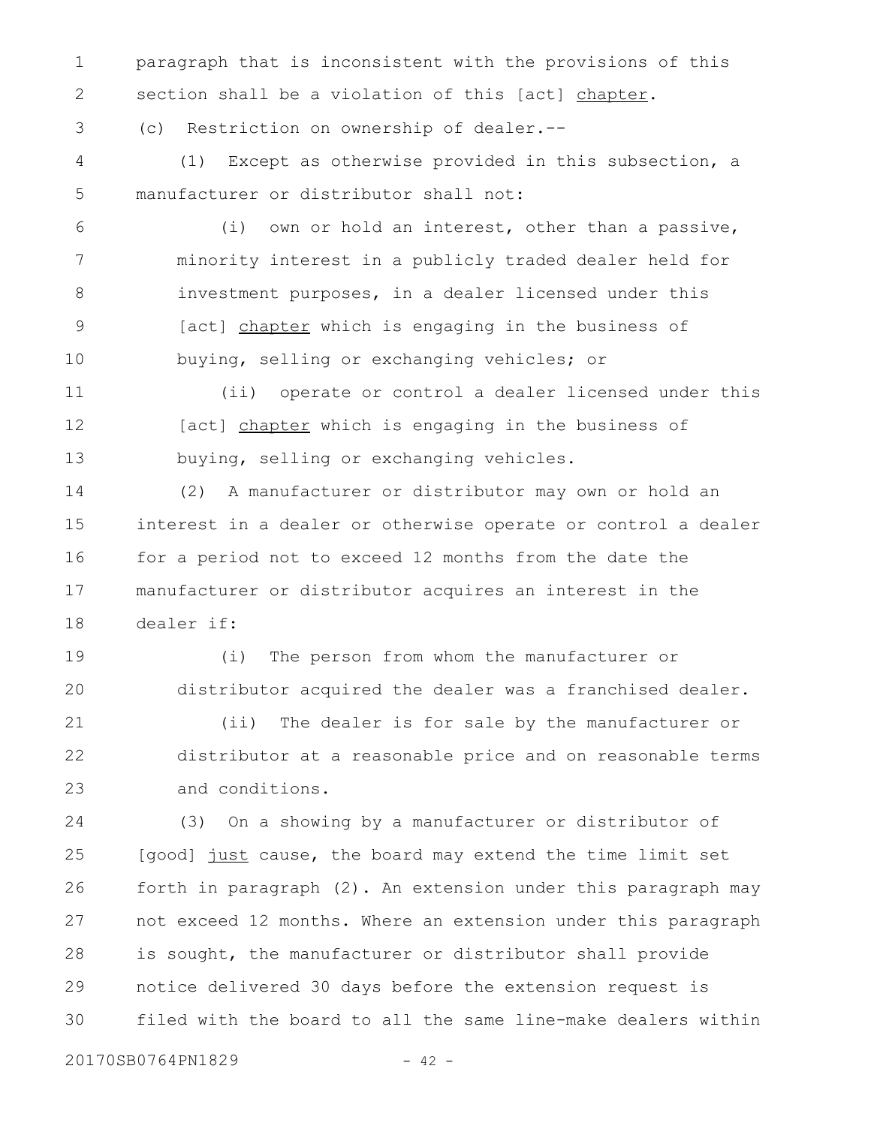paragraph that is inconsistent with the provisions of this section shall be a violation of this [act] chapter. 1 2

(c) Restriction on ownership of dealer.-- 3

(1) Except as otherwise provided in this subsection, a manufacturer or distributor shall not: 4 5

- (i) own or hold an interest, other than a passive, minority interest in a publicly traded dealer held for investment purposes, in a dealer licensed under this [act] chapter which is engaging in the business of buying, selling or exchanging vehicles; or 6 7 8 9 10
- (ii) operate or control a dealer licensed under this [act] chapter which is engaging in the business of buying, selling or exchanging vehicles. 11 12 13
- (2) A manufacturer or distributor may own or hold an interest in a dealer or otherwise operate or control a dealer for a period not to exceed 12 months from the date the manufacturer or distributor acquires an interest in the dealer if: 14 15 16 17 18

(i) The person from whom the manufacturer or distributor acquired the dealer was a franchised dealer. 19 20

(ii) The dealer is for sale by the manufacturer or distributor at a reasonable price and on reasonable terms and conditions. 21 22 23

(3) On a showing by a manufacturer or distributor of [good] just cause, the board may extend the time limit set forth in paragraph (2). An extension under this paragraph may not exceed 12 months. Where an extension under this paragraph is sought, the manufacturer or distributor shall provide notice delivered 30 days before the extension request is filed with the board to all the same line-make dealers within 24 25 26 27 28 29 30

20170SB0764PN1829 - 42 -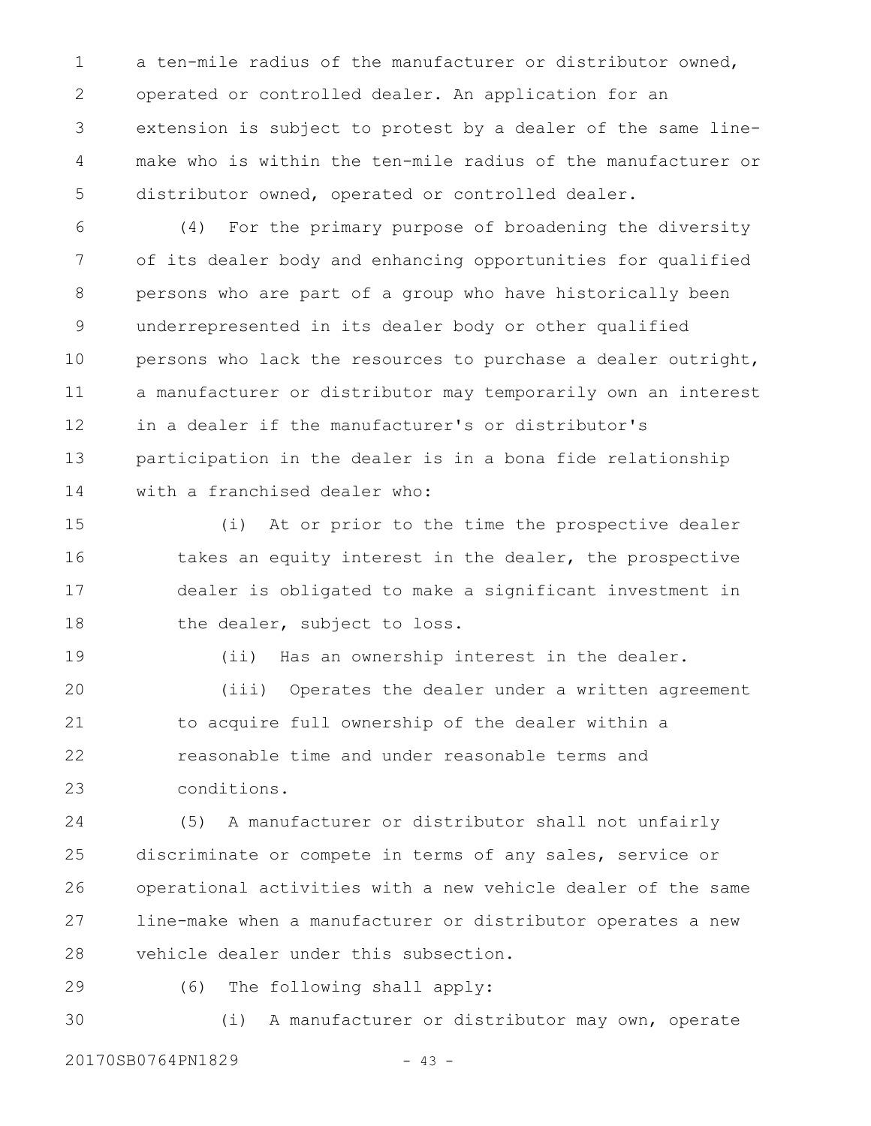a ten-mile radius of the manufacturer or distributor owned, operated or controlled dealer. An application for an extension is subject to protest by a dealer of the same linemake who is within the ten-mile radius of the manufacturer or distributor owned, operated or controlled dealer. 1 2 3 4 5

(4) For the primary purpose of broadening the diversity of its dealer body and enhancing opportunities for qualified persons who are part of a group who have historically been underrepresented in its dealer body or other qualified persons who lack the resources to purchase a dealer outright, a manufacturer or distributor may temporarily own an interest in a dealer if the manufacturer's or distributor's participation in the dealer is in a bona fide relationship with a franchised dealer who: 6 7 8 9 10 11 12 13 14

(i) At or prior to the time the prospective dealer takes an equity interest in the dealer, the prospective dealer is obligated to make a significant investment in the dealer, subject to loss. 15 16 17 18

(ii) Has an ownership interest in the dealer. (iii) Operates the dealer under a written agreement to acquire full ownership of the dealer within a reasonable time and under reasonable terms and conditions. 19 20 21 22 23

(5) A manufacturer or distributor shall not unfairly discriminate or compete in terms of any sales, service or operational activities with a new vehicle dealer of the same line-make when a manufacturer or distributor operates a new vehicle dealer under this subsection. 24 25 26 27 28

29

(6) The following shall apply:

(i) A manufacturer or distributor may own, operate 30

20170SB0764PN1829 - 43 -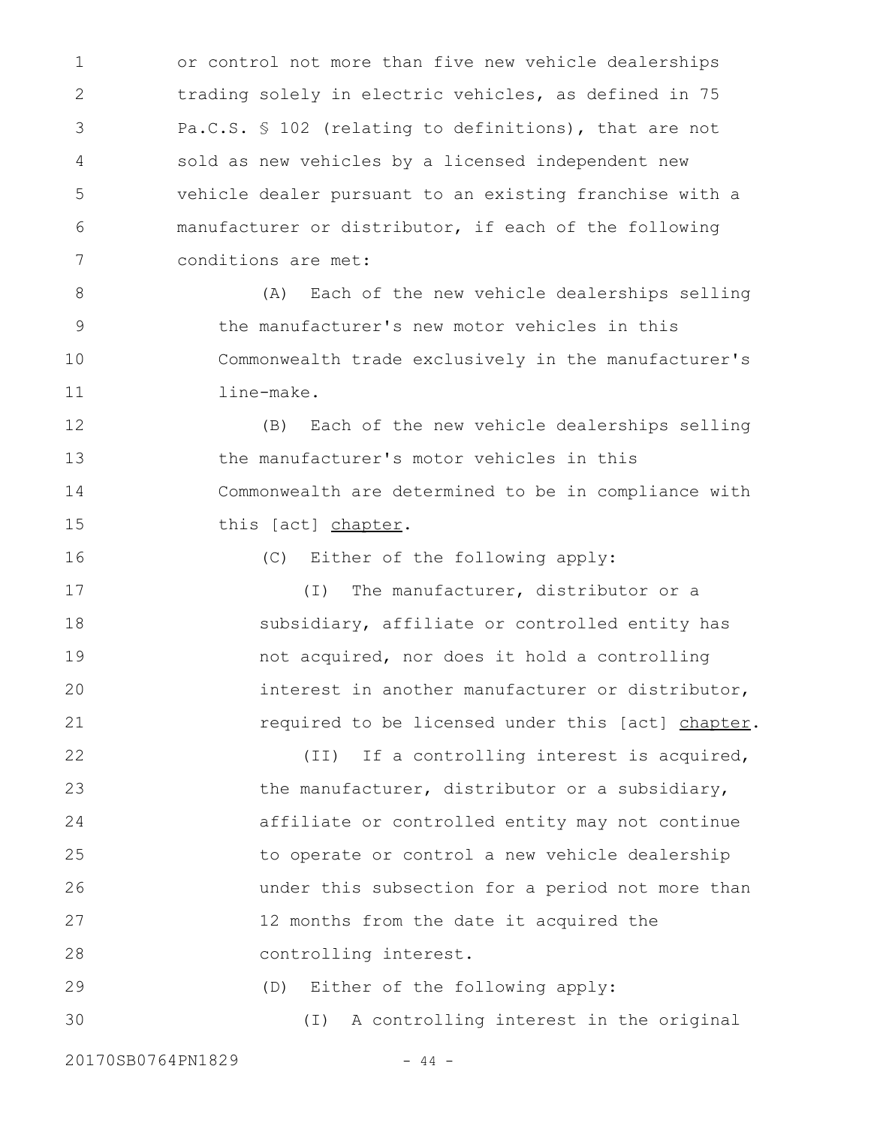or control not more than five new vehicle dealerships trading solely in electric vehicles, as defined in 75 Pa.C.S. § 102 (relating to definitions), that are not sold as new vehicles by a licensed independent new vehicle dealer pursuant to an existing franchise with a manufacturer or distributor, if each of the following conditions are met: 1 2 3 4 5 6 7

(A) Each of the new vehicle dealerships selling the manufacturer's new motor vehicles in this Commonwealth trade exclusively in the manufacturer's line-make. 8 9 10 11

(B) Each of the new vehicle dealerships selling the manufacturer's motor vehicles in this Commonwealth are determined to be in compliance with this [act] chapter. 12 13 14 15

(C) Either of the following apply:

(I) The manufacturer, distributor or a subsidiary, affiliate or controlled entity has not acquired, nor does it hold a controlling interest in another manufacturer or distributor, required to be licensed under this [act] chapter. 17 18 19 20 21

(II) If a controlling interest is acquired, the manufacturer, distributor or a subsidiary, affiliate or controlled entity may not continue to operate or control a new vehicle dealership under this subsection for a period not more than 12 months from the date it acquired the controlling interest. 22 23 24 25 26 27 28

(D) Either of the following apply: (I) A controlling interest in the original 29 30

20170SB0764PN1829 - 44 -

16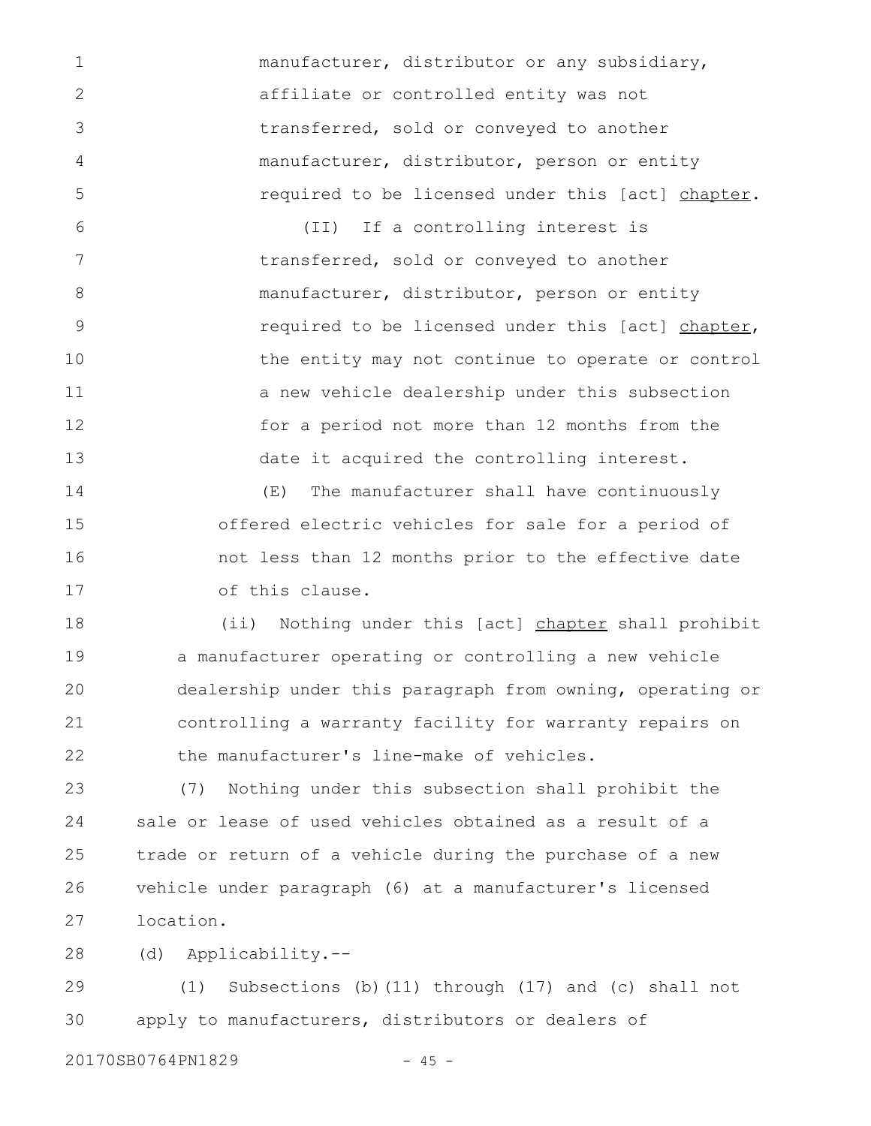manufacturer, distributor or any subsidiary, affiliate or controlled entity was not transferred, sold or conveyed to another manufacturer, distributor, person or entity required to be licensed under this [act] chapter.

(II) If a controlling interest is transferred, sold or conveyed to another manufacturer, distributor, person or entity required to be licensed under this [act] chapter, the entity may not continue to operate or control a new vehicle dealership under this subsection for a period not more than 12 months from the date it acquired the controlling interest. 6 7 8 9 10 11 12 13

(E) The manufacturer shall have continuously offered electric vehicles for sale for a period of not less than 12 months prior to the effective date of this clause. 14 15 16 17

(ii) Nothing under this [act] chapter shall prohibit a manufacturer operating or controlling a new vehicle dealership under this paragraph from owning, operating or controlling a warranty facility for warranty repairs on the manufacturer's line-make of vehicles. 18 19 20 21 22

(7) Nothing under this subsection shall prohibit the sale or lease of used vehicles obtained as a result of a trade or return of a vehicle during the purchase of a new vehicle under paragraph (6) at a manufacturer's licensed location. 23 24 25 26 27

(d) Applicability.-- 28

(1) Subsections (b)(11) through (17) and (c) shall not apply to manufacturers, distributors or dealers of 29 30

20170SB0764PN1829 - 45 -

1

2

3

4

5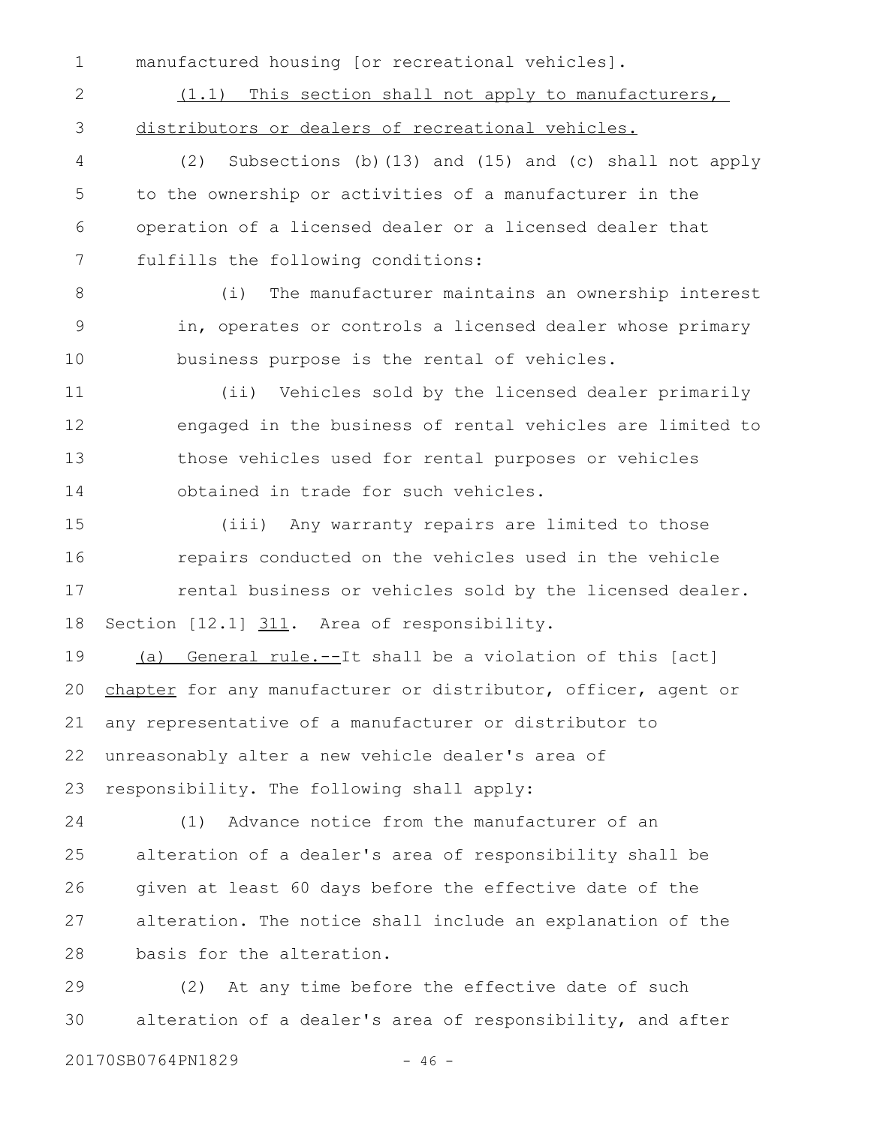manufactured housing [or recreational vehicles]. 1

(1.1) This section shall not apply to manufacturers, distributors or dealers of recreational vehicles. 2 3

(2) Subsections (b)(13) and (15) and (c) shall not apply to the ownership or activities of a manufacturer in the operation of a licensed dealer or a licensed dealer that fulfills the following conditions: 4 5 6 7

(i) The manufacturer maintains an ownership interest in, operates or controls a licensed dealer whose primary business purpose is the rental of vehicles. 8 9 10

(ii) Vehicles sold by the licensed dealer primarily engaged in the business of rental vehicles are limited to those vehicles used for rental purposes or vehicles obtained in trade for such vehicles. 11 12 13 14

(iii) Any warranty repairs are limited to those repairs conducted on the vehicles used in the vehicle rental business or vehicles sold by the licensed dealer. Section [12.1] 311. Area of responsibility. 15 16 17 18

(a) General rule.--It shall be a violation of this [act] chapter for any manufacturer or distributor, officer, agent or any representative of a manufacturer or distributor to unreasonably alter a new vehicle dealer's area of responsibility. The following shall apply: 19 20 21 22 23

(1) Advance notice from the manufacturer of an alteration of a dealer's area of responsibility shall be given at least 60 days before the effective date of the alteration. The notice shall include an explanation of the basis for the alteration. 24 25 26 27 28

(2) At any time before the effective date of such alteration of a dealer's area of responsibility, and after 29 30

20170SB0764PN1829 - 46 -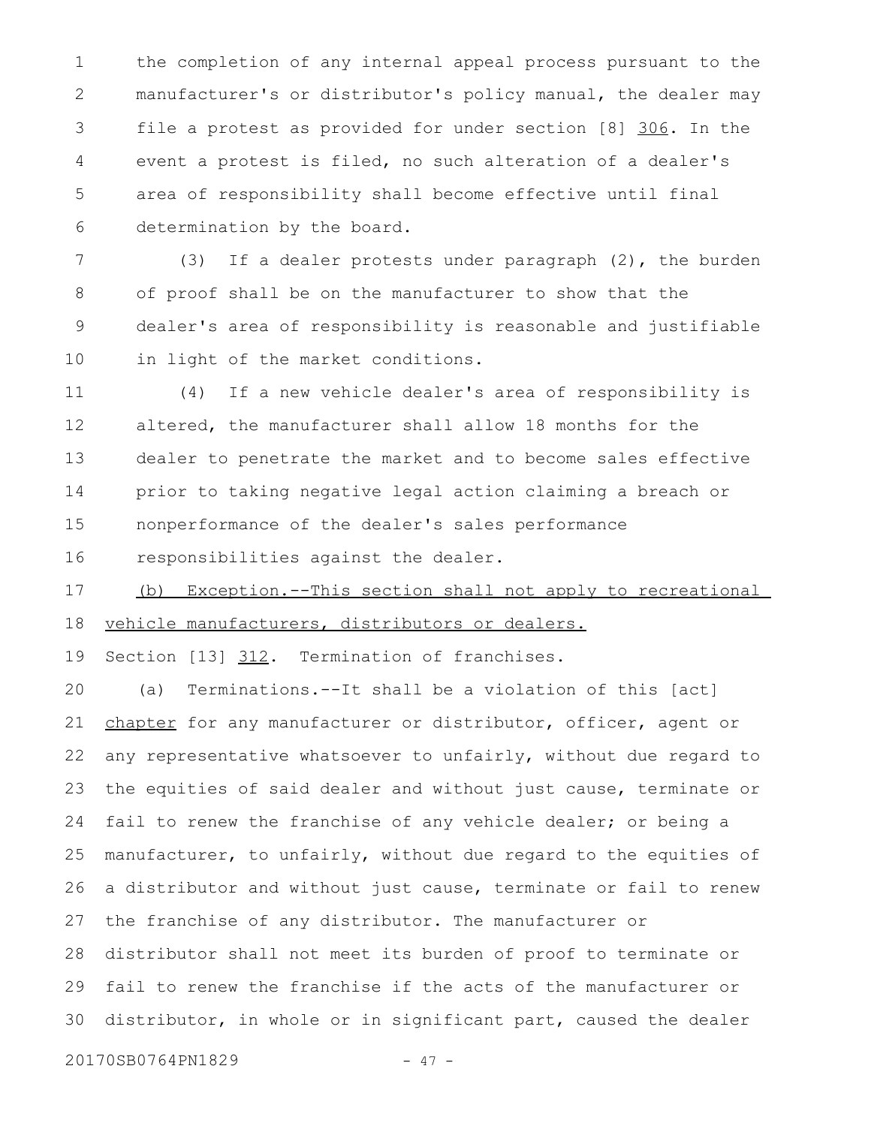the completion of any internal appeal process pursuant to the manufacturer's or distributor's policy manual, the dealer may file a protest as provided for under section [8] 306. In the event a protest is filed, no such alteration of a dealer's area of responsibility shall become effective until final determination by the board. 1 2 3 4 5 6

(3) If a dealer protests under paragraph (2), the burden of proof shall be on the manufacturer to show that the dealer's area of responsibility is reasonable and justifiable in light of the market conditions. 7 8 9 10

(4) If a new vehicle dealer's area of responsibility is altered, the manufacturer shall allow 18 months for the dealer to penetrate the market and to become sales effective prior to taking negative legal action claiming a breach or nonperformance of the dealer's sales performance 11 12 13 14 15

responsibilities against the dealer. 16

(b) Exception.--This section shall not apply to recreational vehicle manufacturers, distributors or dealers. 17 18

Section [13] 312. Termination of franchises. 19

(a) Terminations.--It shall be a violation of this [act] chapter for any manufacturer or distributor, officer, agent or any representative whatsoever to unfairly, without due regard to the equities of said dealer and without just cause, terminate or fail to renew the franchise of any vehicle dealer; or being a manufacturer, to unfairly, without due regard to the equities of a distributor and without just cause, terminate or fail to renew the franchise of any distributor. The manufacturer or distributor shall not meet its burden of proof to terminate or fail to renew the franchise if the acts of the manufacturer or distributor, in whole or in significant part, caused the dealer 20 21 22 23 24 25 26 27 28 29 30

20170SB0764PN1829 - 47 -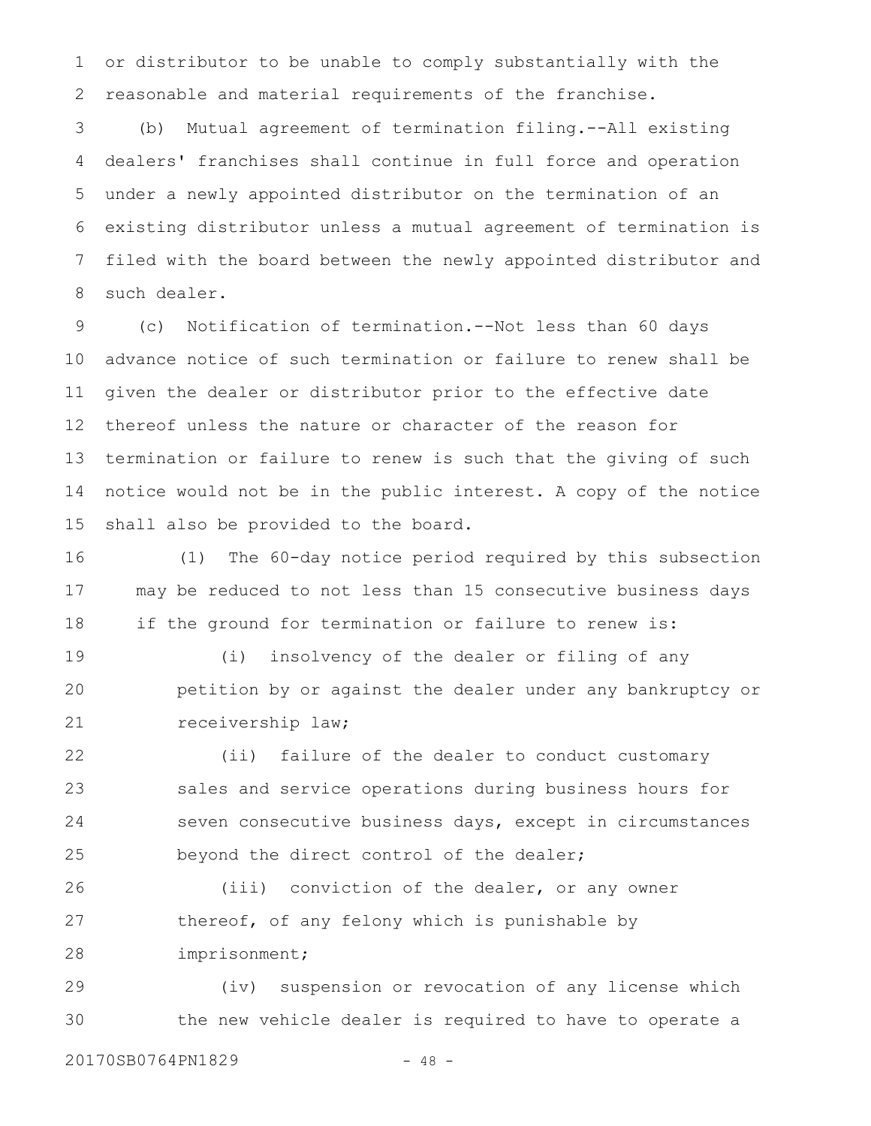or distributor to be unable to comply substantially with the reasonable and material requirements of the franchise. 1 2

(b) Mutual agreement of termination filing.--All existing dealers' franchises shall continue in full force and operation under a newly appointed distributor on the termination of an existing distributor unless a mutual agreement of termination is filed with the board between the newly appointed distributor and such dealer. 3 4 5 6 7 8

(c) Notification of termination.--Not less than 60 days advance notice of such termination or failure to renew shall be given the dealer or distributor prior to the effective date thereof unless the nature or character of the reason for termination or failure to renew is such that the giving of such notice would not be in the public interest. A copy of the notice shall also be provided to the board. 9 10 11 12 13 14 15

(1) The 60-day notice period required by this subsection may be reduced to not less than 15 consecutive business days if the ground for termination or failure to renew is: 16 17 18

(i) insolvency of the dealer or filing of any petition by or against the dealer under any bankruptcy or receivership law; 19 20 21

(ii) failure of the dealer to conduct customary sales and service operations during business hours for seven consecutive business days, except in circumstances beyond the direct control of the dealer; 22 23 24 25

(iii) conviction of the dealer, or any owner thereof, of any felony which is punishable by imprisonment; 26 27 28

(iv) suspension or revocation of any license which the new vehicle dealer is required to have to operate a 29 30

20170SB0764PN1829 - 48 -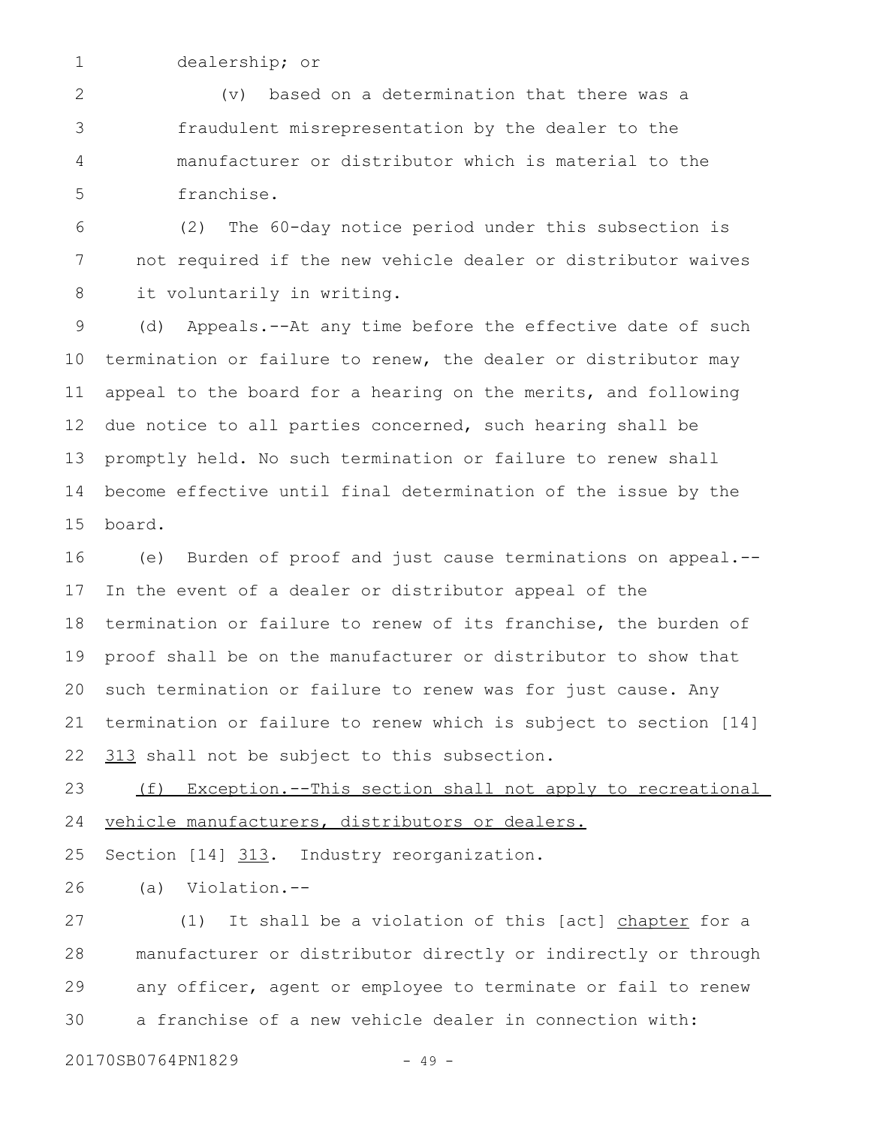1

dealership; or

(v) based on a determination that there was a fraudulent misrepresentation by the dealer to the manufacturer or distributor which is material to the franchise. 2 3 4 5

(2) The 60-day notice period under this subsection is not required if the new vehicle dealer or distributor waives it voluntarily in writing. 6 7 8

(d) Appeals.--At any time before the effective date of such termination or failure to renew, the dealer or distributor may appeal to the board for a hearing on the merits, and following due notice to all parties concerned, such hearing shall be promptly held. No such termination or failure to renew shall become effective until final determination of the issue by the board. 9 10 11 12 13 14 15

(e) Burden of proof and just cause terminations on appeal.-- In the event of a dealer or distributor appeal of the termination or failure to renew of its franchise, the burden of proof shall be on the manufacturer or distributor to show that such termination or failure to renew was for just cause. Any termination or failure to renew which is subject to section [14] 313 shall not be subject to this subsection. 16 17 18 19 20 21 22

(f) Exception.--This section shall not apply to recreational vehicle manufacturers, distributors or dealers. 23 24

Section [14] 313. Industry reorganization. 25

(a) Violation.-- 26

(1) It shall be a violation of this [act] chapter for a manufacturer or distributor directly or indirectly or through any officer, agent or employee to terminate or fail to renew a franchise of a new vehicle dealer in connection with: 27 28 29 30

20170SB0764PN1829 - 49 -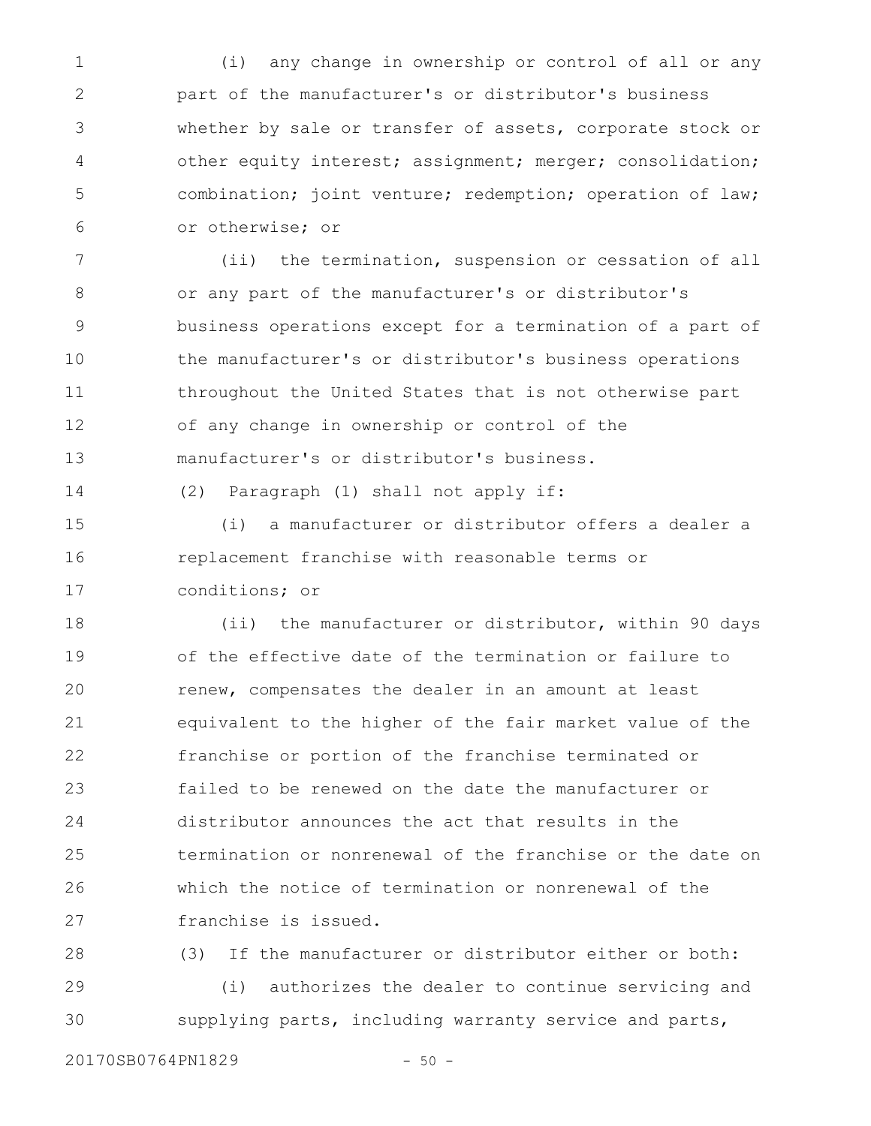(i) any change in ownership or control of all or any part of the manufacturer's or distributor's business whether by sale or transfer of assets, corporate stock or other equity interest; assignment; merger; consolidation; combination; joint venture; redemption; operation of law; or otherwise; or 1 2 3 4 5 6

(ii) the termination, suspension or cessation of all or any part of the manufacturer's or distributor's business operations except for a termination of a part of the manufacturer's or distributor's business operations throughout the United States that is not otherwise part of any change in ownership or control of the manufacturer's or distributor's business. 7 8 9 10 11 12 13

14

(2) Paragraph (1) shall not apply if:

(i) a manufacturer or distributor offers a dealer a replacement franchise with reasonable terms or conditions; or 15 16 17

(ii) the manufacturer or distributor, within 90 days of the effective date of the termination or failure to renew, compensates the dealer in an amount at least equivalent to the higher of the fair market value of the franchise or portion of the franchise terminated or failed to be renewed on the date the manufacturer or distributor announces the act that results in the termination or nonrenewal of the franchise or the date on which the notice of termination or nonrenewal of the franchise is issued. 18 19 20 21 22 23 24 25 26 27

(3) If the manufacturer or distributor either or both: (i) authorizes the dealer to continue servicing and supplying parts, including warranty service and parts, 28 29 30

20170SB0764PN1829 - 50 -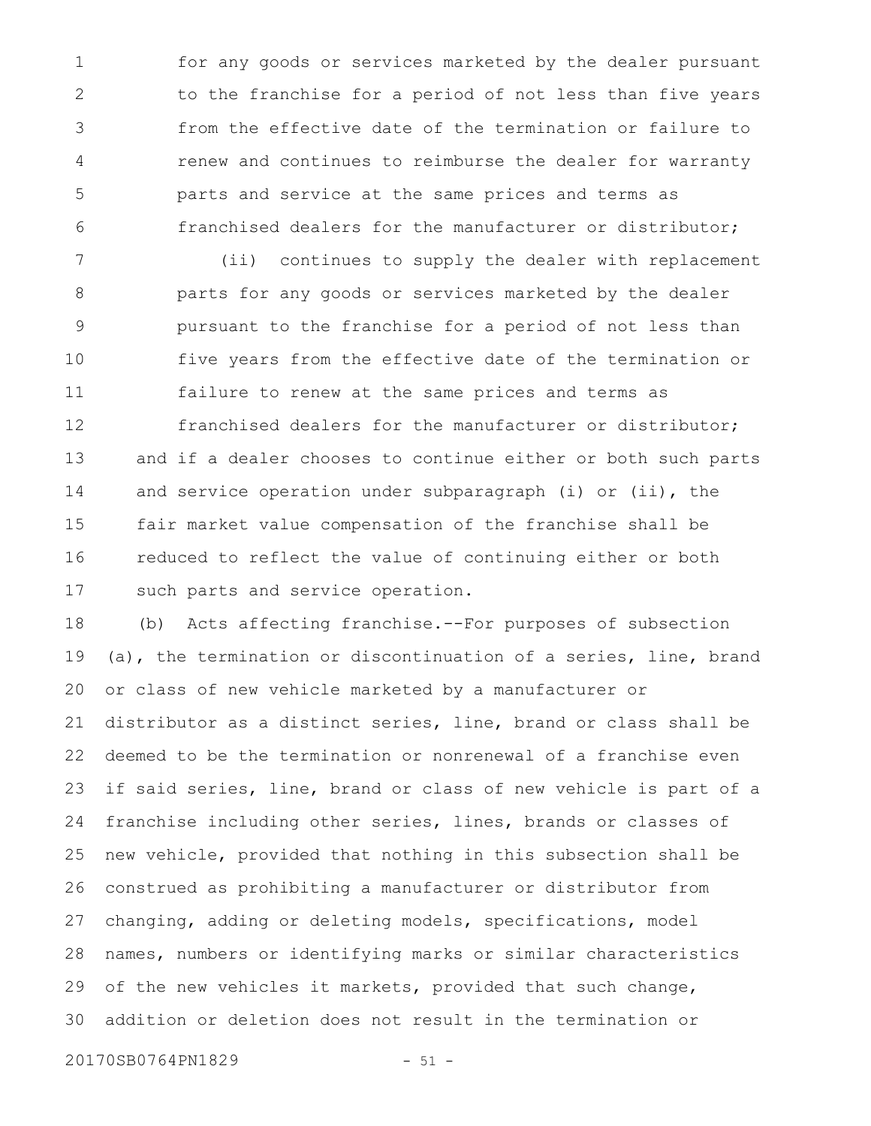for any goods or services marketed by the dealer pursuant to the franchise for a period of not less than five years from the effective date of the termination or failure to renew and continues to reimburse the dealer for warranty parts and service at the same prices and terms as franchised dealers for the manufacturer or distributor; 1 2 3 4 5 6

(ii) continues to supply the dealer with replacement parts for any goods or services marketed by the dealer pursuant to the franchise for a period of not less than five years from the effective date of the termination or failure to renew at the same prices and terms as 7 8 9 10 11

franchised dealers for the manufacturer or distributor; and if a dealer chooses to continue either or both such parts and service operation under subparagraph (i) or (ii), the fair market value compensation of the franchise shall be reduced to reflect the value of continuing either or both such parts and service operation. 12 13 14 15 16 17

(b) Acts affecting franchise.--For purposes of subsection (a), the termination or discontinuation of a series, line, brand or class of new vehicle marketed by a manufacturer or distributor as a distinct series, line, brand or class shall be deemed to be the termination or nonrenewal of a franchise even if said series, line, brand or class of new vehicle is part of a franchise including other series, lines, brands or classes of new vehicle, provided that nothing in this subsection shall be construed as prohibiting a manufacturer or distributor from changing, adding or deleting models, specifications, model names, numbers or identifying marks or similar characteristics of the new vehicles it markets, provided that such change, addition or deletion does not result in the termination or 18 19 20 21 22 23 24 25 26 27 28 29 30

20170SB0764PN1829 - 51 -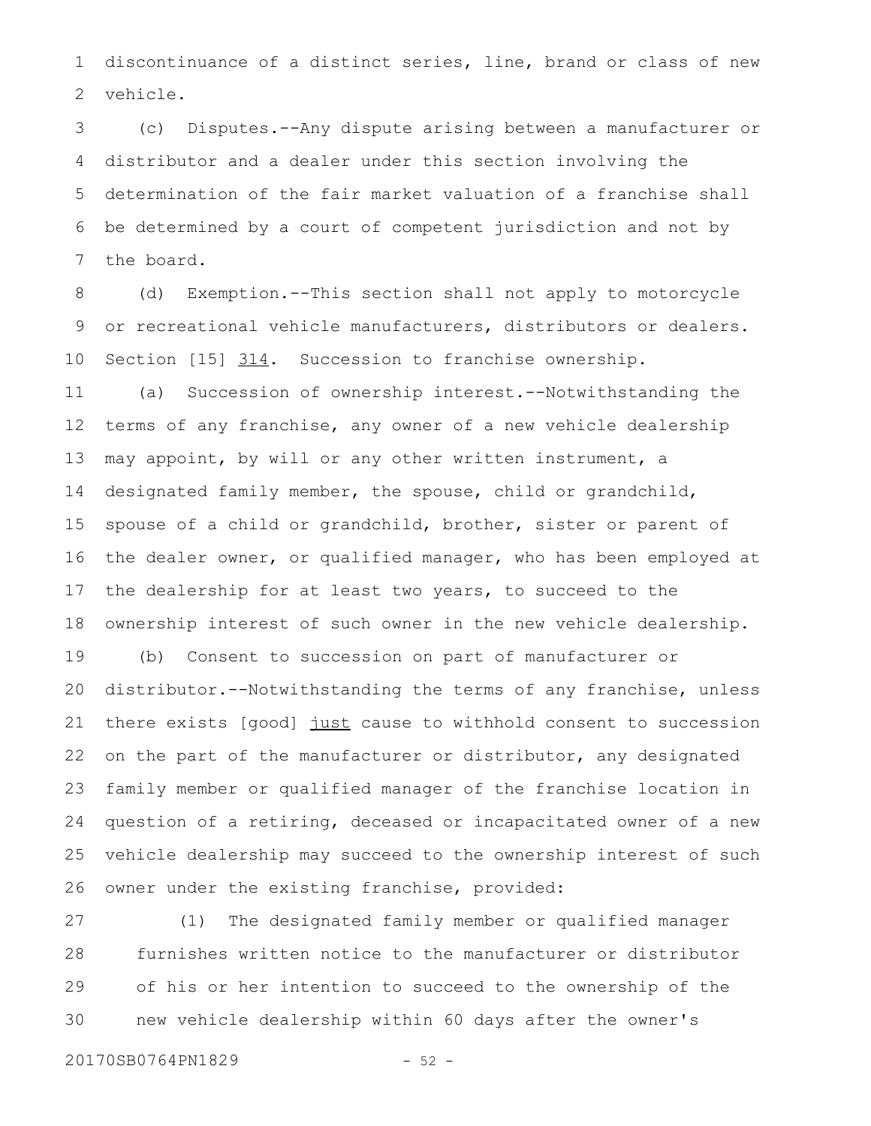discontinuance of a distinct series, line, brand or class of new vehicle. 1 2

(c) Disputes.--Any dispute arising between a manufacturer or distributor and a dealer under this section involving the determination of the fair market valuation of a franchise shall be determined by a court of competent jurisdiction and not by the board. 3 4 5 6 7

(d) Exemption.--This section shall not apply to motorcycle or recreational vehicle manufacturers, distributors or dealers. Section [15] 314. Succession to franchise ownership. (a) Succession of ownership interest.--Notwithstanding the terms of any franchise, any owner of a new vehicle dealership may appoint, by will or any other written instrument, a designated family member, the spouse, child or grandchild, spouse of a child or grandchild, brother, sister or parent of the dealer owner, or qualified manager, who has been employed at the dealership for at least two years, to succeed to the ownership interest of such owner in the new vehicle dealership. (b) Consent to succession on part of manufacturer or 8 9 10 11 12 13 14 15 16 17 18 19

distributor.--Notwithstanding the terms of any franchise, unless there exists [good] just cause to withhold consent to succession on the part of the manufacturer or distributor, any designated family member or qualified manager of the franchise location in question of a retiring, deceased or incapacitated owner of a new vehicle dealership may succeed to the ownership interest of such owner under the existing franchise, provided: 20 21 22 23 24 25 26

(1) The designated family member or qualified manager furnishes written notice to the manufacturer or distributor of his or her intention to succeed to the ownership of the new vehicle dealership within 60 days after the owner's 27 28 29 30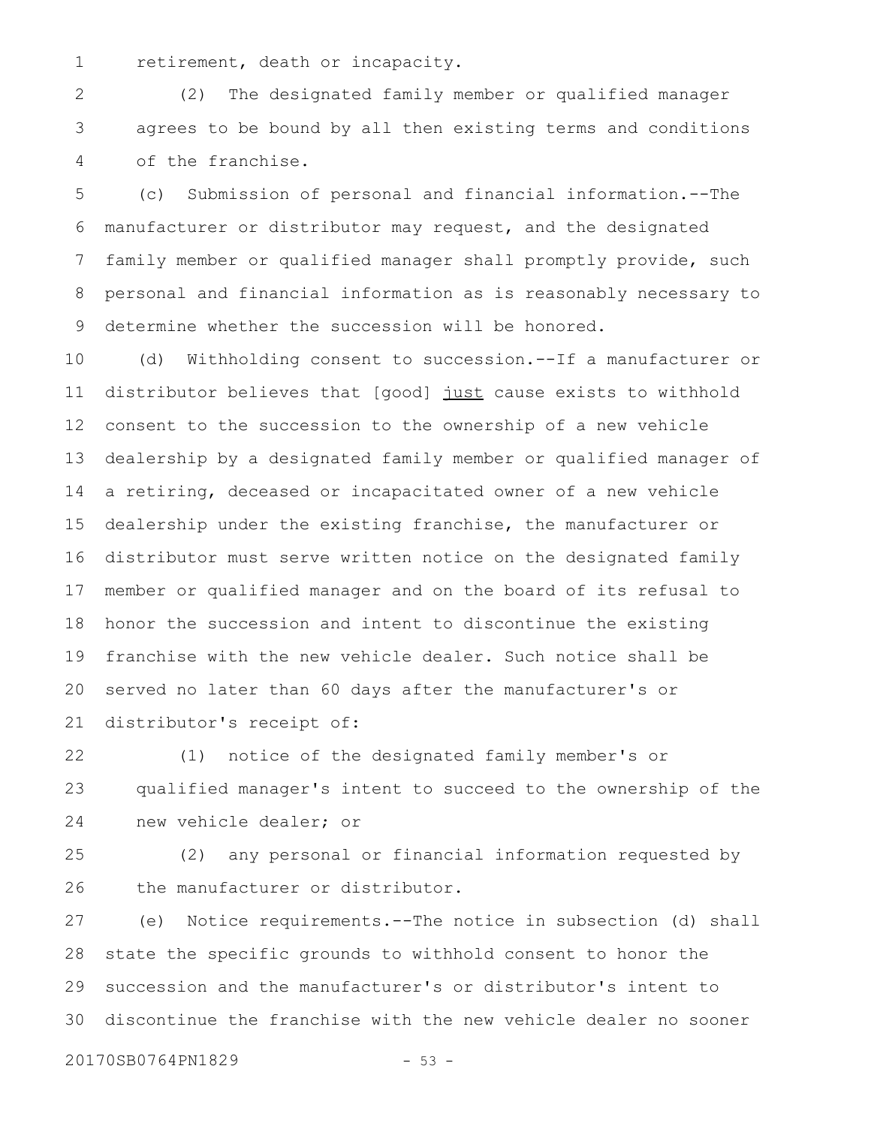retirement, death or incapacity. 1

(2) The designated family member or qualified manager agrees to be bound by all then existing terms and conditions of the franchise. 2 3 4

(c) Submission of personal and financial information.--The manufacturer or distributor may request, and the designated family member or qualified manager shall promptly provide, such personal and financial information as is reasonably necessary to determine whether the succession will be honored. 5 6 7 8 9

(d) Withholding consent to succession.--If a manufacturer or distributor believes that [good] just cause exists to withhold consent to the succession to the ownership of a new vehicle dealership by a designated family member or qualified manager of a retiring, deceased or incapacitated owner of a new vehicle dealership under the existing franchise, the manufacturer or distributor must serve written notice on the designated family member or qualified manager and on the board of its refusal to honor the succession and intent to discontinue the existing franchise with the new vehicle dealer. Such notice shall be served no later than 60 days after the manufacturer's or distributor's receipt of: 10 11 12 13 14 15 16 17 18 19 20 21

(1) notice of the designated family member's or qualified manager's intent to succeed to the ownership of the new vehicle dealer; or 22 23 24

(2) any personal or financial information requested by the manufacturer or distributor. 25 26

(e) Notice requirements.--The notice in subsection (d) shall state the specific grounds to withhold consent to honor the succession and the manufacturer's or distributor's intent to discontinue the franchise with the new vehicle dealer no sooner 27 28 29 30

20170SB0764PN1829 - 53 -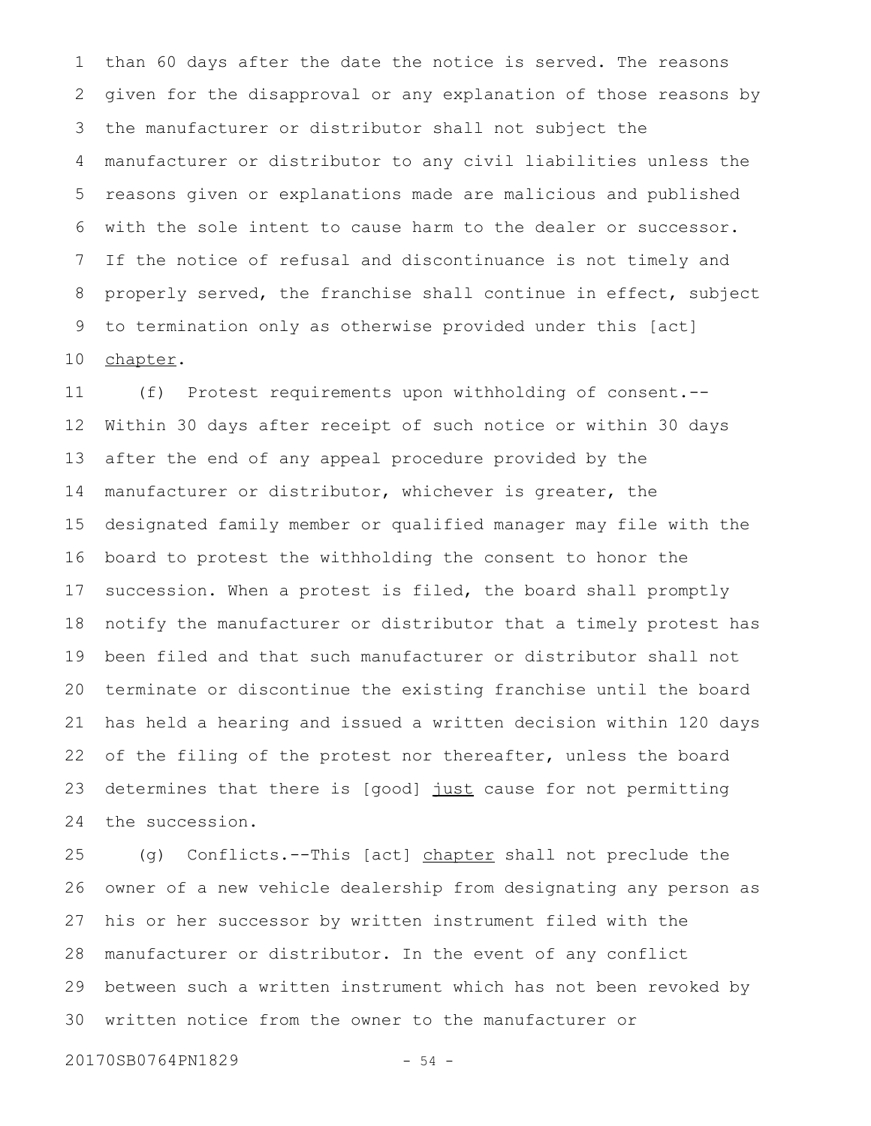than 60 days after the date the notice is served. The reasons given for the disapproval or any explanation of those reasons by the manufacturer or distributor shall not subject the manufacturer or distributor to any civil liabilities unless the reasons given or explanations made are malicious and published with the sole intent to cause harm to the dealer or successor. If the notice of refusal and discontinuance is not timely and properly served, the franchise shall continue in effect, subject to termination only as otherwise provided under this [act] chapter. 1 2 3 4 5 6 7 8 9 10

(f) Protest requirements upon withholding of consent.-- Within 30 days after receipt of such notice or within 30 days after the end of any appeal procedure provided by the manufacturer or distributor, whichever is greater, the designated family member or qualified manager may file with the board to protest the withholding the consent to honor the succession. When a protest is filed, the board shall promptly notify the manufacturer or distributor that a timely protest has been filed and that such manufacturer or distributor shall not terminate or discontinue the existing franchise until the board has held a hearing and issued a written decision within 120 days of the filing of the protest nor thereafter, unless the board determines that there is [good] just cause for not permitting the succession. 11 12 13 14 15 16 17 18 19 20 21 22 23 24

(g) Conflicts.--This [act] chapter shall not preclude the owner of a new vehicle dealership from designating any person as his or her successor by written instrument filed with the manufacturer or distributor. In the event of any conflict between such a written instrument which has not been revoked by written notice from the owner to the manufacturer or 25 26 27 28 29 30

20170SB0764PN1829 - 54 -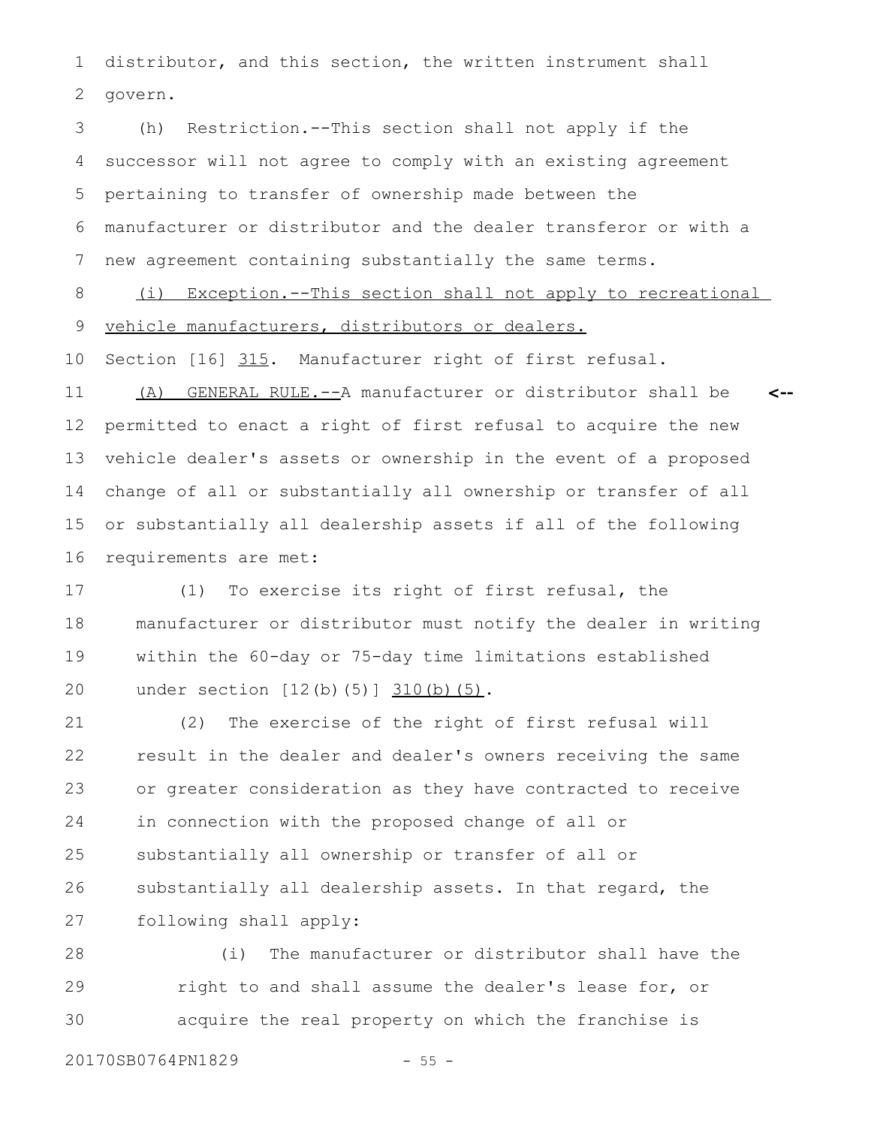distributor, and this section, the written instrument shall govern. 1 2

(h) Restriction.--This section shall not apply if the successor will not agree to comply with an existing agreement pertaining to transfer of ownership made between the manufacturer or distributor and the dealer transferor or with a new agreement containing substantially the same terms. 3 4 5 6 7

(i) Exception.--This section shall not apply to recreational vehicle manufacturers, distributors or dealers. 8 9

Section [16] 315. Manufacturer right of first refusal. 10

(A) GENERAL RULE.--A manufacturer or distributor shall be permitted to enact a right of first refusal to acquire the new vehicle dealer's assets or ownership in the event of a proposed change of all or substantially all ownership or transfer of all or substantially all dealership assets if all of the following requirements are met: **<--** 11 12 13 14 15 16

(1) To exercise its right of first refusal, the manufacturer or distributor must notify the dealer in writing within the 60-day or 75-day time limitations established under section [12(b)(5)] 310(b)(5). 17 18 19 20

(2) The exercise of the right of first refusal will result in the dealer and dealer's owners receiving the same or greater consideration as they have contracted to receive in connection with the proposed change of all or substantially all ownership or transfer of all or substantially all dealership assets. In that regard, the following shall apply: 21 22 23 24 25 26 27

(i) The manufacturer or distributor shall have the right to and shall assume the dealer's lease for, or acquire the real property on which the franchise is 28 29 30

20170SB0764PN1829 - 55 -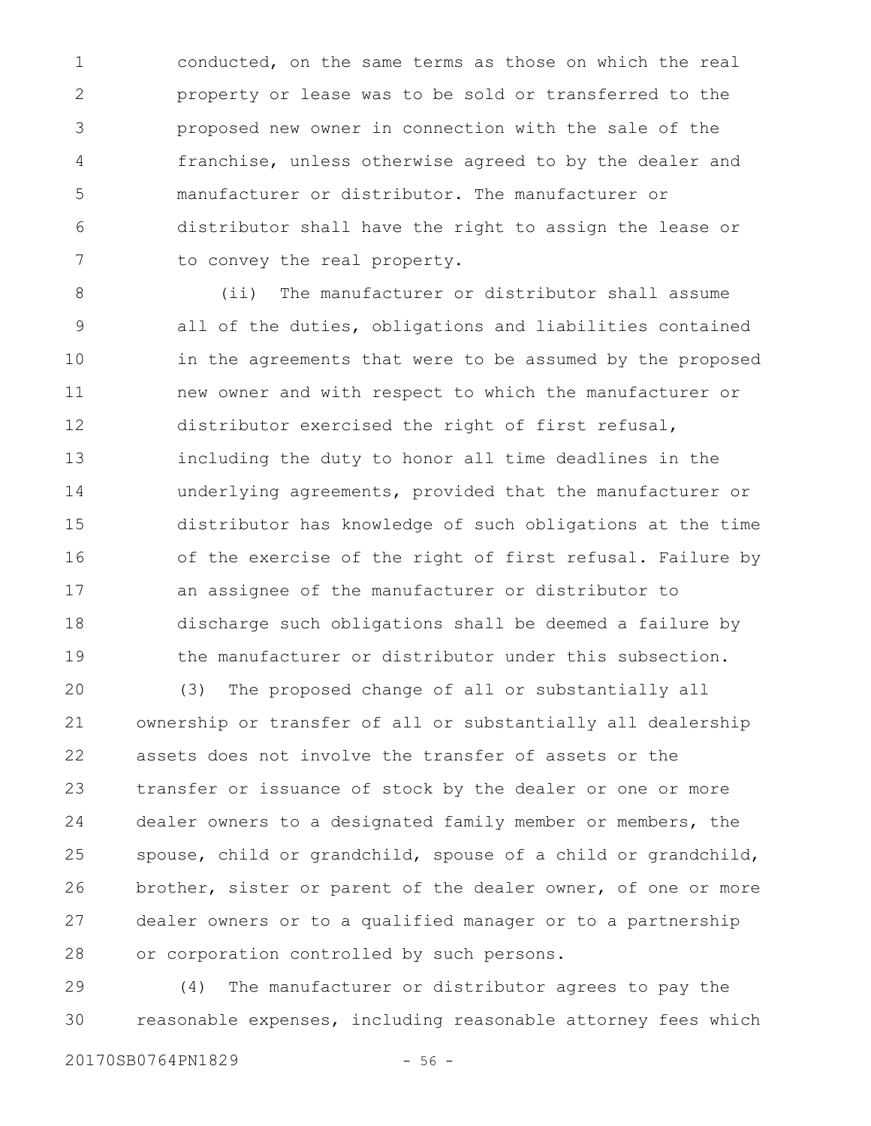conducted, on the same terms as those on which the real property or lease was to be sold or transferred to the proposed new owner in connection with the sale of the franchise, unless otherwise agreed to by the dealer and manufacturer or distributor. The manufacturer or distributor shall have the right to assign the lease or to convey the real property. 1 2 3 4 5 6 7

(ii) The manufacturer or distributor shall assume all of the duties, obligations and liabilities contained in the agreements that were to be assumed by the proposed new owner and with respect to which the manufacturer or distributor exercised the right of first refusal, including the duty to honor all time deadlines in the underlying agreements, provided that the manufacturer or distributor has knowledge of such obligations at the time of the exercise of the right of first refusal. Failure by an assignee of the manufacturer or distributor to discharge such obligations shall be deemed a failure by the manufacturer or distributor under this subsection. 8 9 10 11 12 13 14 15 16 17 18 19

(3) The proposed change of all or substantially all ownership or transfer of all or substantially all dealership assets does not involve the transfer of assets or the transfer or issuance of stock by the dealer or one or more dealer owners to a designated family member or members, the spouse, child or grandchild, spouse of a child or grandchild, brother, sister or parent of the dealer owner, of one or more dealer owners or to a qualified manager or to a partnership or corporation controlled by such persons. 20 21 22 23 24 25 26 27 28

(4) The manufacturer or distributor agrees to pay the reasonable expenses, including reasonable attorney fees which 29 30

20170SB0764PN1829 - 56 -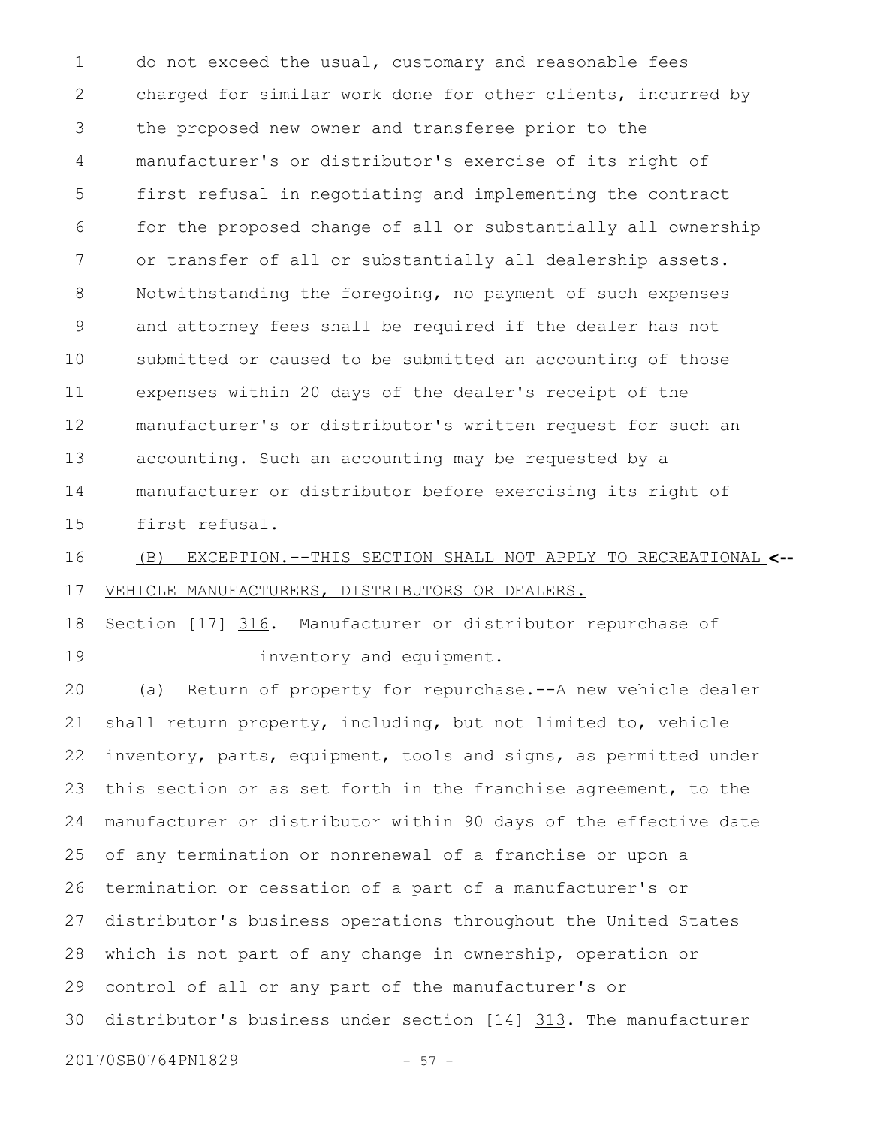do not exceed the usual, customary and reasonable fees charged for similar work done for other clients, incurred by the proposed new owner and transferee prior to the manufacturer's or distributor's exercise of its right of first refusal in negotiating and implementing the contract for the proposed change of all or substantially all ownership or transfer of all or substantially all dealership assets. Notwithstanding the foregoing, no payment of such expenses and attorney fees shall be required if the dealer has not submitted or caused to be submitted an accounting of those expenses within 20 days of the dealer's receipt of the manufacturer's or distributor's written request for such an accounting. Such an accounting may be requested by a manufacturer or distributor before exercising its right of first refusal. 1 2 3 4 5 6 7 8 9 10 11 12 13 14 15

(B) EXCEPTION.--THIS SECTION SHALL NOT APPLY TO RECREATIONAL **<--** VEHICLE MANUFACTURERS, DISTRIBUTORS OR DEALERS. 16 17

Section [17] 316. Manufacturer or distributor repurchase of inventory and equipment. 18 19

(a) Return of property for repurchase.--A new vehicle dealer shall return property, including, but not limited to, vehicle inventory, parts, equipment, tools and signs, as permitted under this section or as set forth in the franchise agreement, to the manufacturer or distributor within 90 days of the effective date of any termination or nonrenewal of a franchise or upon a termination or cessation of a part of a manufacturer's or distributor's business operations throughout the United States which is not part of any change in ownership, operation or control of all or any part of the manufacturer's or distributor's business under section [14] 313. The manufacturer 20170SB0764PN1829 - 57 -20 21 22 23 24 25 26 27 28 29 30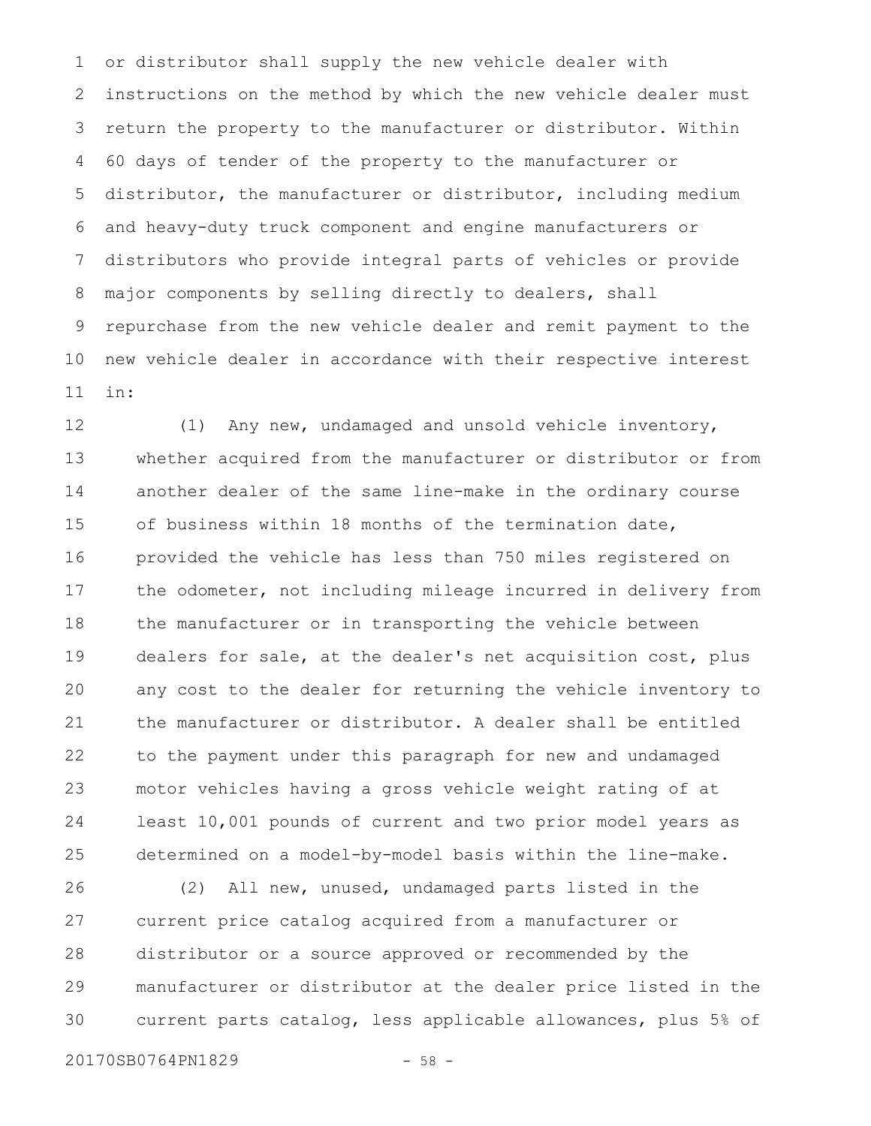or distributor shall supply the new vehicle dealer with instructions on the method by which the new vehicle dealer must return the property to the manufacturer or distributor. Within 60 days of tender of the property to the manufacturer or distributor, the manufacturer or distributor, including medium and heavy-duty truck component and engine manufacturers or distributors who provide integral parts of vehicles or provide major components by selling directly to dealers, shall repurchase from the new vehicle dealer and remit payment to the new vehicle dealer in accordance with their respective interest in: 1 2 3 4 5 6 7 8 9 10 11

(1) Any new, undamaged and unsold vehicle inventory, whether acquired from the manufacturer or distributor or from another dealer of the same line-make in the ordinary course of business within 18 months of the termination date, provided the vehicle has less than 750 miles registered on the odometer, not including mileage incurred in delivery from the manufacturer or in transporting the vehicle between dealers for sale, at the dealer's net acquisition cost, plus any cost to the dealer for returning the vehicle inventory to the manufacturer or distributor. A dealer shall be entitled to the payment under this paragraph for new and undamaged motor vehicles having a gross vehicle weight rating of at least 10,001 pounds of current and two prior model years as determined on a model-by-model basis within the line-make. 12 13 14 15 16 17 18 19 20 21 22 23 24 25

(2) All new, unused, undamaged parts listed in the current price catalog acquired from a manufacturer or distributor or a source approved or recommended by the manufacturer or distributor at the dealer price listed in the current parts catalog, less applicable allowances, plus 5% of 26 27 28 29 30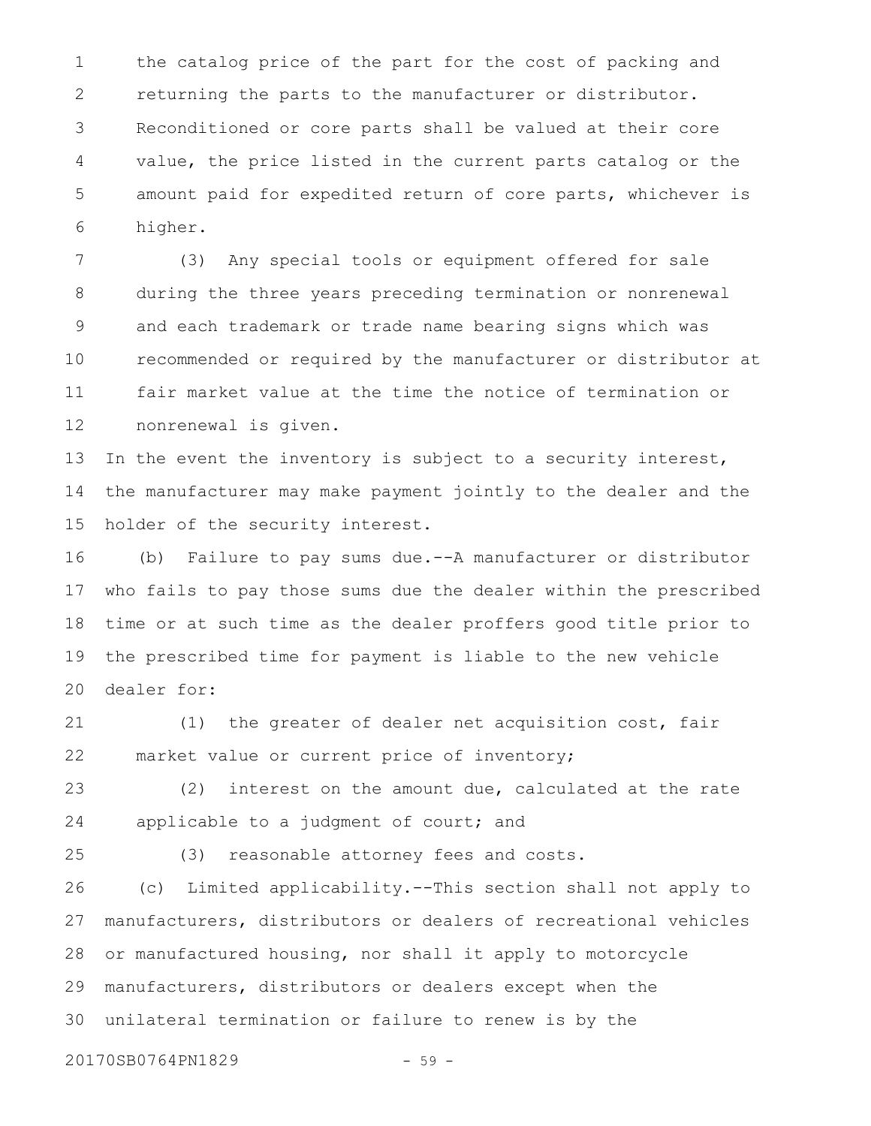the catalog price of the part for the cost of packing and returning the parts to the manufacturer or distributor. Reconditioned or core parts shall be valued at their core value, the price listed in the current parts catalog or the amount paid for expedited return of core parts, whichever is higher. 1 2 3 4 5 6

(3) Any special tools or equipment offered for sale during the three years preceding termination or nonrenewal and each trademark or trade name bearing signs which was recommended or required by the manufacturer or distributor at fair market value at the time the notice of termination or nonrenewal is given. 7 8 9 10 11 12

In the event the inventory is subject to a security interest, the manufacturer may make payment jointly to the dealer and the holder of the security interest. 13 14 15

(b) Failure to pay sums due.--A manufacturer or distributor who fails to pay those sums due the dealer within the prescribed time or at such time as the dealer proffers good title prior to the prescribed time for payment is liable to the new vehicle dealer for: 16 17 18 19 20

(1) the greater of dealer net acquisition cost, fair market value or current price of inventory; 21 22

(2) interest on the amount due, calculated at the rate applicable to a judgment of court; and 23 24

25

(3) reasonable attorney fees and costs.

(c) Limited applicability.--This section shall not apply to manufacturers, distributors or dealers of recreational vehicles or manufactured housing, nor shall it apply to motorcycle manufacturers, distributors or dealers except when the unilateral termination or failure to renew is by the 26 27 28 29 30

20170SB0764PN1829 - 59 -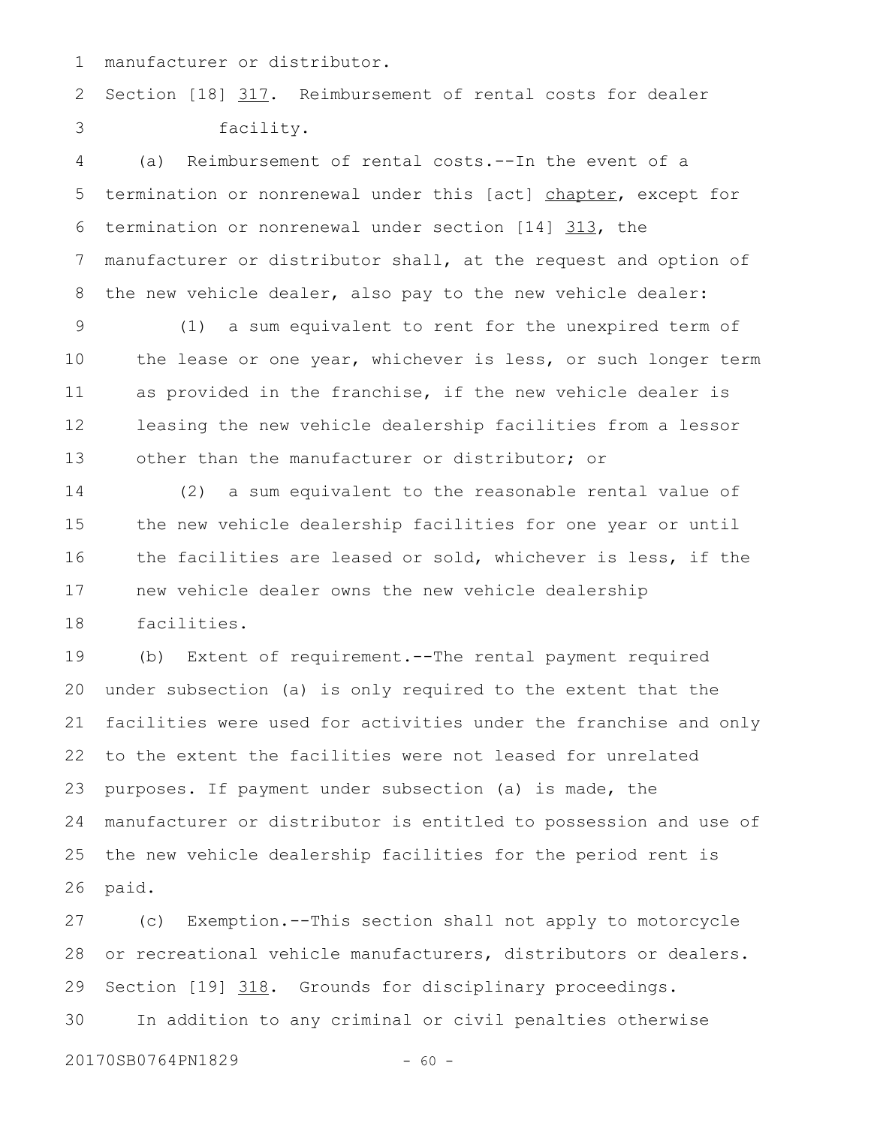manufacturer or distributor. 1

Section [18] 317. Reimbursement of rental costs for dealer facility. 2 3

(a) Reimbursement of rental costs.--In the event of a termination or nonrenewal under this [act] chapter, except for termination or nonrenewal under section [14] 313, the manufacturer or distributor shall, at the request and option of the new vehicle dealer, also pay to the new vehicle dealer: 4 5 6 7 8

(1) a sum equivalent to rent for the unexpired term of the lease or one year, whichever is less, or such longer term as provided in the franchise, if the new vehicle dealer is leasing the new vehicle dealership facilities from a lessor other than the manufacturer or distributor; or 9 10 11 12 13

(2) a sum equivalent to the reasonable rental value of the new vehicle dealership facilities for one year or until the facilities are leased or sold, whichever is less, if the new vehicle dealer owns the new vehicle dealership facilities. 14 15 16 17 18

(b) Extent of requirement.--The rental payment required under subsection (a) is only required to the extent that the facilities were used for activities under the franchise and only to the extent the facilities were not leased for unrelated purposes. If payment under subsection (a) is made, the manufacturer or distributor is entitled to possession and use of the new vehicle dealership facilities for the period rent is paid. 19 20 21 22 23 24 25 26

(c) Exemption.--This section shall not apply to motorcycle or recreational vehicle manufacturers, distributors or dealers. Section [19] 318. Grounds for disciplinary proceedings. In addition to any criminal or civil penalties otherwise 27 28 29 30

20170SB0764PN1829 - 60 -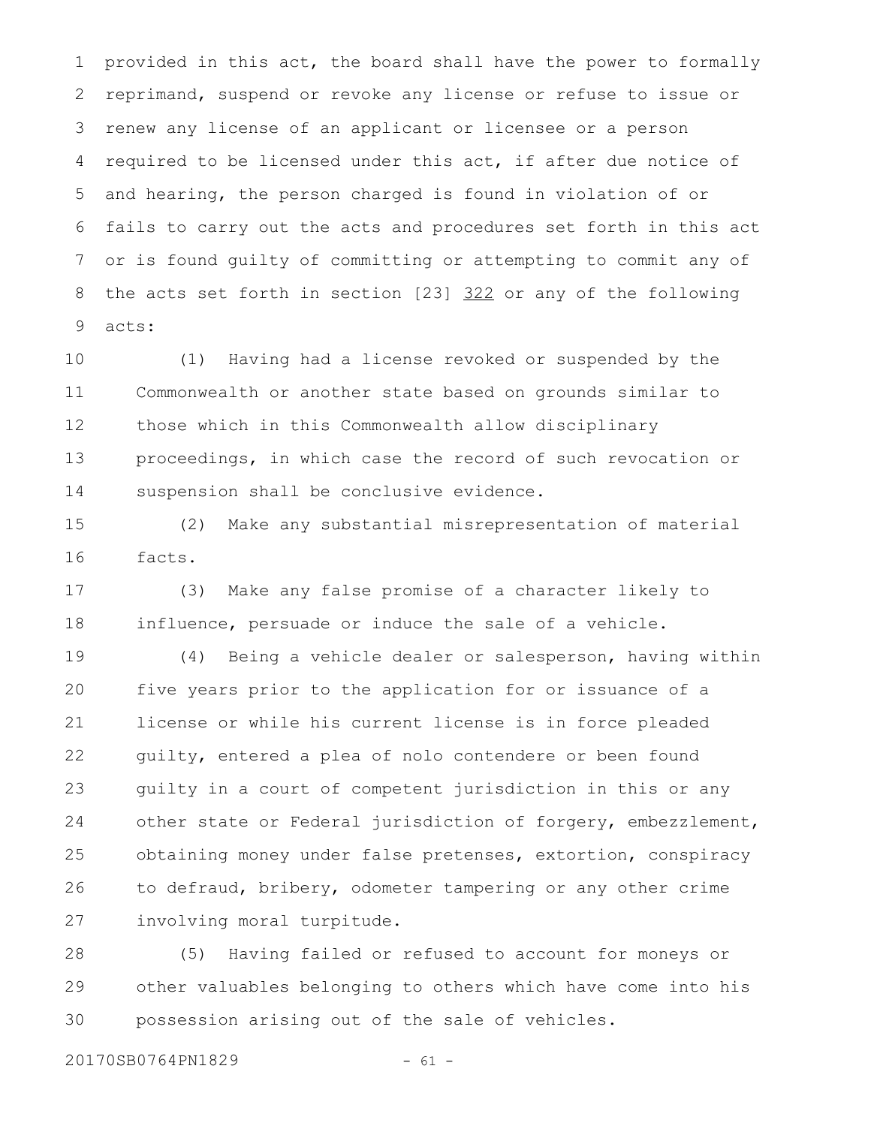provided in this act, the board shall have the power to formally reprimand, suspend or revoke any license or refuse to issue or renew any license of an applicant or licensee or a person required to be licensed under this act, if after due notice of and hearing, the person charged is found in violation of or fails to carry out the acts and procedures set forth in this act or is found guilty of committing or attempting to commit any of the acts set forth in section [23] 322 or any of the following acts: 1 2 3 4 5 6 7 8 9

(1) Having had a license revoked or suspended by the Commonwealth or another state based on grounds similar to those which in this Commonwealth allow disciplinary proceedings, in which case the record of such revocation or suspension shall be conclusive evidence. 10 11 12 13 14

(2) Make any substantial misrepresentation of material facts. 15 16

(3) Make any false promise of a character likely to influence, persuade or induce the sale of a vehicle. 17 18

(4) Being a vehicle dealer or salesperson, having within five years prior to the application for or issuance of a license or while his current license is in force pleaded guilty, entered a plea of nolo contendere or been found guilty in a court of competent jurisdiction in this or any other state or Federal jurisdiction of forgery, embezzlement, obtaining money under false pretenses, extortion, conspiracy to defraud, bribery, odometer tampering or any other crime involving moral turpitude. 19 20 21 22 23 24 25 26 27

(5) Having failed or refused to account for moneys or other valuables belonging to others which have come into his possession arising out of the sale of vehicles. 28 29 30

20170SB0764PN1829 - 61 -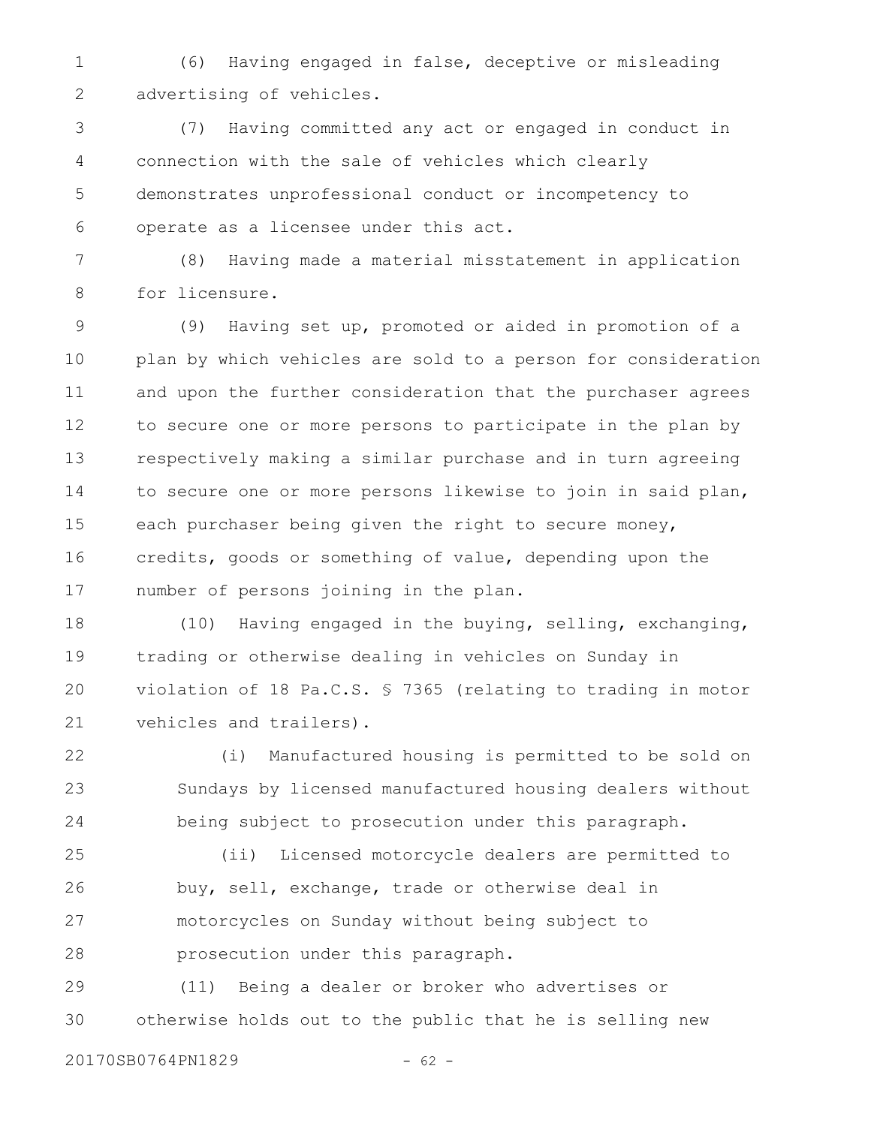(6) Having engaged in false, deceptive or misleading advertising of vehicles. 1 2

(7) Having committed any act or engaged in conduct in connection with the sale of vehicles which clearly demonstrates unprofessional conduct or incompetency to operate as a licensee under this act. 3 4 5 6

(8) Having made a material misstatement in application for licensure. 7 8

(9) Having set up, promoted or aided in promotion of a plan by which vehicles are sold to a person for consideration and upon the further consideration that the purchaser agrees to secure one or more persons to participate in the plan by respectively making a similar purchase and in turn agreeing to secure one or more persons likewise to join in said plan, each purchaser being given the right to secure money, credits, goods or something of value, depending upon the number of persons joining in the plan. 9 10 11 12 13 14 15 16 17

(10) Having engaged in the buying, selling, exchanging, trading or otherwise dealing in vehicles on Sunday in violation of 18 Pa.C.S. § 7365 (relating to trading in motor vehicles and trailers). 18 19 20 21

(i) Manufactured housing is permitted to be sold on Sundays by licensed manufactured housing dealers without being subject to prosecution under this paragraph. 22 23 24

(ii) Licensed motorcycle dealers are permitted to buy, sell, exchange, trade or otherwise deal in motorcycles on Sunday without being subject to prosecution under this paragraph. 25 26 27 28

(11) Being a dealer or broker who advertises or otherwise holds out to the public that he is selling new 29 30

20170SB0764PN1829 - 62 -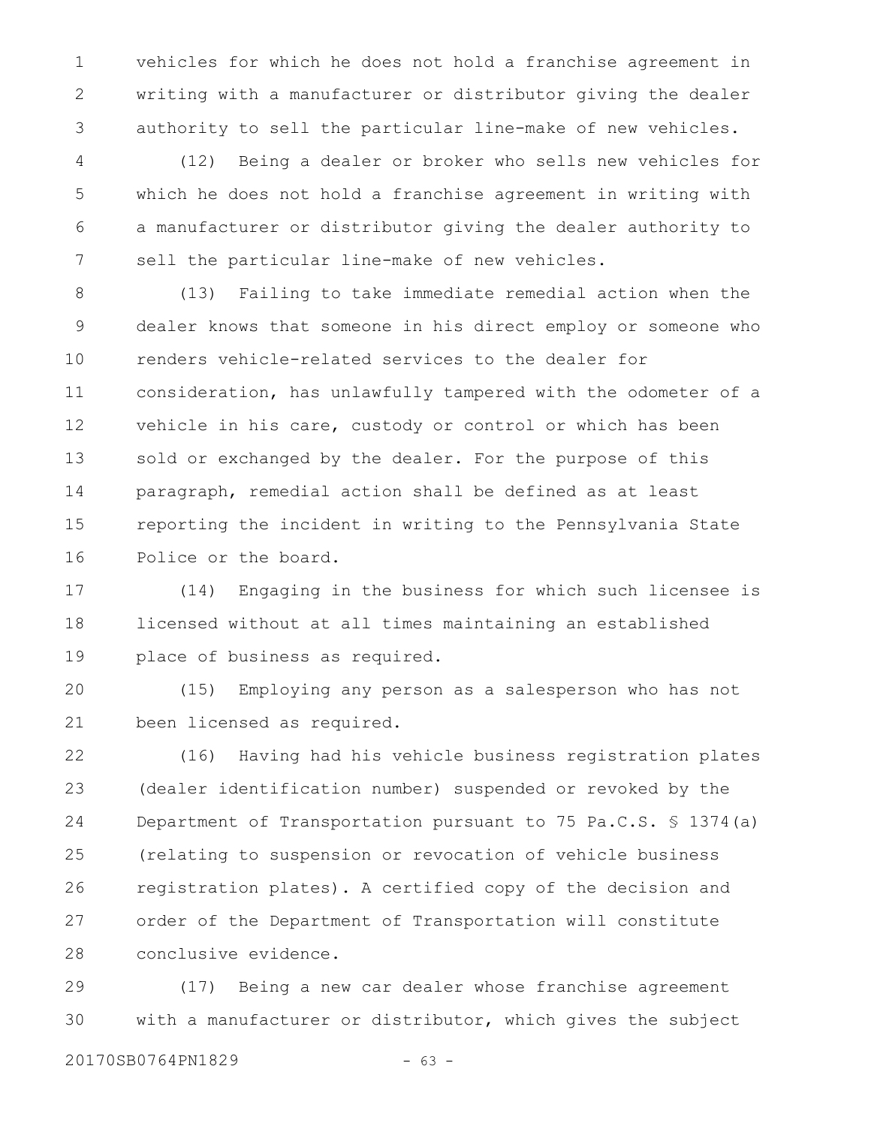vehicles for which he does not hold a franchise agreement in writing with a manufacturer or distributor giving the dealer authority to sell the particular line-make of new vehicles. 1 2 3

(12) Being a dealer or broker who sells new vehicles for which he does not hold a franchise agreement in writing with a manufacturer or distributor giving the dealer authority to sell the particular line-make of new vehicles. 4 5 6 7

(13) Failing to take immediate remedial action when the dealer knows that someone in his direct employ or someone who renders vehicle-related services to the dealer for consideration, has unlawfully tampered with the odometer of a vehicle in his care, custody or control or which has been sold or exchanged by the dealer. For the purpose of this paragraph, remedial action shall be defined as at least reporting the incident in writing to the Pennsylvania State Police or the board. 8 9 10 11 12 13 14 15 16

(14) Engaging in the business for which such licensee is licensed without at all times maintaining an established place of business as required. 17 18 19

(15) Employing any person as a salesperson who has not been licensed as required. 20 21

(16) Having had his vehicle business registration plates (dealer identification number) suspended or revoked by the Department of Transportation pursuant to 75 Pa.C.S. § 1374(a) (relating to suspension or revocation of vehicle business registration plates). A certified copy of the decision and order of the Department of Transportation will constitute conclusive evidence. 22 23 24 25 26 27 28

(17) Being a new car dealer whose franchise agreement with a manufacturer or distributor, which gives the subject 29 30

20170SB0764PN1829 - 63 -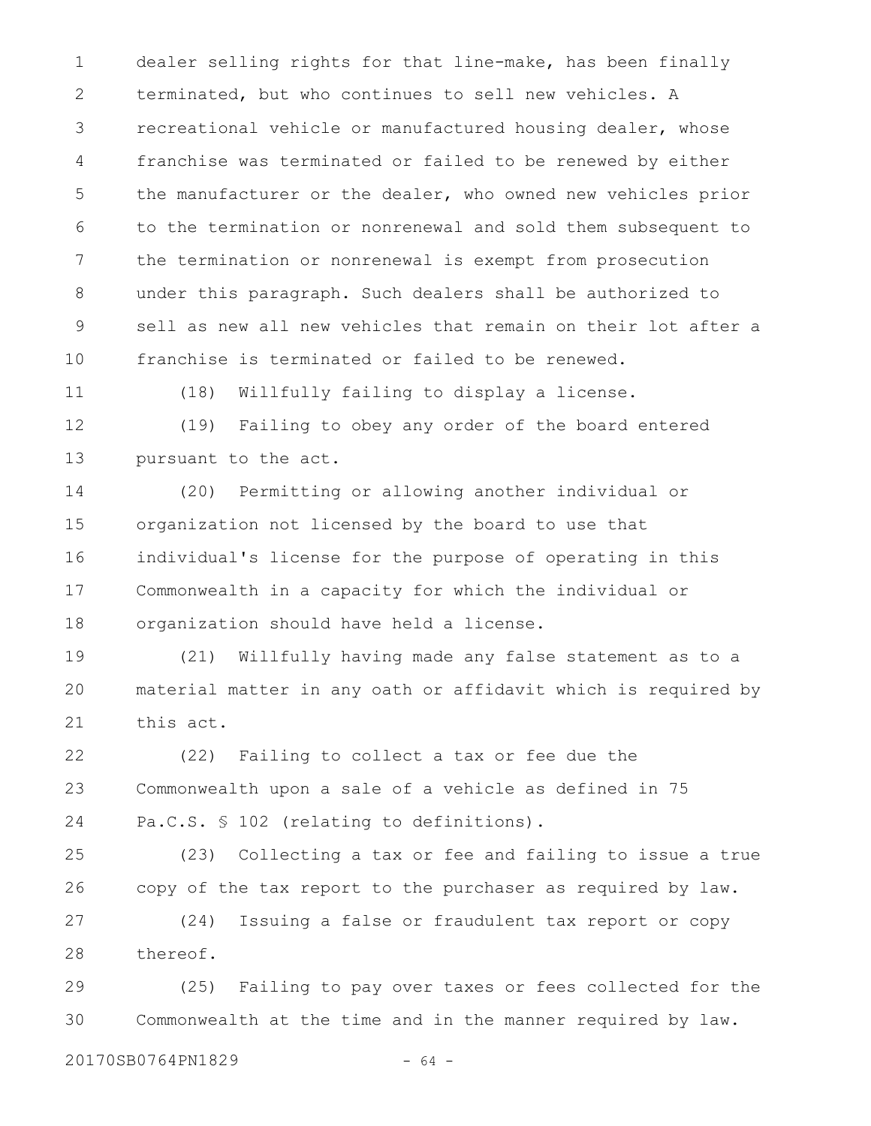dealer selling rights for that line-make, has been finally terminated, but who continues to sell new vehicles. A recreational vehicle or manufactured housing dealer, whose franchise was terminated or failed to be renewed by either the manufacturer or the dealer, who owned new vehicles prior to the termination or nonrenewal and sold them subsequent to the termination or nonrenewal is exempt from prosecution under this paragraph. Such dealers shall be authorized to sell as new all new vehicles that remain on their lot after a franchise is terminated or failed to be renewed. 1 2 3 4 5 6 7 8 9 10

11

(18) Willfully failing to display a license.

(19) Failing to obey any order of the board entered pursuant to the act. 12 13

(20) Permitting or allowing another individual or organization not licensed by the board to use that individual's license for the purpose of operating in this Commonwealth in a capacity for which the individual or organization should have held a license. 14 15 16 17 18

(21) Willfully having made any false statement as to a material matter in any oath or affidavit which is required by this act. 19 20 21

(22) Failing to collect a tax or fee due the Commonwealth upon a sale of a vehicle as defined in 75 Pa.C.S. § 102 (relating to definitions). 22 23 24

(23) Collecting a tax or fee and failing to issue a true copy of the tax report to the purchaser as required by law. 25 26

(24) Issuing a false or fraudulent tax report or copy thereof. 27 28

(25) Failing to pay over taxes or fees collected for the Commonwealth at the time and in the manner required by law. 29 30

20170SB0764PN1829 - 64 -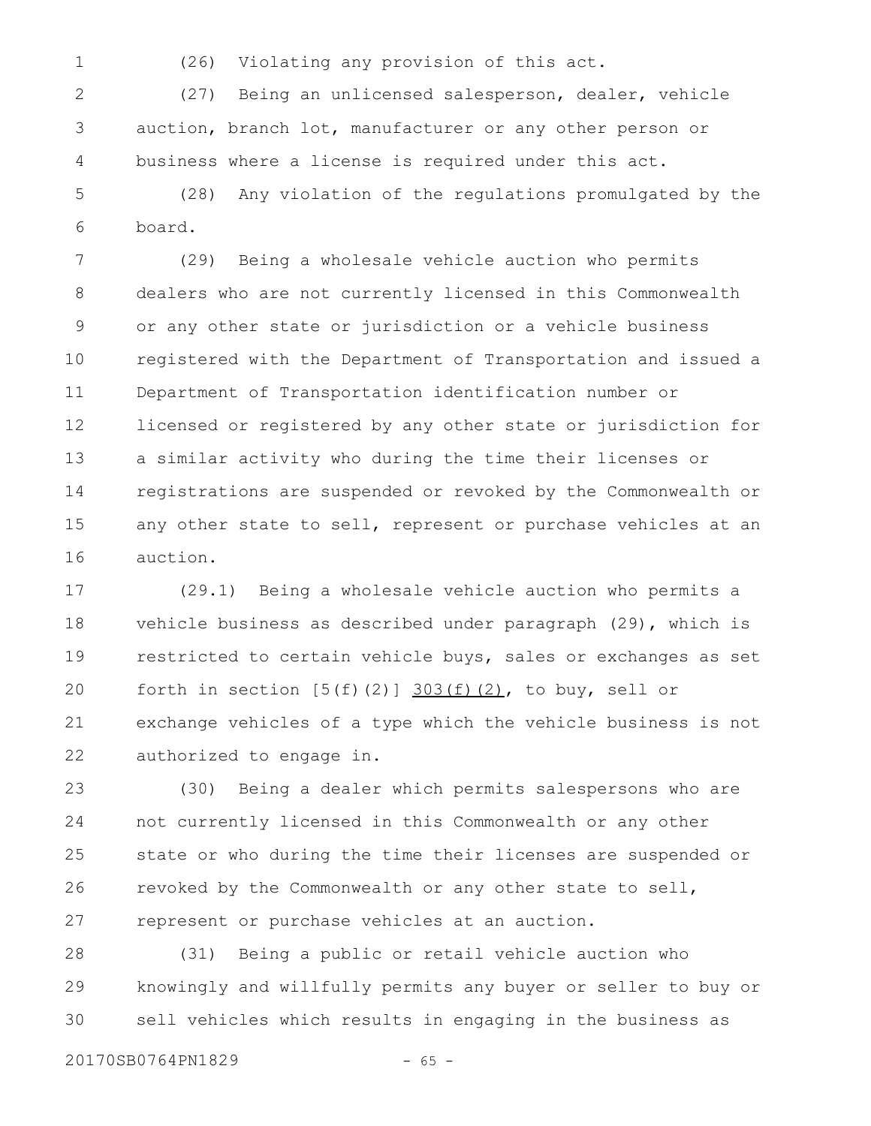1

(26) Violating any provision of this act.

(27) Being an unlicensed salesperson, dealer, vehicle auction, branch lot, manufacturer or any other person or business where a license is required under this act. 2 3 4

(28) Any violation of the regulations promulgated by the board. 5 6

(29) Being a wholesale vehicle auction who permits dealers who are not currently licensed in this Commonwealth or any other state or jurisdiction or a vehicle business registered with the Department of Transportation and issued a Department of Transportation identification number or licensed or registered by any other state or jurisdiction for a similar activity who during the time their licenses or registrations are suspended or revoked by the Commonwealth or any other state to sell, represent or purchase vehicles at an auction. 7 8 9 10 11 12 13 14 15 16

(29.1) Being a wholesale vehicle auction who permits a vehicle business as described under paragraph (29), which is restricted to certain vehicle buys, sales or exchanges as set forth in section  $[5(f)(2)]$   $303(f)(2)$ , to buy, sell or exchange vehicles of a type which the vehicle business is not authorized to engage in. 17 18 19 20 21 22

(30) Being a dealer which permits salespersons who are not currently licensed in this Commonwealth or any other state or who during the time their licenses are suspended or revoked by the Commonwealth or any other state to sell, represent or purchase vehicles at an auction. 23 24 25 26 27

(31) Being a public or retail vehicle auction who knowingly and willfully permits any buyer or seller to buy or sell vehicles which results in engaging in the business as 28 29 30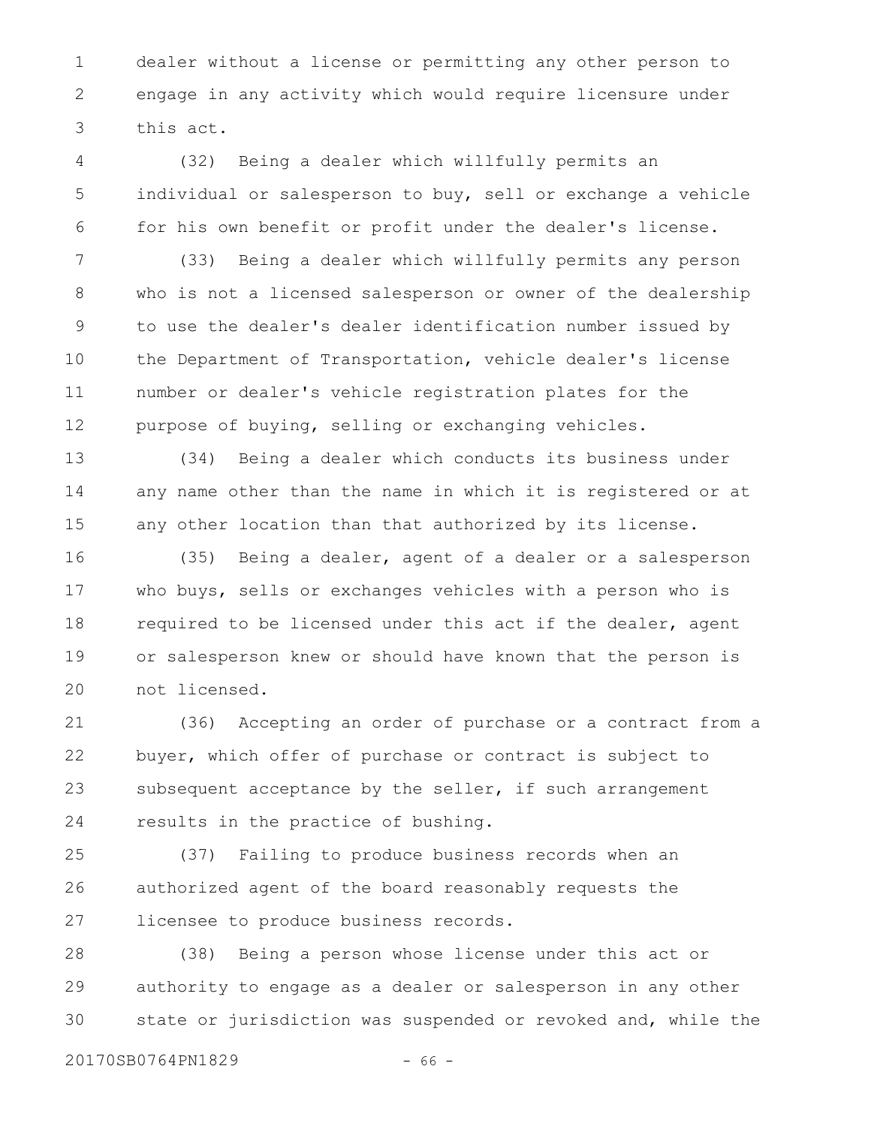dealer without a license or permitting any other person to engage in any activity which would require licensure under this act. 1 2 3

(32) Being a dealer which willfully permits an individual or salesperson to buy, sell or exchange a vehicle for his own benefit or profit under the dealer's license. 4 5 6

(33) Being a dealer which willfully permits any person who is not a licensed salesperson or owner of the dealership to use the dealer's dealer identification number issued by the Department of Transportation, vehicle dealer's license number or dealer's vehicle registration plates for the purpose of buying, selling or exchanging vehicles. 7 8 9 10 11 12

(34) Being a dealer which conducts its business under any name other than the name in which it is registered or at any other location than that authorized by its license. 13 14 15

(35) Being a dealer, agent of a dealer or a salesperson who buys, sells or exchanges vehicles with a person who is required to be licensed under this act if the dealer, agent or salesperson knew or should have known that the person is not licensed. 16 17 18 19 20

(36) Accepting an order of purchase or a contract from a buyer, which offer of purchase or contract is subject to subsequent acceptance by the seller, if such arrangement results in the practice of bushing. 21 22 23 24

(37) Failing to produce business records when an authorized agent of the board reasonably requests the licensee to produce business records. 25 26 27

(38) Being a person whose license under this act or authority to engage as a dealer or salesperson in any other state or jurisdiction was suspended or revoked and, while the 28 29 30

20170SB0764PN1829 - 66 -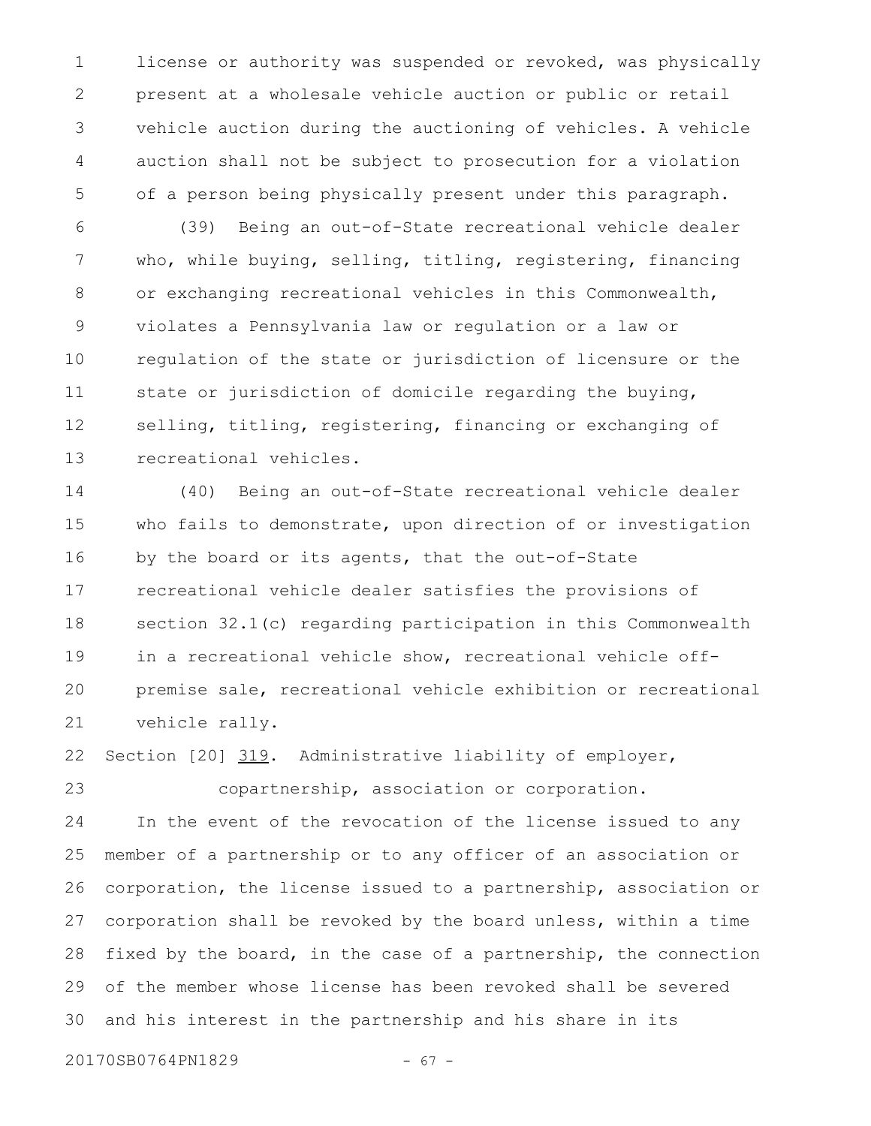license or authority was suspended or revoked, was physically present at a wholesale vehicle auction or public or retail vehicle auction during the auctioning of vehicles. A vehicle auction shall not be subject to prosecution for a violation of a person being physically present under this paragraph. 1 2 3 4 5

(39) Being an out-of-State recreational vehicle dealer who, while buying, selling, titling, registering, financing or exchanging recreational vehicles in this Commonwealth, violates a Pennsylvania law or regulation or a law or regulation of the state or jurisdiction of licensure or the state or jurisdiction of domicile regarding the buying, selling, titling, registering, financing or exchanging of recreational vehicles. 6 7 8 9 10 11 12 13

(40) Being an out-of-State recreational vehicle dealer who fails to demonstrate, upon direction of or investigation by the board or its agents, that the out-of-State recreational vehicle dealer satisfies the provisions of section 32.1(c) regarding participation in this Commonwealth in a recreational vehicle show, recreational vehicle offpremise sale, recreational vehicle exhibition or recreational vehicle rally. 14 15 16 17 18 19 20 21

Section [20] 319. Administrative liability of employer, 22

copartnership, association or corporation. 23

In the event of the revocation of the license issued to any member of a partnership or to any officer of an association or corporation, the license issued to a partnership, association or corporation shall be revoked by the board unless, within a time fixed by the board, in the case of a partnership, the connection of the member whose license has been revoked shall be severed and his interest in the partnership and his share in its 24 25 26 27 28 29 30

20170SB0764PN1829 - 67 -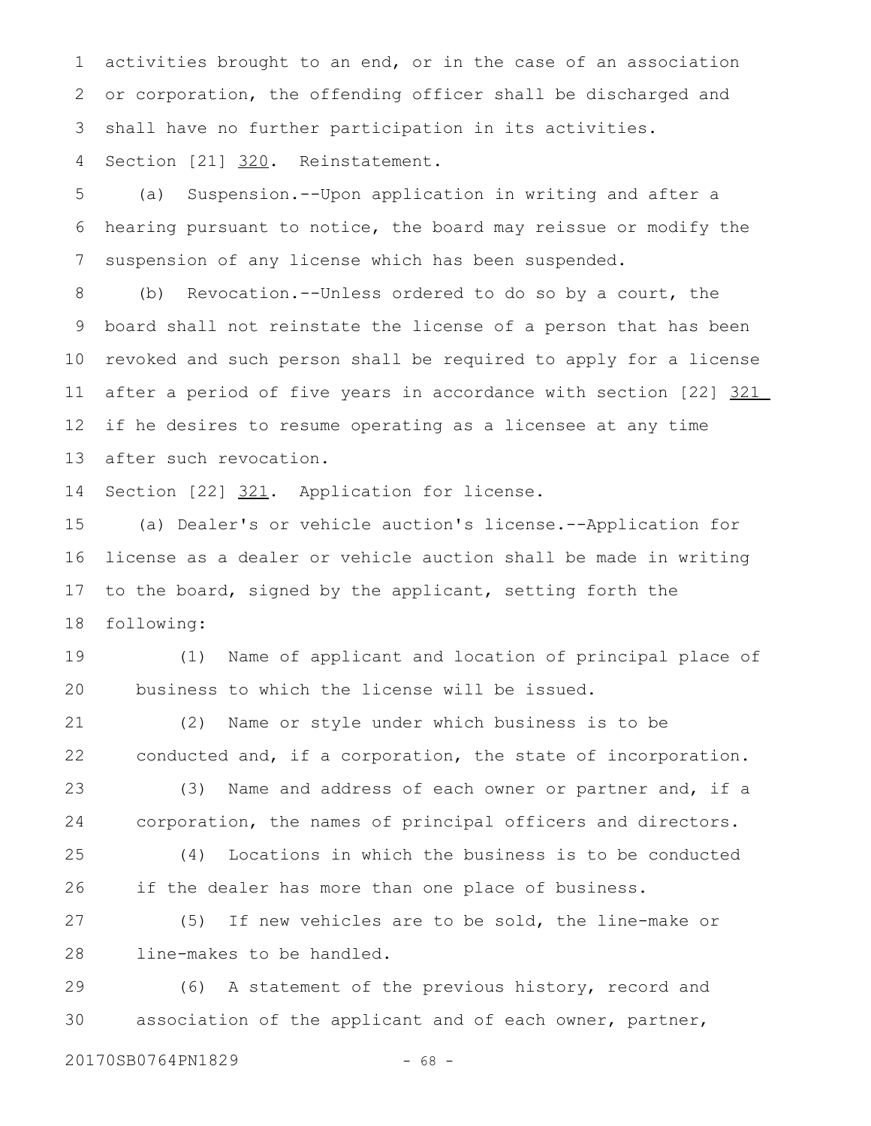activities brought to an end, or in the case of an association or corporation, the offending officer shall be discharged and shall have no further participation in its activities. 1 2 3

Section [21] 320. Reinstatement. 4

(a) Suspension.--Upon application in writing and after a hearing pursuant to notice, the board may reissue or modify the suspension of any license which has been suspended. 5 6 7

(b) Revocation.--Unless ordered to do so by a court, the board shall not reinstate the license of a person that has been revoked and such person shall be required to apply for a license after a period of five years in accordance with section [22] 321 if he desires to resume operating as a licensee at any time after such revocation. 8 9 10 11 12 13

Section [22] 321. Application for license. 14

(a) Dealer's or vehicle auction's license.--Application for license as a dealer or vehicle auction shall be made in writing to the board, signed by the applicant, setting forth the following: 15 16 17 18

(1) Name of applicant and location of principal place of business to which the license will be issued. 19 20

(2) Name or style under which business is to be conducted and, if a corporation, the state of incorporation. 21 22

(3) Name and address of each owner or partner and, if a corporation, the names of principal officers and directors. 23 24

(4) Locations in which the business is to be conducted if the dealer has more than one place of business. 25 26

(5) If new vehicles are to be sold, the line-make or line-makes to be handled. 27 28

(6) A statement of the previous history, record and association of the applicant and of each owner, partner, 29 30

20170SB0764PN1829 - 68 -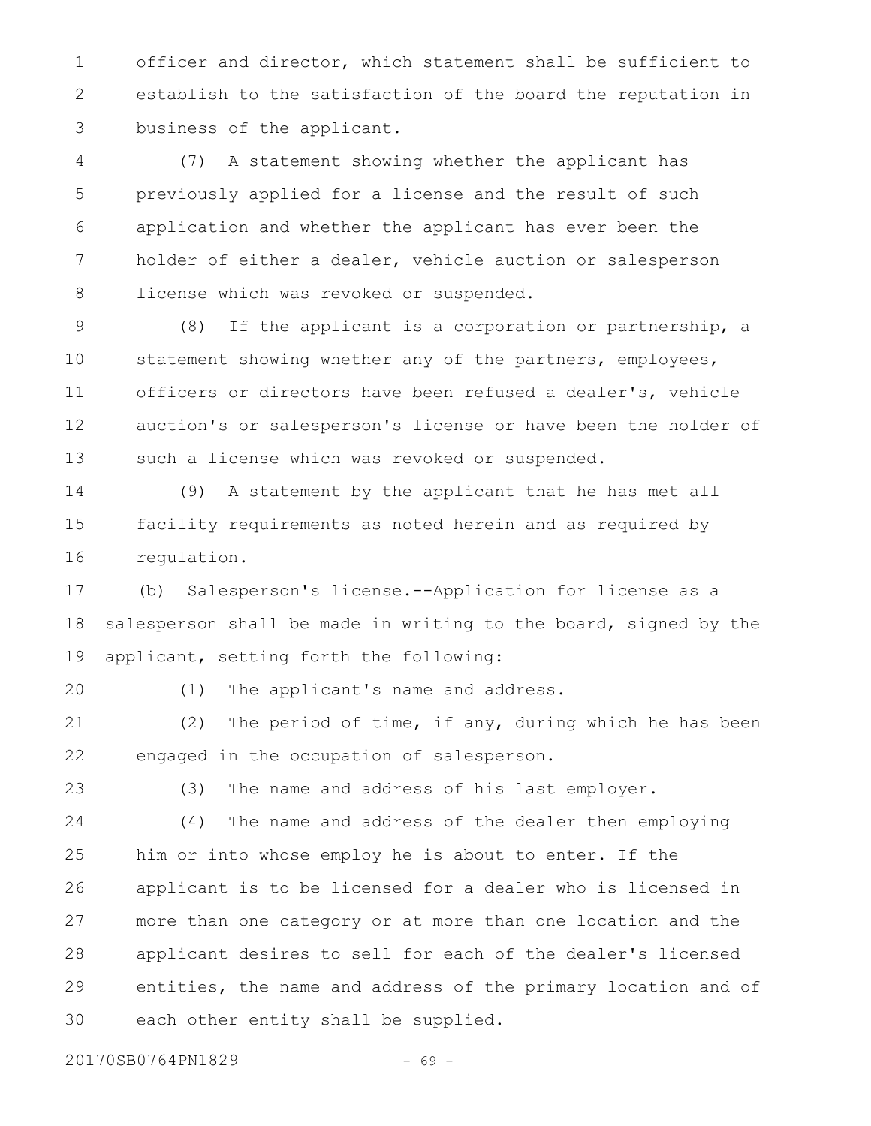officer and director, which statement shall be sufficient to establish to the satisfaction of the board the reputation in business of the applicant. 1 2 3

(7) A statement showing whether the applicant has previously applied for a license and the result of such application and whether the applicant has ever been the holder of either a dealer, vehicle auction or salesperson license which was revoked or suspended. 4 5 6 7 8

(8) If the applicant is a corporation or partnership, a statement showing whether any of the partners, employees, officers or directors have been refused a dealer's, vehicle auction's or salesperson's license or have been the holder of such a license which was revoked or suspended. 9 10 11 12 13

(9) A statement by the applicant that he has met all facility requirements as noted herein and as required by regulation. 14 15 16

(b) Salesperson's license.--Application for license as a salesperson shall be made in writing to the board, signed by the applicant, setting forth the following: 17 18 19

20

(1) The applicant's name and address.

(2) The period of time, if any, during which he has been engaged in the occupation of salesperson. 21 22

(3) The name and address of his last employer. 23

(4) The name and address of the dealer then employing him or into whose employ he is about to enter. If the applicant is to be licensed for a dealer who is licensed in more than one category or at more than one location and the applicant desires to sell for each of the dealer's licensed entities, the name and address of the primary location and of each other entity shall be supplied. 24 25 26 27 28 29 30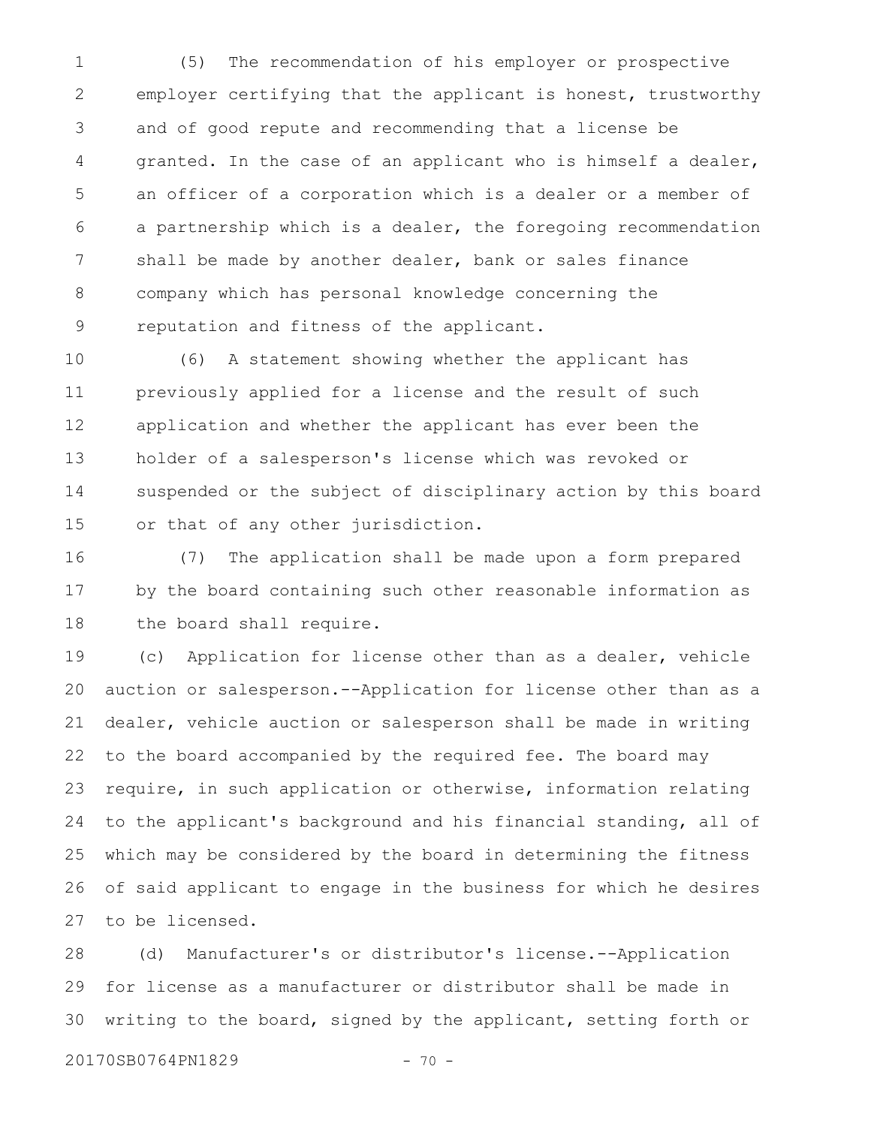(5) The recommendation of his employer or prospective employer certifying that the applicant is honest, trustworthy and of good repute and recommending that a license be granted. In the case of an applicant who is himself a dealer, an officer of a corporation which is a dealer or a member of a partnership which is a dealer, the foregoing recommendation shall be made by another dealer, bank or sales finance company which has personal knowledge concerning the reputation and fitness of the applicant. 1 2 3 4 5 6 7 8 9

(6) A statement showing whether the applicant has previously applied for a license and the result of such application and whether the applicant has ever been the holder of a salesperson's license which was revoked or suspended or the subject of disciplinary action by this board or that of any other jurisdiction. 10 11 12 13 14 15

(7) The application shall be made upon a form prepared by the board containing such other reasonable information as the board shall require. 16 17 18

(c) Application for license other than as a dealer, vehicle auction or salesperson.--Application for license other than as a dealer, vehicle auction or salesperson shall be made in writing to the board accompanied by the required fee. The board may require, in such application or otherwise, information relating to the applicant's background and his financial standing, all of which may be considered by the board in determining the fitness of said applicant to engage in the business for which he desires to be licensed. 19 20 21 22 23 24 25 26 27

(d) Manufacturer's or distributor's license.--Application for license as a manufacturer or distributor shall be made in writing to the board, signed by the applicant, setting forth or 28 29 30

20170SB0764PN1829 - 70 -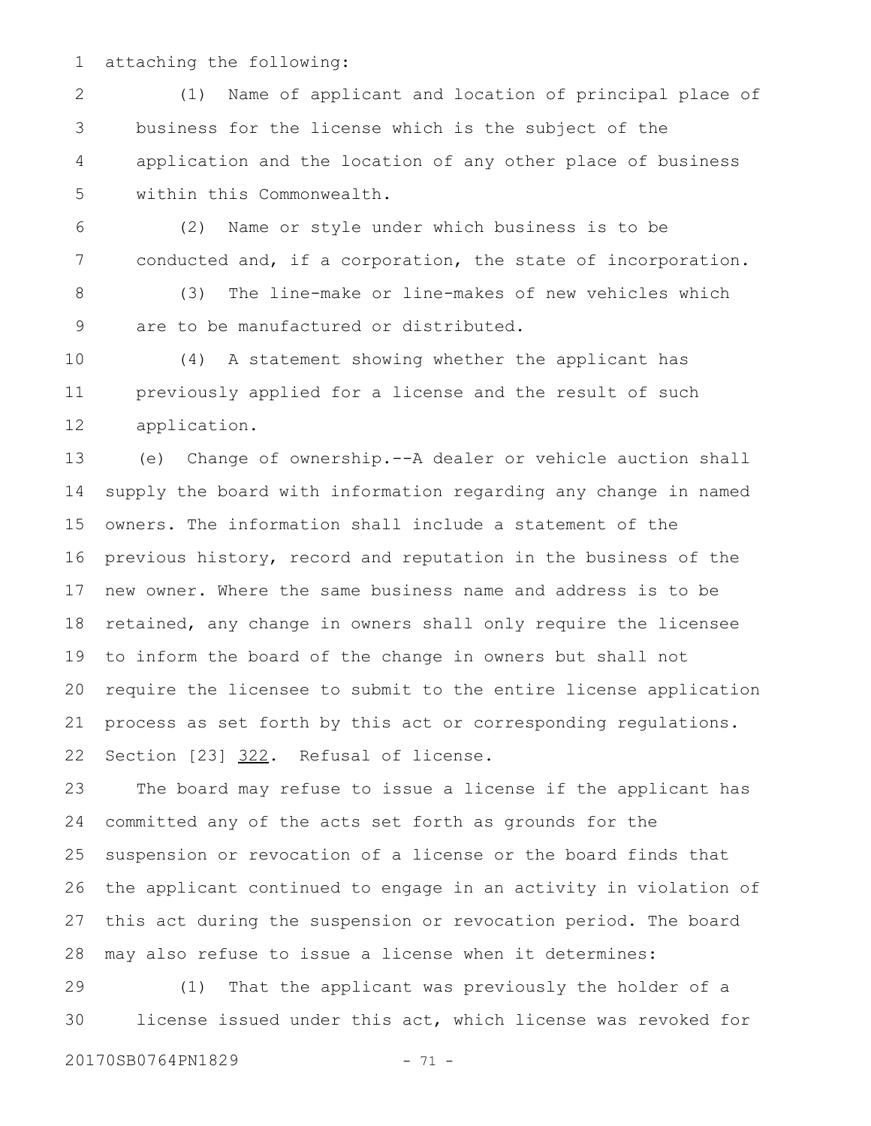attaching the following: 1

(1) Name of applicant and location of principal place of business for the license which is the subject of the application and the location of any other place of business within this Commonwealth. 2 3 4 5

(2) Name or style under which business is to be conducted and, if a corporation, the state of incorporation. 6 7

(3) The line-make or line-makes of new vehicles which are to be manufactured or distributed. 8 9

(4) A statement showing whether the applicant has previously applied for a license and the result of such application. 10 11 12

(e) Change of ownership.--A dealer or vehicle auction shall supply the board with information regarding any change in named owners. The information shall include a statement of the previous history, record and reputation in the business of the new owner. Where the same business name and address is to be retained, any change in owners shall only require the licensee to inform the board of the change in owners but shall not require the licensee to submit to the entire license application process as set forth by this act or corresponding regulations. Section [23] 322. Refusal of license. 13 14 15 16 17 18 19 20 21 22

The board may refuse to issue a license if the applicant has committed any of the acts set forth as grounds for the suspension or revocation of a license or the board finds that the applicant continued to engage in an activity in violation of this act during the suspension or revocation period. The board may also refuse to issue a license when it determines: 23 24 25 26 27 28

(1) That the applicant was previously the holder of a license issued under this act, which license was revoked for 29 30

20170SB0764PN1829 - 71 -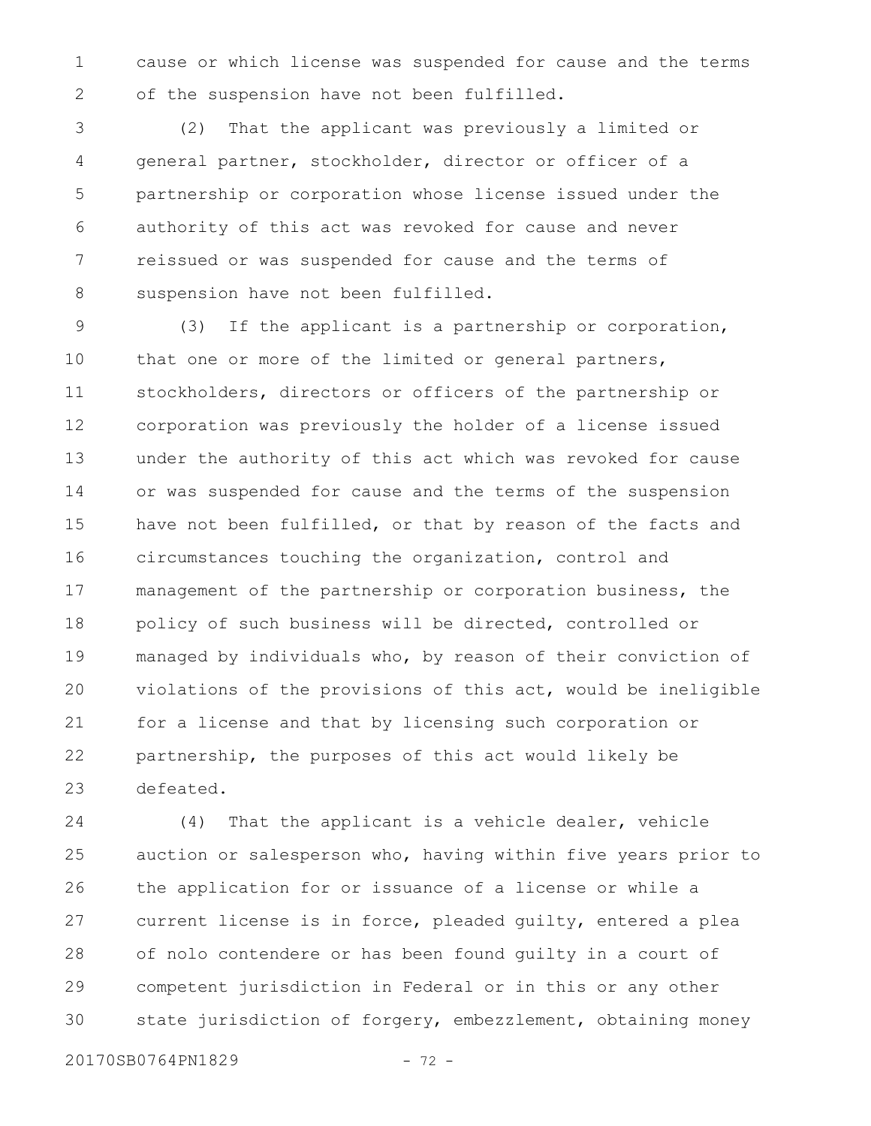cause or which license was suspended for cause and the terms of the suspension have not been fulfilled. 1 2

(2) That the applicant was previously a limited or general partner, stockholder, director or officer of a partnership or corporation whose license issued under the authority of this act was revoked for cause and never reissued or was suspended for cause and the terms of suspension have not been fulfilled. 3 4 5 6 7 8

(3) If the applicant is a partnership or corporation, that one or more of the limited or general partners, stockholders, directors or officers of the partnership or corporation was previously the holder of a license issued under the authority of this act which was revoked for cause or was suspended for cause and the terms of the suspension have not been fulfilled, or that by reason of the facts and circumstances touching the organization, control and management of the partnership or corporation business, the policy of such business will be directed, controlled or managed by individuals who, by reason of their conviction of violations of the provisions of this act, would be ineligible for a license and that by licensing such corporation or partnership, the purposes of this act would likely be defeated. 9 10 11 12 13 14 15 16 17 18 19 20 21 22 23

(4) That the applicant is a vehicle dealer, vehicle auction or salesperson who, having within five years prior to the application for or issuance of a license or while a current license is in force, pleaded guilty, entered a plea of nolo contendere or has been found guilty in a court of competent jurisdiction in Federal or in this or any other state jurisdiction of forgery, embezzlement, obtaining money 24 25 26 27 28 29 30

20170SB0764PN1829 - 72 -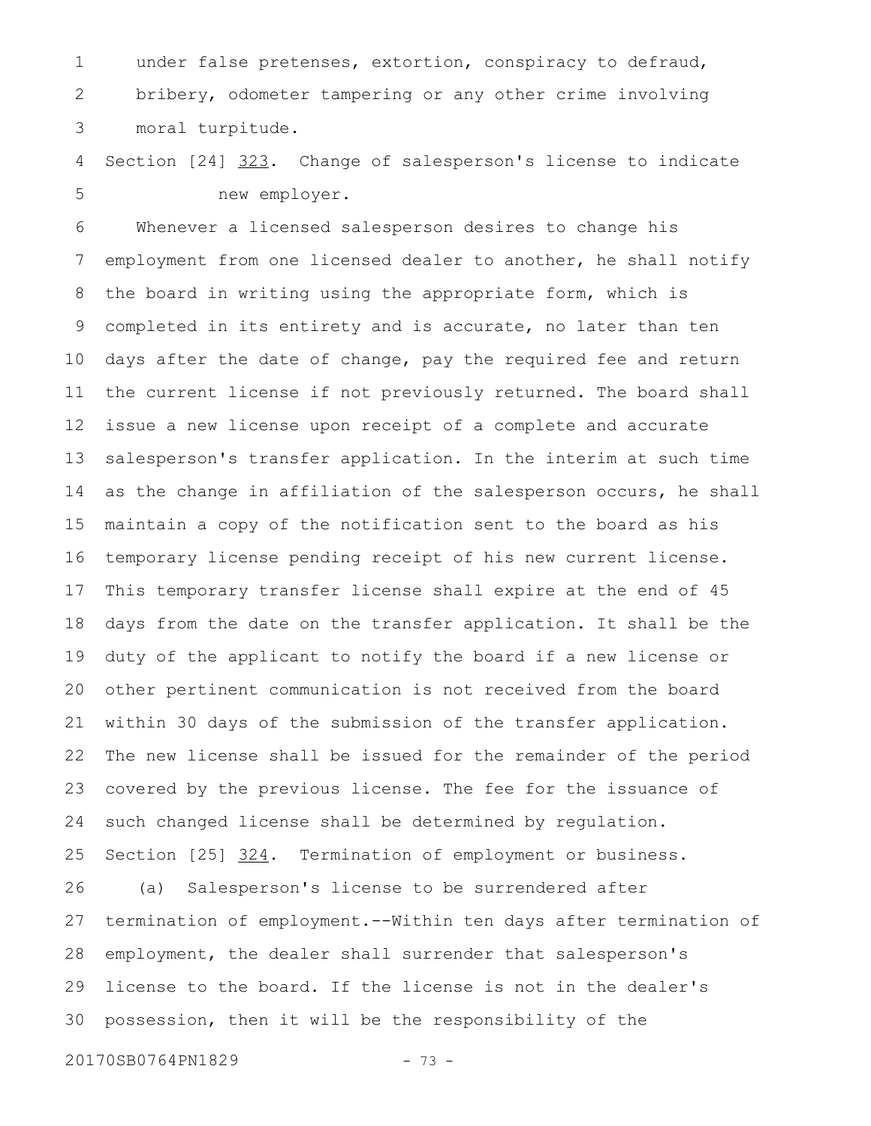under false pretenses, extortion, conspiracy to defraud, bribery, odometer tampering or any other crime involving moral turpitude. 1 2 3

Section [24] 323. Change of salesperson's license to indicate new employer. 4 5

Whenever a licensed salesperson desires to change his employment from one licensed dealer to another, he shall notify the board in writing using the appropriate form, which is completed in its entirety and is accurate, no later than ten days after the date of change, pay the required fee and return the current license if not previously returned. The board shall issue a new license upon receipt of a complete and accurate salesperson's transfer application. In the interim at such time as the change in affiliation of the salesperson occurs, he shall maintain a copy of the notification sent to the board as his temporary license pending receipt of his new current license. This temporary transfer license shall expire at the end of 45 days from the date on the transfer application. It shall be the duty of the applicant to notify the board if a new license or other pertinent communication is not received from the board within 30 days of the submission of the transfer application. The new license shall be issued for the remainder of the period covered by the previous license. The fee for the issuance of such changed license shall be determined by regulation. Section [25] 324. Termination of employment or business. (a) Salesperson's license to be surrendered after termination of employment.--Within ten days after termination of employment, the dealer shall surrender that salesperson's license to the board. If the license is not in the dealer's possession, then it will be the responsibility of the 6 7 8 9 10 11 12 13 14 15 16 17 18 19 20 21 22 23 24 25 26 27 28 29 30

20170SB0764PN1829 - 73 -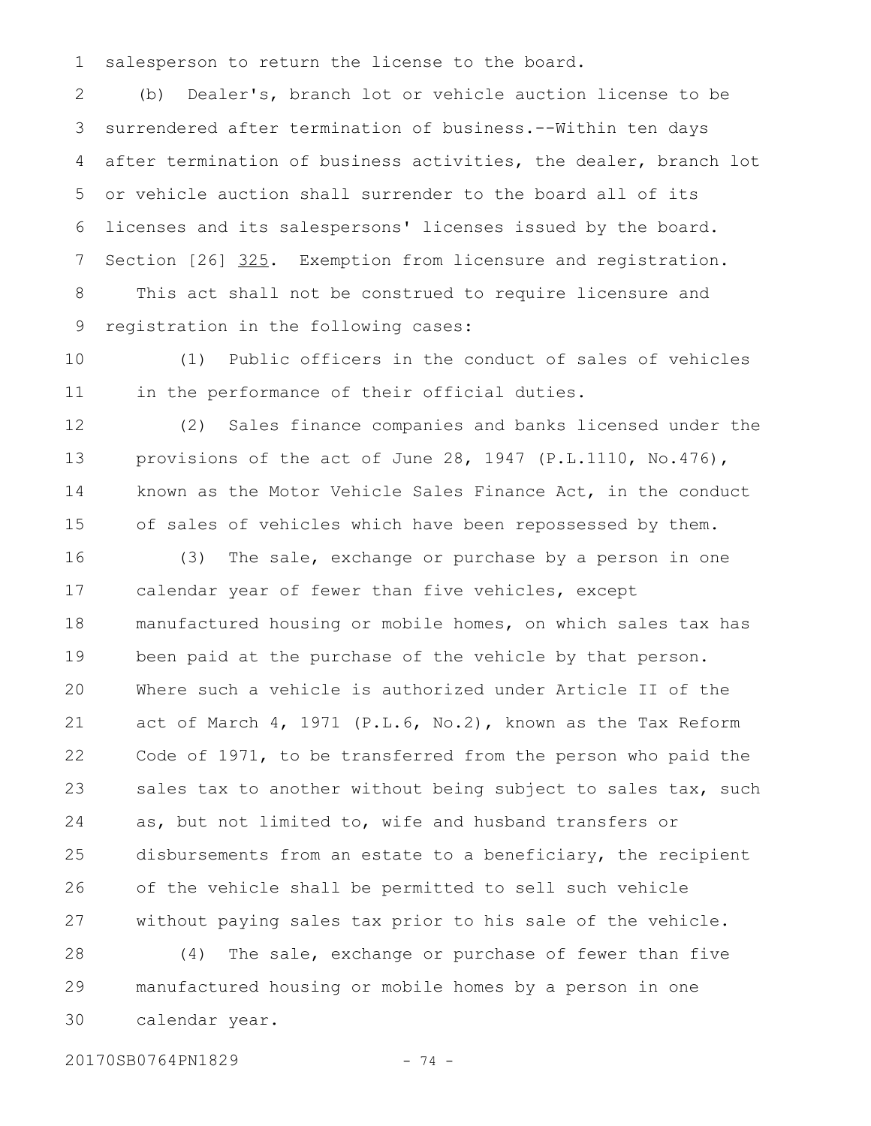salesperson to return the license to the board. 1

(b) Dealer's, branch lot or vehicle auction license to be surrendered after termination of business.--Within ten days after termination of business activities, the dealer, branch lot or vehicle auction shall surrender to the board all of its licenses and its salespersons' licenses issued by the board. Section [26] 325. Exemption from licensure and registration. This act shall not be construed to require licensure and registration in the following cases: 2 3 4 5 6 7 8 9

(1) Public officers in the conduct of sales of vehicles in the performance of their official duties. 10 11

(2) Sales finance companies and banks licensed under the provisions of the act of June 28, 1947 (P.L.1110, No.476), known as the Motor Vehicle Sales Finance Act, in the conduct of sales of vehicles which have been repossessed by them. 12 13 14 15

(3) The sale, exchange or purchase by a person in one calendar year of fewer than five vehicles, except manufactured housing or mobile homes, on which sales tax has been paid at the purchase of the vehicle by that person. Where such a vehicle is authorized under Article II of the act of March 4, 1971 (P.L.6, No.2), known as the Tax Reform Code of 1971, to be transferred from the person who paid the sales tax to another without being subject to sales tax, such as, but not limited to, wife and husband transfers or disbursements from an estate to a beneficiary, the recipient of the vehicle shall be permitted to sell such vehicle without paying sales tax prior to his sale of the vehicle. 16 17 18 19 20 21 22 23 24 25 26 27

(4) The sale, exchange or purchase of fewer than five manufactured housing or mobile homes by a person in one calendar year. 28 29 30

20170SB0764PN1829 - 74 -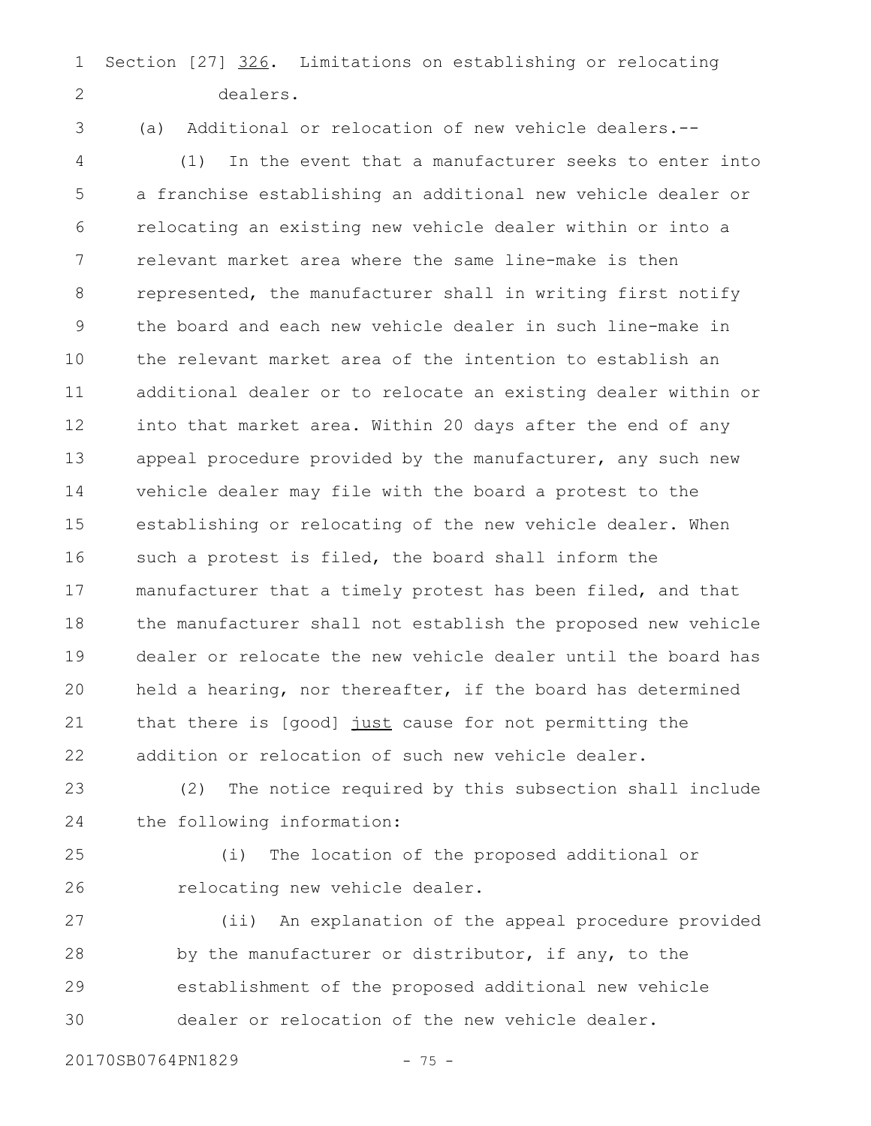Section [27] 326. Limitations on establishing or relocating dealers. 1 2

3

(a) Additional or relocation of new vehicle dealers.--

(1) In the event that a manufacturer seeks to enter into a franchise establishing an additional new vehicle dealer or relocating an existing new vehicle dealer within or into a relevant market area where the same line-make is then represented, the manufacturer shall in writing first notify the board and each new vehicle dealer in such line-make in the relevant market area of the intention to establish an additional dealer or to relocate an existing dealer within or into that market area. Within 20 days after the end of any appeal procedure provided by the manufacturer, any such new vehicle dealer may file with the board a protest to the establishing or relocating of the new vehicle dealer. When such a protest is filed, the board shall inform the manufacturer that a timely protest has been filed, and that the manufacturer shall not establish the proposed new vehicle dealer or relocate the new vehicle dealer until the board has held a hearing, nor thereafter, if the board has determined that there is [good] just cause for not permitting the addition or relocation of such new vehicle dealer. 4 5 6 7 8 9 10 11 12 13 14 15 16 17 18 19 20 21 22

(2) The notice required by this subsection shall include the following information: 23 24

25

26

(i) The location of the proposed additional or relocating new vehicle dealer.

(ii) An explanation of the appeal procedure provided by the manufacturer or distributor, if any, to the establishment of the proposed additional new vehicle dealer or relocation of the new vehicle dealer. 27 28 29 30

20170SB0764PN1829 - 75 -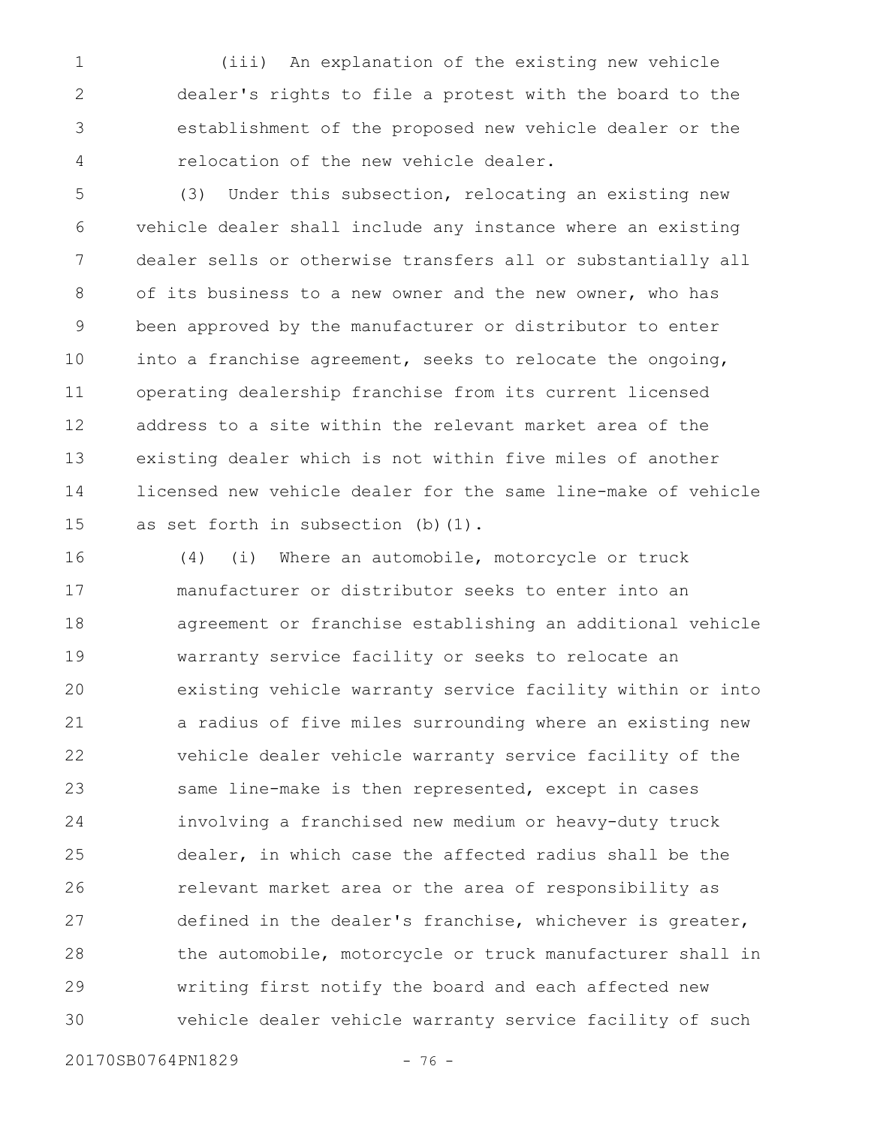(iii) An explanation of the existing new vehicle dealer's rights to file a protest with the board to the establishment of the proposed new vehicle dealer or the relocation of the new vehicle dealer. 1 2 3 4

(3) Under this subsection, relocating an existing new vehicle dealer shall include any instance where an existing dealer sells or otherwise transfers all or substantially all of its business to a new owner and the new owner, who has been approved by the manufacturer or distributor to enter into a franchise agreement, seeks to relocate the ongoing, operating dealership franchise from its current licensed address to a site within the relevant market area of the existing dealer which is not within five miles of another licensed new vehicle dealer for the same line-make of vehicle as set forth in subsection (b) (1). 5 6 7 8 9 10 11 12 13 14 15

(4) (i) Where an automobile, motorcycle or truck manufacturer or distributor seeks to enter into an agreement or franchise establishing an additional vehicle warranty service facility or seeks to relocate an existing vehicle warranty service facility within or into a radius of five miles surrounding where an existing new vehicle dealer vehicle warranty service facility of the same line-make is then represented, except in cases involving a franchised new medium or heavy-duty truck dealer, in which case the affected radius shall be the relevant market area or the area of responsibility as defined in the dealer's franchise, whichever is greater, the automobile, motorcycle or truck manufacturer shall in writing first notify the board and each affected new vehicle dealer vehicle warranty service facility of such 16 17 18 19 20 21 22 23 24 25 26 27 28 29 30

20170SB0764PN1829 - 76 -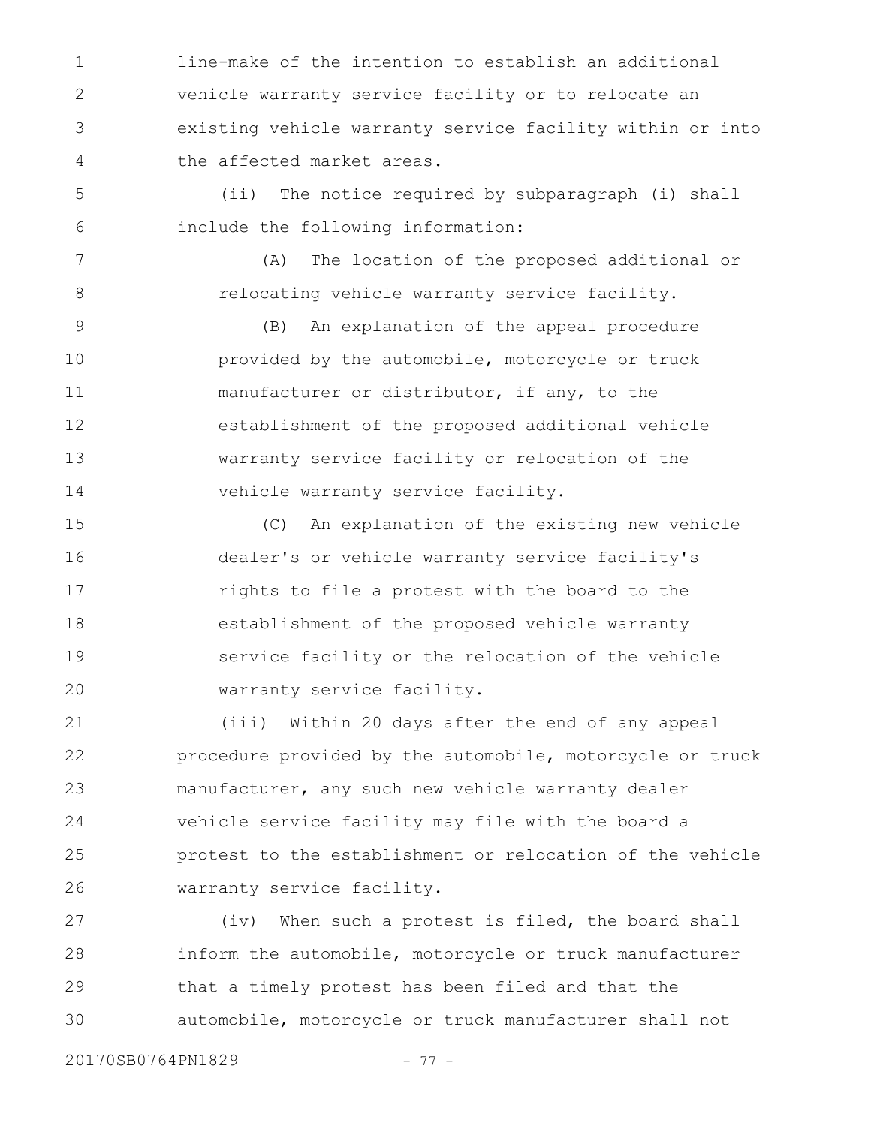line-make of the intention to establish an additional vehicle warranty service facility or to relocate an existing vehicle warranty service facility within or into the affected market areas. 1 2 3 4

(ii) The notice required by subparagraph (i) shall include the following information: 5 6

(A) The location of the proposed additional or relocating vehicle warranty service facility.

(B) An explanation of the appeal procedure provided by the automobile, motorcycle or truck manufacturer or distributor, if any, to the establishment of the proposed additional vehicle warranty service facility or relocation of the vehicle warranty service facility. 9 10 11 12 13 14

(C) An explanation of the existing new vehicle dealer's or vehicle warranty service facility's rights to file a protest with the board to the establishment of the proposed vehicle warranty service facility or the relocation of the vehicle warranty service facility. 15 16 17 18 19 20

(iii) Within 20 days after the end of any appeal procedure provided by the automobile, motorcycle or truck manufacturer, any such new vehicle warranty dealer vehicle service facility may file with the board a protest to the establishment or relocation of the vehicle warranty service facility. 21 22 23 24 25 26

(iv) When such a protest is filed, the board shall inform the automobile, motorcycle or truck manufacturer that a timely protest has been filed and that the automobile, motorcycle or truck manufacturer shall not 27 28 29 30

7

8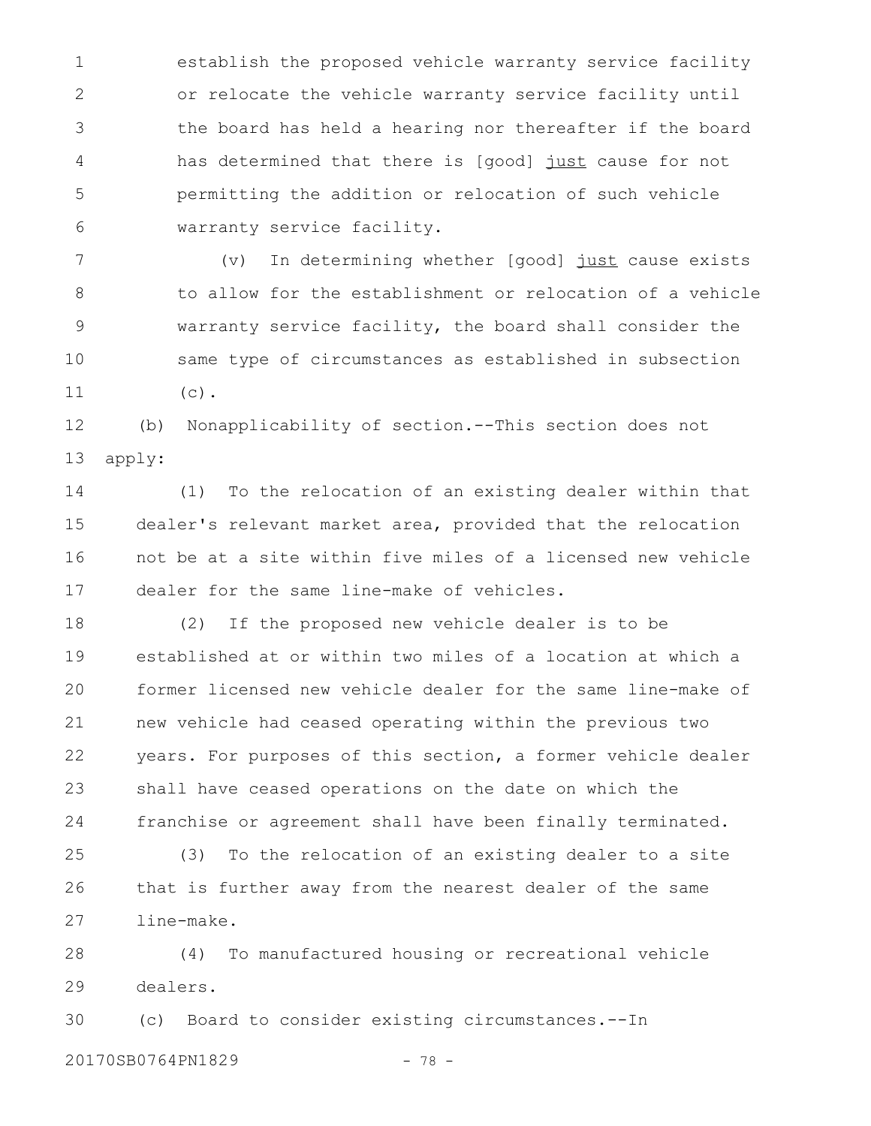establish the proposed vehicle warranty service facility or relocate the vehicle warranty service facility until the board has held a hearing nor thereafter if the board has determined that there is [good] just cause for not permitting the addition or relocation of such vehicle warranty service facility. 1 2 3 4 5 6

(v) In determining whether [good] just cause exists to allow for the establishment or relocation of a vehicle warranty service facility, the board shall consider the same type of circumstances as established in subsection  $(c)$ . 7 8 9 10 11

(b) Nonapplicability of section.--This section does not apply: 12 13

(1) To the relocation of an existing dealer within that dealer's relevant market area, provided that the relocation not be at a site within five miles of a licensed new vehicle dealer for the same line-make of vehicles. 14 15 16 17

(2) If the proposed new vehicle dealer is to be established at or within two miles of a location at which a former licensed new vehicle dealer for the same line-make of new vehicle had ceased operating within the previous two years. For purposes of this section, a former vehicle dealer shall have ceased operations on the date on which the franchise or agreement shall have been finally terminated. 18 19 20 21 22 23 24

(3) To the relocation of an existing dealer to a site that is further away from the nearest dealer of the same line-make. 25 26 27

(4) To manufactured housing or recreational vehicle dealers. 28 29

(c) Board to consider existing circumstances.--In 30

20170SB0764PN1829 - 78 -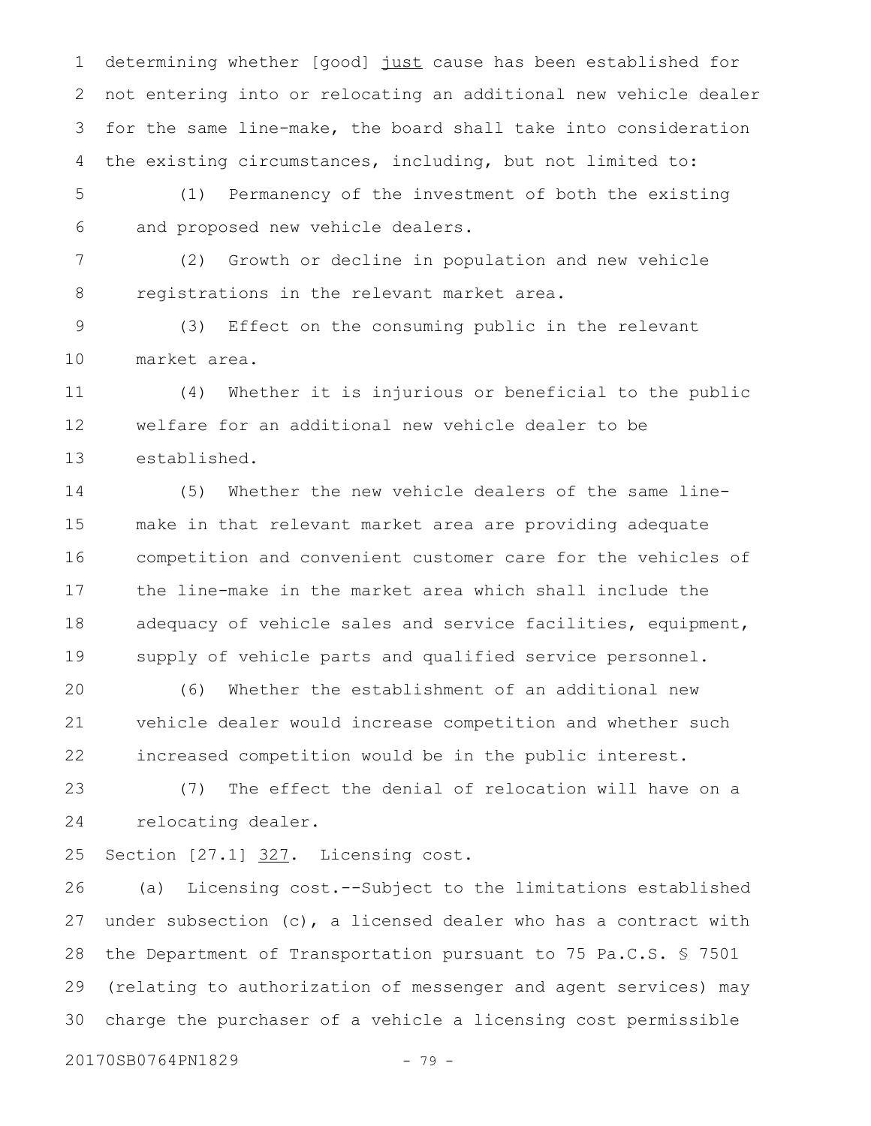determining whether [good] just cause has been established for not entering into or relocating an additional new vehicle dealer for the same line-make, the board shall take into consideration the existing circumstances, including, but not limited to: 1 2 3 4

(1) Permanency of the investment of both the existing and proposed new vehicle dealers. 5 6

(2) Growth or decline in population and new vehicle registrations in the relevant market area. 7 8

(3) Effect on the consuming public in the relevant market area. 9 10

(4) Whether it is injurious or beneficial to the public welfare for an additional new vehicle dealer to be established. 11 12 13

(5) Whether the new vehicle dealers of the same linemake in that relevant market area are providing adequate competition and convenient customer care for the vehicles of the line-make in the market area which shall include the adequacy of vehicle sales and service facilities, equipment, supply of vehicle parts and qualified service personnel. 14 15 16 17 18 19

(6) Whether the establishment of an additional new vehicle dealer would increase competition and whether such increased competition would be in the public interest. 20 21 22

(7) The effect the denial of relocation will have on a relocating dealer. 23 24

Section [27.1] 327. Licensing cost. 25

(a) Licensing cost.--Subject to the limitations established under subsection  $(c)$ , a licensed dealer who has a contract with the Department of Transportation pursuant to 75 Pa.C.S. § 7501 (relating to authorization of messenger and agent services) may charge the purchaser of a vehicle a licensing cost permissible 26 27 28 29 30

20170SB0764PN1829 - 79 -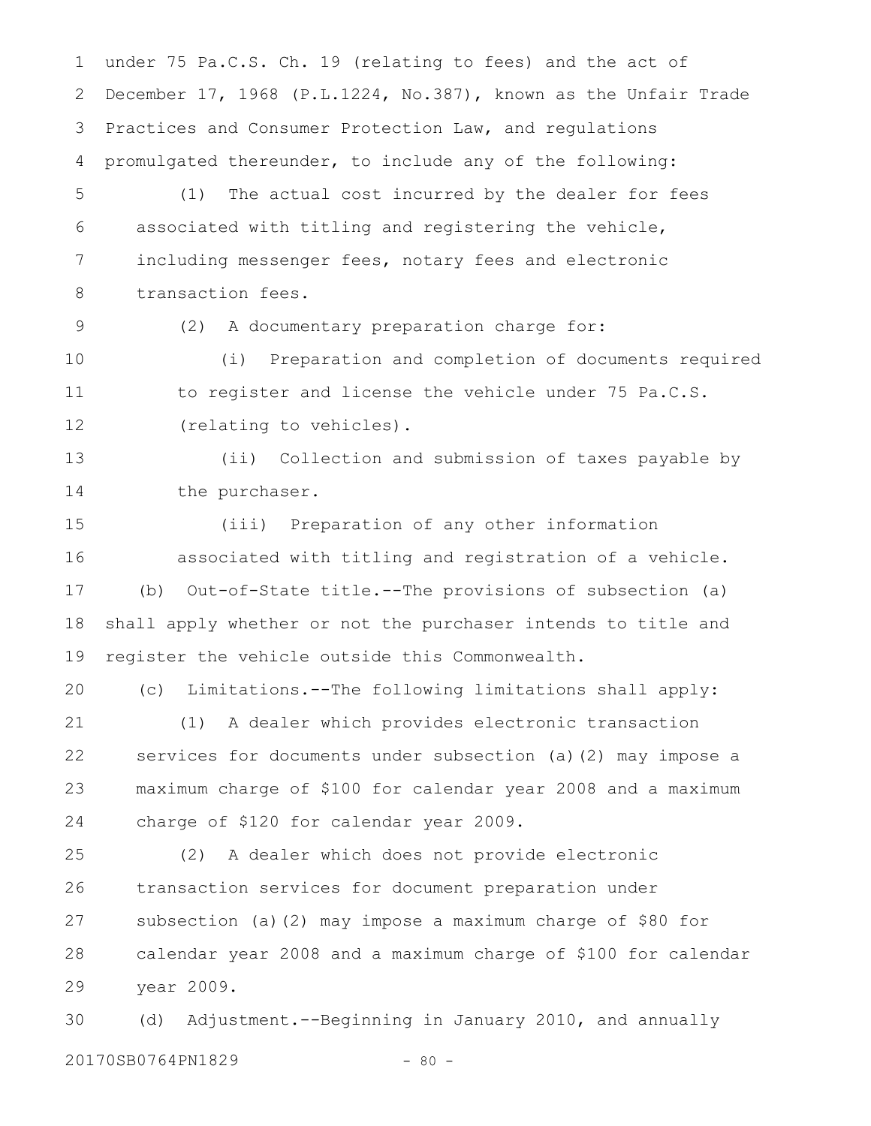under 75 Pa.C.S. Ch. 19 (relating to fees) and the act of December 17, 1968 (P.L.1224, No.387), known as the Unfair Trade Practices and Consumer Protection Law, and regulations promulgated thereunder, to include any of the following: (1) The actual cost incurred by the dealer for fees associated with titling and registering the vehicle, including messenger fees, notary fees and electronic transaction fees. (2) A documentary preparation charge for: (i) Preparation and completion of documents required to register and license the vehicle under 75 Pa.C.S. (relating to vehicles). (ii) Collection and submission of taxes payable by the purchaser. (iii) Preparation of any other information associated with titling and registration of a vehicle. (b) Out-of-State title.--The provisions of subsection (a) shall apply whether or not the purchaser intends to title and register the vehicle outside this Commonwealth. (c) Limitations.--The following limitations shall apply: (1) A dealer which provides electronic transaction services for documents under subsection (a)(2) may impose a maximum charge of \$100 for calendar year 2008 and a maximum charge of \$120 for calendar year 2009. (2) A dealer which does not provide electronic transaction services for document preparation under subsection (a)(2) may impose a maximum charge of \$80 for calendar year 2008 and a maximum charge of \$100 for calendar year 2009. 1 2 3 4 5 6 7 8 9 10 11 12 13 14 15 16 17 18 19 20 21 22 23 24 25 26 27 28 29

(d) Adjustment.--Beginning in January 2010, and annually 20170SB0764PN1829 - 80 -30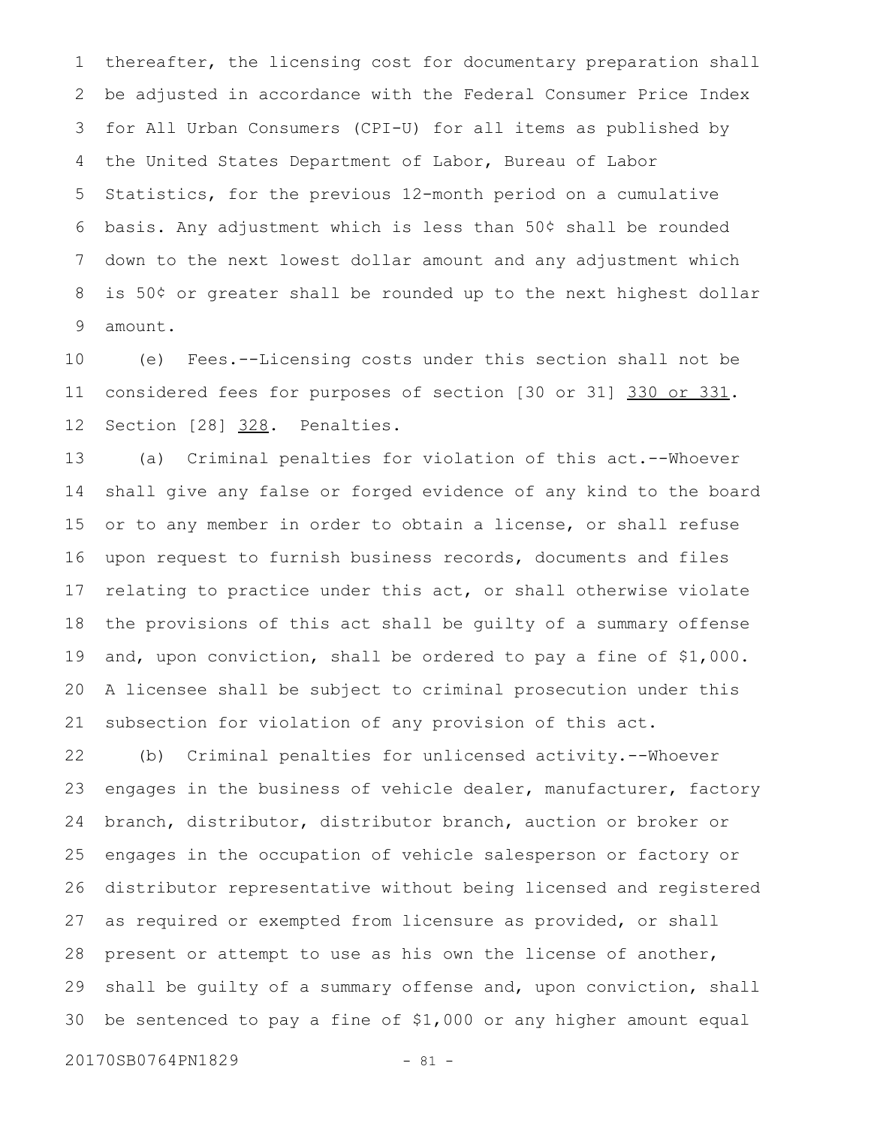thereafter, the licensing cost for documentary preparation shall be adjusted in accordance with the Federal Consumer Price Index for All Urban Consumers (CPI-U) for all items as published by the United States Department of Labor, Bureau of Labor Statistics, for the previous 12-month period on a cumulative basis. Any adjustment which is less than 50¢ shall be rounded down to the next lowest dollar amount and any adjustment which is 50¢ or greater shall be rounded up to the next highest dollar amount. 1 2 3 4 5 6 7 8 9

(e) Fees.--Licensing costs under this section shall not be considered fees for purposes of section [30 or 31] 330 or 331. Section [28] 328. Penalties. 10 11 12

(a) Criminal penalties for violation of this act.--Whoever shall give any false or forged evidence of any kind to the board or to any member in order to obtain a license, or shall refuse upon request to furnish business records, documents and files relating to practice under this act, or shall otherwise violate the provisions of this act shall be guilty of a summary offense and, upon conviction, shall be ordered to pay a fine of \$1,000. A licensee shall be subject to criminal prosecution under this subsection for violation of any provision of this act. 13 14 15 16 17 18 19 20 21

(b) Criminal penalties for unlicensed activity.--Whoever engages in the business of vehicle dealer, manufacturer, factory branch, distributor, distributor branch, auction or broker or engages in the occupation of vehicle salesperson or factory or distributor representative without being licensed and registered as required or exempted from licensure as provided, or shall present or attempt to use as his own the license of another, shall be guilty of a summary offense and, upon conviction, shall be sentenced to pay a fine of \$1,000 or any higher amount equal 22 23 24 25 26 27 28 29 30

20170SB0764PN1829 - 81 -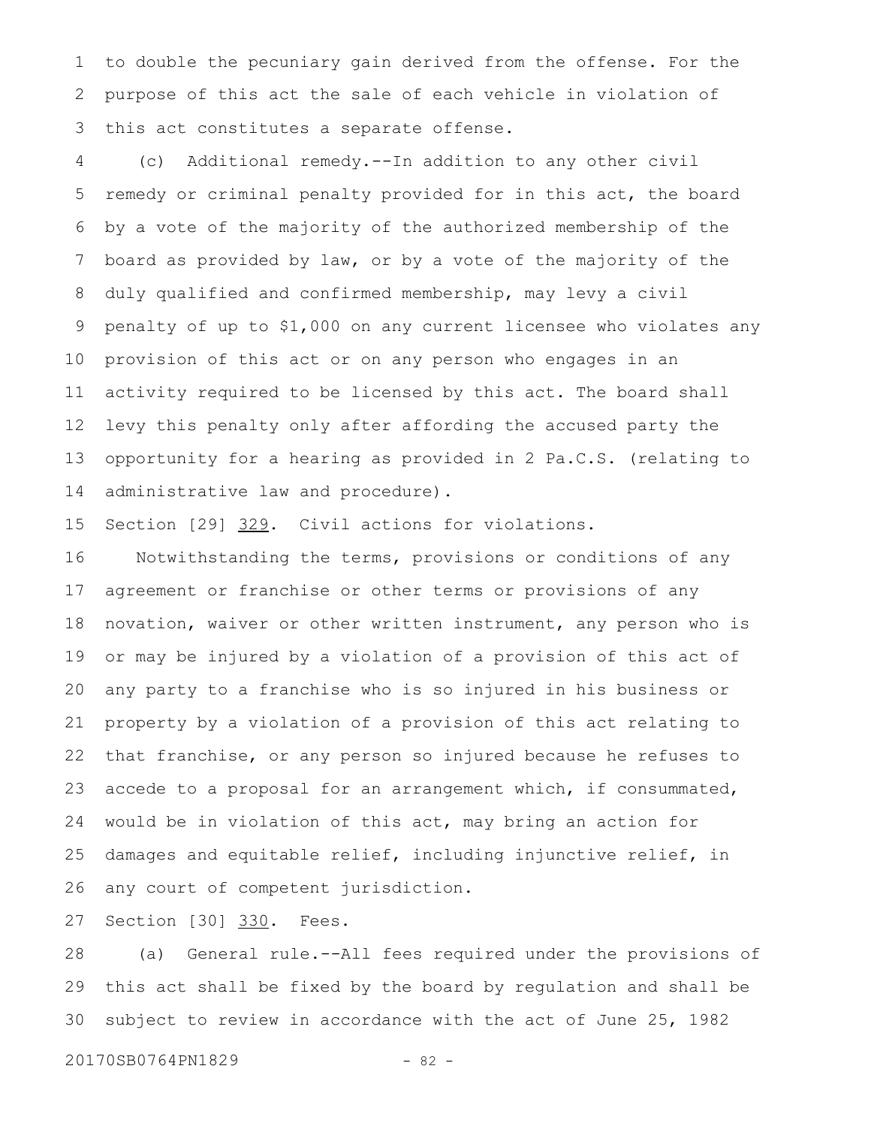to double the pecuniary gain derived from the offense. For the purpose of this act the sale of each vehicle in violation of this act constitutes a separate offense. 1 2 3

(c) Additional remedy.--In addition to any other civil remedy or criminal penalty provided for in this act, the board by a vote of the majority of the authorized membership of the board as provided by law, or by a vote of the majority of the duly qualified and confirmed membership, may levy a civil penalty of up to \$1,000 on any current licensee who violates any provision of this act or on any person who engages in an activity required to be licensed by this act. The board shall levy this penalty only after affording the accused party the opportunity for a hearing as provided in 2 Pa.C.S. (relating to administrative law and procedure). 4 5 6 7 8 9 10 11 12 13 14

Section [29] 329. Civil actions for violations. 15

Notwithstanding the terms, provisions or conditions of any agreement or franchise or other terms or provisions of any novation, waiver or other written instrument, any person who is or may be injured by a violation of a provision of this act of any party to a franchise who is so injured in his business or property by a violation of a provision of this act relating to that franchise, or any person so injured because he refuses to accede to a proposal for an arrangement which, if consummated, would be in violation of this act, may bring an action for damages and equitable relief, including injunctive relief, in any court of competent jurisdiction. 16 17 18 19 20 21 22 23 24 25 26

Section [30] 330. Fees. 27

(a) General rule.--All fees required under the provisions of this act shall be fixed by the board by regulation and shall be subject to review in accordance with the act of June 25, 1982 28 29 30

20170SB0764PN1829 - 82 -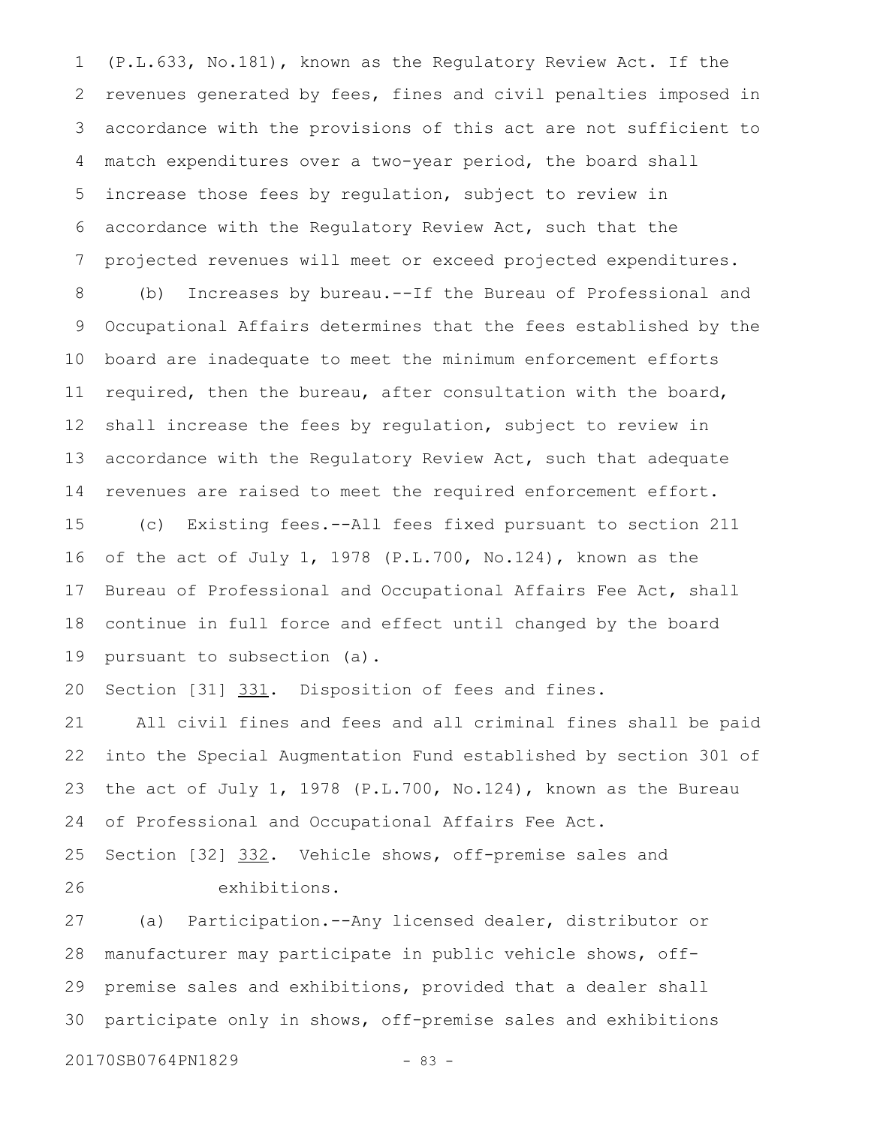(P.L.633, No.181), known as the Regulatory Review Act. If the revenues generated by fees, fines and civil penalties imposed in accordance with the provisions of this act are not sufficient to match expenditures over a two-year period, the board shall increase those fees by regulation, subject to review in accordance with the Regulatory Review Act, such that the projected revenues will meet or exceed projected expenditures. 1 2 3 4 5 6 7

(b) Increases by bureau.--If the Bureau of Professional and Occupational Affairs determines that the fees established by the board are inadequate to meet the minimum enforcement efforts required, then the bureau, after consultation with the board, shall increase the fees by regulation, subject to review in accordance with the Regulatory Review Act, such that adequate revenues are raised to meet the required enforcement effort. 8 9 10 11 12 13 14

(c) Existing fees.--All fees fixed pursuant to section 211 of the act of July 1, 1978 (P.L.700, No.124), known as the Bureau of Professional and Occupational Affairs Fee Act, shall continue in full force and effect until changed by the board pursuant to subsection (a). 15 16 17 18 19

Section [31] 331. Disposition of fees and fines. 20

All civil fines and fees and all criminal fines shall be paid into the Special Augmentation Fund established by section 301 of the act of July 1, 1978 (P.L.700, No.124), known as the Bureau of Professional and Occupational Affairs Fee Act. 21 22 23 24

Section [32] 332. Vehicle shows, off-premise sales and exhibitions. 25 26

(a) Participation.--Any licensed dealer, distributor or manufacturer may participate in public vehicle shows, offpremise sales and exhibitions, provided that a dealer shall participate only in shows, off-premise sales and exhibitions 27 28 29 30

20170SB0764PN1829 - 83 -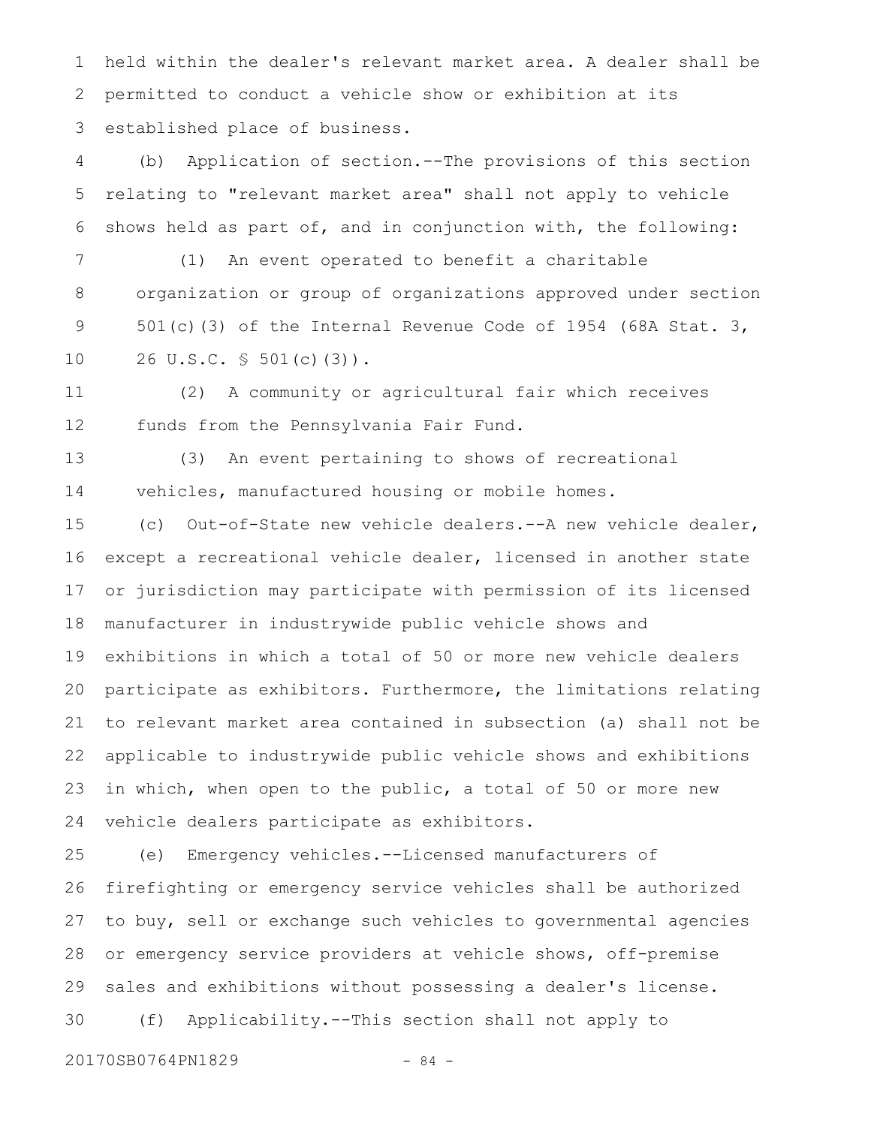held within the dealer's relevant market area. A dealer shall be permitted to conduct a vehicle show or exhibition at its established place of business. 1 2 3

(b) Application of section.--The provisions of this section relating to "relevant market area" shall not apply to vehicle shows held as part of, and in conjunction with, the following: 4 5 6

(1) An event operated to benefit a charitable organization or group of organizations approved under section 501(c)(3) of the Internal Revenue Code of 1954 (68A Stat. 3, 26 U.S.C. § 501(c)(3)). 7 8 9 10

(2) A community or agricultural fair which receives funds from the Pennsylvania Fair Fund. 11 12

(3) An event pertaining to shows of recreational vehicles, manufactured housing or mobile homes. 13 14

(c) Out-of-State new vehicle dealers.--A new vehicle dealer, except a recreational vehicle dealer, licensed in another state or jurisdiction may participate with permission of its licensed manufacturer in industrywide public vehicle shows and exhibitions in which a total of 50 or more new vehicle dealers participate as exhibitors. Furthermore, the limitations relating to relevant market area contained in subsection (a) shall not be applicable to industrywide public vehicle shows and exhibitions in which, when open to the public, a total of 50 or more new vehicle dealers participate as exhibitors. 15 16 17 18 19 20 21 22 23 24

(e) Emergency vehicles.--Licensed manufacturers of firefighting or emergency service vehicles shall be authorized to buy, sell or exchange such vehicles to governmental agencies or emergency service providers at vehicle shows, off-premise sales and exhibitions without possessing a dealer's license. (f) Applicability.--This section shall not apply to 25 26 27 28 29 30

20170SB0764PN1829 - 84 -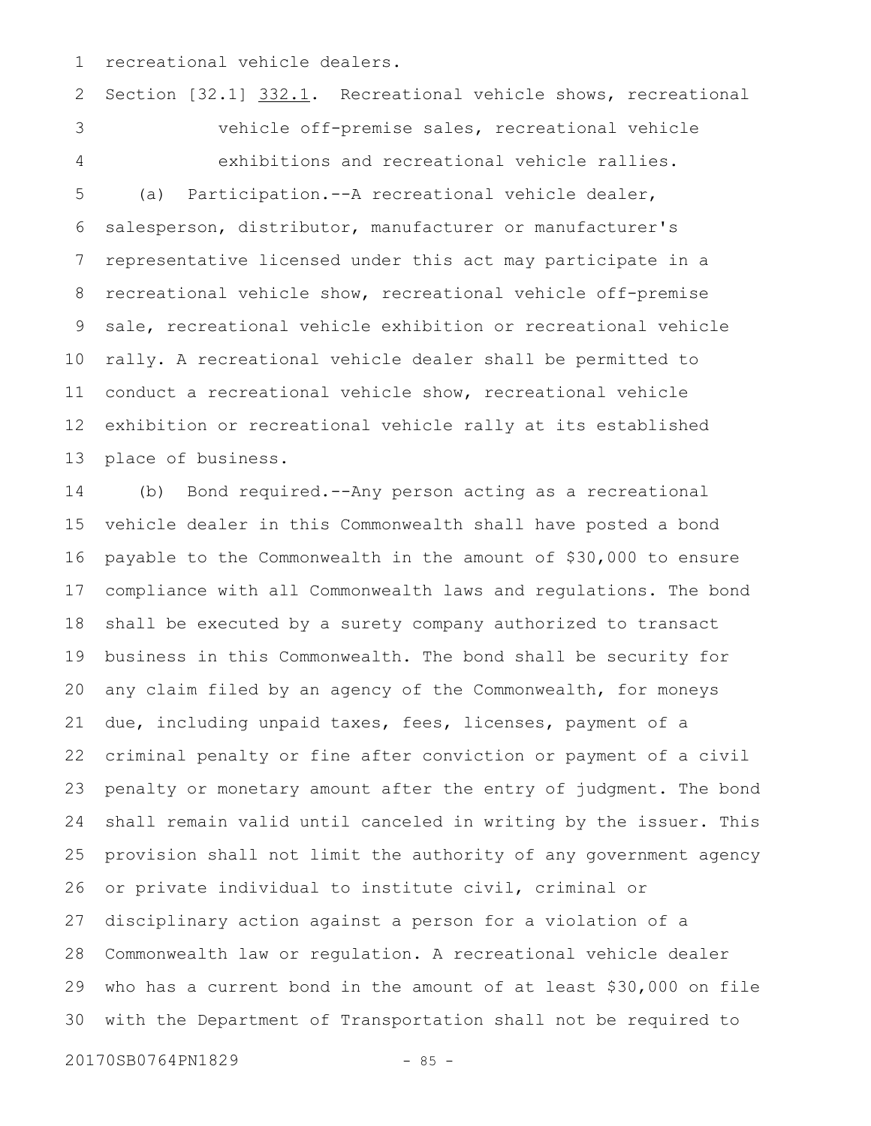recreational vehicle dealers. 1

Section [32.1] 332.1. Recreational vehicle shows, recreational vehicle off-premise sales, recreational vehicle exhibitions and recreational vehicle rallies. (a) Participation.--A recreational vehicle dealer, salesperson, distributor, manufacturer or manufacturer's representative licensed under this act may participate in a recreational vehicle show, recreational vehicle off-premise sale, recreational vehicle exhibition or recreational vehicle rally. A recreational vehicle dealer shall be permitted to conduct a recreational vehicle show, recreational vehicle exhibition or recreational vehicle rally at its established place of business. 2 3 4 5 6 7 8 9 10 11 12 13

(b) Bond required.--Any person acting as a recreational vehicle dealer in this Commonwealth shall have posted a bond payable to the Commonwealth in the amount of \$30,000 to ensure compliance with all Commonwealth laws and regulations. The bond shall be executed by a surety company authorized to transact business in this Commonwealth. The bond shall be security for any claim filed by an agency of the Commonwealth, for moneys due, including unpaid taxes, fees, licenses, payment of a criminal penalty or fine after conviction or payment of a civil penalty or monetary amount after the entry of judgment. The bond shall remain valid until canceled in writing by the issuer. This provision shall not limit the authority of any government agency or private individual to institute civil, criminal or disciplinary action against a person for a violation of a Commonwealth law or regulation. A recreational vehicle dealer who has a current bond in the amount of at least \$30,000 on file with the Department of Transportation shall not be required to 14 15 16 17 18 19 20 21 22 23 24 25 26 27 28 29 30

20170SB0764PN1829 - 85 -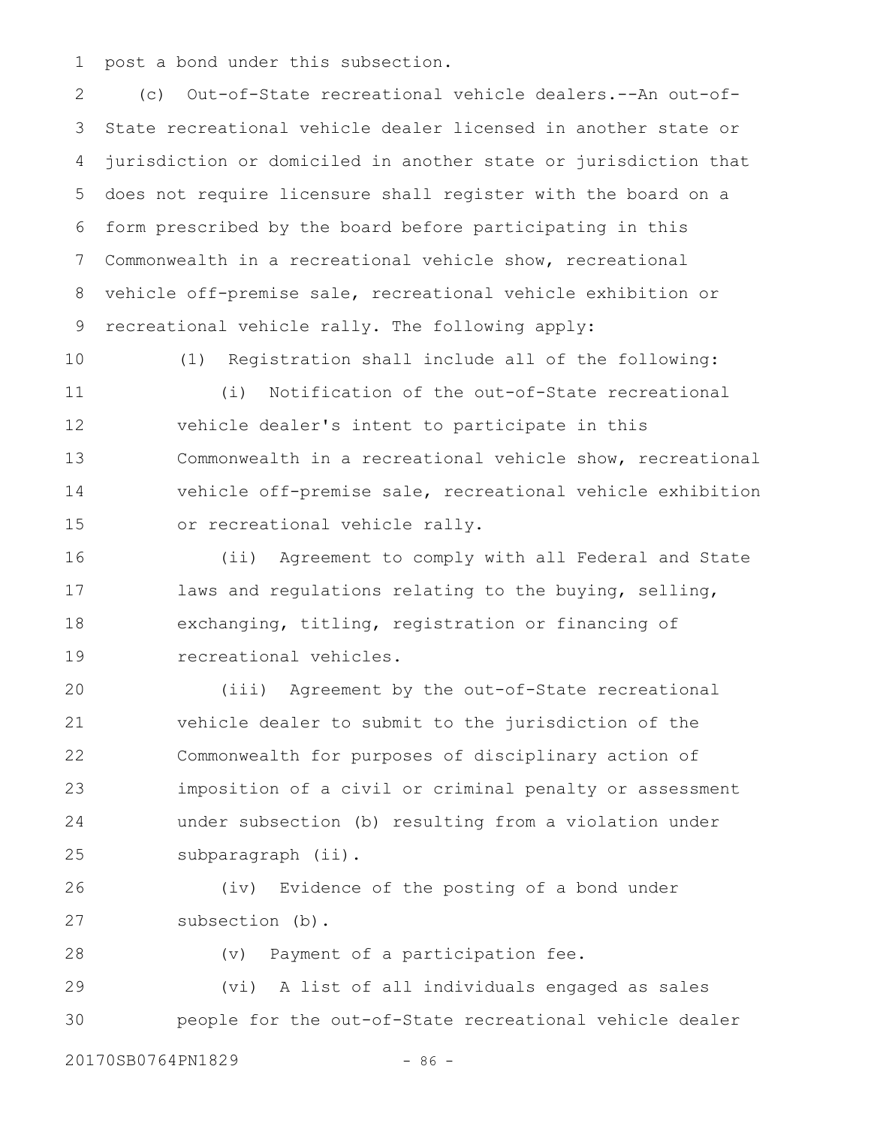post a bond under this subsection. 1

(c) Out-of-State recreational vehicle dealers.--An out-of-State recreational vehicle dealer licensed in another state or jurisdiction or domiciled in another state or jurisdiction that does not require licensure shall register with the board on a form prescribed by the board before participating in this Commonwealth in a recreational vehicle show, recreational vehicle off-premise sale, recreational vehicle exhibition or recreational vehicle rally. The following apply: 2 3 4 5 6 7 8 9

10

(1) Registration shall include all of the following:

(i) Notification of the out-of-State recreational vehicle dealer's intent to participate in this Commonwealth in a recreational vehicle show, recreational vehicle off-premise sale, recreational vehicle exhibition or recreational vehicle rally. 11 12 13 14 15

(ii) Agreement to comply with all Federal and State laws and regulations relating to the buying, selling, exchanging, titling, registration or financing of recreational vehicles. 16 17 18 19

(iii) Agreement by the out-of-State recreational vehicle dealer to submit to the jurisdiction of the Commonwealth for purposes of disciplinary action of imposition of a civil or criminal penalty or assessment under subsection (b) resulting from a violation under subparagraph (ii). 20 21 22 23 24 25

(iv) Evidence of the posting of a bond under subsection (b). 26 27

28

(v) Payment of a participation fee.

(vi) A list of all individuals engaged as sales people for the out-of-State recreational vehicle dealer 29 30

20170SB0764PN1829 - 86 -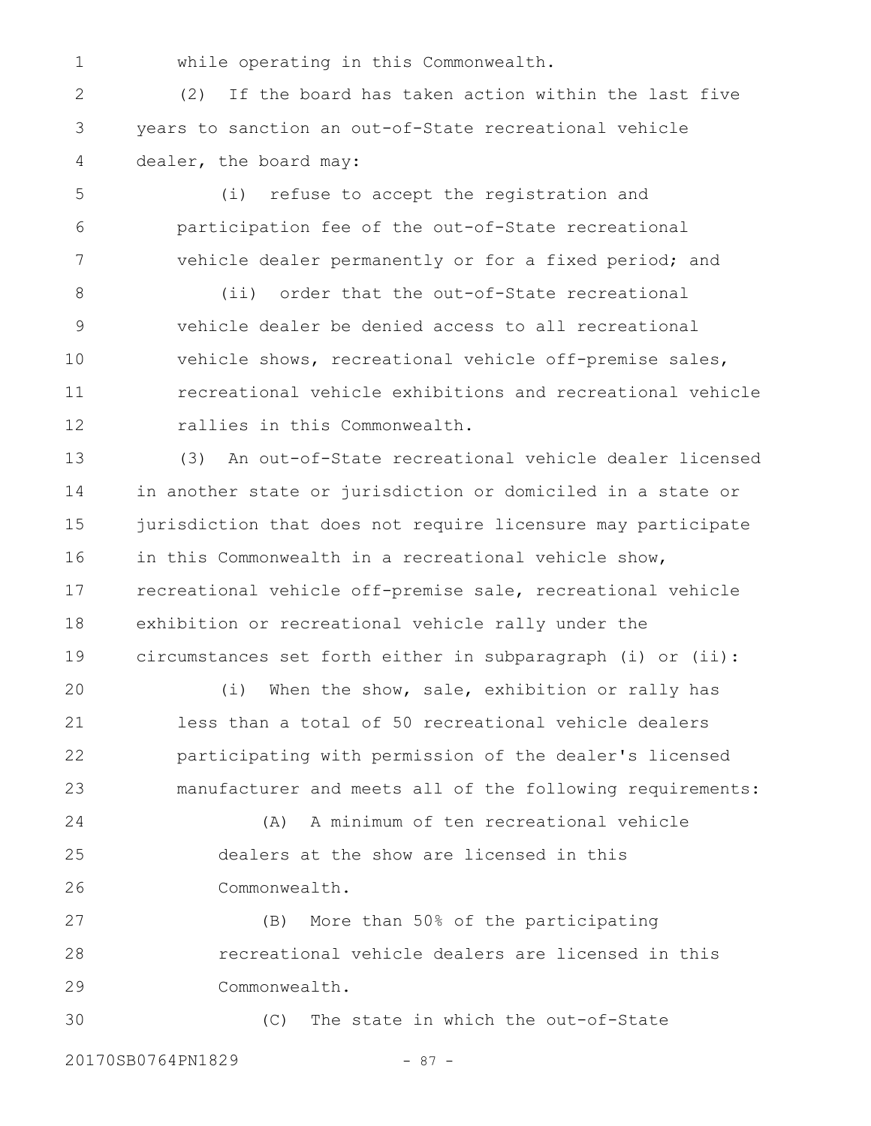1

while operating in this Commonwealth.

(2) If the board has taken action within the last five years to sanction an out-of-State recreational vehicle dealer, the board may: 2 3 4

(i) refuse to accept the registration and participation fee of the out-of-State recreational vehicle dealer permanently or for a fixed period; and 5 6 7

(ii) order that the out-of-State recreational vehicle dealer be denied access to all recreational vehicle shows, recreational vehicle off-premise sales, recreational vehicle exhibitions and recreational vehicle rallies in this Commonwealth. 8 9 10 11 12

(3) An out-of-State recreational vehicle dealer licensed in another state or jurisdiction or domiciled in a state or jurisdiction that does not require licensure may participate in this Commonwealth in a recreational vehicle show, recreational vehicle off-premise sale, recreational vehicle exhibition or recreational vehicle rally under the circumstances set forth either in subparagraph (i) or (ii): 13 14 15 16 17 18 19

(i) When the show, sale, exhibition or rally has less than a total of 50 recreational vehicle dealers participating with permission of the dealer's licensed manufacturer and meets all of the following requirements: 20 21 22 23

(A) A minimum of ten recreational vehicle dealers at the show are licensed in this Commonwealth. 24 25 26

(B) More than 50% of the participating recreational vehicle dealers are licensed in this Commonwealth. 27 28 29

(C) The state in which the out-of-State 20170SB0764PN1829 - 87 -30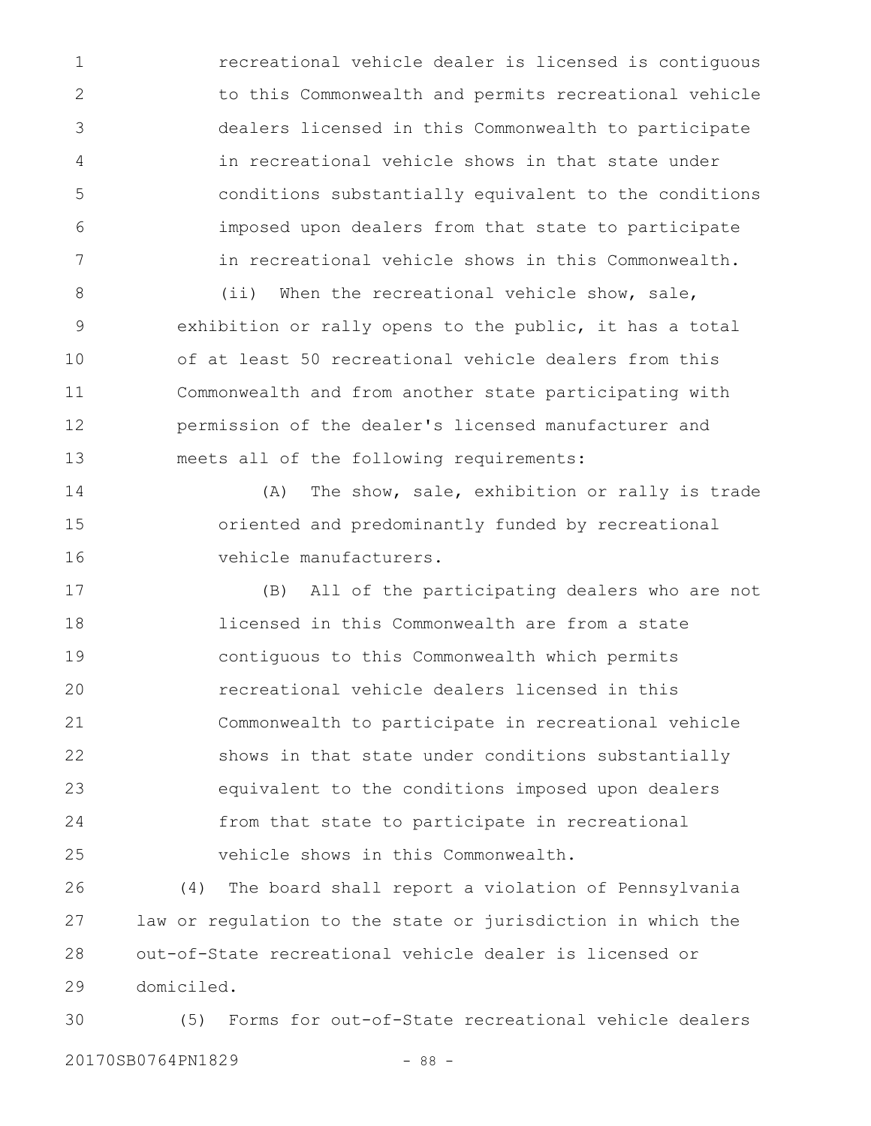recreational vehicle dealer is licensed is contiguous to this Commonwealth and permits recreational vehicle dealers licensed in this Commonwealth to participate in recreational vehicle shows in that state under conditions substantially equivalent to the conditions imposed upon dealers from that state to participate in recreational vehicle shows in this Commonwealth. 1 2 3 4 5 6 7

(ii) When the recreational vehicle show, sale, exhibition or rally opens to the public, it has a total of at least 50 recreational vehicle dealers from this Commonwealth and from another state participating with permission of the dealer's licensed manufacturer and meets all of the following requirements: 8 9 10 11 12 13

(A) The show, sale, exhibition or rally is trade oriented and predominantly funded by recreational vehicle manufacturers. 14 15 16

(B) All of the participating dealers who are not licensed in this Commonwealth are from a state contiguous to this Commonwealth which permits recreational vehicle dealers licensed in this Commonwealth to participate in recreational vehicle shows in that state under conditions substantially equivalent to the conditions imposed upon dealers from that state to participate in recreational vehicle shows in this Commonwealth. 17 18 19 20 21 22 23 24 25

(4) The board shall report a violation of Pennsylvania law or regulation to the state or jurisdiction in which the out-of-State recreational vehicle dealer is licensed or domiciled. 26 27 28 29

(5) Forms for out-of-State recreational vehicle dealers 20170SB0764PN1829 - 88 -30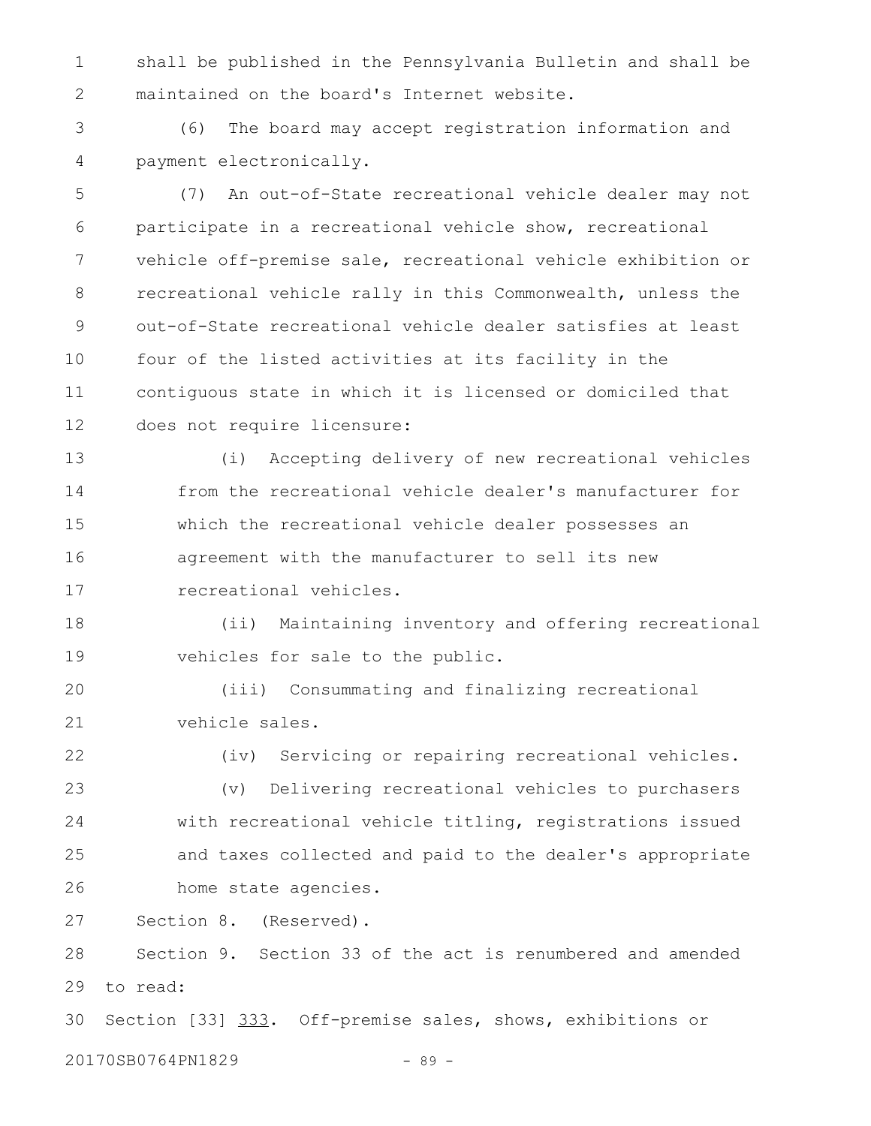shall be published in the Pennsylvania Bulletin and shall be maintained on the board's Internet website. 1 2

(6) The board may accept registration information and payment electronically. 3 4

(7) An out-of-State recreational vehicle dealer may not participate in a recreational vehicle show, recreational vehicle off-premise sale, recreational vehicle exhibition or recreational vehicle rally in this Commonwealth, unless the out-of-State recreational vehicle dealer satisfies at least four of the listed activities at its facility in the contiguous state in which it is licensed or domiciled that does not require licensure: 5 6 7 8 9 10 11 12

(i) Accepting delivery of new recreational vehicles from the recreational vehicle dealer's manufacturer for which the recreational vehicle dealer possesses an agreement with the manufacturer to sell its new recreational vehicles. 13 14 15 16 17

(ii) Maintaining inventory and offering recreational vehicles for sale to the public. 18 19

(iii) Consummating and finalizing recreational vehicle sales. 20 21

22

(iv) Servicing or repairing recreational vehicles.

(v) Delivering recreational vehicles to purchasers with recreational vehicle titling, registrations issued and taxes collected and paid to the dealer's appropriate home state agencies. 23 24 25 26

Section 8. (Reserved). 27

Section 9. Section 33 of the act is renumbered and amended to read: 28 29

Section [33] 333. Off-premise sales, shows, exhibitions or 30

20170SB0764PN1829 - 89 -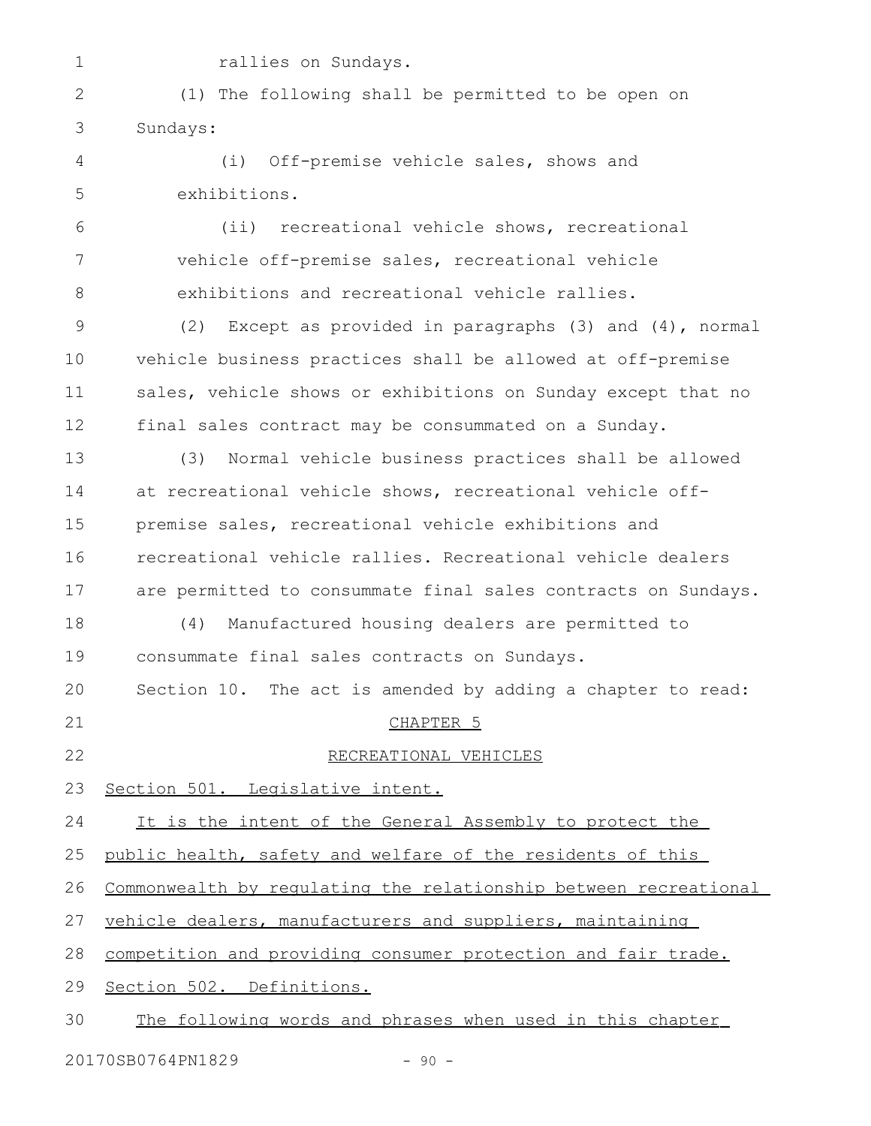1

rallies on Sundays.

(1) The following shall be permitted to be open on Sundays: 2 3

(i) Off-premise vehicle sales, shows and exhibitions. 4 5

(ii) recreational vehicle shows, recreational vehicle off-premise sales, recreational vehicle exhibitions and recreational vehicle rallies. 6 7 8

(2) Except as provided in paragraphs (3) and (4), normal vehicle business practices shall be allowed at off-premise sales, vehicle shows or exhibitions on Sunday except that no final sales contract may be consummated on a Sunday. 9 10 11 12

(3) Normal vehicle business practices shall be allowed at recreational vehicle shows, recreational vehicle offpremise sales, recreational vehicle exhibitions and recreational vehicle rallies. Recreational vehicle dealers are permitted to consummate final sales contracts on Sundays. (4) Manufactured housing dealers are permitted to consummate final sales contracts on Sundays. Section 10. The act is amended by adding a chapter to read: CHAPTER 5 RECREATIONAL VEHICLES Section 501. Legislative intent. It is the intent of the General Assembly to protect the public health, safety and welfare of the residents of this Commonwealth by regulating the relationship between recreational vehicle dealers, manufacturers and suppliers, maintaining competition and providing consumer protection and fair trade. 13 14 15 16 17 18 19 20 21 22 23 24 25 26 27 28

 Section 502. Definitions. 29

 The following words and phrases when used in this chapter 30

20170SB0764PN1829 - 90 -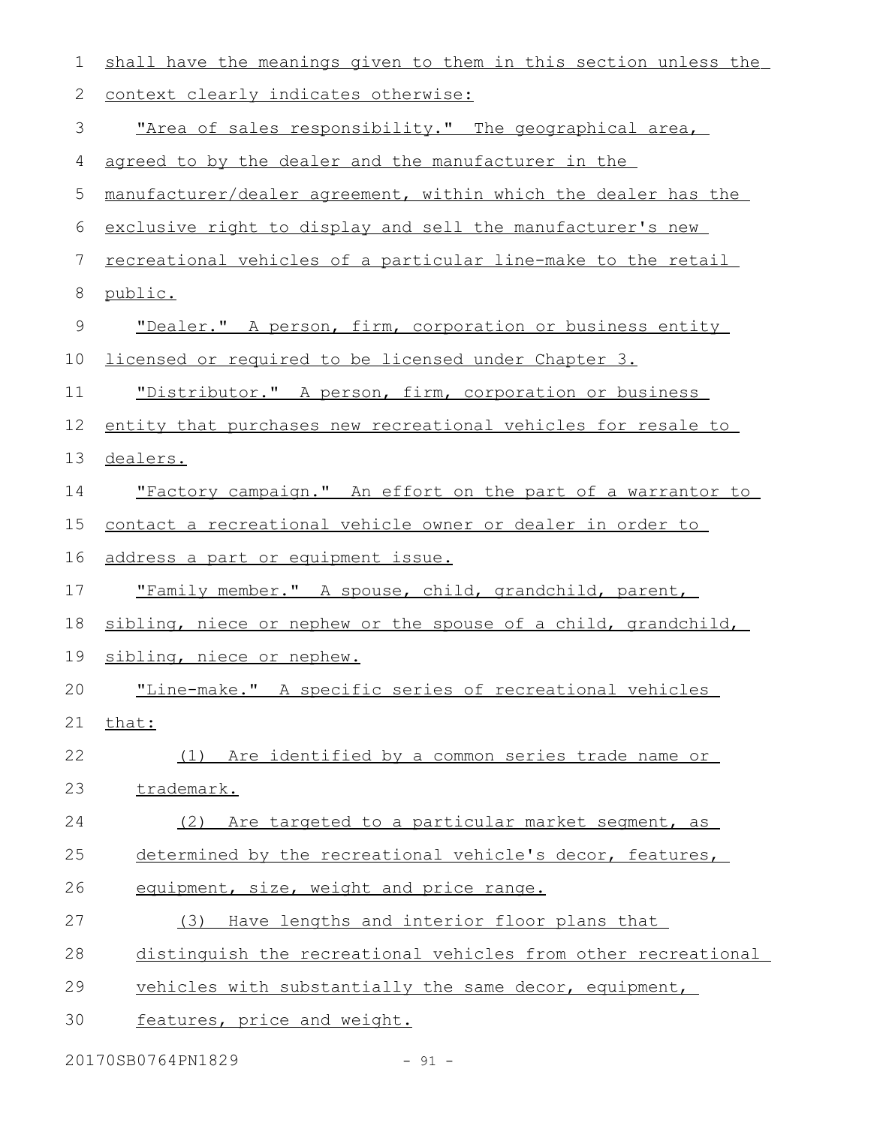| 1           | shall have the meanings given to them in this section unless the     |
|-------------|----------------------------------------------------------------------|
| 2           | context clearly indicates otherwise:                                 |
| 3           | "Area of sales responsibility." The geographical area,               |
| 4           | agreed to by the dealer and the manufacturer in the                  |
| 5           | manufacturer/dealer agreement, within which the dealer has the       |
| 6           | exclusive right to display and sell the manufacturer's new           |
| 7           | <u>recreational vehicles of a particular line-make to the retail</u> |
| 8           | public.                                                              |
| $\mathsf 9$ | "Dealer." A person, firm, corporation or business entity             |
| 10          | licensed or required to be licensed under Chapter 3.                 |
| 11          | "Distributor." A person, firm, corporation or business               |
| 12          | entity that purchases new recreational vehicles for resale to        |
| 13          | dealers.                                                             |
| 14          | "Factory campaign." An effort on the part of a warrantor to          |
| 15          | contact a recreational vehicle owner or dealer in order to           |
| 16          | address a part or equipment issue.                                   |
| 17          | "Family member." A spouse, child, grandchild, parent,                |
| 18          | sibling, niece or nephew or the spouse of a child, grandchild,       |
| 19          | sibling, niece or nephew.                                            |
| 20          | "Line-make." A specific series of recreational vehicles              |
| 21          | that:                                                                |
| 22          | Are identified by a common series trade name or<br>(1)               |
| 23          | trademark.                                                           |
| 24          | Are targeted to a particular market segment, as<br>(2)               |
| 25          | determined by the recreational vehicle's decor, features,            |
| 26          | equipment, size, weight and price range.                             |
| 27          | Have lengths and interior floor plans that<br>(3)                    |
| 28          | distinguish the recreational vehicles from other recreational        |
| 29          | vehicles with substantially the same decor, equipment,               |
| 30          | features, price and weight.                                          |
|             |                                                                      |

20170SB0764PN1829 - 91 -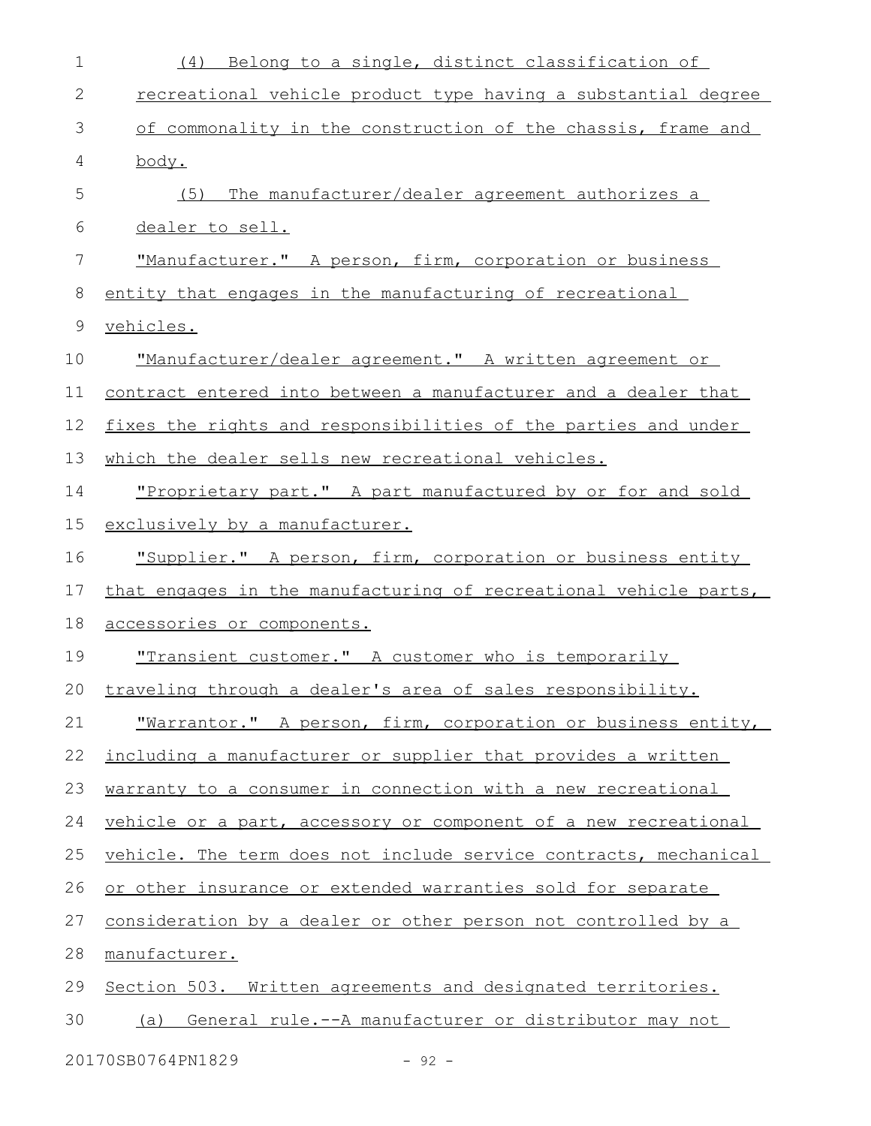| 1           | Belong to a single, distinct classification of<br>(4)            |
|-------------|------------------------------------------------------------------|
| 2           | recreational vehicle product type having a substantial degree    |
| 3           | of commonality in the construction of the chassis, frame and     |
| 4           | body.                                                            |
| 5           | The manufacturer/dealer agreement authorizes a<br>(5)            |
| 6           | dealer to sell.                                                  |
| 7           | "Manufacturer." A person, firm, corporation or business          |
| 8           | entity that engages in the manufacturing of recreational         |
| $\mathsf 9$ | vehicles.                                                        |
| 10          | "Manufacturer/dealer agreement." A written agreement or          |
| 11          | contract entered into between a manufacturer and a dealer that   |
| 12          | fixes the rights and responsibilities of the parties and under   |
| 13          | which the dealer sells new recreational vehicles.                |
| 14          | "Proprietary part." A part manufactured by or for and sold       |
| 15          | exclusively by a manufacturer.                                   |
| 16          | "Supplier." A person, firm, corporation or business entity       |
| 17          | that engages in the manufacturing of recreational vehicle parts, |
| 18          | accessories or components.                                       |
| 19          | "Transient customer." A customer who is temporarily              |
| 20          | traveling through a dealer's area of sales responsibility.       |
| 21          | "Warrantor." A person, firm, corporation or business entity,     |
| 22          | including a manufacturer or supplier that provides a written     |
| 23          | warranty to a consumer in connection with a new recreational     |
| 24          | vehicle or a part, accessory or component of a new recreational  |
| 25          | vehicle. The term does not include service contracts, mechanical |
| 26          | or other insurance or extended warranties sold for separate      |
| 27          | consideration by a dealer or other person not controlled by a    |
| 28          | manufacturer.                                                    |
| 29          | Section 503. Written agreements and designated territories.      |
| 30          | General rule.--A manufacturer or distributor may not<br>(a)      |
|             | 20170SB0764PN1829<br>$-92 -$                                     |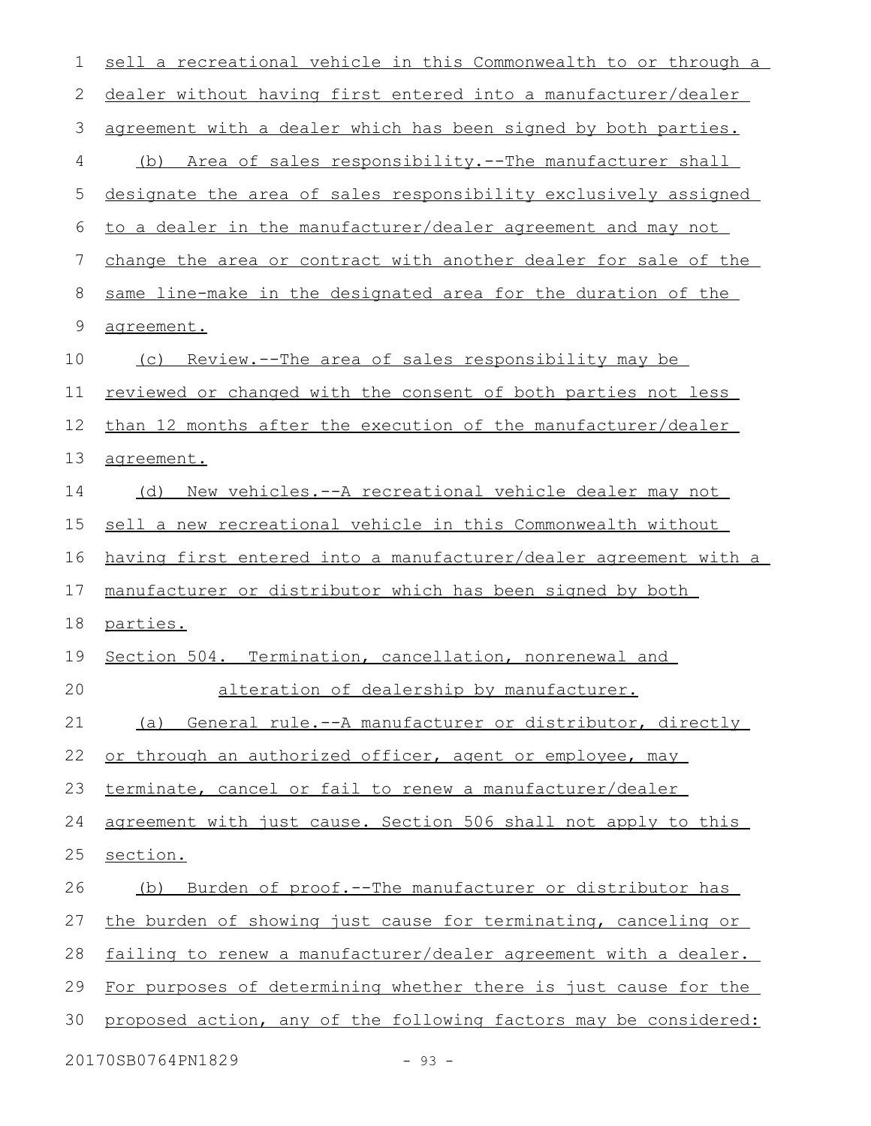| 1  | sell a recreational vehicle in this Commonwealth to or through a    |
|----|---------------------------------------------------------------------|
| 2  | dealer without having first entered into a manufacturer/dealer      |
| 3  | agreement with a dealer which has been signed by both parties.      |
| 4  | Area of sales responsibility.--The manufacturer shall<br>(b)        |
| 5  | designate the area of sales responsibility exclusively assigned     |
| 6  | to a dealer in the manufacturer/dealer agreement and may not        |
| 7  | change the area or contract with another dealer for sale of the     |
| 8  | same line-make in the designated area for the duration of the       |
| 9  | agreement.                                                          |
| 10 | (c) Review.--The area of sales responsibility may be                |
| 11 | reviewed or changed with the consent of both parties not less       |
| 12 | than 12 months after the execution of the manufacturer/dealer       |
| 13 | agreement.                                                          |
| 14 | (d) New vehicles.--A recreational vehicle dealer may not            |
| 15 | sell a new recreational vehicle in this Commonwealth without        |
| 16 | having first entered into a manufacturer/dealer agreement with a    |
| 17 | manufacturer or distributor which has been signed by both           |
| 18 | parties.                                                            |
| 19 | Section 504. Termination, cancellation, nonrenewal and              |
| 20 | alteration of dealership by manufacturer.                           |
| 21 | (a) General rule.--A manufacturer or distributor, directly          |
| 22 | or through an authorized officer, agent or employee, may            |
| 23 | terminate, cancel or fail to renew a manufacturer/dealer            |
| 24 | agreement with just cause. Section 506 shall not apply to this      |
| 25 | section.                                                            |
| 26 | <u>Burden of proof.--The manufacturer or distributor has</u><br>(b) |
| 27 | the burden of showing just cause for terminating, canceling or      |
| 28 |                                                                     |
|    | failing to renew a manufacturer/dealer agreement with a dealer.     |
| 29 | For purposes of determining whether there is just cause for the     |
| 30 | proposed action, any of the following factors may be considered:    |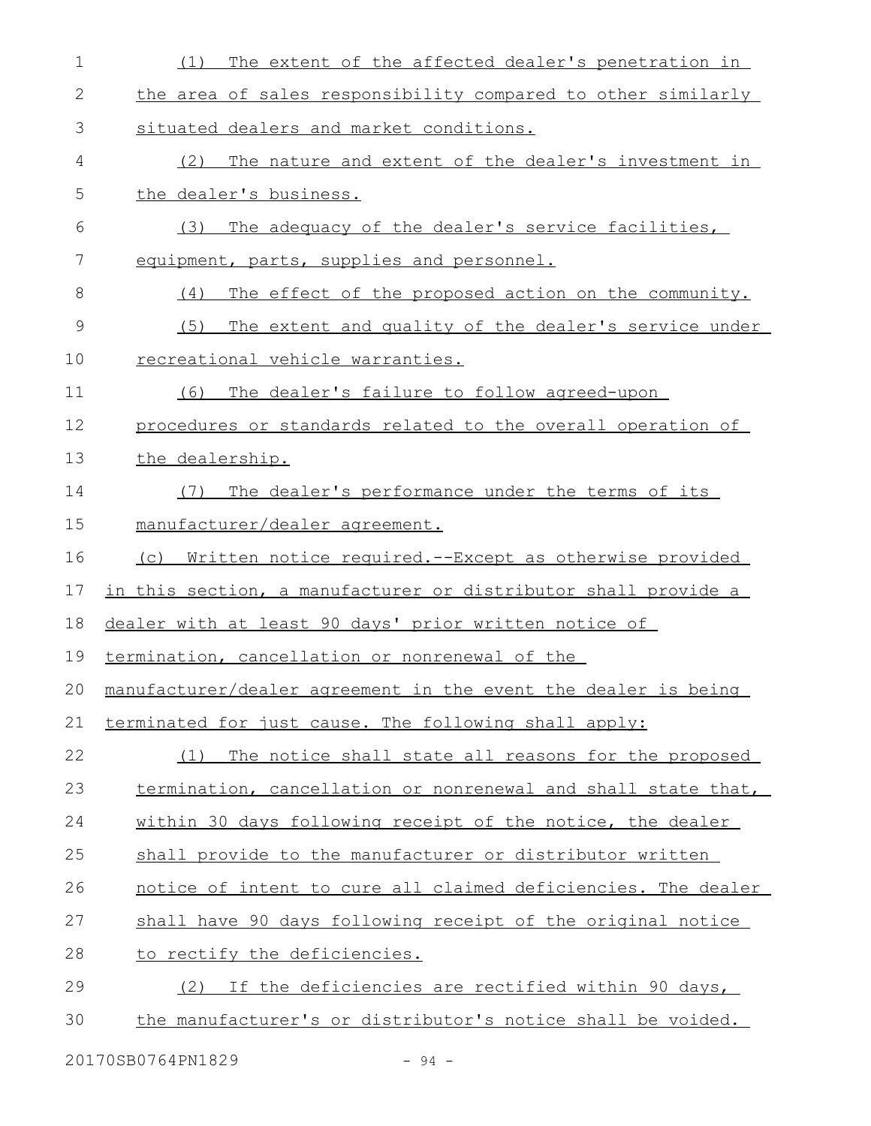| $\mathbf 1$ | The extent of the affected dealer's penetration in<br>(1)            |
|-------------|----------------------------------------------------------------------|
| 2           | the area of sales responsibility compared to other similarly         |
| 3           | situated dealers and market conditions.                              |
| 4           | The nature and extent of the dealer's investment in<br>(2)           |
| 5           | the dealer's business.                                               |
| 6           | The adequacy of the dealer's service facilities,<br>(3)              |
| 7           | equipment, parts, supplies and personnel.                            |
| 8           | (4)<br>The effect of the proposed action on the community.           |
| $\mathsf 9$ | (5)<br>The extent and quality of the dealer's service under          |
| 10          | recreational vehicle warranties.                                     |
| 11          | The dealer's failure to follow agreed-upon<br>(6)                    |
| 12          | procedures or standards related to the overall operation of          |
| 13          | the dealership.                                                      |
| 14          | The dealer's performance under the terms of its<br>(7)               |
| 15          | manufacturer/dealer agreement.                                       |
| 16          | <u>Written notice required.--Except as otherwise provided</u><br>(C) |
| 17          | in this section, a manufacturer or distributor shall provide a       |
| 18          | dealer with at least 90 days' prior written notice of                |
| 19          | termination, cancellation or nonrenewal of the                       |
| 20          | manufacturer/dealer agreement in the event the dealer is being       |
| 21          | terminated for just cause. The following shall apply:                |
| 22          | The notice shall state all reasons for the proposed<br>(1)           |
| 23          | termination, cancellation or nonrenewal and shall state that,        |
| 24          | within 30 days following receipt of the notice, the dealer           |
| 25          | shall provide to the manufacturer or distributor written             |
| 26          | notice of intent to cure all claimed deficiencies. The dealer        |
| 27          | shall have 90 days following receipt of the original notice          |
| 28          | to rectify the deficiencies.                                         |
| 29          | If the deficiencies are rectified within 90 days,<br>(2)             |
| 30          | the manufacturer's or distributor's notice shall be voided.          |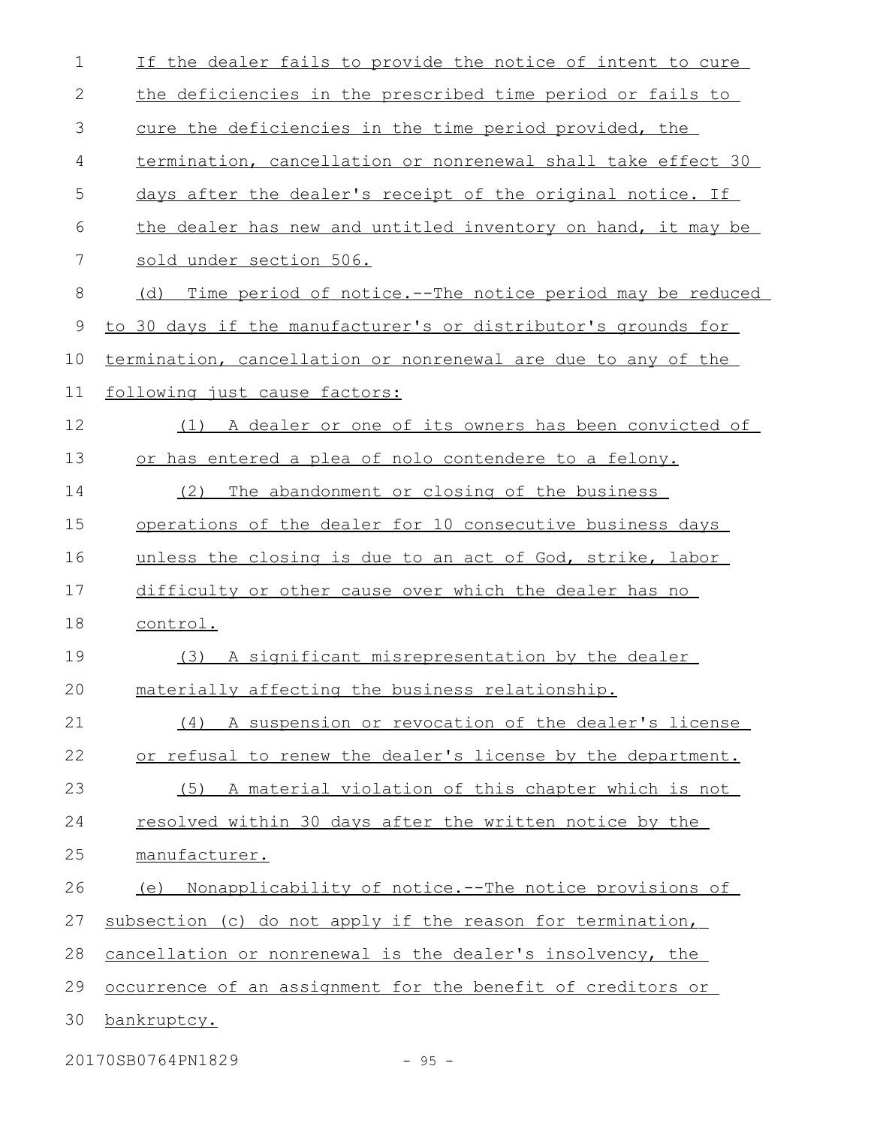| $\mathbf 1$  | If the dealer fails to provide the notice of intent to cure     |
|--------------|-----------------------------------------------------------------|
| $\mathbf{2}$ | the deficiencies in the prescribed time period or fails to      |
| 3            | cure the deficiencies in the time period provided, the          |
| 4            | termination, cancellation or nonrenewal shall take effect 30    |
| 5            | days after the dealer's receipt of the original notice. If      |
| 6            | the dealer has new and untitled inventory on hand, it may be    |
| 7            | sold under section 506.                                         |
| 8            | Time period of notice.--The notice period may be reduced<br>(d) |
| 9            | to 30 days if the manufacturer's or distributor's grounds for   |
| 10           | termination, cancellation or nonrenewal are due to any of the   |
| 11           | following just cause factors:                                   |
| 12           | (1) A dealer or one of its owners has been convicted of         |
| 13           | or has entered a plea of nolo contendere to a felony.           |
| 14           | (2) The abandonment or closing of the business                  |
| 15           | operations of the dealer for 10 consecutive business days       |
| 16           | unless the closing is due to an act of God, strike, labor       |
| 17           | difficulty or other cause over which the dealer has no          |
| 18           | control.                                                        |
| 19           | (3) A significant misrepresentation by the dealer               |
| 20           | materially affecting the business relationship.                 |
| 21           | (4) A suspension or revocation of the dealer's license          |
| 22           | or refusal to renew the dealer's license by the department.     |
| 23           | A material violation of this chapter which is not<br>(5)        |
| 24           | resolved within 30 days after the written notice by the         |
| 25           | manufacturer.                                                   |
| 26           | (e) Nonapplicability of notice.--The notice provisions of       |
| 27           | subsection (c) do not apply if the reason for termination,      |
| 28           | cancellation or nonrenewal is the dealer's insolvency, the      |
| 29           | occurrence of an assignment for the benefit of creditors or     |
| 30           | bankruptcy.                                                     |
|              |                                                                 |

20170SB0764PN1829 - 95 -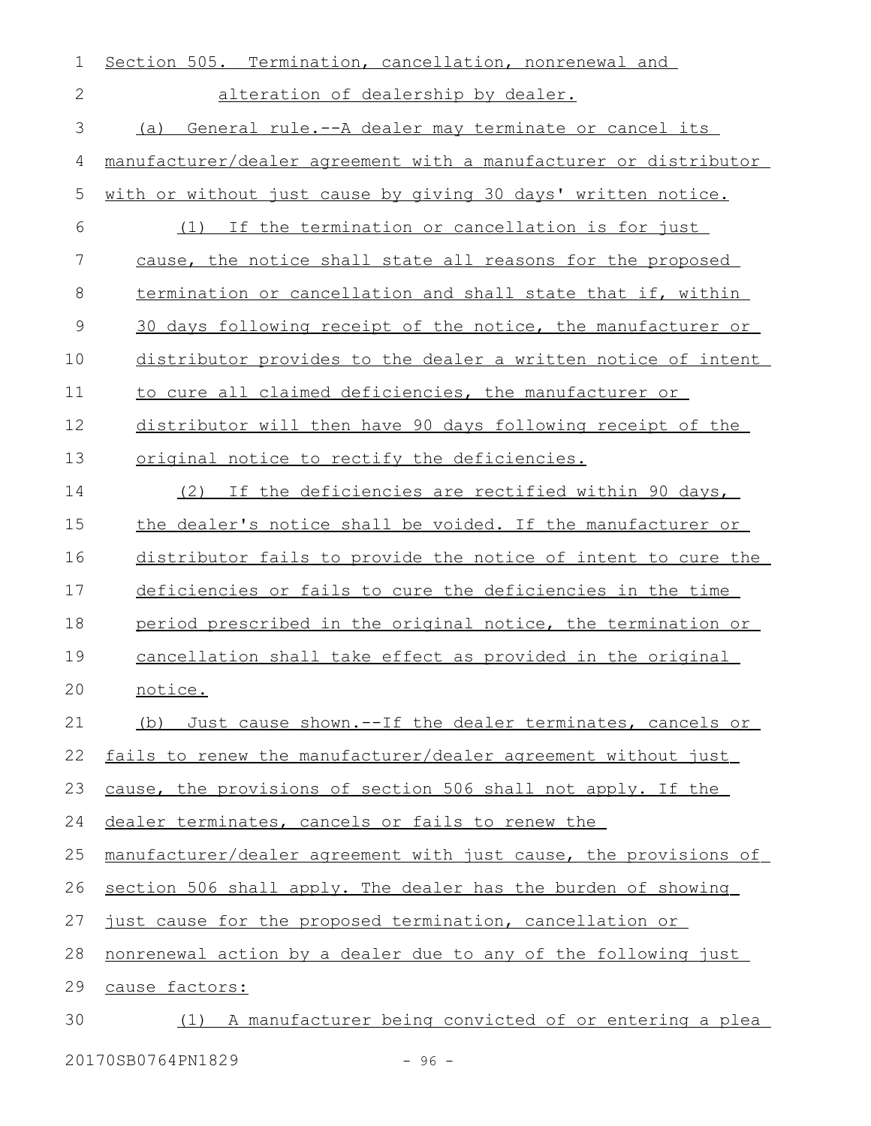| 1             | Section 505. Termination, cancellation, nonrenewal and           |
|---------------|------------------------------------------------------------------|
| 2             | alteration of dealership by dealer.                              |
| 3             | General rule.--A dealer may terminate or cancel its<br>(a)       |
| 4             | manufacturer/dealer agreement with a manufacturer or distributor |
| 5             | with or without just cause by giving 30 days' written notice.    |
| 6             | (1) If the termination or cancellation is for just               |
| 7             | cause, the notice shall state all reasons for the proposed       |
| 8             | termination or cancellation and shall state that if, within      |
| $\mathcal{G}$ | 30 days following receipt of the notice, the manufacturer or     |
| 10            | distributor provides to the dealer a written notice of intent    |
| 11            | to cure all claimed deficiencies, the manufacturer or            |
| 12            | distributor will then have 90 days following receipt of the      |
| 13            | original notice to rectify the deficiencies.                     |
| 14            | (2) If the deficiencies are rectified within 90 days,            |
| 15            | the dealer's notice shall be voided. If the manufacturer or      |
| 16            | distributor fails to provide the notice of intent to cure the    |
| 17            | deficiencies or fails to cure the deficiencies in the time       |
| 18            | period prescribed in the original notice, the termination or     |
| 19            | cancellation shall take effect as provided in the original       |
| 20            | notice.                                                          |
| 21            | Just cause shown. -- If the dealer terminates, cancels or<br>(b) |
| 22            | fails to renew the manufacturer/dealer agreement without just    |
| 23            | cause, the provisions of section 506 shall not apply. If the     |
| 24            | dealer terminates, cancels or fails to renew the                 |
| 25            | manufacturer/dealer agreement with just cause, the provisions of |
| 26            | section 506 shall apply. The dealer has the burden of showing    |
| 27            | just cause for the proposed termination, cancellation or         |
| 28            | nonrenewal action by a dealer due to any of the following just   |
| 29            | cause factors:                                                   |
| 30            | (1) A manufacturer being convicted of or entering a plea         |
|               |                                                                  |

20170SB0764PN1829 - 96 -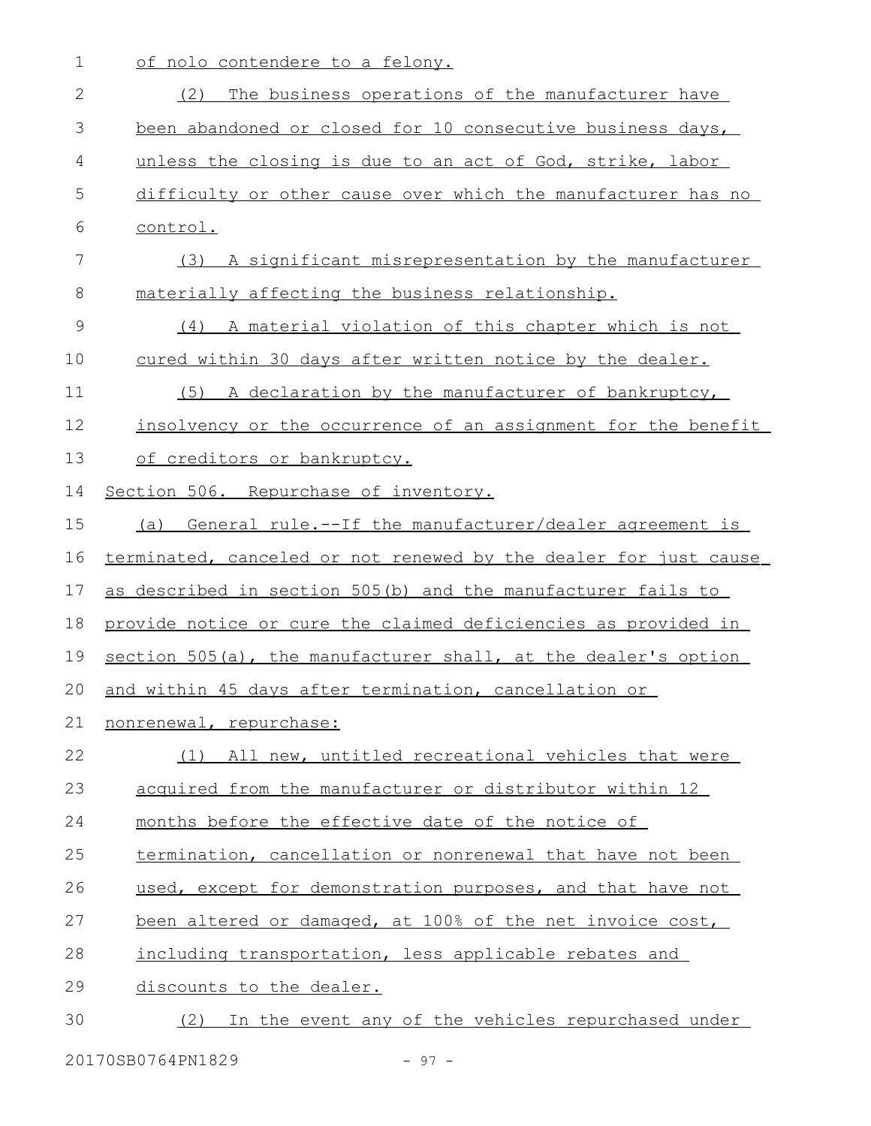1 of nolo contendere to a felony.

| $\mathbf{2}$ | (2)<br>The business operations of the manufacturer have          |
|--------------|------------------------------------------------------------------|
| 3            | been abandoned or closed for 10 consecutive business days,       |
|              |                                                                  |
| 4            | unless the closing is due to an act of God, strike, labor        |
| 5            | difficulty or other cause over which the manufacturer has no     |
| 6            | control.                                                         |
| 7            | (3) A significant misrepresentation by the manufacturer          |
| 8            | materially affecting the business relationship.                  |
| 9            | (4) A material violation of this chapter which is not            |
| 10           | cured within 30 days after written notice by the dealer.         |
| 11           | (5) A declaration by the manufacturer of bankruptcy,             |
| 12           | insolvency or the occurrence of an assignment for the benefit    |
| 13           | of creditors or bankruptcy.                                      |
| 14           | Section 506. Repurchase of inventory.                            |
| 15           | (a) General rule.--If the manufacturer/dealer agreement is       |
| 16           | terminated, canceled or not renewed by the dealer for just cause |
| 17           | as described in section 505(b) and the manufacturer fails to     |
| 18           | provide notice or cure the claimed deficiencies as provided in   |
| 19           | section 505(a), the manufacturer shall, at the dealer's option   |
| 20           | and within 45 days after termination, cancellation or            |
| 21           | nonrenewal, repurchase:                                          |
| 22           | (1) All new, untitled recreational vehicles that were            |
| 23           | acquired from the manufacturer or distributor within 12          |
| 24           | months before the effective date of the notice of                |
| 25           | termination, cancellation or nonrenewal that have not been       |
| 26           | used, except for demonstration purposes, and that have not       |
| 27           | been altered or damaged, at 100% of the net invoice cost,        |
| 28           | including transportation, less applicable rebates and            |
| 29           | discounts to the dealer.                                         |
| 30           | (2) In the event any of the vehicles repurchased under           |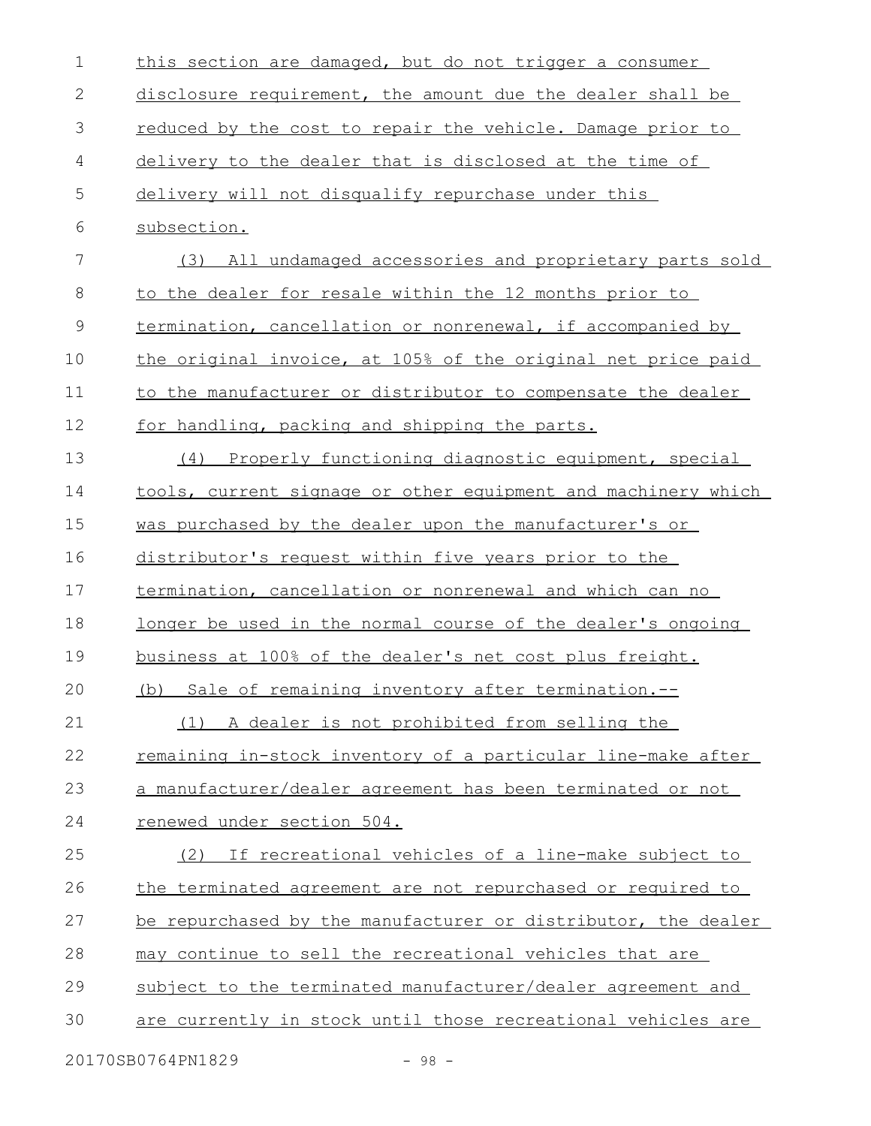| $\mathbf 1$ | this section are damaged, but do not trigger a consumer             |
|-------------|---------------------------------------------------------------------|
| 2           | disclosure requirement, the amount due the dealer shall be          |
| 3           | reduced by the cost to repair the vehicle. Damage prior to          |
| 4           | delivery to the dealer that is disclosed at the time of             |
| 5           | delivery will not disqualify repurchase under this                  |
| 6           | subsection.                                                         |
| 7           | (3) All undamaged accessories and proprietary parts sold            |
| 8           | to the dealer for resale within the 12 months prior to              |
| $\mathsf 9$ | termination, cancellation or nonrenewal, if accompanied by          |
| 10          | the original invoice, at 105% of the original net price paid        |
| 11          | to the manufacturer or distributor to compensate the dealer         |
| 12          | for handling, packing and shipping the parts.                       |
| 13          | Properly functioning diagnostic equipment, special<br>(4)           |
| 14          | tools, current signage or other equipment and machinery which       |
| 15          | was purchased by the dealer upon the manufacturer's or              |
| 16          | distributor's request within five years prior to the                |
| 17          | termination, cancellation or nonrenewal and which can no            |
| 18          | <u>longer be used in the normal course of the dealer's ongoing</u>  |
| 19          | business at 100% of the dealer's net cost plus freight.             |
| 20          | (b) Sale of remaining inventory after termination.--                |
| 21          | A dealer is not prohibited from selling the<br>(1)                  |
| 22          | <u>remaining in-stock inventory of a particular line-make after</u> |
| 23          | a manufacturer/dealer agreement has been terminated or not          |
| 24          | renewed under section 504.                                          |
| 25          | If recreational vehicles of a line-make subject to<br>(2)           |
| 26          | the terminated agreement are not repurchased or required to         |
| 27          | be repurchased by the manufacturer or distributor, the dealer       |
| 28          | may continue to sell the recreational vehicles that are             |
| 29          | subject to the terminated manufacturer/dealer agreement and         |
| 30          | are currently in stock until those recreational vehicles are        |
|             | 20170SB0764PN1829<br>$-98 -$                                        |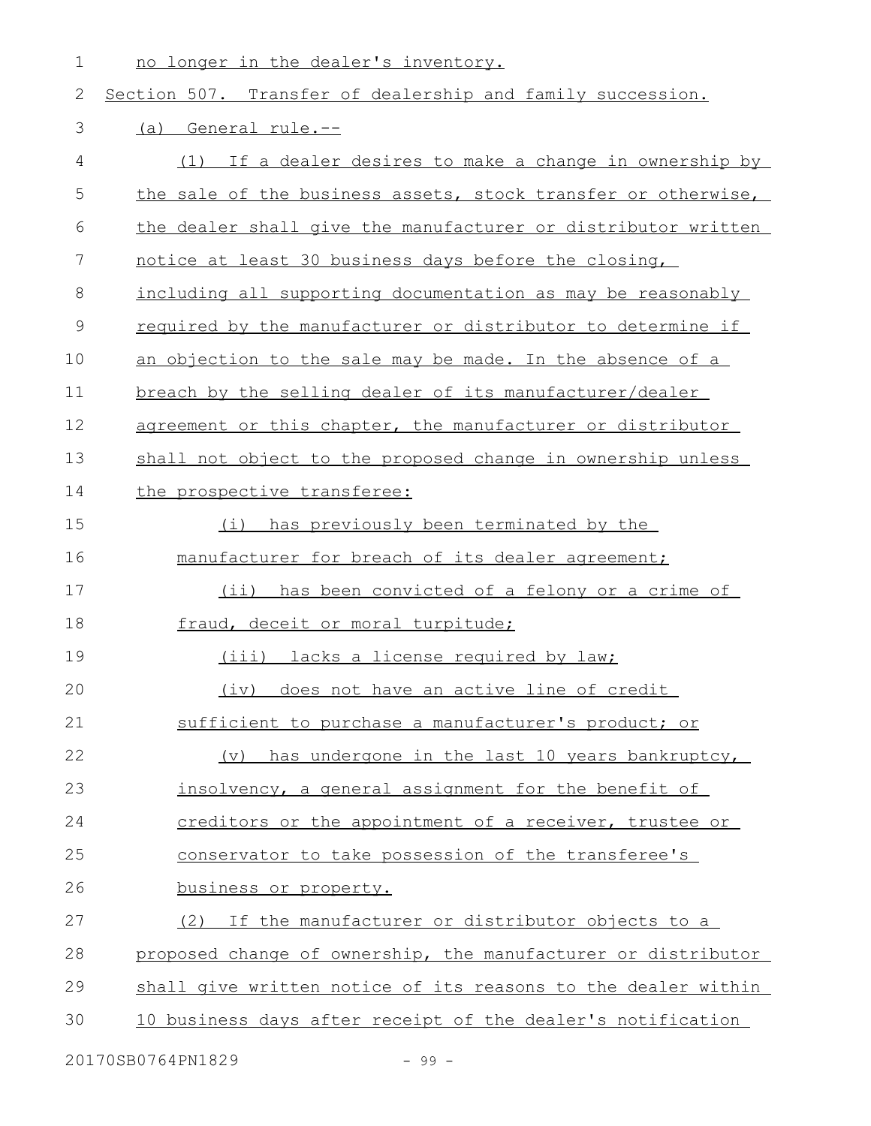no longer in the dealer's inventory. 1

## Section 507. Transfer of dealership and family succession. (a) General rule.-- (1) If a dealer desires to make a change in ownership by the sale of the business assets, stock transfer or otherwise, the dealer shall give the manufacturer or distributor written notice at least 30 business days before the closing, including all supporting documentation as may be reasonably required by the manufacturer or distributor to determine if an objection to the sale may be made. In the absence of a breach by the selling dealer of its manufacturer/dealer agreement or this chapter, the manufacturer or distributor shall not object to the proposed change in ownership unless the prospective transferee: (i) has previously been terminated by the manufacturer for breach of its dealer agreement; (ii) has been convicted of a felony or a crime of fraud, deceit or moral turpitude; (iii) lacks a license required by law; (iv) does not have an active line of credit sufficient to purchase a manufacturer's product; or (v) has undergone in the last 10 years bankruptcy, insolvency, a general assignment for the benefit of creditors or the appointment of a receiver, trustee or conservator to take possession of the transferee's business or property. (2) If the manufacturer or distributor objects to a proposed change of ownership, the manufacturer or distributor shall give written notice of its reasons to the dealer within 10 business days after receipt of the dealer's notification 2 3 4 5 6 7 8 9 10 11 12 13 14 15 16 17 18 19 20 21 22 23 24 25 26 27 28 29 30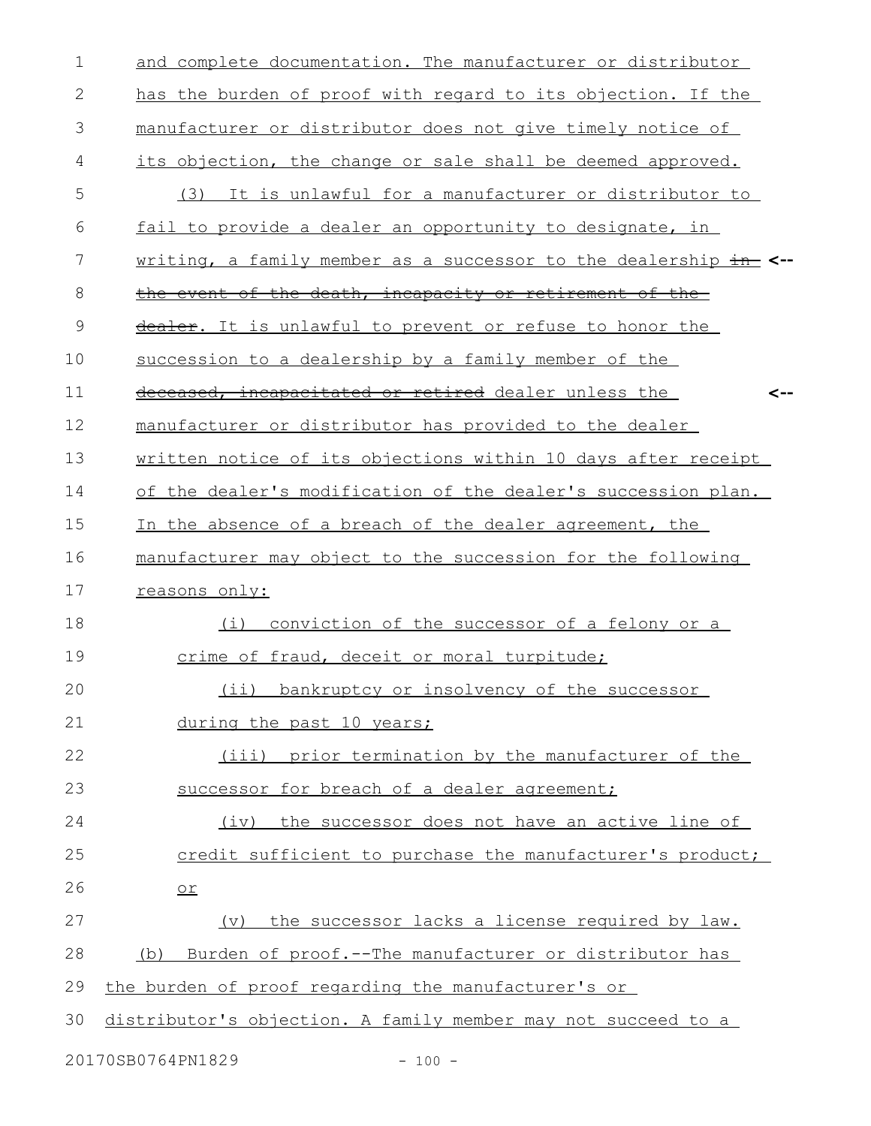| $\mathbf 1$   | and complete documentation. The manufacturer or distributor      |
|---------------|------------------------------------------------------------------|
| 2             | has the burden of proof with regard to its objection. If the     |
| 3             | manufacturer or distributor does not give timely notice of       |
| 4             | its objection, the change or sale shall be deemed approved.      |
| 5             | It is unlawful for a manufacturer or distributor to<br>(3)       |
| 6             | fail to provide a dealer an opportunity to designate, in         |
| 7             | writing, a family member as a successor to the dealership in <-- |
| 8             | the event of the death, incapacity or retirement of the          |
| $\mathcal{G}$ | dealer. It is unlawful to prevent or refuse to honor the         |
| 10            | succession to a dealership by a family member of the             |
| 11            | deceased, incapacitated or retired dealer unless the<br><--      |
| 12            | manufacturer or distributor has provided to the dealer           |
| 13            | written notice of its objections within 10 days after receipt    |
| 14            | of the dealer's modification of the dealer's succession plan.    |
| 15            | In the absence of a breach of the dealer agreement, the          |
| 16            | manufacturer may object to the succession for the following      |
| 17            | reasons only:                                                    |
| 18            | (i)<br>conviction of the successor of a felony or a              |
| 19            | crime of fraud, deceit or moral turpitude;                       |
| 20            | (ii) bankruptcy or insolvency of the successor                   |
| 21            | during the past 10 years;                                        |
| 22            | (iii) prior termination by the manufacturer of the               |
| 23            | successor for breach of a dealer agreement;                      |
| 24            | (iv) the successor does not have an active line of               |
| 25            | credit sufficient to purchase the manufacturer's product;        |
| 26            | $or$                                                             |
| 27            | (v) the successor lacks a license required by law.               |
| 28            | (b) Burden of proof.--The manufacturer or distributor has        |
| 29            | the burden of proof regarding the manufacturer's or              |
| 30            | distributor's objection. A family member may not succeed to a    |
|               | 20170SB0764PN1829<br>$-100 -$                                    |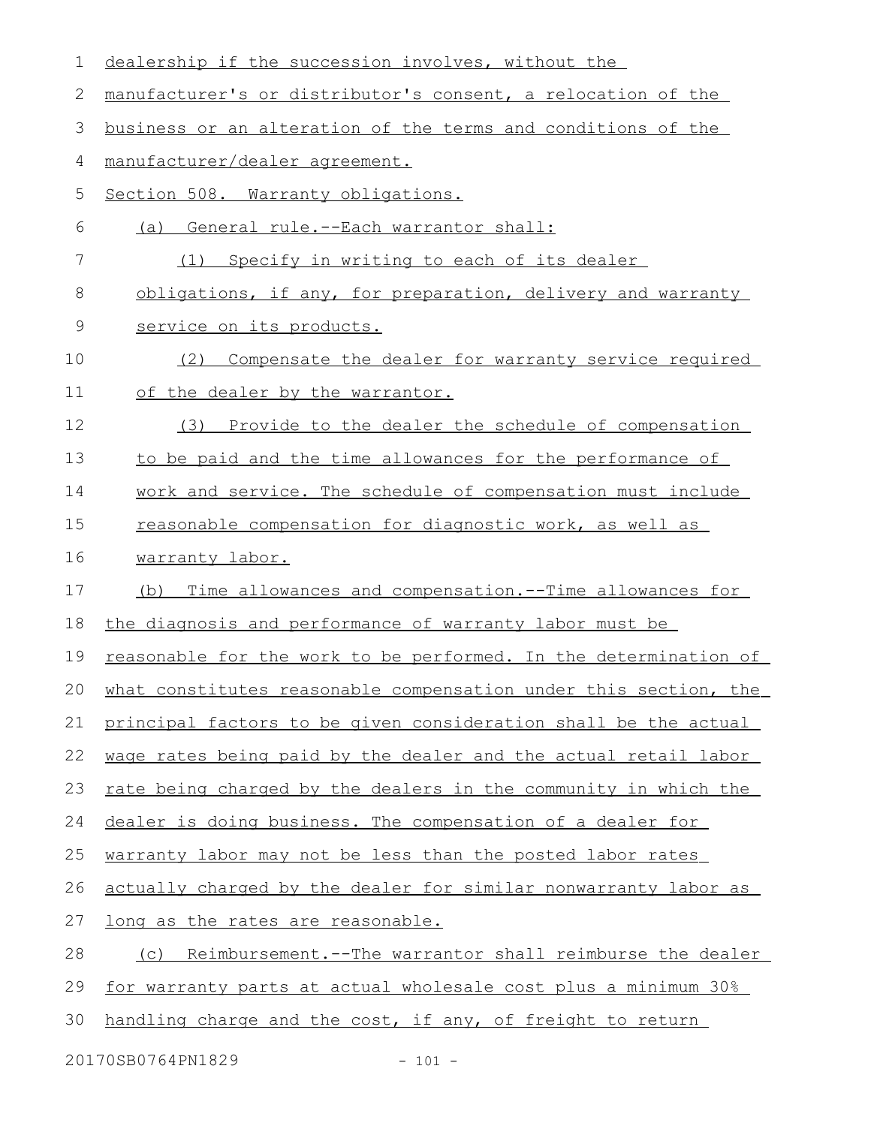| 1      | dealership if the succession involves, without the               |
|--------|------------------------------------------------------------------|
| 2      | manufacturer's or distributor's consent, a relocation of the     |
| 3      | business or an alteration of the terms and conditions of the     |
| 4      | manufacturer/dealer agreement.                                   |
| 5      | Section 508. Warranty obligations.                               |
| 6      | (a) General rule.--Each warrantor shall:                         |
| 7      | Specify in writing to each of its dealer<br>(1)                  |
| 8      | obligations, if any, for preparation, delivery and warranty      |
| 9      | service on its products.                                         |
| 10     | Compensate the dealer for warranty service required<br>(2)       |
| 11     | of the dealer by the warrantor.                                  |
| 12     | Provide to the dealer the schedule of compensation<br>(3)        |
| 13     | to be paid and the time allowances for the performance of        |
| 14     | work and service. The schedule of compensation must include      |
| 15     | reasonable compensation for diagnostic work, as well as          |
| 16     | warranty labor.                                                  |
| 17     | Time allowances and compensation. -- Time allowances for<br>(b)  |
| 18     | the diagnosis and performance of warranty labor must be          |
| 19     | reasonable for the work to be performed. In the determination of |
| $20 -$ | what constitutes reasonable compensation under this section, the |
| 21     | principal factors to be given consideration shall be the actual  |
| 22     | wage rates being paid by the dealer and the actual retail labor  |
| 23     | rate being charged by the dealers in the community in which the  |
| 24     | dealer is doing business. The compensation of a dealer for       |
| 25     | warranty labor may not be less than the posted labor rates       |
| 26     | actually charged by the dealer for similar nonwarranty labor as  |
| 27     | long as the rates are reasonable.                                |
| 28     | Reimbursement.--The warrantor shall reimburse the dealer<br>(C)  |
| 29     | for warranty parts at actual wholesale cost plus a minimum 30%   |
| 30     | handling charge and the cost, if any, of freight to return       |
|        |                                                                  |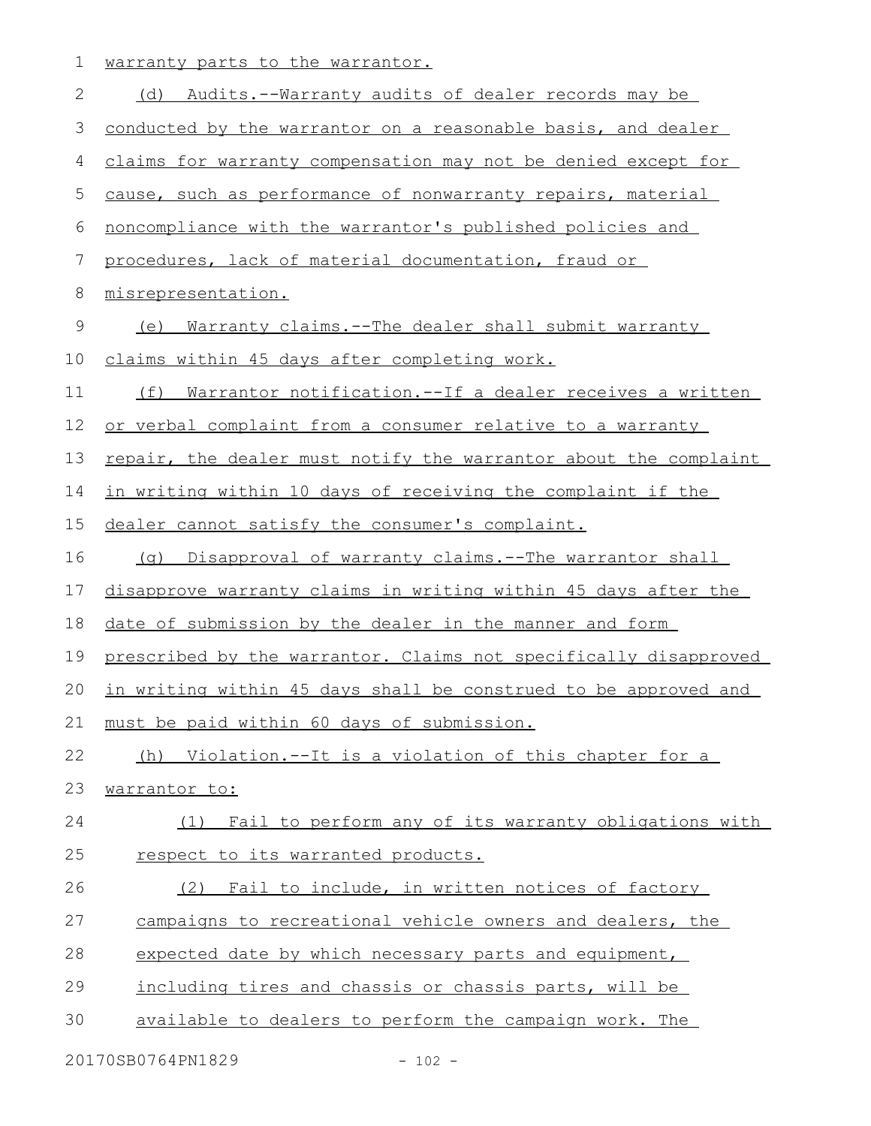1 warranty parts to the warrantor.

| $\mathbf{2}$   | (d) Audits.--Warranty audits of dealer records may be            |
|----------------|------------------------------------------------------------------|
| $\mathfrak{Z}$ | conducted by the warrantor on a reasonable basis, and dealer     |
| 4              | claims for warranty compensation may not be denied except for    |
| $\mathsf S$    | cause, such as performance of nonwarranty repairs, material      |
| 6              | noncompliance with the warrantor's published policies and        |
| 7              | procedures, lack of material documentation, fraud or             |
| 8              | misrepresentation.                                               |
| $\mathsf 9$    | (e) Warranty claims.--The dealer shall submit warranty           |
| 10             | claims within 45 days after completing work.                     |
| 11             | Warrantor notification.--If a dealer receives a written<br>(f)   |
| 12             | or verbal complaint from a consumer relative to a warranty       |
| 13             | repair, the dealer must notify the warrantor about the complaint |
| 14             | in writing within 10 days of receiving the complaint if the      |
| 15             | dealer cannot satisfy the consumer's complaint.                  |
| 16             | (g) Disapproval of warranty claims.--The warrantor shall         |
| 17             | disapprove warranty claims in writing within 45 days after the   |
| 18             | date of submission by the dealer in the manner and form          |
| 19             | prescribed by the warrantor. Claims not specifically disapproved |
| 20             | in writing within 45 days shall be construed to be approved and  |
| 21             | must be paid within 60 days of submission.                       |
| 22             | (h) Violation.--It is a violation of this chapter for a          |
| 23             | warrantor to:                                                    |
| 24             | (1) Fail to perform any of its warranty obligations with         |
| 25             | respect to its warranted products.                               |
| 26             | (2) Fail to include, in written notices of factory               |
| 27             | campaigns to recreational vehicle owners and dealers, the        |
| 28             | expected date by which necessary parts and equipment,            |
| 29             | including tires and chassis or chassis parts, will be            |
| 30             | available to dealers to perform the campaign work. The           |
|                | 20170SB0764PN1829<br>$-102 -$                                    |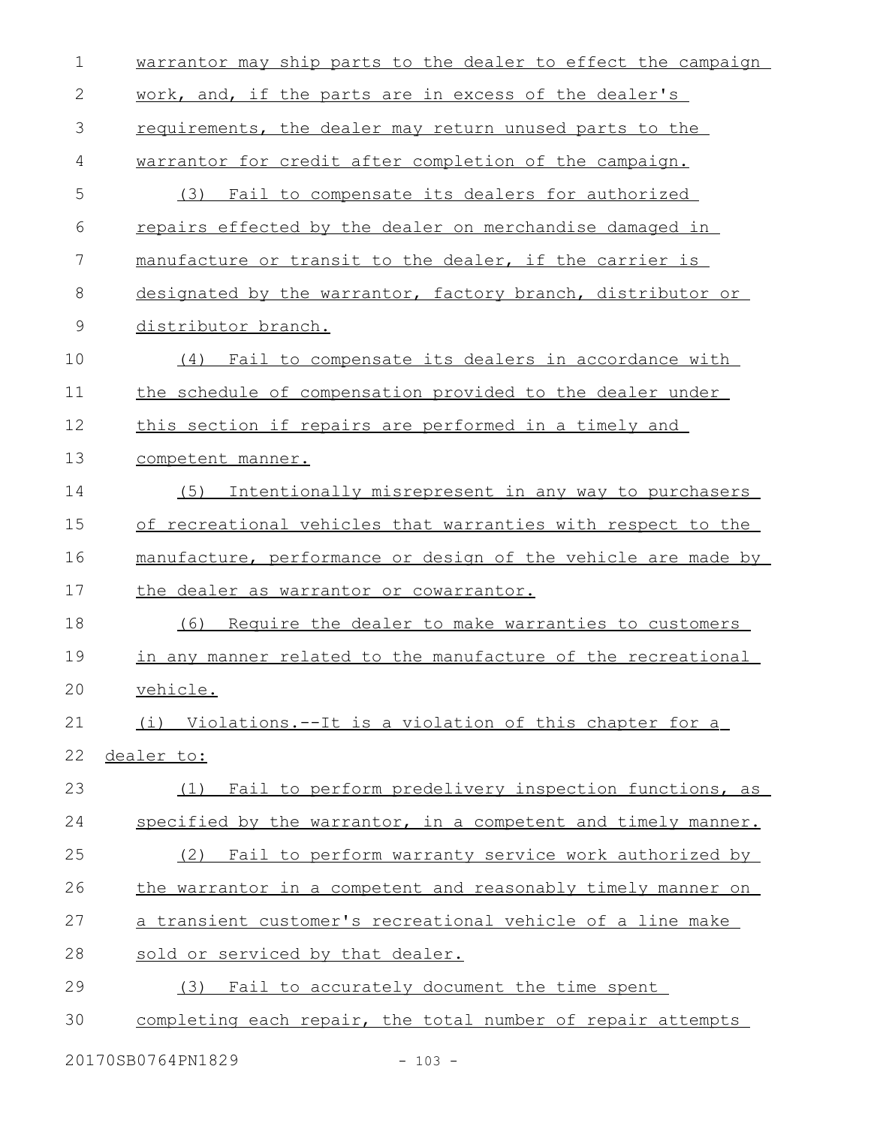| 1             | warrantor may ship parts to the dealer to effect the campaign |
|---------------|---------------------------------------------------------------|
| $\mathbf{2}$  | work, and, if the parts are in excess of the dealer's         |
| 3             | requirements, the dealer may return unused parts to the       |
| 4             | warrantor for credit after completion of the campaign.        |
| 5             | (3) Fail to compensate its dealers for authorized             |
| 6             | repairs effected by the dealer on merchandise damaged in      |
| 7             | manufacture or transit to the dealer, if the carrier is       |
| 8             | designated by the warrantor, factory branch, distributor or   |
| $\mathcal{G}$ | distributor branch.                                           |
| 10            | (4) Fail to compensate its dealers in accordance with         |
| 11            | the schedule of compensation provided to the dealer under     |
| 12            | this section if repairs are performed in a timely and         |
| 13            | competent manner.                                             |
| 14            | (5) Intentionally misrepresent in any way to purchasers       |
| 15            | of recreational vehicles that warranties with respect to the  |
| 16            | manufacture, performance or design of the vehicle are made by |
| 17            | the dealer as warrantor or cowarrantor.                       |
| 18            | Require the dealer to make warranties to customers<br>(6)     |
| 19            | in any manner related to the manufacture of the recreational  |
| 20            | vehicle.                                                      |
| 21            | (i) Violations.--It is a violation of this chapter for a      |
| 22            | dealer to:                                                    |
| 23            | Fail to perform predelivery inspection functions, as<br>(1)   |
| 24            | specified by the warrantor, in a competent and timely manner. |
| 25            | Fail to perform warranty service work authorized by<br>(2)    |
| 26            | the warrantor in a competent and reasonably timely manner on  |
| 27            | a transient customer's recreational vehicle of a line make    |
| 28            | sold or serviced by that dealer.                              |
| 29            | (3) Fail to accurately document the time spent                |
| 30            | completing each repair, the total number of repair attempts   |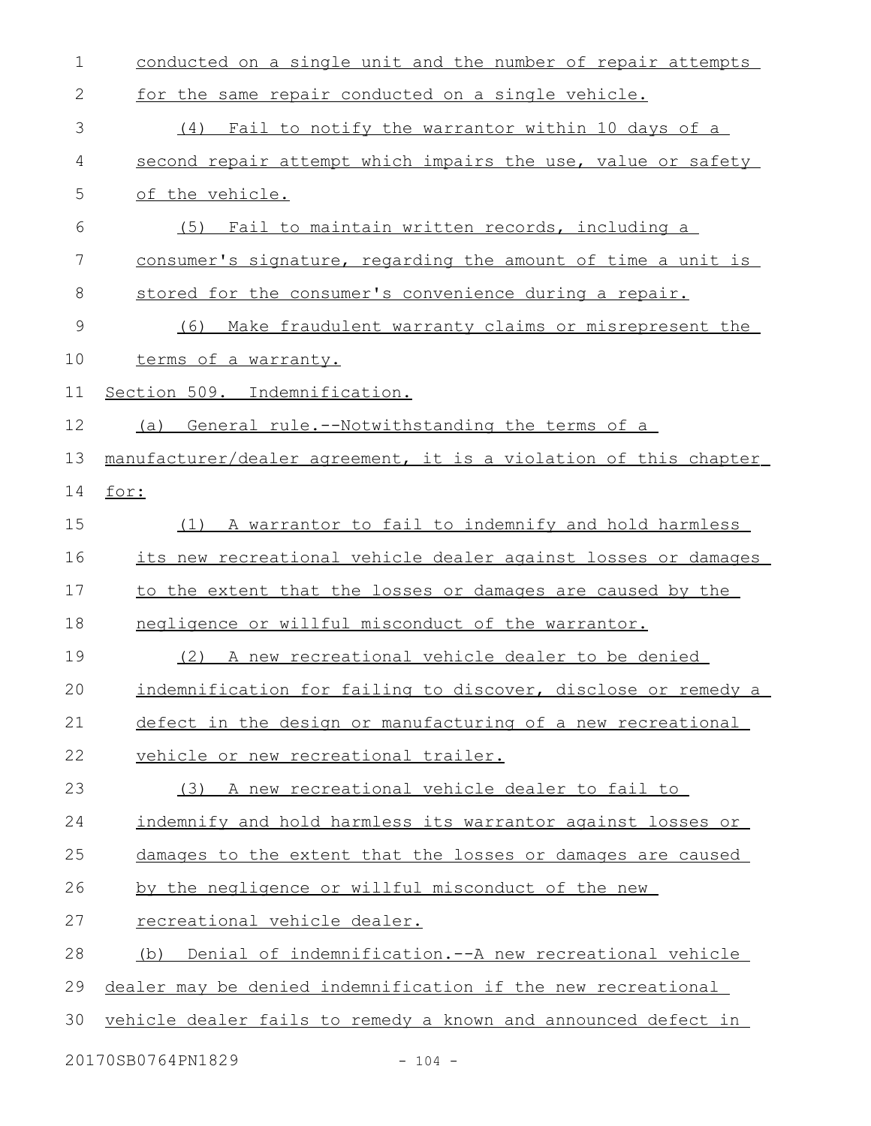| $\mathbf 1$   | conducted on a single unit and the number of repair attempts     |
|---------------|------------------------------------------------------------------|
| 2             | for the same repair conducted on a single vehicle.               |
| 3             | Fail to notify the warrantor within 10 days of a<br>(4)          |
| 4             | second repair attempt which impairs the use, value or safety     |
| 5             | of the vehicle.                                                  |
| 6             | (5) Fail to maintain written records, including a                |
| 7             | consumer's signature, regarding the amount of time a unit is     |
| 8             | stored for the consumer's convenience during a repair.           |
| $\mathcal{G}$ | Make fraudulent warranty claims or misrepresent the<br>(6)       |
| 10            | terms of a warranty.                                             |
| 11            | Section 509. Indemnification.                                    |
| 12            | General rule.--Notwithstanding the terms of a<br>(a)             |
| 13            | manufacturer/dealer agreement, it is a violation of this chapter |
| 14            | for:                                                             |
| 15            | (1) A warrantor to fail to indemnify and hold harmless           |
| 16            | its new recreational vehicle dealer against losses or damages    |
| 17            | to the extent that the losses or damages are caused by the       |
| 18            | negligence or willful misconduct of the warrantor.               |
| 19            | A new recreational vehicle dealer to be denied<br>(2)            |
| 20            | indemnification for failing to discover, disclose or remedy a    |
| 21            | defect in the design or manufacturing of a new recreational      |
| 22            | vehicle or new recreational trailer.                             |
| 23            | (3) A new recreational vehicle dealer to fail to                 |
| 24            | indemnify and hold harmless its warrantor against losses or      |
| 25            | damages to the extent that the losses or damages are caused      |
| 26            | by the negligence or willful misconduct of the new               |
| 27            | recreational vehicle dealer.                                     |
| 28            | Denial of indemnification.--A new recreational vehicle<br>(b)    |
| 29            | dealer may be denied indemnification if the new recreational     |
| 30            | vehicle dealer fails to remedy a known and announced defect in   |
|               |                                                                  |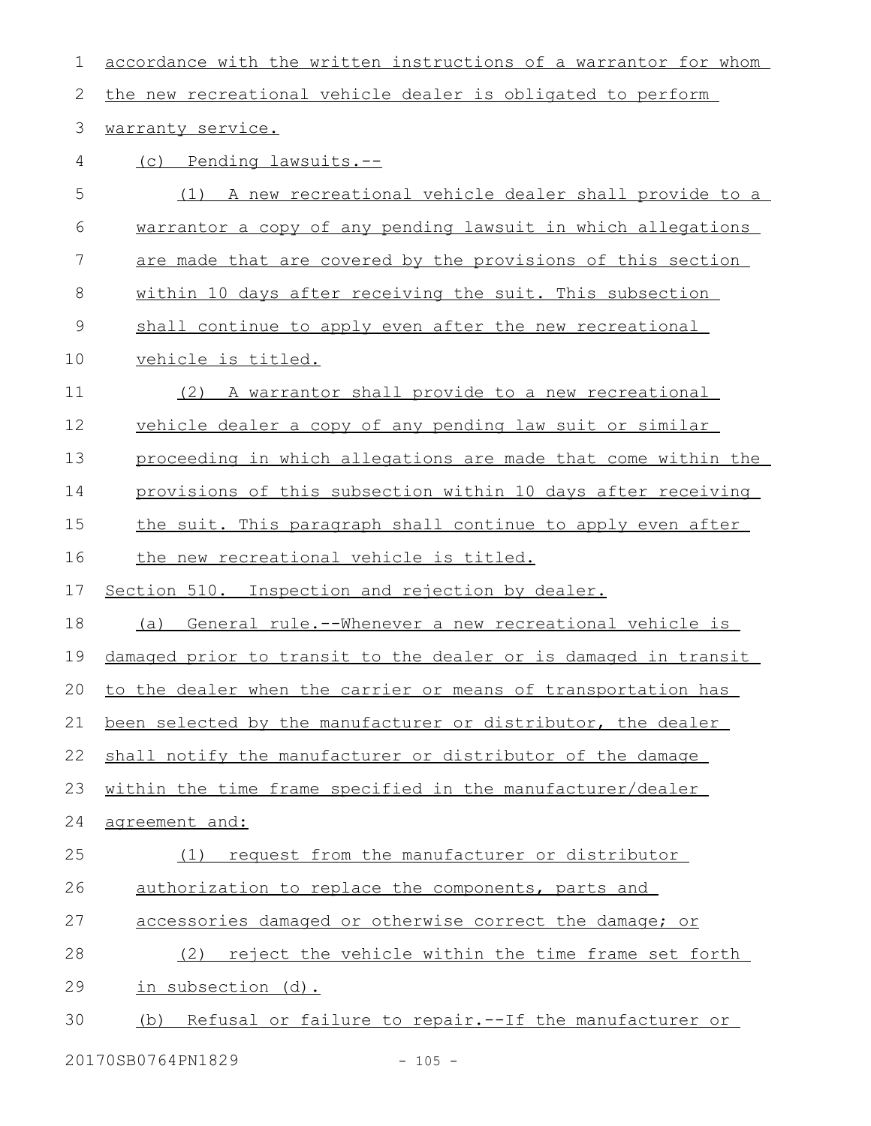| 1           | accordance with the written instructions of a warrantor for whom |
|-------------|------------------------------------------------------------------|
| 2           | the new recreational vehicle dealer is obligated to perform      |
| 3           | warranty service.                                                |
| 4           | (c) Pending lawsuits.--                                          |
| 5           | A new recreational vehicle dealer shall provide to a<br>(1)      |
| 6           | warrantor a copy of any pending lawsuit in which allegations     |
| 7           | are made that are covered by the provisions of this section      |
| 8           | within 10 days after receiving the suit. This subsection         |
| $\mathsf 9$ | shall continue to apply even after the new recreational          |
| 10          | vehicle is titled.                                               |
| 11          | (2) A warrantor shall provide to a new recreational              |
| 12          | vehicle dealer a copy of any pending law suit or similar         |
| 13          | proceeding in which allegations are made that come within the    |
| 14          | provisions of this subsection within 10 days after receiving     |
| 15          | the suit. This paragraph shall continue to apply even after      |
| 16          | the new recreational vehicle is titled.                          |
| 17          | Section 510. Inspection and rejection by dealer.                 |
| 18          | (a) General rule.--Whenever a new recreational vehicle is        |
| 19          | damaged prior to transit to the dealer or is damaged in transit  |
| 20          | to the dealer when the carrier or means of transportation has    |
| 21          | been selected by the manufacturer or distributor, the dealer     |
| 22          | shall notify the manufacturer or distributor of the damage       |
| 23          | within the time frame specified in the manufacturer/dealer       |
| 24          | agreement and:                                                   |
| 25          | request from the manufacturer or distributor<br>(1)              |
| 26          | authorization to replace the components, parts and               |
| 27          | accessories damaged or otherwise correct the damage; or          |
| 28          | reject the vehicle within the time frame set forth<br>(2)        |
| 29          | in subsection (d).                                               |
| 30          | Refusal or failure to repair. -- If the manufacturer or<br>(b)   |
|             |                                                                  |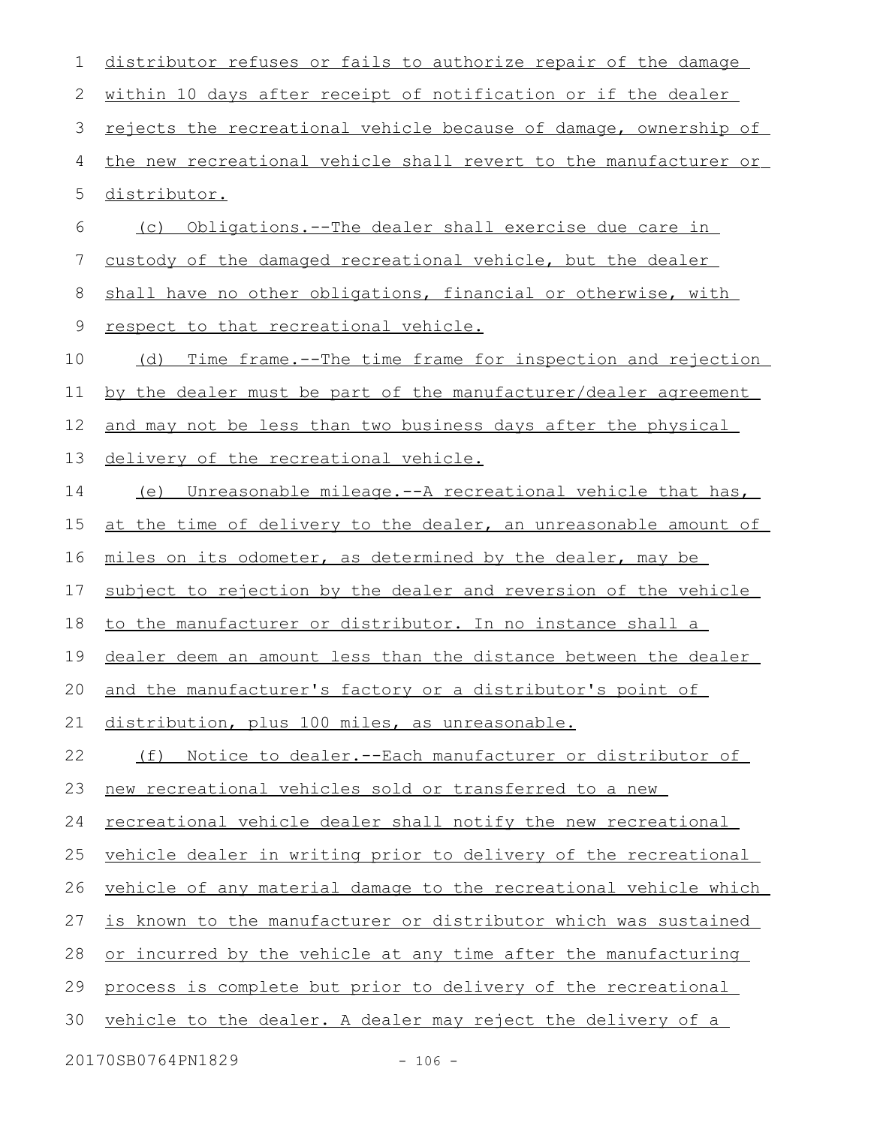distributor refuses or fails to authorize repair of the damage within 10 days after receipt of notification or if the dealer rejects the recreational vehicle because of damage, ownership of the new recreational vehicle shall revert to the manufacturer or distributor. (c) Obligations.--The dealer shall exercise due care in custody of the damaged recreational vehicle, but the dealer shall have no other obligations, financial or otherwise, with respect to that recreational vehicle. (d) Time frame.--The time frame for inspection and rejection by the dealer must be part of the manufacturer/dealer agreement and may not be less than two business days after the physical delivery of the recreational vehicle. (e) Unreasonable mileage.--A recreational vehicle that has, at the time of delivery to the dealer, an unreasonable amount of miles on its odometer, as determined by the dealer, may be subject to rejection by the dealer and reversion of the vehicle to the manufacturer or distributor. In no instance shall a dealer deem an amount less than the distance between the dealer and the manufacturer's factory or a distributor's point of distribution, plus 100 miles, as unreasonable. (f) Notice to dealer.--Each manufacturer or distributor of new recreational vehicles sold or transferred to a new recreational vehicle dealer shall notify the new recreational vehicle dealer in writing prior to delivery of the recreational vehicle of any material damage to the recreational vehicle which is known to the manufacturer or distributor which was sustained or incurred by the vehicle at any time after the manufacturing process is complete but prior to delivery of the recreational vehicle to the dealer. A dealer may reject the delivery of a 20170SB0764PN1829 - 106 - 1 2 3 4 5 6 7 8 9 10 11 12 13 14 15 16 17 18 19 20 21 22 23 24 25 26 27 28 29 30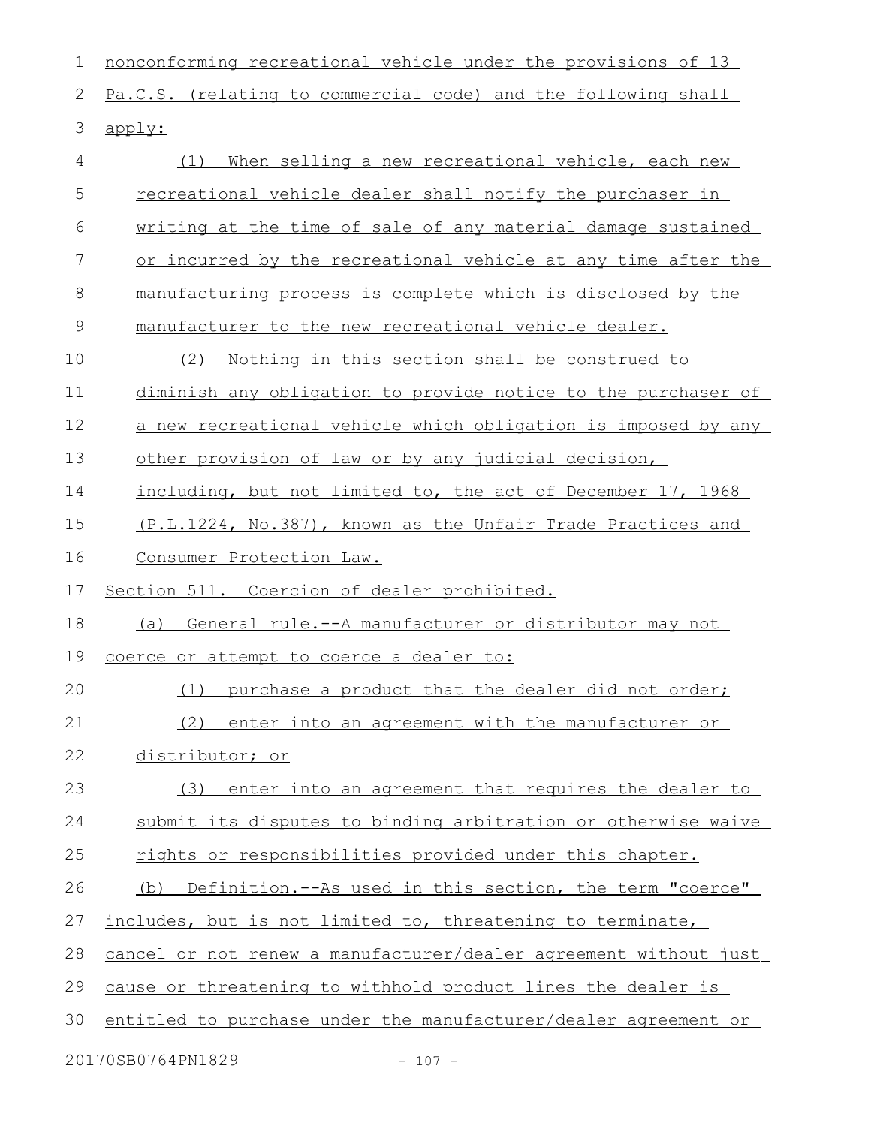nonconforming recreational vehicle under the provisions of 13 Pa.C.S. (relating to commercial code) and the following shall apply: (1) When selling a new recreational vehicle, each new recreational vehicle dealer shall notify the purchaser in writing at the time of sale of any material damage sustained or incurred by the recreational vehicle at any time after the manufacturing process is complete which is disclosed by the manufacturer to the new recreational vehicle dealer. (2) Nothing in this section shall be construed to diminish any obligation to provide notice to the purchaser of a new recreational vehicle which obligation is imposed by any other provision of law or by any judicial decision, including, but not limited to, the act of December 17, 1968 (P.L.1224, No.387), known as the Unfair Trade Practices and Consumer Protection Law. Section 511. Coercion of dealer prohibited. (a) General rule.--A manufacturer or distributor may not coerce or attempt to coerce a dealer to: (1) purchase a product that the dealer did not order; (2) enter into an agreement with the manufacturer or distributor; or (3) enter into an agreement that requires the dealer to submit its disputes to binding arbitration or otherwise waive rights or responsibilities provided under this chapter. (b) Definition.--As used in this section, the term "coerce" includes, but is not limited to, threatening to terminate, cancel or not renew a manufacturer/dealer agreement without just cause or threatening to withhold product lines the dealer is entitled to purchase under the manufacturer/dealer agreement or 1 2 3 4 5 6 7 8 9 10 11 12 13 14 15 16 17 18 19 20 21 22 23 24 25 26 27 28 29 30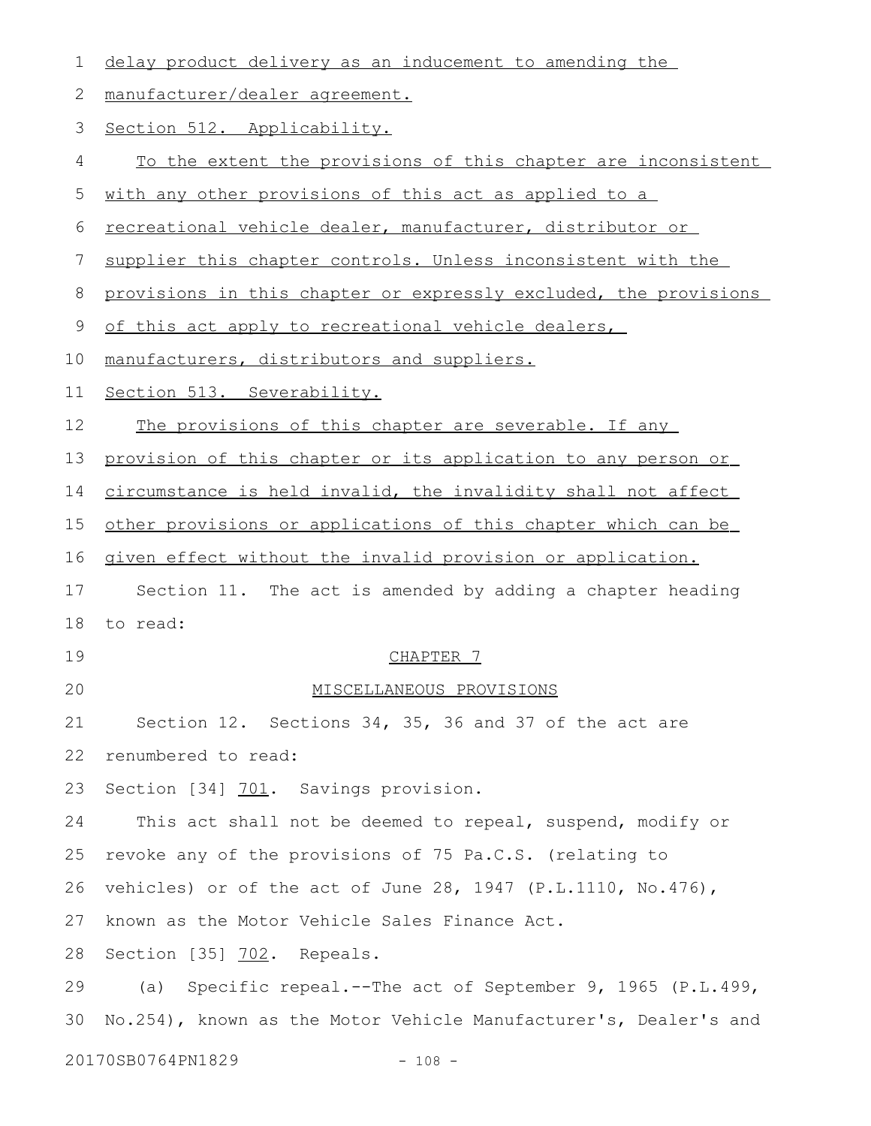| 1            | delay product delivery as an inducement to amending the          |
|--------------|------------------------------------------------------------------|
| $\mathbf{2}$ | manufacturer/dealer agreement.                                   |
| 3            | Section 512. Applicability.                                      |
| 4            | To the extent the provisions of this chapter are inconsistent    |
| 5            | with any other provisions of this act as applied to a            |
| 6            | recreational vehicle dealer, manufacturer, distributor or        |
| 7            | supplier this chapter controls. Unless inconsistent with the     |
| 8            | provisions in this chapter or expressly excluded, the provisions |
| $\mathsf 9$  | of this act apply to recreational vehicle dealers,               |
| 10           | manufacturers, distributors and suppliers.                       |
| 11           | Section 513. Severability.                                       |
| 12           | The provisions of this chapter are severable. If any             |
| 13           | provision of this chapter or its application to any person or    |
| 14           | circumstance is held invalid, the invalidity shall not affect    |
| 15           | other provisions or applications of this chapter which can be    |
| 16           | given effect without the invalid provision or application.       |
| 17           | Section 11. The act is amended by adding a chapter heading       |
| 18           | to read:                                                         |
| 19           | CHAPTER 7                                                        |
| 20           | MISCELLANEOUS PROVISIONS                                         |
| 21           | Section 12. Sections 34, 35, 36 and 37 of the act are            |
| 22           | renumbered to read:                                              |
| 23           | Section [34] 701. Savings provision.                             |
| 24           | This act shall not be deemed to repeal, suspend, modify or       |
| 25           | revoke any of the provisions of 75 Pa.C.S. (relating to          |
| 26           | vehicles) or of the act of June 28, 1947 (P.L.1110, No.476),     |
| 27           | known as the Motor Vehicle Sales Finance Act.                    |
| 28           | Section [35] 702. Repeals.                                       |
| 29           | Specific repeal.--The act of September 9, 1965 (P.L.499,<br>(a)  |
| 30           | No.254), known as the Motor Vehicle Manufacturer's, Dealer's and |
|              | 20170SB0764PN1829<br>$-108 -$                                    |